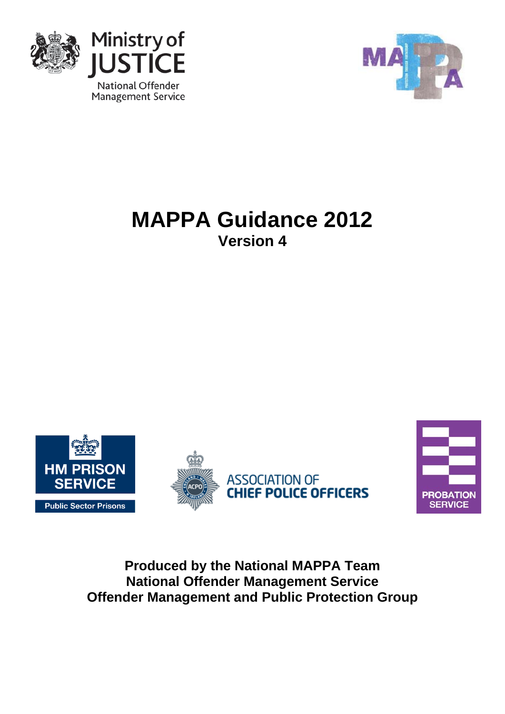



# **MAPPA Guidance 2012 Version 4**







**Produced by the National MAPPA Team National Offender Management Service Offender Management and Public Protection Group**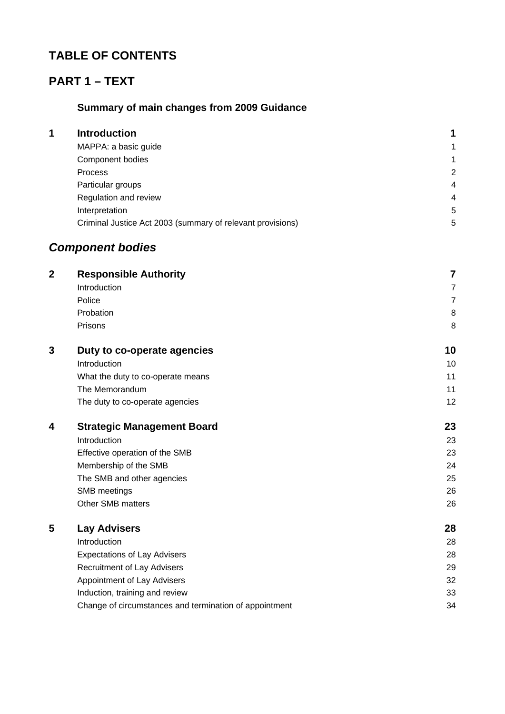# **TABLE OF CONTENTS**

# **PART 1 – TEXT**

# **Summary of main changes from 2009 Guidance**

| 1 | <b>Introduction</b>                                        |   |
|---|------------------------------------------------------------|---|
|   | MAPPA: a basic guide                                       | 1 |
|   | Component bodies                                           | 1 |
|   | <b>Process</b>                                             | 2 |
|   | Particular groups                                          | 4 |
|   | Regulation and review                                      | 4 |
|   | Interpretation                                             | 5 |
|   | Criminal Justice Act 2003 (summary of relevant provisions) | 5 |
|   |                                                            |   |

# *Component bodies*

| $\overline{2}$ | <b>Responsible Authority</b>                           | 7              |
|----------------|--------------------------------------------------------|----------------|
|                | Introduction                                           | $\overline{7}$ |
|                | Police                                                 | $\overline{7}$ |
|                | Probation                                              | 8              |
|                | Prisons                                                | 8              |
| 3              | Duty to co-operate agencies                            | 10             |
|                | Introduction                                           | 10             |
|                | What the duty to co-operate means                      | 11             |
|                | The Memorandum                                         | 11             |
|                | The duty to co-operate agencies                        | 12             |
| 4              | <b>Strategic Management Board</b>                      | 23             |
|                | Introduction                                           | 23             |
|                | Effective operation of the SMB                         | 23             |
|                | Membership of the SMB                                  | 24             |
|                | The SMB and other agencies                             | 25             |
|                | SMB meetings                                           | 26             |
|                | Other SMB matters                                      | 26             |
| 5              | <b>Lay Advisers</b>                                    | 28             |
|                | Introduction                                           | 28             |
|                | <b>Expectations of Lay Advisers</b>                    | 28             |
|                | <b>Recruitment of Lay Advisers</b>                     | 29             |
|                | Appointment of Lay Advisers                            | 32             |
|                | Induction, training and review                         | 33             |
|                | Change of circumstances and termination of appointment | 34             |
|                |                                                        |                |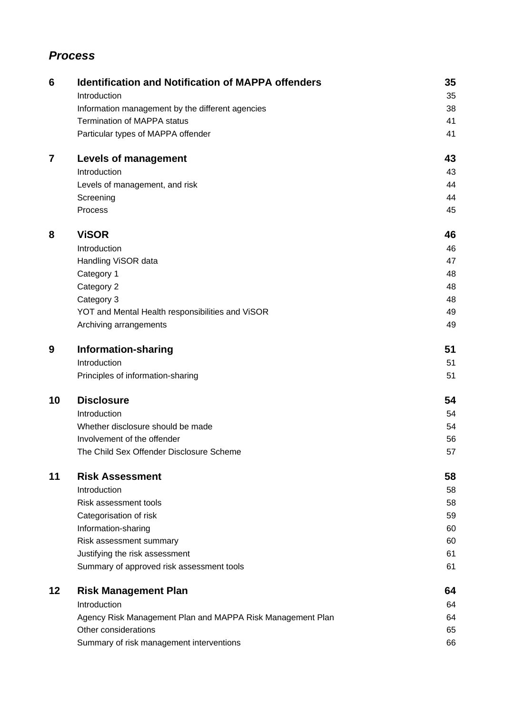# *Process*

| 6       | <b>Identification and Notification of MAPPA offenders</b>  | 35 |
|---------|------------------------------------------------------------|----|
|         | Introduction                                               | 35 |
|         | Information management by the different agencies           | 38 |
|         | <b>Termination of MAPPA status</b>                         | 41 |
|         | Particular types of MAPPA offender                         | 41 |
| 7       | <b>Levels of management</b>                                | 43 |
|         | Introduction                                               | 43 |
|         | Levels of management, and risk                             | 44 |
|         | Screening                                                  | 44 |
|         | Process                                                    | 45 |
| 8       | <b>ViSOR</b>                                               | 46 |
|         | Introduction                                               | 46 |
|         | Handling ViSOR data                                        | 47 |
|         | Category 1                                                 | 48 |
|         | Category 2                                                 | 48 |
|         | Category 3                                                 | 48 |
|         | YOT and Mental Health responsibilities and ViSOR           | 49 |
|         | Archiving arrangements                                     | 49 |
| 9       | Information-sharing                                        | 51 |
|         | Introduction                                               | 51 |
|         | Principles of information-sharing                          | 51 |
| 10      | <b>Disclosure</b>                                          | 54 |
|         | Introduction                                               | 54 |
|         | Whether disclosure should be made                          | 54 |
|         | Involvement of the offender                                | 56 |
|         | The Child Sex Offender Disclosure Scheme                   | 57 |
| 11      | <b>Risk Assessment</b>                                     | 58 |
|         | Introduction                                               | 58 |
|         | Risk assessment tools                                      | 58 |
|         | Categorisation of risk                                     | 59 |
|         | Information-sharing                                        | 60 |
|         | Risk assessment summary                                    | 60 |
|         | Justifying the risk assessment                             | 61 |
|         | Summary of approved risk assessment tools                  | 61 |
| $12 \,$ | <b>Risk Management Plan</b>                                | 64 |
|         | Introduction                                               | 64 |
|         | Agency Risk Management Plan and MAPPA Risk Management Plan | 64 |
|         | Other considerations                                       | 65 |
|         | Summary of risk management interventions                   | 66 |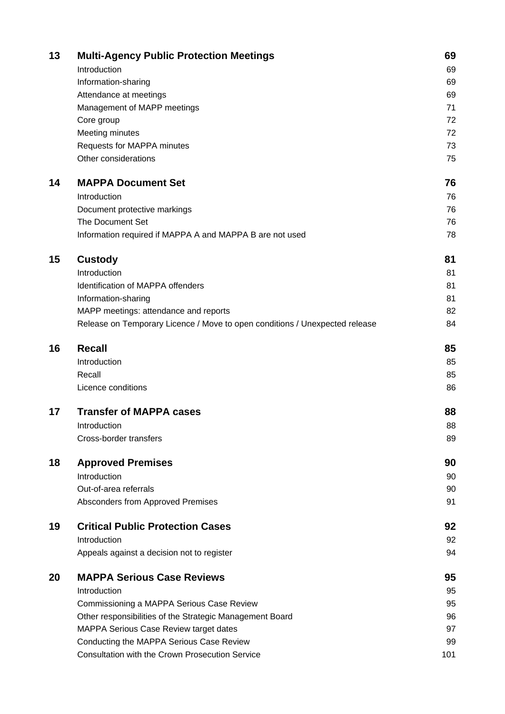| 13 | <b>Multi-Agency Public Protection Meetings</b>                              | 69  |
|----|-----------------------------------------------------------------------------|-----|
|    | Introduction                                                                | 69  |
|    | Information-sharing                                                         | 69  |
|    | Attendance at meetings                                                      | 69  |
|    | Management of MAPP meetings                                                 | 71  |
|    | Core group                                                                  | 72  |
|    | Meeting minutes                                                             | 72  |
|    | Requests for MAPPA minutes                                                  | 73  |
|    | Other considerations                                                        | 75  |
| 14 | <b>MAPPA Document Set</b>                                                   | 76  |
|    | Introduction                                                                | 76  |
|    | Document protective markings                                                | 76  |
|    | The Document Set                                                            | 76  |
|    | Information required if MAPPA A and MAPPA B are not used                    | 78  |
| 15 | <b>Custody</b>                                                              | 81  |
|    | Introduction                                                                | 81  |
|    | Identification of MAPPA offenders                                           | 81  |
|    | Information-sharing                                                         | 81  |
|    | MAPP meetings: attendance and reports                                       | 82  |
|    | Release on Temporary Licence / Move to open conditions / Unexpected release | 84  |
| 16 | <b>Recall</b>                                                               | 85  |
|    | Introduction                                                                | 85  |
|    | Recall                                                                      | 85  |
|    | Licence conditions                                                          | 86  |
| 17 | <b>Transfer of MAPPA cases</b>                                              | 88  |
|    | Introduction                                                                | 88  |
|    | Cross-border transfers                                                      | 89  |
| 18 | <b>Approved Premises</b>                                                    | 90  |
|    | Introduction                                                                | 90  |
|    | Out-of-area referrals                                                       | 90  |
|    | Absconders from Approved Premises                                           | 91  |
| 19 | <b>Critical Public Protection Cases</b>                                     | 92  |
|    | Introduction                                                                | 92  |
|    | Appeals against a decision not to register                                  | 94  |
| 20 | <b>MAPPA Serious Case Reviews</b>                                           | 95  |
|    | Introduction                                                                | 95  |
|    | Commissioning a MAPPA Serious Case Review                                   | 95  |
|    | Other responsibilities of the Strategic Management Board                    | 96  |
|    | MAPPA Serious Case Review target dates                                      | 97  |
|    | Conducting the MAPPA Serious Case Review                                    | 99  |
|    | <b>Consultation with the Crown Prosecution Service</b>                      | 101 |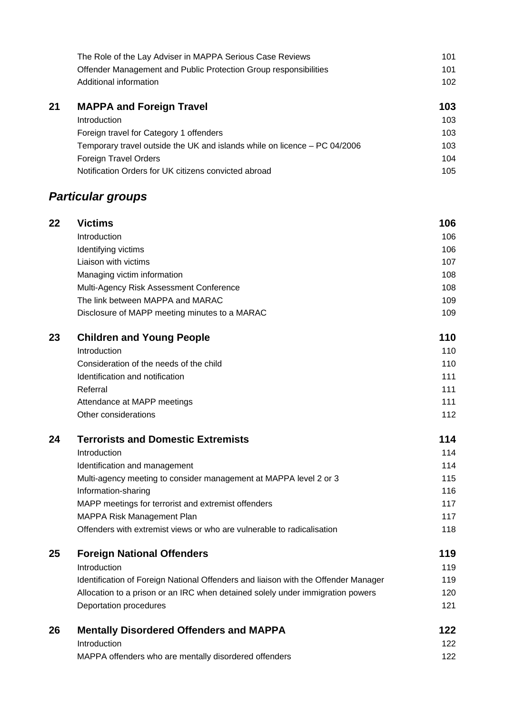|    | The Role of the Lay Adviser in MAPPA Serious Case Reviews        | 101 |
|----|------------------------------------------------------------------|-----|
|    | Offender Management and Public Protection Group responsibilities | 101 |
|    | Additional information                                           | 102 |
| 21 | <b>MAPPA and Foreign Travel</b>                                  | 103 |
|    | Introduction                                                     | 103 |
|    | Foreign travel for Category 1 offenders                          | 103 |

| <u>Foreign travel for bategory Tollerius</u>                              | 1 V V |
|---------------------------------------------------------------------------|-------|
| Temporary travel outside the UK and islands while on licence – PC 04/2006 | 103   |
| Foreign Travel Orders                                                     | 104   |
| Notification Orders for UK citizens convicted abroad                      | 105   |

# *Particular groups*

| 22 | <b>Victims</b>                                | 106 |
|----|-----------------------------------------------|-----|
|    | Introduction                                  | 106 |
|    | Identifying victims                           | 106 |
|    | Liaison with victims                          | 107 |
|    | Managing victim information                   | 108 |
|    | Multi-Agency Risk Assessment Conference       | 108 |
|    | The link between MAPPA and MARAC              | 109 |
|    | Disclosure of MAPP meeting minutes to a MARAC | 109 |
| 23 | <b>Children and Young People</b>              | 110 |
|    | Introduction                                  | 110 |
|    | Consideration of the needs of the obild       | 110 |

| Consideration of the needs of the child | 110 |
|-----------------------------------------|-----|
| Identification and notification         | 111 |
| Referral                                | 111 |
| Attendance at MAPP meetings             | 111 |
| Other considerations                    | 112 |

# **24 Terrorists and Domestic Extremists 114**

| Introduction                                                           | 114 |
|------------------------------------------------------------------------|-----|
| Identification and management                                          | 114 |
| Multi-agency meeting to consider management at MAPPA level 2 or 3      | 115 |
| Information-sharing                                                    | 116 |
| MAPP meetings for terrorist and extremist offenders                    | 117 |
| MAPPA Risk Management Plan                                             | 117 |
| Offenders with extremist views or who are vulnerable to radicalisation | 118 |
|                                                                        |     |

### **25 Foreign National Offenders 119 and 119 and 119 and 119 and 119 and 119 and 119 and 119 and 119 and 119 and 119 and 119 and 119 and 119 and 119 and 119 and 119 and 119 and 119 and 119 and 119 and 119 and 119 and 119 and** Introduction 2008 119 Identification of Foreign National Offenders and liaison with the Offender Manager 119 Allocation to a prison or an IRC when detained solely under immigration powers 120

| 26 | <b>Mentally Disordered Offenders and MAPPA</b>        | 122 |
|----|-------------------------------------------------------|-----|
|    | Introduction                                          | 122 |
|    | MAPPA offenders who are mentally disordered offenders | 122 |

Deportation procedures 121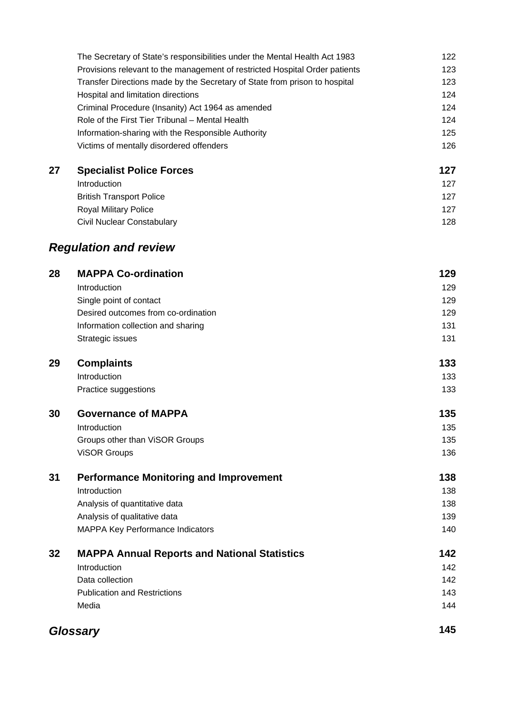|    | The Secretary of State's responsibilities under the Mental Health Act 1983  | 122 |
|----|-----------------------------------------------------------------------------|-----|
|    | Provisions relevant to the management of restricted Hospital Order patients | 123 |
|    | Transfer Directions made by the Secretary of State from prison to hospital  | 123 |
|    | Hospital and limitation directions                                          | 124 |
|    | Criminal Procedure (Insanity) Act 1964 as amended                           | 124 |
|    | Role of the First Tier Tribunal - Mental Health                             | 124 |
|    | Information-sharing with the Responsible Authority                          | 125 |
|    | Victims of mentally disordered offenders                                    | 126 |
| 27 | <b>Specialist Police Forces</b>                                             | 127 |
|    | Introduction                                                                | 127 |
|    | <b>British Transport Police</b>                                             | 127 |
|    | Royal Military Police                                                       | 127 |
|    | <b>Civil Nuclear Constabulary</b>                                           | 128 |
|    | <b>Regulation and review</b>                                                |     |
| 28 | <b>MAPPA Co-ordination</b>                                                  | 129 |
|    | Introduction                                                                | 129 |
|    | Single point of contact                                                     | 129 |
|    | Desired outcomes from co-ordination                                         | 129 |
|    | Information collection and sharing                                          | 131 |
|    | Strategic issues                                                            | 131 |
| 29 | <b>Complaints</b>                                                           | 133 |
|    | Introduction                                                                | 133 |
|    | Practice suggestions                                                        | 133 |
| 30 | <b>Governance of MAPPA</b>                                                  | 135 |
|    | Introduction                                                                | 135 |
|    | Groups other than ViSOR Groups                                              | 135 |
|    | <b>VISOR Groups</b>                                                         | 136 |
| 31 | <b>Performance Monitoring and Improvement</b>                               | 138 |
|    | Introduction                                                                | 138 |
|    | Analysis of quantitative data                                               | 138 |
|    | Analysis of qualitative data                                                | 139 |
|    | MAPPA Key Performance Indicators                                            | 140 |
| 32 | <b>MAPPA Annual Reports and National Statistics</b>                         | 142 |
|    | Introduction                                                                | 142 |
|    | Data collection                                                             | 142 |
|    | <b>Publication and Restrictions</b>                                         | 143 |
|    | Media                                                                       | 144 |
|    | <b>Glossary</b>                                                             | 145 |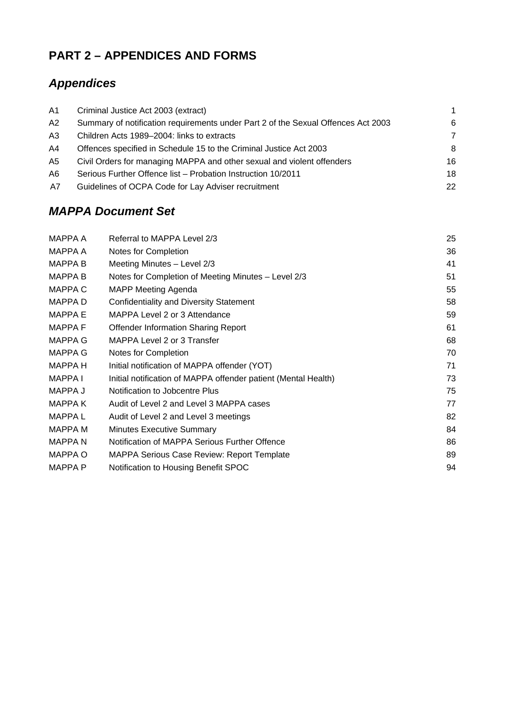# **PART 2 – APPENDICES AND FORMS**

# *Appendices*

| Criminal Justice Act 2003 (extract)                                               | 1  |
|-----------------------------------------------------------------------------------|----|
| Summary of notification requirements under Part 2 of the Sexual Offences Act 2003 | 6  |
| Children Acts 1989–2004: links to extracts                                        | 7  |
| Offences specified in Schedule 15 to the Criminal Justice Act 2003                | -8 |
| Civil Orders for managing MAPPA and other sexual and violent offenders            | 16 |
| Serious Further Offence list - Probation Instruction 10/2011                      | 18 |
| Guidelines of OCPA Code for Lay Adviser recruitment                               | 22 |
|                                                                                   |    |

# *MAPPA Document Set*

| MAPPA A        | Referral to MAPPA Level 2/3                                    | 25 |
|----------------|----------------------------------------------------------------|----|
| <b>MAPPA A</b> | Notes for Completion                                           | 36 |
| <b>MAPPA B</b> | Meeting Minutes - Level 2/3                                    | 41 |
| <b>MAPPA B</b> | Notes for Completion of Meeting Minutes - Level 2/3            | 51 |
| <b>MAPPAC</b>  | <b>MAPP Meeting Agenda</b>                                     | 55 |
| MAPPA D        | <b>Confidentiality and Diversity Statement</b>                 | 58 |
| <b>MAPPA E</b> | MAPPA Level 2 or 3 Attendance                                  | 59 |
| <b>MAPPAF</b>  | <b>Offender Information Sharing Report</b>                     | 61 |
| <b>MAPPA G</b> | MAPPA Level 2 or 3 Transfer                                    | 68 |
| <b>MAPPA G</b> | Notes for Completion                                           | 70 |
| <b>MAPPA H</b> | Initial notification of MAPPA offender (YOT)                   | 71 |
| MAPPA I        | Initial notification of MAPPA offender patient (Mental Health) | 73 |
| MAPPA J        | Notification to Jobcentre Plus                                 | 75 |
| <b>MAPPAK</b>  | Audit of Level 2 and Level 3 MAPPA cases                       | 77 |
| <b>MAPPAL</b>  | Audit of Level 2 and Level 3 meetings                          | 82 |
| MAPPA M        | <b>Minutes Executive Summary</b>                               | 84 |
| <b>MAPPAN</b>  | Notification of MAPPA Serious Further Offence                  | 86 |
| MAPPA O        | <b>MAPPA Serious Case Review: Report Template</b>              | 89 |
| <b>MAPPA P</b> | Notification to Housing Benefit SPOC                           | 94 |
|                |                                                                |    |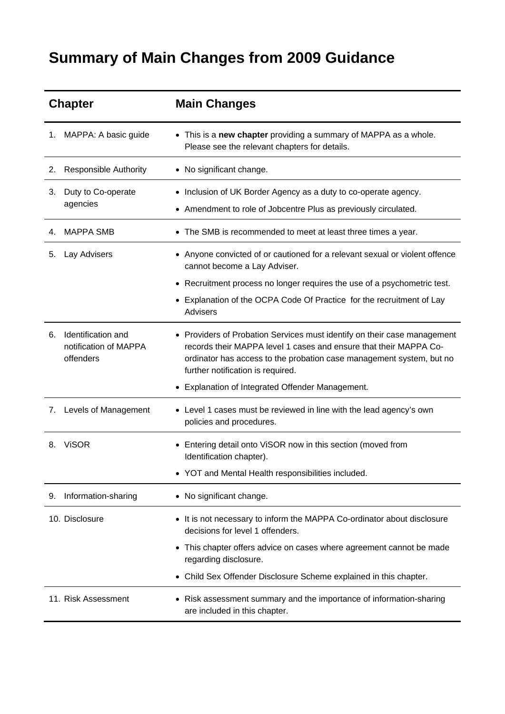# **Summary of Main Changes from 2009 Guidance**

| <b>Chapter</b> |                                                          | <b>Main Changes</b>                                                                                                                                                                                                                                        |  |
|----------------|----------------------------------------------------------|------------------------------------------------------------------------------------------------------------------------------------------------------------------------------------------------------------------------------------------------------------|--|
| 1.             | MAPPA: A basic guide                                     | • This is a new chapter providing a summary of MAPPA as a whole.<br>Please see the relevant chapters for details.                                                                                                                                          |  |
| 2.             | <b>Responsible Authority</b>                             | • No significant change.                                                                                                                                                                                                                                   |  |
| 3.             | Duty to Co-operate<br>agencies                           | • Inclusion of UK Border Agency as a duty to co-operate agency.<br>• Amendment to role of Jobcentre Plus as previously circulated.                                                                                                                         |  |
| 4.             | <b>MAPPA SMB</b>                                         | The SMB is recommended to meet at least three times a year.                                                                                                                                                                                                |  |
| 5.             | Lay Advisers                                             | • Anyone convicted of or cautioned for a relevant sexual or violent offence<br>cannot become a Lay Adviser.                                                                                                                                                |  |
|                |                                                          | Recruitment process no longer requires the use of a psychometric test.                                                                                                                                                                                     |  |
|                |                                                          | Explanation of the OCPA Code Of Practice for the recruitment of Lay<br><b>Advisers</b>                                                                                                                                                                     |  |
| 6.             | Identification and<br>notification of MAPPA<br>offenders | • Providers of Probation Services must identify on their case management<br>records their MAPPA level 1 cases and ensure that their MAPPA Co-<br>ordinator has access to the probation case management system, but no<br>further notification is required. |  |
|                |                                                          | Explanation of Integrated Offender Management.                                                                                                                                                                                                             |  |
| 7.             | Levels of Management                                     | • Level 1 cases must be reviewed in line with the lead agency's own<br>policies and procedures.                                                                                                                                                            |  |
| 8.             | <b>ViSOR</b>                                             | Entering detail onto ViSOR now in this section (moved from<br>Identification chapter).                                                                                                                                                                     |  |
|                |                                                          | YOT and Mental Health responsibilities included.                                                                                                                                                                                                           |  |
| 9.             | Information-sharing                                      | • No significant change.                                                                                                                                                                                                                                   |  |
|                | 10. Disclosure                                           | • It is not necessary to inform the MAPPA Co-ordinator about disclosure<br>decisions for level 1 offenders.                                                                                                                                                |  |
|                |                                                          | This chapter offers advice on cases where agreement cannot be made<br>regarding disclosure.                                                                                                                                                                |  |
|                |                                                          | Child Sex Offender Disclosure Scheme explained in this chapter.                                                                                                                                                                                            |  |
|                | 11. Risk Assessment                                      | Risk assessment summary and the importance of information-sharing<br>are included in this chapter.                                                                                                                                                         |  |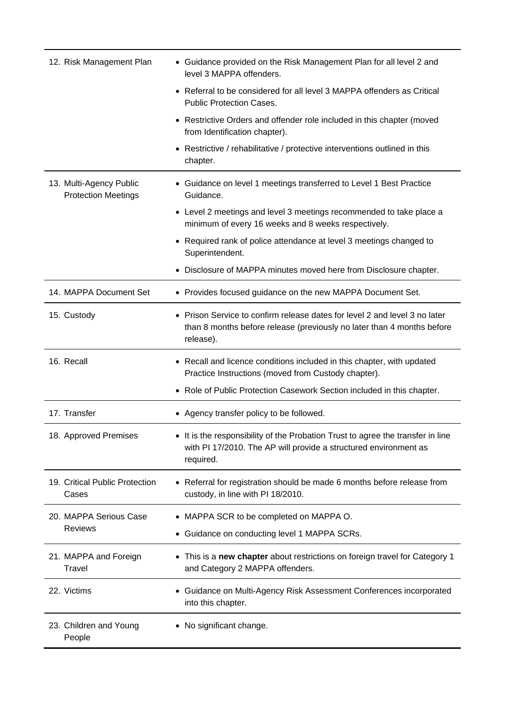| 12. Risk Management Plan                              | • Guidance provided on the Risk Management Plan for all level 2 and<br>level 3 MAPPA offenders.                                                                 |
|-------------------------------------------------------|-----------------------------------------------------------------------------------------------------------------------------------------------------------------|
|                                                       | Referral to be considered for all level 3 MAPPA offenders as Critical<br><b>Public Protection Cases.</b>                                                        |
|                                                       | Restrictive Orders and offender role included in this chapter (moved<br>$\bullet$<br>from Identification chapter).                                              |
|                                                       | • Restrictive / rehabilitative / protective interventions outlined in this<br>chapter.                                                                          |
| 13. Multi-Agency Public<br><b>Protection Meetings</b> | • Guidance on level 1 meetings transferred to Level 1 Best Practice<br>Guidance.                                                                                |
|                                                       | Level 2 meetings and level 3 meetings recommended to take place a<br>minimum of every 16 weeks and 8 weeks respectively.                                        |
|                                                       | Required rank of police attendance at level 3 meetings changed to<br>Superintendent.                                                                            |
|                                                       | Disclosure of MAPPA minutes moved here from Disclosure chapter.                                                                                                 |
| 14. MAPPA Document Set                                | • Provides focused guidance on the new MAPPA Document Set.                                                                                                      |
| 15. Custody                                           | Prison Service to confirm release dates for level 2 and level 3 no later<br>than 8 months before release (previously no later than 4 months before<br>release). |
| 16. Recall                                            | • Recall and licence conditions included in this chapter, with updated<br>Practice Instructions (moved from Custody chapter).                                   |
|                                                       | Role of Public Protection Casework Section included in this chapter.                                                                                            |
| 17. Transfer                                          | Agency transfer policy to be followed.                                                                                                                          |
| 18. Approved Premises                                 | It is the responsibility of the Probation Trust to agree the transfer in line<br>with PI 17/2010. The AP will provide a structured environment as<br>required.  |
| 19. Critical Public Protection<br>Cases               | Referral for registration should be made 6 months before release from<br>custody, in line with PI 18/2010.                                                      |
| 20. MAPPA Serious Case                                | MAPPA SCR to be completed on MAPPA O.                                                                                                                           |
| <b>Reviews</b>                                        | Guidance on conducting level 1 MAPPA SCRs.                                                                                                                      |
| 21. MAPPA and Foreign<br>Travel                       | This is a new chapter about restrictions on foreign travel for Category 1<br>and Category 2 MAPPA offenders.                                                    |
| 22. Victims                                           | Guidance on Multi-Agency Risk Assessment Conferences incorporated<br>into this chapter.                                                                         |
| 23. Children and Young<br>People                      | No significant change.                                                                                                                                          |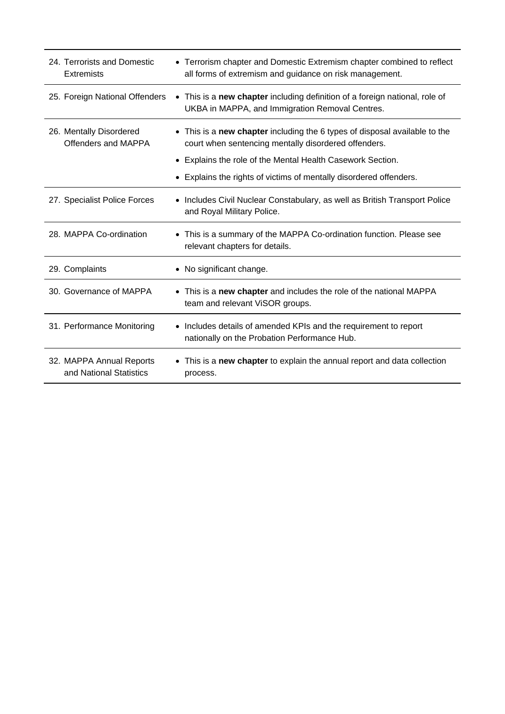| 24. Terrorists and Domestic<br>Extremists           | • Terrorism chapter and Domestic Extremism chapter combined to reflect<br>all forms of extremism and guidance on risk management.                                                                |
|-----------------------------------------------------|--------------------------------------------------------------------------------------------------------------------------------------------------------------------------------------------------|
| 25. Foreign National Offenders                      | • This is a new chapter including definition of a foreign national, role of<br>UKBA in MAPPA, and Immigration Removal Centres.                                                                   |
| 26. Mentally Disordered<br>Offenders and MAPPA      | • This is a new chapter including the 6 types of disposal available to the<br>court when sentencing mentally disordered offenders.<br>• Explains the role of the Mental Health Casework Section. |
|                                                     | Explains the rights of victims of mentally disordered offenders.                                                                                                                                 |
| 27. Specialist Police Forces                        | • Includes Civil Nuclear Constabulary, as well as British Transport Police<br>and Royal Military Police.                                                                                         |
| 28. MAPPA Co-ordination                             | • This is a summary of the MAPPA Co-ordination function. Please see<br>relevant chapters for details.                                                                                            |
| 29. Complaints                                      | No significant change.                                                                                                                                                                           |
| 30. Governance of MAPPA                             | • This is a new chapter and includes the role of the national MAPPA<br>team and relevant ViSOR groups.                                                                                           |
| 31. Performance Monitoring                          | • Includes details of amended KPIs and the requirement to report<br>nationally on the Probation Performance Hub.                                                                                 |
| 32. MAPPA Annual Reports<br>and National Statistics | This is a new chapter to explain the annual report and data collection<br>process.                                                                                                               |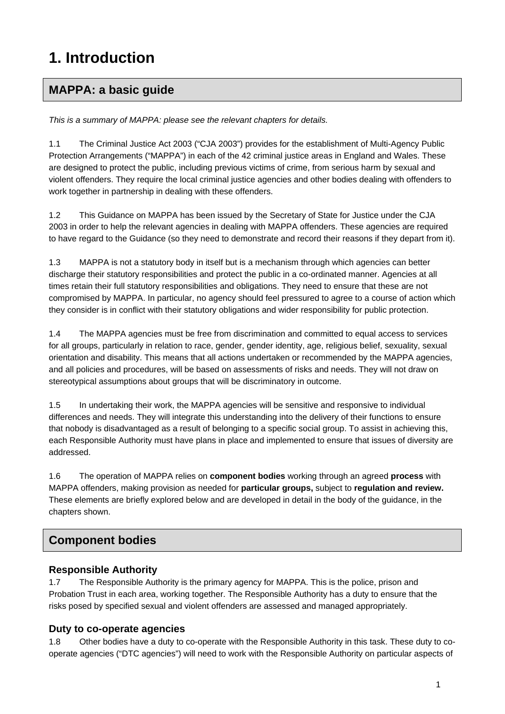# **1. Introduction**

# **MAPPA: a basic guide**

*This is a summary of MAPPA: please see the relevant chapters for details.* 

1.1 The Criminal Justice Act 2003 ("CJA 2003") provides for the establishment of Multi-Agency Public Protection Arrangements ("MAPPA") in each of the 42 criminal justice areas in England and Wales. These are designed to protect the public, including previous victims of crime, from serious harm by sexual and violent offenders. They require the local criminal justice agencies and other bodies dealing with offenders to work together in partnership in dealing with these offenders.

1.2 This Guidance on MAPPA has been issued by the Secretary of State for Justice under the CJA 2003 in order to help the relevant agencies in dealing with MAPPA offenders. These agencies are required to have regard to the Guidance (so they need to demonstrate and record their reasons if they depart from it).

1.3 MAPPA is not a statutory body in itself but is a mechanism through which agencies can better discharge their statutory responsibilities and protect the public in a co-ordinated manner. Agencies at all times retain their full statutory responsibilities and obligations. They need to ensure that these are not compromised by MAPPA. In particular, no agency should feel pressured to agree to a course of action which they consider is in conflict with their statutory obligations and wider responsibility for public protection.

1.4 The MAPPA agencies must be free from discrimination and committed to equal access to services for all groups, particularly in relation to race, gender, gender identity, age, religious belief, sexuality, sexual orientation and disability. This means that all actions undertaken or recommended by the MAPPA agencies, and all policies and procedures, will be based on assessments of risks and needs. They will not draw on stereotypical assumptions about groups that will be discriminatory in outcome.

1.5 In undertaking their work, the MAPPA agencies will be sensitive and responsive to individual differences and needs. They will integrate this understanding into the delivery of their functions to ensure that nobody is disadvantaged as a result of belonging to a specific social group. To assist in achieving this, each Responsible Authority must have plans in place and implemented to ensure that issues of diversity are addressed.

1.6 The operation of MAPPA relies on **component bodies** working through an agreed **process** with MAPPA offenders, making provision as needed for **particular groups,** subject to **regulation and review.** These elements are briefly explored below and are developed in detail in the body of the guidance, in the chapters shown.

# **Component bodies**

### **Responsible Authority**

1.7 The Responsible Authority is the primary agency for MAPPA. This is the police, prison and Probation Trust in each area, working together. The Responsible Authority has a duty to ensure that the risks posed by specified sexual and violent offenders are assessed and managed appropriately.

# **Duty to co-operate agencies**

1.8 Other bodies have a duty to co-operate with the Responsible Authority in this task. These duty to cooperate agencies ("DTC agencies") will need to work with the Responsible Authority on particular aspects of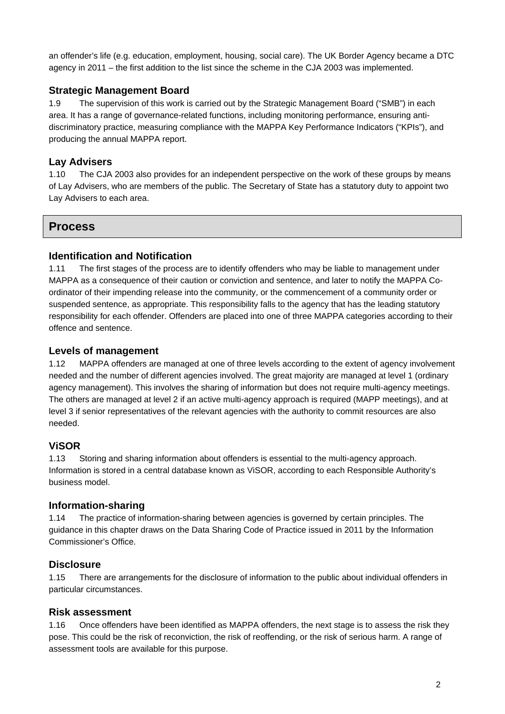an offender's life (e.g. education, employment, housing, social care). The UK Border Agency became a DTC agency in 2011 – the first addition to the list since the scheme in the CJA 2003 was implemented.

#### **Strategic Management Board**

1.9 The supervision of this work is carried out by the Strategic Management Board ("SMB") in each area. It has a range of governance-related functions, including monitoring performance, ensuring antidiscriminatory practice, measuring compliance with the MAPPA Key Performance Indicators ("KPIs"), and producing the annual MAPPA report.

#### **Lay Advisers**

1.10 The CJA 2003 also provides for an independent perspective on the work of these groups by means of Lay Advisers, who are members of the public. The Secretary of State has a statutory duty to appoint two Lay Advisers to each area.

### **Process**

#### **Identification and Notification**

1.11 The first stages of the process are to identify offenders who may be liable to management under MAPPA as a consequence of their caution or conviction and sentence, and later to notify the MAPPA Coordinator of their impending release into the community, or the commencement of a community order or suspended sentence, as appropriate. This responsibility falls to the agency that has the leading statutory responsibility for each offender. Offenders are placed into one of three MAPPA categories according to their offence and sentence.

#### **Levels of management**

1.12 MAPPA offenders are managed at one of three levels according to the extent of agency involvement needed and the number of different agencies involved. The great majority are managed at level 1 (ordinary agency management). This involves the sharing of information but does not require multi-agency meetings. The others are managed at level 2 if an active multi-agency approach is required (MAPP meetings), and at level 3 if senior representatives of the relevant agencies with the authority to commit resources are also needed.

#### **ViSOR**

1.13 Storing and sharing information about offenders is essential to the multi-agency approach. Information is stored in a central database known as ViSOR, according to each Responsible Authority's business model.

#### **Information-sharing**

1.14 The practice of information-sharing between agencies is governed by certain principles. The guidance in this chapter draws on the Data Sharing Code of Practice issued in 2011 by the Information Commissioner's Office.

#### **Disclosure**

1.15 There are arrangements for the disclosure of information to the public about individual offenders in particular circumstances.

#### **Risk assessment**

1.16 Once offenders have been identified as MAPPA offenders, the next stage is to assess the risk they pose. This could be the risk of reconviction, the risk of reoffending, or the risk of serious harm. A range of assessment tools are available for this purpose.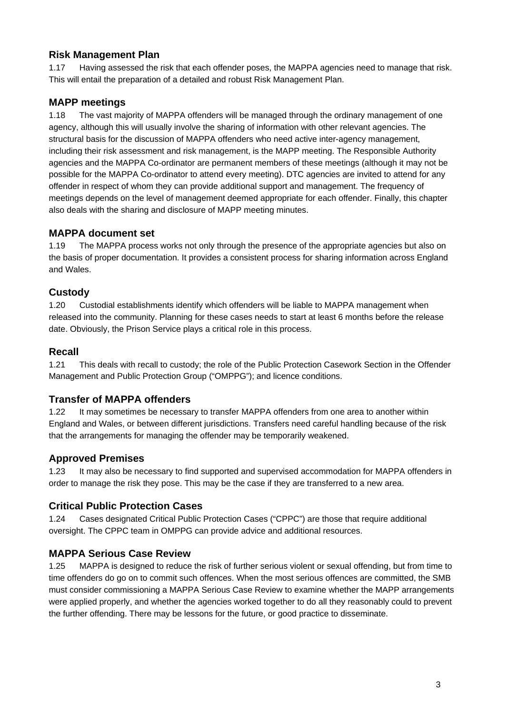#### **Risk Management Plan**

1.17 Having assessed the risk that each offender poses, the MAPPA agencies need to manage that risk. This will entail the preparation of a detailed and robust Risk Management Plan.

#### **MAPP meetings**

1.18 The vast majority of MAPPA offenders will be managed through the ordinary management of one agency, although this will usually involve the sharing of information with other relevant agencies. The structural basis for the discussion of MAPPA offenders who need active inter-agency management, including their risk assessment and risk management, is the MAPP meeting. The Responsible Authority agencies and the MAPPA Co-ordinator are permanent members of these meetings (although it may not be possible for the MAPPA Co-ordinator to attend every meeting). DTC agencies are invited to attend for any offender in respect of whom they can provide additional support and management. The frequency of meetings depends on the level of management deemed appropriate for each offender. Finally, this chapter also deals with the sharing and disclosure of MAPP meeting minutes.

#### **MAPPA document set**

1.19 The MAPPA process works not only through the presence of the appropriate agencies but also on the basis of proper documentation. It provides a consistent process for sharing information across England and Wales.

#### **Custody**

1.20 Custodial establishments identify which offenders will be liable to MAPPA management when released into the community. Planning for these cases needs to start at least 6 months before the release date. Obviously, the Prison Service plays a critical role in this process.

#### **Recall**

1.21 This deals with recall to custody; the role of the Public Protection Casework Section in the Offender Management and Public Protection Group ("OMPPG"); and licence conditions.

#### **Transfer of MAPPA offenders**

1.22 It may sometimes be necessary to transfer MAPPA offenders from one area to another within England and Wales, or between different jurisdictions. Transfers need careful handling because of the risk that the arrangements for managing the offender may be temporarily weakened.

#### **Approved Premises**

1.23 It may also be necessary to find supported and supervised accommodation for MAPPA offenders in order to manage the risk they pose. This may be the case if they are transferred to a new area.

#### **Critical Public Protection Cases**

1.24 Cases designated Critical Public Protection Cases ("CPPC") are those that require additional oversight. The CPPC team in OMPPG can provide advice and additional resources.

#### **MAPPA Serious Case Review**

1.25 MAPPA is designed to reduce the risk of further serious violent or sexual offending, but from time to time offenders do go on to commit such offences. When the most serious offences are committed, the SMB must consider commissioning a MAPPA Serious Case Review to examine whether the MAPP arrangements were applied properly, and whether the agencies worked together to do all they reasonably could to prevent the further offending. There may be lessons for the future, or good practice to disseminate.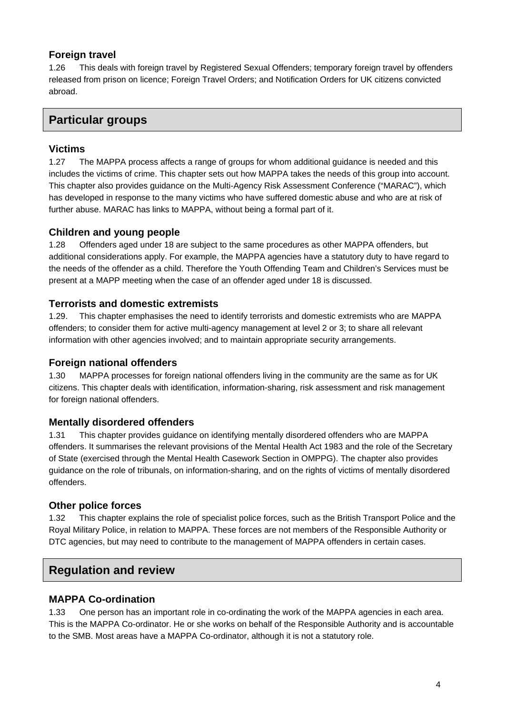#### **Foreign travel**

1.26 This deals with foreign travel by Registered Sexual Offenders; temporary foreign travel by offenders released from prison on licence; Foreign Travel Orders; and Notification Orders for UK citizens convicted abroad.

# **Particular groups**

#### **Victims**

1.27 The MAPPA process affects a range of groups for whom additional guidance is needed and this includes the victims of crime. This chapter sets out how MAPPA takes the needs of this group into account. This chapter also provides guidance on the Multi-Agency Risk Assessment Conference ("MARAC"), which has developed in response to the many victims who have suffered domestic abuse and who are at risk of further abuse. MARAC has links to MAPPA, without being a formal part of it.

#### **Children and young people**

1.28 Offenders aged under 18 are subject to the same procedures as other MAPPA offenders, but additional considerations apply. For example, the MAPPA agencies have a statutory duty to have regard to the needs of the offender as a child. Therefore the Youth Offending Team and Children's Services must be present at a MAPP meeting when the case of an offender aged under 18 is discussed.

#### **Terrorists and domestic extremists**

1.29. This chapter emphasises the need to identify terrorists and domestic extremists who are MAPPA offenders; to consider them for active multi-agency management at level 2 or 3; to share all relevant information with other agencies involved; and to maintain appropriate security arrangements.

#### **Foreign national offenders**

1.30 MAPPA processes for foreign national offenders living in the community are the same as for UK citizens. This chapter deals with identification, information-sharing, risk assessment and risk management for foreign national offenders.

#### **Mentally disordered offenders**

1.31 This chapter provides guidance on identifying mentally disordered offenders who are MAPPA offenders. It summarises the relevant provisions of the Mental Health Act 1983 and the role of the Secretary of State (exercised through the Mental Health Casework Section in OMPPG). The chapter also provides guidance on the role of tribunals, on information-sharing, and on the rights of victims of mentally disordered offenders.

#### **Other police forces**

1.32 This chapter explains the role of specialist police forces, such as the British Transport Police and the Royal Military Police, in relation to MAPPA. These forces are not members of the Responsible Authority or DTC agencies, but may need to contribute to the management of MAPPA offenders in certain cases.

### **Regulation and review**

#### **MAPPA Co-ordination**

1.33 One person has an important role in co-ordinating the work of the MAPPA agencies in each area. This is the MAPPA Co-ordinator. He or she works on behalf of the Responsible Authority and is accountable to the SMB. Most areas have a MAPPA Co-ordinator, although it is not a statutory role.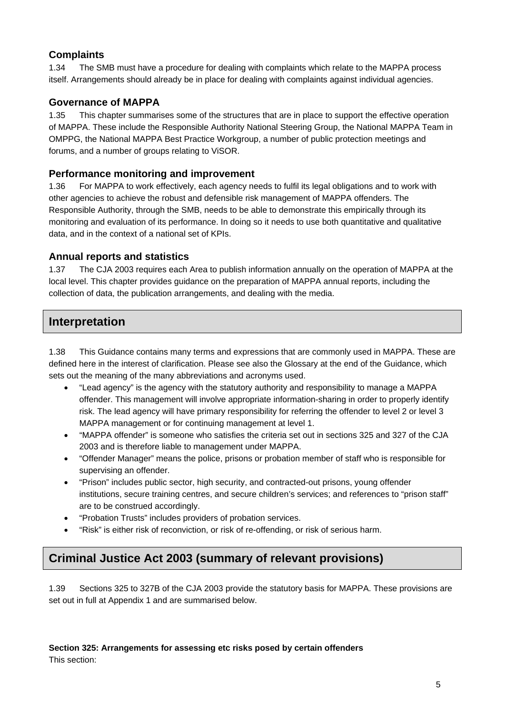### **Complaints**

1.34 The SMB must have a procedure for dealing with complaints which relate to the MAPPA process itself. Arrangements should already be in place for dealing with complaints against individual agencies.

#### **Governance of MAPPA**

1.35 This chapter summarises some of the structures that are in place to support the effective operation of MAPPA. These include the Responsible Authority National Steering Group, the National MAPPA Team in OMPPG, the National MAPPA Best Practice Workgroup, a number of public protection meetings and forums, and a number of groups relating to ViSOR.

#### **Performance monitoring and improvement**

1.36 For MAPPA to work effectively, each agency needs to fulfil its legal obligations and to work with other agencies to achieve the robust and defensible risk management of MAPPA offenders. The Responsible Authority, through the SMB, needs to be able to demonstrate this empirically through its monitoring and evaluation of its performance. In doing so it needs to use both quantitative and qualitative data, and in the context of a national set of KPIs.

#### **Annual reports and statistics**

1.37 The CJA 2003 requires each Area to publish information annually on the operation of MAPPA at the local level. This chapter provides guidance on the preparation of MAPPA annual reports, including the collection of data, the publication arrangements, and dealing with the media.

# **Interpretation**

1.38 This Guidance contains many terms and expressions that are commonly used in MAPPA. These are defined here in the interest of clarification. Please see also the Glossary at the end of the Guidance, which sets out the meaning of the many abbreviations and acronyms used.

- "Lead agency" is the agency with the statutory authority and responsibility to manage a MAPPA offender. This management will involve appropriate information-sharing in order to properly identify risk. The lead agency will have primary responsibility for referring the offender to level 2 or level 3 MAPPA management or for continuing management at level 1.
- "MAPPA offender" is someone who satisfies the criteria set out in sections 325 and 327 of the CJA 2003 and is therefore liable to management under MAPPA.
- "Offender Manager" means the police, prisons or probation member of staff who is responsible for supervising an offender.
- "Prison" includes public sector, high security, and contracted-out prisons, young offender institutions, secure training centres, and secure children's services; and references to "prison staff" are to be construed accordingly.
- "Probation Trusts" includes providers of probation services.
- "Risk" is either risk of reconviction, or risk of re-offending, or risk of serious harm.

# **Criminal Justice Act 2003 (summary of relevant provisions)**

1.39 Sections 325 to 327B of the CJA 2003 provide the statutory basis for MAPPA. These provisions are set out in full at Appendix 1 and are summarised below.

**Section 325: Arrangements for assessing etc risks posed by certain offenders**  This section: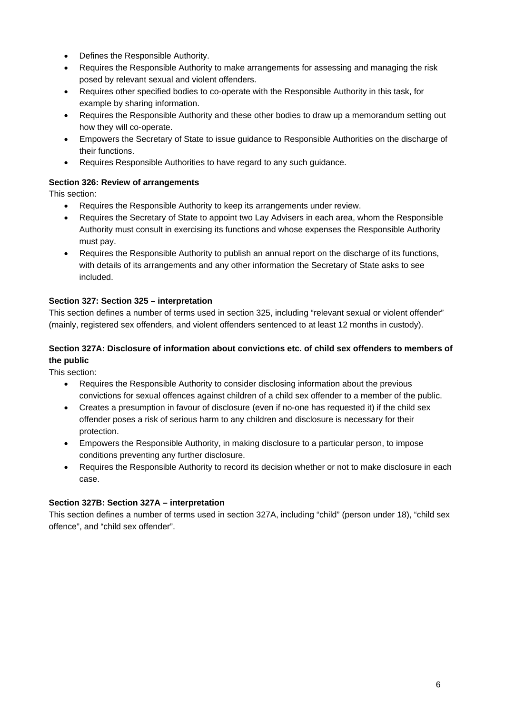- Defines the Responsible Authority.
- Requires the Responsible Authority to make arrangements for assessing and managing the risk posed by relevant sexual and violent offenders.
- Requires other specified bodies to co-operate with the Responsible Authority in this task, for example by sharing information.
- Requires the Responsible Authority and these other bodies to draw up a memorandum setting out how they will co-operate.
- Empowers the Secretary of State to issue guidance to Responsible Authorities on the discharge of their functions.
- Requires Responsible Authorities to have regard to any such guidance.

#### **Section 326: Review of arrangements**

This section:

- Requires the Responsible Authority to keep its arrangements under review.
- Requires the Secretary of State to appoint two Lay Advisers in each area, whom the Responsible Authority must consult in exercising its functions and whose expenses the Responsible Authority must pay.
- Requires the Responsible Authority to publish an annual report on the discharge of its functions, with details of its arrangements and any other information the Secretary of State asks to see included.

#### **Section 327: Section 325 – interpretation**

This section defines a number of terms used in section 325, including "relevant sexual or violent offender" (mainly, registered sex offenders, and violent offenders sentenced to at least 12 months in custody).

#### **Section 327A: Disclosure of information about convictions etc. of child sex offenders to members of the public**

This section:

- Requires the Responsible Authority to consider disclosing information about the previous convictions for sexual offences against children of a child sex offender to a member of the public.
- Creates a presumption in favour of disclosure (even if no-one has requested it) if the child sex offender poses a risk of serious harm to any children and disclosure is necessary for their protection.
- Empowers the Responsible Authority, in making disclosure to a particular person, to impose conditions preventing any further disclosure.
- Requires the Responsible Authority to record its decision whether or not to make disclosure in each case.

#### **Section 327B: Section 327A – interpretation**

This section defines a number of terms used in section 327A, including "child" (person under 18), "child sex offence", and "child sex offender".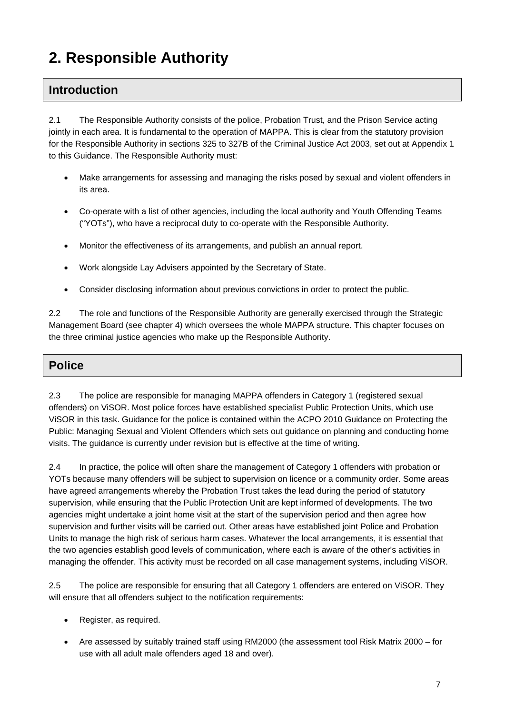# **2. Responsible Authority**

# **Introduction**

2.1 The Responsible Authority consists of the police, Probation Trust, and the Prison Service acting jointly in each area. It is fundamental to the operation of MAPPA. This is clear from the statutory provision for the Responsible Authority in sections 325 to 327B of the Criminal Justice Act 2003, set out at Appendix 1 to this Guidance. The Responsible Authority must:

- Make arrangements for assessing and managing the risks posed by sexual and violent offenders in its area.
- Co-operate with a list of other agencies, including the local authority and Youth Offending Teams ("YOTs"), who have a reciprocal duty to co-operate with the Responsible Authority.
- Monitor the effectiveness of its arrangements, and publish an annual report.
- Work alongside Lay Advisers appointed by the Secretary of State.
- Consider disclosing information about previous convictions in order to protect the public.

2.2 The role and functions of the Responsible Authority are generally exercised through the Strategic Management Board (see chapter 4) which oversees the whole MAPPA structure. This chapter focuses on the three criminal justice agencies who make up the Responsible Authority.

### **Police**

2.3 The police are responsible for managing MAPPA offenders in Category 1 (registered sexual offenders) on ViSOR. Most police forces have established specialist Public Protection Units, which use ViSOR in this task. Guidance for the police is contained within the ACPO 2010 Guidance on Protecting the Public: Managing Sexual and Violent Offenders which sets out guidance on planning and conducting home visits. The guidance is currently under revision but is effective at the time of writing.

2.4 In practice, the police will often share the management of Category 1 offenders with probation or YOTs because many offenders will be subject to supervision on licence or a community order. Some areas have agreed arrangements whereby the Probation Trust takes the lead during the period of statutory supervision, while ensuring that the Public Protection Unit are kept informed of developments. The two agencies might undertake a joint home visit at the start of the supervision period and then agree how supervision and further visits will be carried out. Other areas have established joint Police and Probation Units to manage the high risk of serious harm cases. Whatever the local arrangements, it is essential that the two agencies establish good levels of communication, where each is aware of the other's activities in managing the offender. This activity must be recorded on all case management systems, including ViSOR.

2.5 The police are responsible for ensuring that all Category 1 offenders are entered on ViSOR. They will ensure that all offenders subject to the notification requirements:

- Register, as required.
- Are assessed by suitably trained staff using RM2000 (the assessment tool Risk Matrix 2000 for use with all adult male offenders aged 18 and over).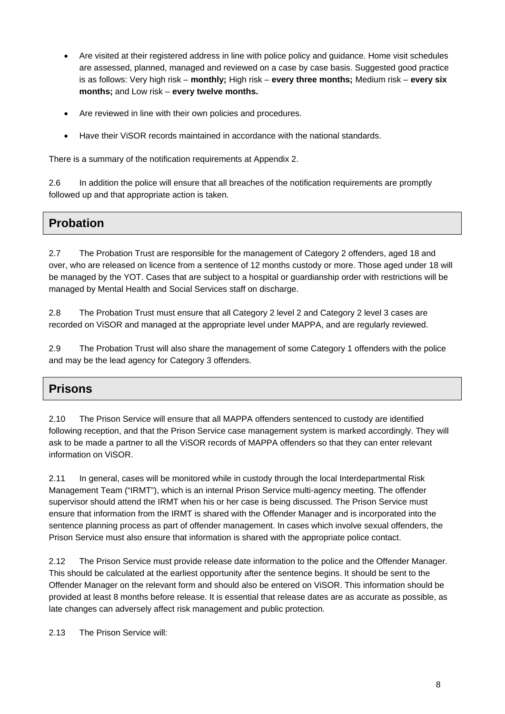- Are visited at their registered address in line with police policy and guidance. Home visit schedules are assessed, planned, managed and reviewed on a case by case basis. Suggested good practice is as follows: Very high risk – **monthly;** High risk – **every three months;** Medium risk – **every six months;** and Low risk – **every twelve months.**
- Are reviewed in line with their own policies and procedures.
- Have their ViSOR records maintained in accordance with the national standards.

There is a summary of the notification requirements at Appendix 2.

2.6 In addition the police will ensure that all breaches of the notification requirements are promptly followed up and that appropriate action is taken.

# **Probation**

2.7 The Probation Trust are responsible for the management of Category 2 offenders, aged 18 and over, who are released on licence from a sentence of 12 months custody or more. Those aged under 18 will be managed by the YOT. Cases that are subject to a hospital or guardianship order with restrictions will be managed by Mental Health and Social Services staff on discharge.

2.8 The Probation Trust must ensure that all Category 2 level 2 and Category 2 level 3 cases are recorded on ViSOR and managed at the appropriate level under MAPPA, and are regularly reviewed.

2.9 The Probation Trust will also share the management of some Category 1 offenders with the police and may be the lead agency for Category 3 offenders.

# **Prisons**

2.10 The Prison Service will ensure that all MAPPA offenders sentenced to custody are identified following reception, and that the Prison Service case management system is marked accordingly. They will ask to be made a partner to all the ViSOR records of MAPPA offenders so that they can enter relevant information on ViSOR.

2.11 In general, cases will be monitored while in custody through the local Interdepartmental Risk Management Team ("IRMT"), which is an internal Prison Service multi-agency meeting. The offender supervisor should attend the IRMT when his or her case is being discussed. The Prison Service must ensure that information from the IRMT is shared with the Offender Manager and is incorporated into the sentence planning process as part of offender management. In cases which involve sexual offenders, the Prison Service must also ensure that information is shared with the appropriate police contact.

2.12 The Prison Service must provide release date information to the police and the Offender Manager. This should be calculated at the earliest opportunity after the sentence begins. It should be sent to the Offender Manager on the relevant form and should also be entered on ViSOR. This information should be provided at least 8 months before release. It is essential that release dates are as accurate as possible, as late changes can adversely affect risk management and public protection.

2.13 The Prison Service will: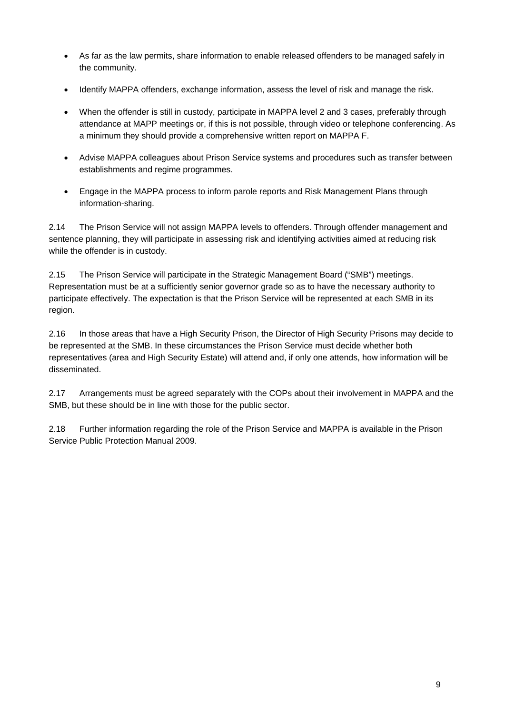- As far as the law permits, share information to enable released offenders to be managed safely in the community.
- Identify MAPPA offenders, exchange information, assess the level of risk and manage the risk.
- When the offender is still in custody, participate in MAPPA level 2 and 3 cases, preferably through attendance at MAPP meetings or, if this is not possible, through video or telephone conferencing. As a minimum they should provide a comprehensive written report on MAPPA F.
- Advise MAPPA colleagues about Prison Service systems and procedures such as transfer between establishments and regime programmes.
- Engage in the MAPPA process to inform parole reports and Risk Management Plans through information-sharing.

2.14 The Prison Service will not assign MAPPA levels to offenders. Through offender management and sentence planning, they will participate in assessing risk and identifying activities aimed at reducing risk while the offender is in custody.

2.15 The Prison Service will participate in the Strategic Management Board ("SMB") meetings. Representation must be at a sufficiently senior governor grade so as to have the necessary authority to participate effectively. The expectation is that the Prison Service will be represented at each SMB in its region.

2.16 In those areas that have a High Security Prison, the Director of High Security Prisons may decide to be represented at the SMB. In these circumstances the Prison Service must decide whether both representatives (area and High Security Estate) will attend and, if only one attends, how information will be disseminated.

2.17 Arrangements must be agreed separately with the COPs about their involvement in MAPPA and the SMB, but these should be in line with those for the public sector.

2.18 Further information regarding the role of the Prison Service and MAPPA is available in the Prison Service Public Protection Manual 2009.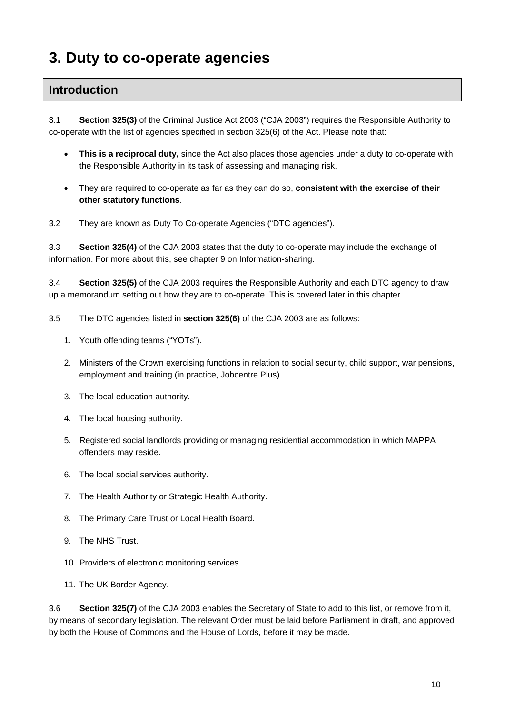# **3. Duty to co-operate agencies**

# **Introduction**

3.1 **Section 325(3)** of the Criminal Justice Act 2003 ("CJA 2003") requires the Responsible Authority to co-operate with the list of agencies specified in section 325(6) of the Act. Please note that:

- **This is a reciprocal duty,** since the Act also places those agencies under a duty to co-operate with the Responsible Authority in its task of assessing and managing risk.
- They are required to co-operate as far as they can do so, **consistent with the exercise of their other statutory functions**.
- 3.2 They are known as Duty To Co-operate Agencies ("DTC agencies").

3.3 **Section 325(4)** of the CJA 2003 states that the duty to co-operate may include the exchange of information. For more about this, see chapter 9 on Information-sharing.

3.4 **Section 325(5)** of the CJA 2003 requires the Responsible Authority and each DTC agency to draw up a memorandum setting out how they are to co-operate. This is covered later in this chapter.

- 3.5 The DTC agencies listed in **section 325(6)** of the CJA 2003 are as follows:
	- 1. Youth offending teams ("YOTs").
	- 2. Ministers of the Crown exercising functions in relation to social security, child support, war pensions, employment and training (in practice, Jobcentre Plus).
	- 3. The local education authority.
	- 4. The local housing authority.
	- 5. Registered social landlords providing or managing residential accommodation in which MAPPA offenders may reside.
	- 6. The local social services authority.
	- 7. The Health Authority or Strategic Health Authority.
	- 8. The Primary Care Trust or Local Health Board.
	- 9. The NHS Trust.
	- 10. Providers of electronic monitoring services.
	- 11. The UK Border Agency.

3.6 **Section 325(7)** of the CJA 2003 enables the Secretary of State to add to this list, or remove from it, by means of secondary legislation. The relevant Order must be laid before Parliament in draft, and approved by both the House of Commons and the House of Lords, before it may be made.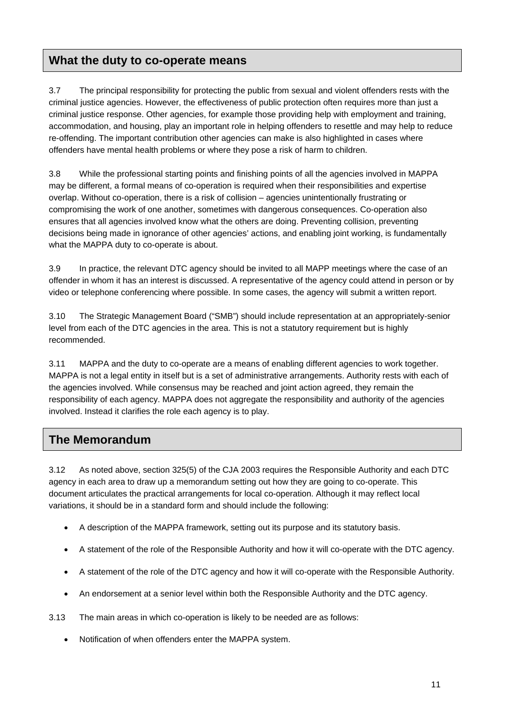# **What the duty to co-operate means**

3.7 The principal responsibility for protecting the public from sexual and violent offenders rests with the criminal justice agencies. However, the effectiveness of public protection often requires more than just a criminal justice response. Other agencies, for example those providing help with employment and training, accommodation, and housing, play an important role in helping offenders to resettle and may help to reduce re-offending. The important contribution other agencies can make is also highlighted in cases where offenders have mental health problems or where they pose a risk of harm to children.

3.8 While the professional starting points and finishing points of all the agencies involved in MAPPA may be different, a formal means of co-operation is required when their responsibilities and expertise overlap. Without co-operation, there is a risk of collision – agencies unintentionally frustrating or compromising the work of one another, sometimes with dangerous consequences. Co-operation also ensures that all agencies involved know what the others are doing. Preventing collision, preventing decisions being made in ignorance of other agencies' actions, and enabling joint working, is fundamentally what the MAPPA duty to co-operate is about.

3.9 In practice, the relevant DTC agency should be invited to all MAPP meetings where the case of an offender in whom it has an interest is discussed. A representative of the agency could attend in person or by video or telephone conferencing where possible. In some cases, the agency will submit a written report.

3.10 The Strategic Management Board ("SMB") should include representation at an appropriately-senior level from each of the DTC agencies in the area. This is not a statutory requirement but is highly recommended.

3.11 MAPPA and the duty to co-operate are a means of enabling different agencies to work together. MAPPA is not a legal entity in itself but is a set of administrative arrangements. Authority rests with each of the agencies involved. While consensus may be reached and joint action agreed, they remain the responsibility of each agency. MAPPA does not aggregate the responsibility and authority of the agencies involved. Instead it clarifies the role each agency is to play.

# **The Memorandum**

3.12 As noted above, section 325(5) of the CJA 2003 requires the Responsible Authority and each DTC agency in each area to draw up a memorandum setting out how they are going to co-operate. This document articulates the practical arrangements for local co-operation. Although it may reflect local variations, it should be in a standard form and should include the following:

- A description of the MAPPA framework, setting out its purpose and its statutory basis.
- A statement of the role of the Responsible Authority and how it will co-operate with the DTC agency.
- A statement of the role of the DTC agency and how it will co-operate with the Responsible Authority.
- An endorsement at a senior level within both the Responsible Authority and the DTC agency.
- 3.13 The main areas in which co-operation is likely to be needed are as follows:
	- Notification of when offenders enter the MAPPA system.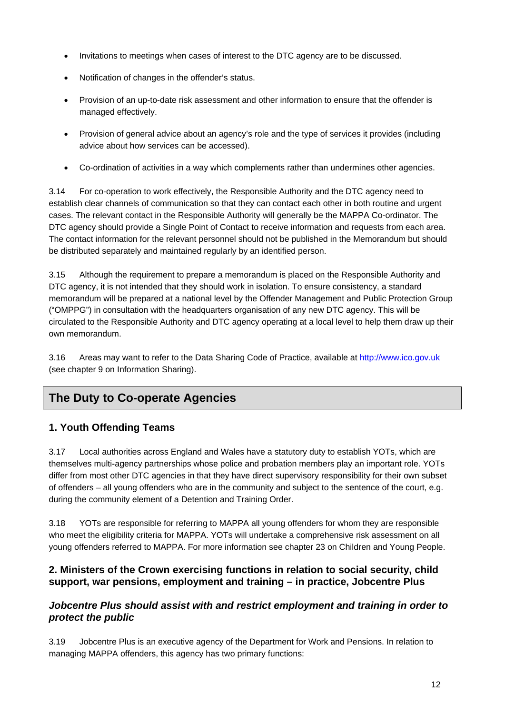- Invitations to meetings when cases of interest to the DTC agency are to be discussed.
- Notification of changes in the offender's status.
- Provision of an up-to-date risk assessment and other information to ensure that the offender is managed effectively.
- Provision of general advice about an agency's role and the type of services it provides (including advice about how services can be accessed).
- Co-ordination of activities in a way which complements rather than undermines other agencies.

3.14 For co-operation to work effectively, the Responsible Authority and the DTC agency need to establish clear channels of communication so that they can contact each other in both routine and urgent cases. The relevant contact in the Responsible Authority will generally be the MAPPA Co-ordinator. The DTC agency should provide a Single Point of Contact to receive information and requests from each area. The contact information for the relevant personnel should not be published in the Memorandum but should be distributed separately and maintained regularly by an identified person.

3.15 Although the requirement to prepare a memorandum is placed on the Responsible Authority and DTC agency, it is not intended that they should work in isolation. To ensure consistency, a standard memorandum will be prepared at a national level by the Offender Management and Public Protection Group ("OMPPG") in consultation with the headquarters organisation of any new DTC agency. This will be circulated to the Responsible Authority and DTC agency operating at a local level to help them draw up their own memorandum.

3.16 Areas may want to refer to the Data Sharing Code of Practice, available at [http://www.ico.gov.uk](http://www.ico.gov.uk/) (see chapter 9 on Information Sharing).

# **The Duty to Co-operate Agencies**

### **1. Youth Offending Teams**

3.17 Local authorities across England and Wales have a statutory duty to establish YOTs, which are themselves multi-agency partnerships whose police and probation members play an important role. YOTs differ from most other DTC agencies in that they have direct supervisory responsibility for their own subset of offenders – all young offenders who are in the community and subject to the sentence of the court, e.g. during the community element of a Detention and Training Order.

3.18 YOTs are responsible for referring to MAPPA all young offenders for whom they are responsible who meet the eligibility criteria for MAPPA. YOTs will undertake a comprehensive risk assessment on all young offenders referred to MAPPA. For more information see chapter 23 on Children and Young People.

#### **2. Ministers of the Crown exercising functions in relation to social security, child support, war pensions, employment and training – in practice, Jobcentre Plus**

#### *Jobcentre Plus should assist with and restrict employment and training in order to protect the public*

3.19 Jobcentre Plus is an executive agency of the Department for Work and Pensions. In relation to managing MAPPA offenders, this agency has two primary functions: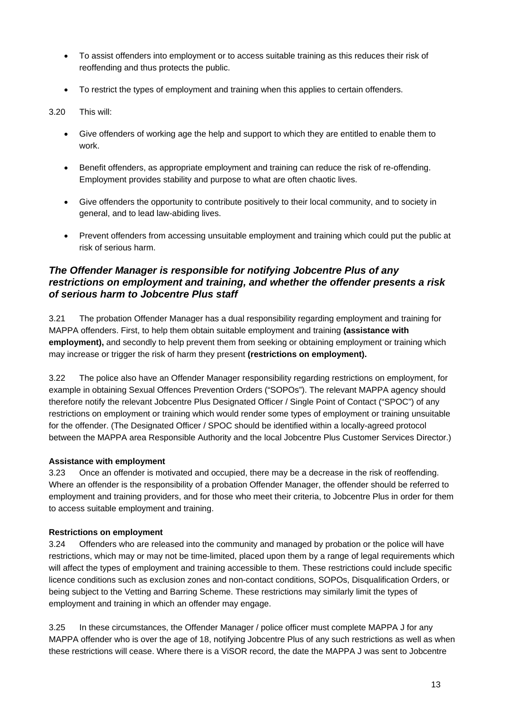- To assist offenders into employment or to access suitable training as this reduces their risk of reoffending and thus protects the public.
- To restrict the types of employment and training when this applies to certain offenders.

#### 3.20 This will:

- Give offenders of working age the help and support to which they are entitled to enable them to work.
- Benefit offenders, as appropriate employment and training can reduce the risk of re-offending. Employment provides stability and purpose to what are often chaotic lives.
- Give offenders the opportunity to contribute positively to their local community, and to society in general, and to lead law-abiding lives.
- Prevent offenders from accessing unsuitable employment and training which could put the public at risk of serious harm.

#### *The Offender Manager is responsible for notifying Jobcentre Plus of any restrictions on employment and training, and whether the offender presents a risk of serious harm to Jobcentre Plus staff*

3.21 The probation Offender Manager has a dual responsibility regarding employment and training for MAPPA offenders. First, to help them obtain suitable employment and training **(assistance with employment),** and secondly to help prevent them from seeking or obtaining employment or training which may increase or trigger the risk of harm they present **(restrictions on employment).** 

3.22 The police also have an Offender Manager responsibility regarding restrictions on employment, for example in obtaining Sexual Offences Prevention Orders ("SOPOs"). The relevant MAPPA agency should therefore notify the relevant Jobcentre Plus Designated Officer / Single Point of Contact ("SPOC") of any restrictions on employment or training which would render some types of employment or training unsuitable for the offender. (The Designated Officer / SPOC should be identified within a locally-agreed protocol between the MAPPA area Responsible Authority and the local Jobcentre Plus Customer Services Director.)

#### **Assistance with employment**

3.23 Once an offender is motivated and occupied, there may be a decrease in the risk of reoffending. Where an offender is the responsibility of a probation Offender Manager, the offender should be referred to employment and training providers, and for those who meet their criteria, to Jobcentre Plus in order for them to access suitable employment and training.

#### **Restrictions on employment**

3.24 Offenders who are released into the community and managed by probation or the police will have restrictions, which may or may not be time-limited, placed upon them by a range of legal requirements which will affect the types of employment and training accessible to them. These restrictions could include specific licence conditions such as exclusion zones and non-contact conditions, SOPOs, Disqualification Orders, or being subject to the Vetting and Barring Scheme. These restrictions may similarly limit the types of employment and training in which an offender may engage.

3.25 In these circumstances, the Offender Manager / police officer must complete MAPPA J for any MAPPA offender who is over the age of 18, notifying Jobcentre Plus of any such restrictions as well as when these restrictions will cease. Where there is a ViSOR record, the date the MAPPA J was sent to Jobcentre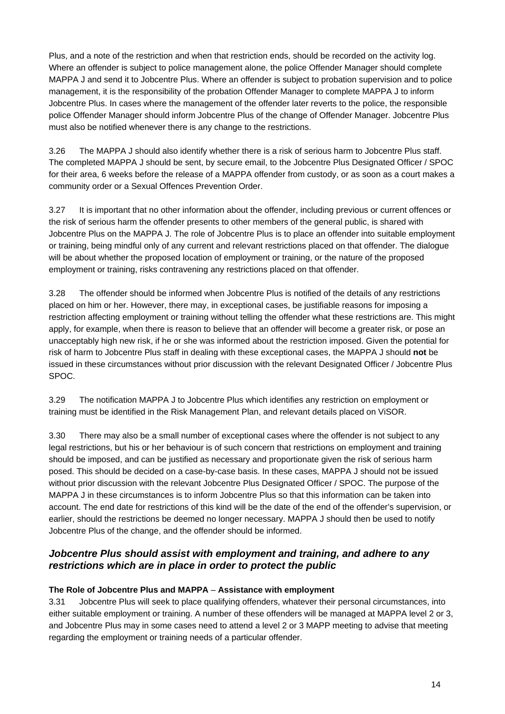Plus, and a note of the restriction and when that restriction ends, should be recorded on the activity log. Where an offender is subject to police management alone, the police Offender Manager should complete MAPPA J and send it to Jobcentre Plus. Where an offender is subject to probation supervision and to police management, it is the responsibility of the probation Offender Manager to complete MAPPA J to inform Jobcentre Plus. In cases where the management of the offender later reverts to the police, the responsible police Offender Manager should inform Jobcentre Plus of the change of Offender Manager. Jobcentre Plus must also be notified whenever there is any change to the restrictions.

3.26 The MAPPA J should also identify whether there is a risk of serious harm to Jobcentre Plus staff. The completed MAPPA J should be sent, by secure email, to the Jobcentre Plus Designated Officer / SPOC for their area, 6 weeks before the release of a MAPPA offender from custody, or as soon as a court makes a community order or a Sexual Offences Prevention Order.

3.27 It is important that no other information about the offender, including previous or current offences or the risk of serious harm the offender presents to other members of the general public, is shared with Jobcentre Plus on the MAPPA J. The role of Jobcentre Plus is to place an offender into suitable employment or training, being mindful only of any current and relevant restrictions placed on that offender. The dialogue will be about whether the proposed location of employment or training, or the nature of the proposed employment or training, risks contravening any restrictions placed on that offender.

3.28 The offender should be informed when Jobcentre Plus is notified of the details of any restrictions placed on him or her. However, there may, in exceptional cases, be justifiable reasons for imposing a restriction affecting employment or training without telling the offender what these restrictions are. This might apply, for example, when there is reason to believe that an offender will become a greater risk, or pose an unacceptably high new risk, if he or she was informed about the restriction imposed. Given the potential for risk of harm to Jobcentre Plus staff in dealing with these exceptional cases, the MAPPA J should **not** be issued in these circumstances without prior discussion with the relevant Designated Officer / Jobcentre Plus SPOC.

3.29 The notification MAPPA J to Jobcentre Plus which identifies any restriction on employment or training must be identified in the Risk Management Plan, and relevant details placed on ViSOR.

3.30 There may also be a small number of exceptional cases where the offender is not subject to any legal restrictions, but his or her behaviour is of such concern that restrictions on employment and training should be imposed, and can be justified as necessary and proportionate given the risk of serious harm posed. This should be decided on a case-by-case basis. In these cases, MAPPA J should not be issued without prior discussion with the relevant Jobcentre Plus Designated Officer / SPOC. The purpose of the MAPPA J in these circumstances is to inform Jobcentre Plus so that this information can be taken into account. The end date for restrictions of this kind will be the date of the end of the offender's supervision, or earlier, should the restrictions be deemed no longer necessary. MAPPA J should then be used to notify Jobcentre Plus of the change, and the offender should be informed.

#### *Jobcentre Plus should assist with employment and training, and adhere to any restrictions which are in place in order to protect the public*

#### **The Role of Jobcentre Plus and MAPPA** – **Assistance with employment**

3.31 Jobcentre Plus will seek to place qualifying offenders, whatever their personal circumstances, into either suitable employment or training. A number of these offenders will be managed at MAPPA level 2 or 3, and Jobcentre Plus may in some cases need to attend a level 2 or 3 MAPP meeting to advise that meeting regarding the employment or training needs of a particular offender.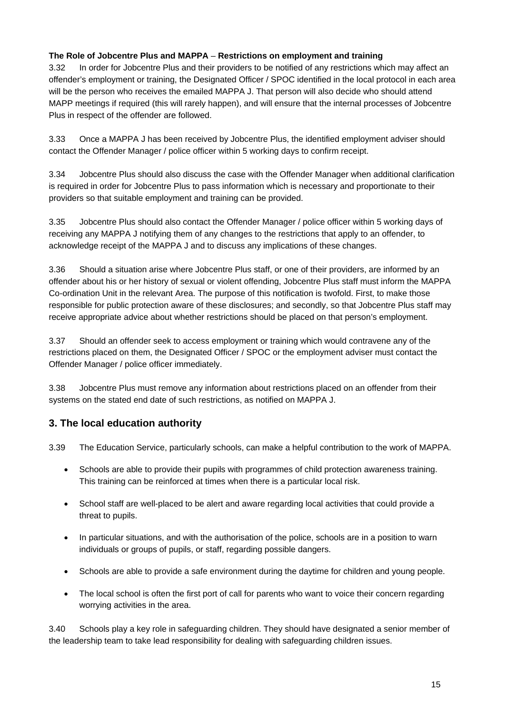#### **The Role of Jobcentre Plus and MAPPA** – **Restrictions on employment and training**

3.32 In order for Jobcentre Plus and their providers to be notified of any restrictions which may affect an offender's employment or training, the Designated Officer / SPOC identified in the local protocol in each area will be the person who receives the emailed MAPPA J. That person will also decide who should attend MAPP meetings if required (this will rarely happen), and will ensure that the internal processes of Jobcentre Plus in respect of the offender are followed.

3.33 Once a MAPPA J has been received by Jobcentre Plus, the identified employment adviser should contact the Offender Manager / police officer within 5 working days to confirm receipt.

3.34 Jobcentre Plus should also discuss the case with the Offender Manager when additional clarification is required in order for Jobcentre Plus to pass information which is necessary and proportionate to their providers so that suitable employment and training can be provided.

3.35 Jobcentre Plus should also contact the Offender Manager / police officer within 5 working days of receiving any MAPPA J notifying them of any changes to the restrictions that apply to an offender, to acknowledge receipt of the MAPPA J and to discuss any implications of these changes.

3.36 Should a situation arise where Jobcentre Plus staff, or one of their providers, are informed by an offender about his or her history of sexual or violent offending, Jobcentre Plus staff must inform the MAPPA Co-ordination Unit in the relevant Area. The purpose of this notification is twofold. First, to make those responsible for public protection aware of these disclosures; and secondly, so that Jobcentre Plus staff may receive appropriate advice about whether restrictions should be placed on that person's employment.

3.37 Should an offender seek to access employment or training which would contravene any of the restrictions placed on them, the Designated Officer / SPOC or the employment adviser must contact the Offender Manager / police officer immediately.

3.38 Jobcentre Plus must remove any information about restrictions placed on an offender from their systems on the stated end date of such restrictions, as notified on MAPPA J.

# **3. The local education authority**

3.39 The Education Service, particularly schools, can make a helpful contribution to the work of MAPPA.

- Schools are able to provide their pupils with programmes of child protection awareness training. This training can be reinforced at times when there is a particular local risk.
- School staff are well-placed to be alert and aware regarding local activities that could provide a threat to pupils.
- In particular situations, and with the authorisation of the police, schools are in a position to warn individuals or groups of pupils, or staff, regarding possible dangers.
- Schools are able to provide a safe environment during the daytime for children and young people.
- The local school is often the first port of call for parents who want to voice their concern regarding worrying activities in the area.

3.40 Schools play a key role in safeguarding children. They should have designated a senior member of the leadership team to take lead responsibility for dealing with safeguarding children issues.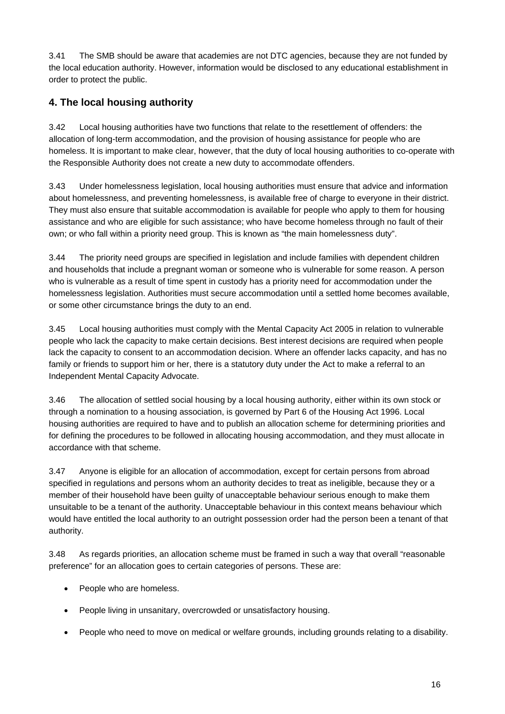3.41 The SMB should be aware that academies are not DTC agencies, because they are not funded by the local education authority. However, information would be disclosed to any educational establishment in order to protect the public.

## **4. The local housing authority**

3.42 Local housing authorities have two functions that relate to the resettlement of offenders: the allocation of long-term accommodation, and the provision of housing assistance for people who are homeless. It is important to make clear, however, that the duty of local housing authorities to co-operate with the Responsible Authority does not create a new duty to accommodate offenders.

3.43 Under homelessness legislation, local housing authorities must ensure that advice and information about homelessness, and preventing homelessness, is available free of charge to everyone in their district. They must also ensure that suitable accommodation is available for people who apply to them for housing assistance and who are eligible for such assistance; who have become homeless through no fault of their own; or who fall within a priority need group. This is known as "the main homelessness duty".

3.44 The priority need groups are specified in legislation and include families with dependent children and households that include a pregnant woman or someone who is vulnerable for some reason. A person who is vulnerable as a result of time spent in custody has a priority need for accommodation under the homelessness legislation. Authorities must secure accommodation until a settled home becomes available, or some other circumstance brings the duty to an end.

3.45 Local housing authorities must comply with the Mental Capacity Act 2005 in relation to vulnerable people who lack the capacity to make certain decisions. Best interest decisions are required when people lack the capacity to consent to an accommodation decision. Where an offender lacks capacity, and has no family or friends to support him or her, there is a statutory duty under the Act to make a referral to an Independent Mental Capacity Advocate.

3.46 The allocation of settled social housing by a local housing authority, either within its own stock or through a nomination to a housing association, is governed by Part 6 of the Housing Act 1996. Local housing authorities are required to have and to publish an allocation scheme for determining priorities and for defining the procedures to be followed in allocating housing accommodation, and they must allocate in accordance with that scheme.

3.47 Anyone is eligible for an allocation of accommodation, except for certain persons from abroad specified in regulations and persons whom an authority decides to treat as ineligible, because they or a member of their household have been guilty of unacceptable behaviour serious enough to make them unsuitable to be a tenant of the authority. Unacceptable behaviour in this context means behaviour which would have entitled the local authority to an outright possession order had the person been a tenant of that authority.

3.48 As regards priorities, an allocation scheme must be framed in such a way that overall "reasonable preference" for an allocation goes to certain categories of persons. These are:

- People who are homeless.
- People living in unsanitary, overcrowded or unsatisfactory housing.
- People who need to move on medical or welfare grounds, including grounds relating to a disability.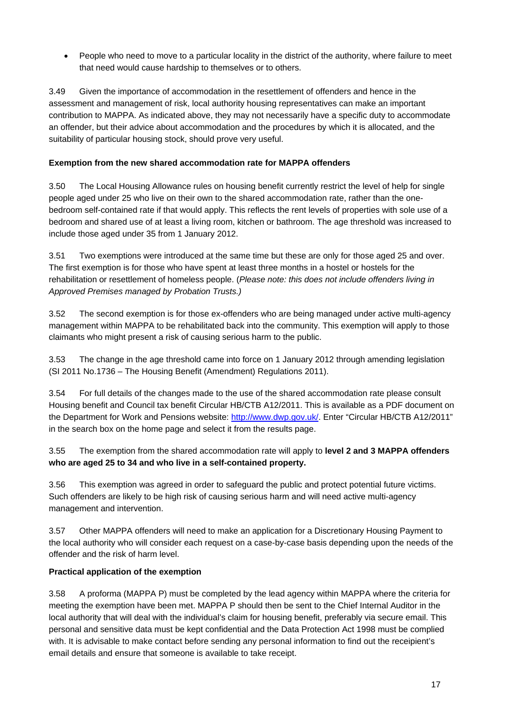People who need to move to a particular locality in the district of the authority, where failure to meet that need would cause hardship to themselves or to others.

3.49 Given the importance of accommodation in the resettlement of offenders and hence in the assessment and management of risk, local authority housing representatives can make an important contribution to MAPPA. As indicated above, they may not necessarily have a specific duty to accommodate an offender, but their advice about accommodation and the procedures by which it is allocated, and the suitability of particular housing stock, should prove very useful.

#### **Exemption from the new shared accommodation rate for MAPPA offenders**

3.50 The Local Housing Allowance rules on housing benefit currently restrict the level of help for single people aged under 25 who live on their own to the shared accommodation rate, rather than the onebedroom self-contained rate if that would apply. This reflects the rent levels of properties with sole use of a bedroom and shared use of at least a living room, kitchen or bathroom. The age threshold was increased to include those aged under 35 from 1 January 2012.

3.51 Two exemptions were introduced at the same time but these are only for those aged 25 and over. The first exemption is for those who have spent at least three months in a hostel or hostels for the rehabilitation or resettlement of homeless people. (*Please note: this does not include offenders living in Approved Premises managed by Probation Trusts.)* 

3.52 The second exemption is for those ex-offenders who are being managed under active multi-agency management within MAPPA to be rehabilitated back into the community. This exemption will apply to those claimants who might present a risk of causing serious harm to the public.

3.53 The change in the age threshold came into force on 1 January 2012 through amending legislation (SI 2011 No.1736 – The Housing Benefit (Amendment) Regulations 2011).

3.54 For full details of the changes made to the use of the shared accommodation rate please consult Housing benefit and Council tax benefit Circular HB/CTB A12/2011. This is available as a PDF document on the Department for Work and Pensions website: [http://www.dwp.gov.uk/.](http://www.dwp.gov.uk/) Enter "Circular HB/CTB A12/2011" in the search box on the home page and select it from the results page.

3.55 The exemption from the shared accommodation rate will apply to **level 2 and 3 MAPPA offenders who are aged 25 to 34 and who live in a self-contained property.** 

3.56 This exemption was agreed in order to safeguard the public and protect potential future victims. Such offenders are likely to be high risk of causing serious harm and will need active multi-agency management and intervention.

3.57 Other MAPPA offenders will need to make an application for a Discretionary Housing Payment to the local authority who will consider each request on a case-by-case basis depending upon the needs of the offender and the risk of harm level.

#### **Practical application of the exemption**

3.58 A proforma (MAPPA P) must be completed by the lead agency within MAPPA where the criteria for meeting the exemption have been met. MAPPA P should then be sent to the Chief Internal Auditor in the local authority that will deal with the individual's claim for housing benefit, preferably via secure email. This personal and sensitive data must be kept confidential and the Data Protection Act 1998 must be complied with. It is advisable to make contact before sending any personal information to find out the receipient's email details and ensure that someone is available to take receipt.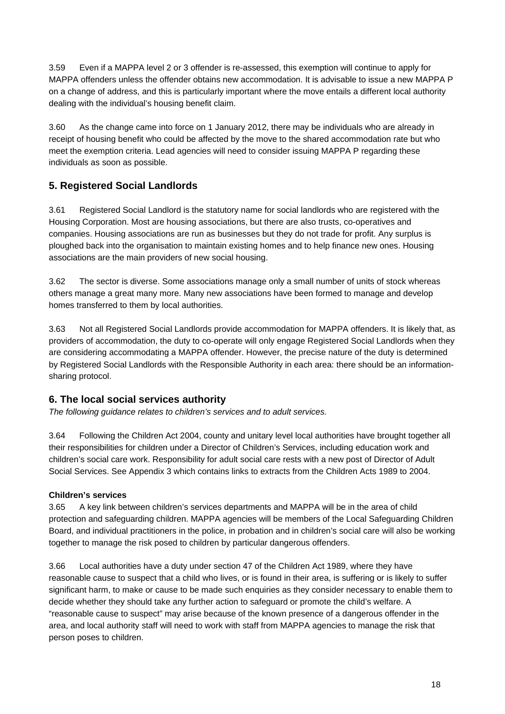3.59 Even if a MAPPA level 2 or 3 offender is re-assessed, this exemption will continue to apply for MAPPA offenders unless the offender obtains new accommodation. It is advisable to issue a new MAPPA P on a change of address, and this is particularly important where the move entails a different local authority dealing with the individual's housing benefit claim.

3.60 As the change came into force on 1 January 2012, there may be individuals who are already in receipt of housing benefit who could be affected by the move to the shared accommodation rate but who meet the exemption criteria. Lead agencies will need to consider issuing MAPPA P regarding these individuals as soon as possible.

## **5. Registered Social Landlords**

3.61 Registered Social Landlord is the statutory name for social landlords who are registered with the Housing Corporation. Most are housing associations, but there are also trusts, co-operatives and companies. Housing associations are run as businesses but they do not trade for profit. Any surplus is ploughed back into the organisation to maintain existing homes and to help finance new ones. Housing associations are the main providers of new social housing.

3.62 The sector is diverse. Some associations manage only a small number of units of stock whereas others manage a great many more. Many new associations have been formed to manage and develop homes transferred to them by local authorities.

3.63 Not all Registered Social Landlords provide accommodation for MAPPA offenders. It is likely that, as providers of accommodation, the duty to co-operate will only engage Registered Social Landlords when they are considering accommodating a MAPPA offender. However, the precise nature of the duty is determined by Registered Social Landlords with the Responsible Authority in each area: there should be an informationsharing protocol.

### **6. The local social services authority**

*The following guidance relates to children's services and to adult services.* 

3.64 Following the Children Act 2004, county and unitary level local authorities have brought together all their responsibilities for children under a Director of Children's Services, including education work and children's social care work. Responsibility for adult social care rests with a new post of Director of Adult Social Services. See Appendix 3 which contains links to extracts from the Children Acts 1989 to 2004.

#### **Children's services**

3.65 A key link between children's services departments and MAPPA will be in the area of child protection and safeguarding children. MAPPA agencies will be members of the Local Safeguarding Children Board, and individual practitioners in the police, in probation and in children's social care will also be working together to manage the risk posed to children by particular dangerous offenders.

3.66 Local authorities have a duty under section 47 of the Children Act 1989, where they have reasonable cause to suspect that a child who lives, or is found in their area, is suffering or is likely to suffer significant harm, to make or cause to be made such enquiries as they consider necessary to enable them to decide whether they should take any further action to safeguard or promote the child's welfare. A "reasonable cause to suspect" may arise because of the known presence of a dangerous offender in the area, and local authority staff will need to work with staff from MAPPA agencies to manage the risk that person poses to children.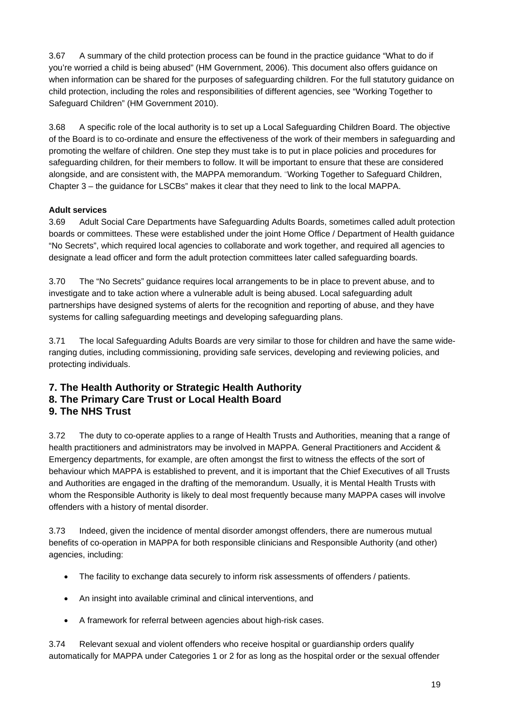3.67 A summary of the child protection process can be found in the practice guidance "What to do if you're worried a child is being abused" (HM Government, 2006). This document also offers guidance on when information can be shared for the purposes of safeguarding children. For the full statutory guidance on child protection, including the roles and responsibilities of different agencies, see "Working Together to Safeguard Children" (HM Government 2010).

3.68 A specific role of the local authority is to set up a Local Safeguarding Children Board. The objective of the Board is to co-ordinate and ensure the effectiveness of the work of their members in safeguarding and promoting the welfare of children. One step they must take is to put in place policies and procedures for safeguarding children, for their members to follow. It will be important to ensure that these are considered alongside, and are consistent with, the MAPPA memorandum. "Working Together to Safeguard Children, Chapter 3 – the guidance for LSCBs" makes it clear that they need to link to the local MAPPA.

#### **Adult services**

3.69 Adult Social Care Departments have Safeguarding Adults Boards, sometimes called adult protection boards or committees. These were established under the joint Home Office / Department of Health guidance "No Secrets", which required local agencies to collaborate and work together, and required all agencies to designate a lead officer and form the adult protection committees later called safeguarding boards.

3.70 The "No Secrets" guidance requires local arrangements to be in place to prevent abuse, and to investigate and to take action where a vulnerable adult is being abused. Local safeguarding adult partnerships have designed systems of alerts for the recognition and reporting of abuse, and they have systems for calling safeguarding meetings and developing safeguarding plans.

3.71 The local Safeguarding Adults Boards are very similar to those for children and have the same wideranging duties, including commissioning, providing safe services, developing and reviewing policies, and protecting individuals.

#### **7. The Health Authority or Strategic Health Authority 8. The Primary Care Trust or Local Health Board 9. The NHS Trust**

3.72 The duty to co-operate applies to a range of Health Trusts and Authorities, meaning that a range of health practitioners and administrators may be involved in MAPPA. General Practitioners and Accident & Emergency departments, for example, are often amongst the first to witness the effects of the sort of behaviour which MAPPA is established to prevent, and it is important that the Chief Executives of all Trusts and Authorities are engaged in the drafting of the memorandum. Usually, it is Mental Health Trusts with whom the Responsible Authority is likely to deal most frequently because many MAPPA cases will involve offenders with a history of mental disorder.

3.73 Indeed, given the incidence of mental disorder amongst offenders, there are numerous mutual benefits of co-operation in MAPPA for both responsible clinicians and Responsible Authority (and other) agencies, including:

- The facility to exchange data securely to inform risk assessments of offenders / patients.
- An insight into available criminal and clinical interventions, and
- A framework for referral between agencies about high-risk cases.

3.74 Relevant sexual and violent offenders who receive hospital or guardianship orders qualify automatically for MAPPA under Categories 1 or 2 for as long as the hospital order or the sexual offender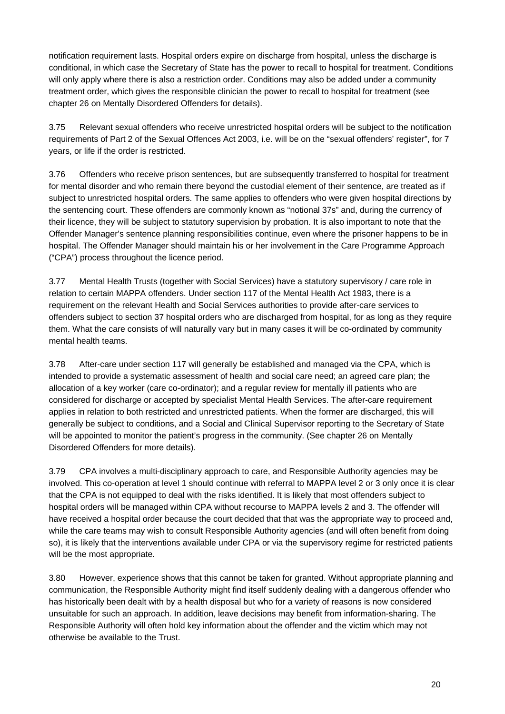notification requirement lasts. Hospital orders expire on discharge from hospital, unless the discharge is conditional, in which case the Secretary of State has the power to recall to hospital for treatment. Conditions will only apply where there is also a restriction order. Conditions may also be added under a community treatment order, which gives the responsible clinician the power to recall to hospital for treatment (see chapter 26 on Mentally Disordered Offenders for details).

3.75 Relevant sexual offenders who receive unrestricted hospital orders will be subject to the notification requirements of Part 2 of the Sexual Offences Act 2003, i.e. will be on the "sexual offenders' register", for 7 years, or life if the order is restricted.

3.76 Offenders who receive prison sentences, but are subsequently transferred to hospital for treatment for mental disorder and who remain there beyond the custodial element of their sentence, are treated as if subject to unrestricted hospital orders. The same applies to offenders who were given hospital directions by the sentencing court. These offenders are commonly known as "notional 37s" and, during the currency of their licence, they will be subject to statutory supervision by probation. It is also important to note that the Offender Manager's sentence planning responsibilities continue, even where the prisoner happens to be in hospital. The Offender Manager should maintain his or her involvement in the Care Programme Approach ("CPA") process throughout the licence period.

3.77 Mental Health Trusts (together with Social Services) have a statutory supervisory / care role in relation to certain MAPPA offenders. Under section 117 of the Mental Health Act 1983, there is a requirement on the relevant Health and Social Services authorities to provide after-care services to offenders subject to section 37 hospital orders who are discharged from hospital, for as long as they require them. What the care consists of will naturally vary but in many cases it will be co-ordinated by community mental health teams.

3.78 After-care under section 117 will generally be established and managed via the CPA, which is intended to provide a systematic assessment of health and social care need; an agreed care plan; the allocation of a key worker (care co-ordinator); and a regular review for mentally ill patients who are considered for discharge or accepted by specialist Mental Health Services. The after-care requirement applies in relation to both restricted and unrestricted patients. When the former are discharged, this will generally be subject to conditions, and a Social and Clinical Supervisor reporting to the Secretary of State will be appointed to monitor the patient's progress in the community. (See chapter 26 on Mentally Disordered Offenders for more details).

3.79 CPA involves a multi-disciplinary approach to care, and Responsible Authority agencies may be involved. This co-operation at level 1 should continue with referral to MAPPA level 2 or 3 only once it is clear that the CPA is not equipped to deal with the risks identified. It is likely that most offenders subject to hospital orders will be managed within CPA without recourse to MAPPA levels 2 and 3. The offender will have received a hospital order because the court decided that that was the appropriate way to proceed and, while the care teams may wish to consult Responsible Authority agencies (and will often benefit from doing so), it is likely that the interventions available under CPA or via the supervisory regime for restricted patients will be the most appropriate.

3.80 However, experience shows that this cannot be taken for granted. Without appropriate planning and communication, the Responsible Authority might find itself suddenly dealing with a dangerous offender who has historically been dealt with by a health disposal but who for a variety of reasons is now considered unsuitable for such an approach. In addition, leave decisions may benefit from information-sharing. The Responsible Authority will often hold key information about the offender and the victim which may not otherwise be available to the Trust.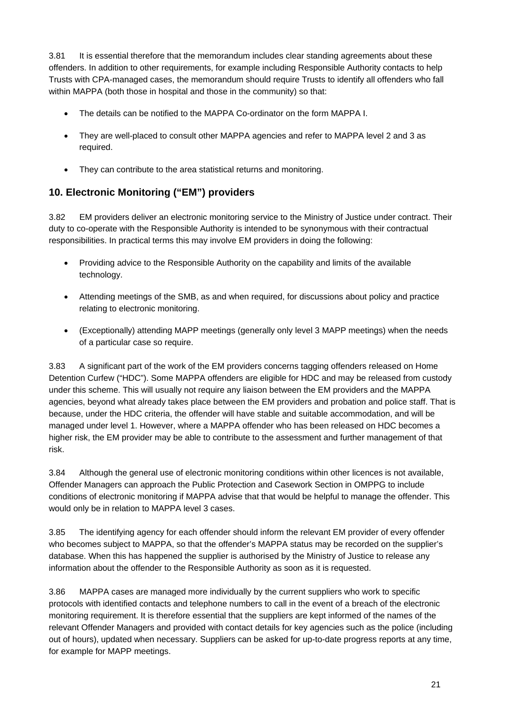3.81 It is essential therefore that the memorandum includes clear standing agreements about these offenders. In addition to other requirements, for example including Responsible Authority contacts to help Trusts with CPA-managed cases, the memorandum should require Trusts to identify all offenders who fall within MAPPA (both those in hospital and those in the community) so that:

- The details can be notified to the MAPPA Co-ordinator on the form MAPPA I.
- They are well-placed to consult other MAPPA agencies and refer to MAPPA level 2 and 3 as required.
- They can contribute to the area statistical returns and monitoring.

## **10. Electronic Monitoring ("EM") providers**

3.82 EM providers deliver an electronic monitoring service to the Ministry of Justice under contract. Their duty to co-operate with the Responsible Authority is intended to be synonymous with their contractual responsibilities. In practical terms this may involve EM providers in doing the following:

- Providing advice to the Responsible Authority on the capability and limits of the available technology.
- Attending meetings of the SMB, as and when required, for discussions about policy and practice relating to electronic monitoring.
- (Exceptionally) attending MAPP meetings (generally only level 3 MAPP meetings) when the needs of a particular case so require.

3.83 A significant part of the work of the EM providers concerns tagging offenders released on Home Detention Curfew ("HDC"). Some MAPPA offenders are eligible for HDC and may be released from custody under this scheme. This will usually not require any liaison between the EM providers and the MAPPA agencies, beyond what already takes place between the EM providers and probation and police staff. That is because, under the HDC criteria, the offender will have stable and suitable accommodation, and will be managed under level 1. However, where a MAPPA offender who has been released on HDC becomes a higher risk, the EM provider may be able to contribute to the assessment and further management of that risk.

3.84 Although the general use of electronic monitoring conditions within other licences is not available, Offender Managers can approach the Public Protection and Casework Section in OMPPG to include conditions of electronic monitoring if MAPPA advise that that would be helpful to manage the offender. This would only be in relation to MAPPA level 3 cases.

3.85 The identifying agency for each offender should inform the relevant EM provider of every offender who becomes subject to MAPPA, so that the offender's MAPPA status may be recorded on the supplier's database. When this has happened the supplier is authorised by the Ministry of Justice to release any information about the offender to the Responsible Authority as soon as it is requested.

3.86 MAPPA cases are managed more individually by the current suppliers who work to specific protocols with identified contacts and telephone numbers to call in the event of a breach of the electronic monitoring requirement. It is therefore essential that the suppliers are kept informed of the names of the relevant Offender Managers and provided with contact details for key agencies such as the police (including out of hours), updated when necessary. Suppliers can be asked for up-to-date progress reports at any time, for example for MAPP meetings.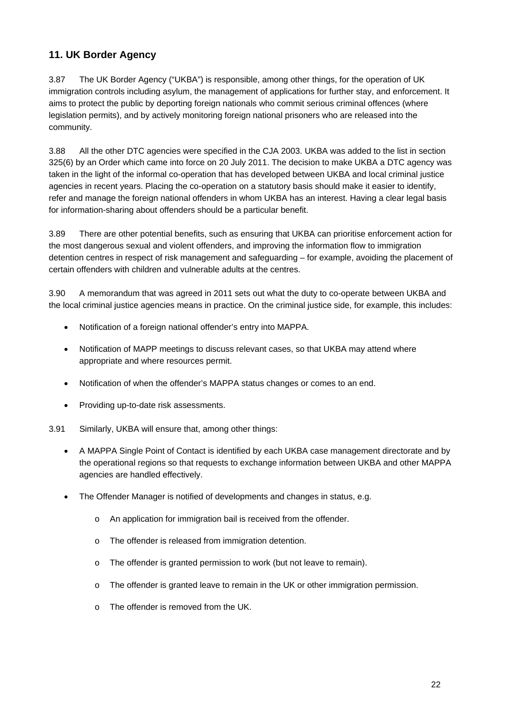### **11. UK Border Agency**

3.87 The UK Border Agency ("UKBA") is responsible, among other things, for the operation of UK immigration controls including asylum, the management of applications for further stay, and enforcement. It aims to protect the public by deporting foreign nationals who commit serious criminal offences (where legislation permits), and by actively monitoring foreign national prisoners who are released into the community.

3.88 All the other DTC agencies were specified in the CJA 2003. UKBA was added to the list in section 325(6) by an Order which came into force on 20 July 2011. The decision to make UKBA a DTC agency was taken in the light of the informal co-operation that has developed between UKBA and local criminal justice agencies in recent years. Placing the co-operation on a statutory basis should make it easier to identify, refer and manage the foreign national offenders in whom UKBA has an interest. Having a clear legal basis for information-sharing about offenders should be a particular benefit.

3.89 There are other potential benefits, such as ensuring that UKBA can prioritise enforcement action for the most dangerous sexual and violent offenders, and improving the information flow to immigration detention centres in respect of risk management and safeguarding – for example, avoiding the placement of certain offenders with children and vulnerable adults at the centres.

3.90 A memorandum that was agreed in 2011 sets out what the duty to co-operate between UKBA and the local criminal justice agencies means in practice. On the criminal justice side, for example, this includes:

- Notification of a foreign national offender's entry into MAPPA.
- Notification of MAPP meetings to discuss relevant cases, so that UKBA may attend where appropriate and where resources permit.
- Notification of when the offender's MAPPA status changes or comes to an end.
- Providing up-to-date risk assessments.
- 3.91 Similarly, UKBA will ensure that, among other things:
	- A MAPPA Single Point of Contact is identified by each UKBA case management directorate and by the operational regions so that requests to exchange information between UKBA and other MAPPA agencies are handled effectively.
	- The Offender Manager is notified of developments and changes in status, e.g.
		- o An application for immigration bail is received from the offender.
		- o The offender is released from immigration detention.
		- o The offender is granted permission to work (but not leave to remain).
		- o The offender is granted leave to remain in the UK or other immigration permission.
		- o The offender is removed from the UK.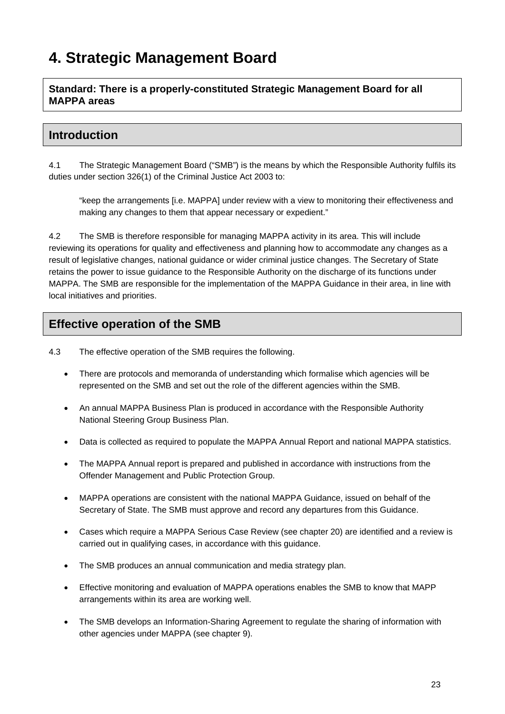# **4. Strategic Management Board**

**Standard: There is a properly-constituted Strategic Management Board for all MAPPA areas** 

# **Introduction**

4.1 The Strategic Management Board ("SMB") is the means by which the Responsible Authority fulfils its duties under section 326(1) of the Criminal Justice Act 2003 to:

"keep the arrangements [i.e. MAPPA] under review with a view to monitoring their effectiveness and making any changes to them that appear necessary or expedient."

4.2 The SMB is therefore responsible for managing MAPPA activity in its area. This will include reviewing its operations for quality and effectiveness and planning how to accommodate any changes as a result of legislative changes, national guidance or wider criminal justice changes. The Secretary of State retains the power to issue guidance to the Responsible Authority on the discharge of its functions under MAPPA. The SMB are responsible for the implementation of the MAPPA Guidance in their area, in line with local initiatives and priorities.

# **Effective operation of the SMB**

4.3 The effective operation of the SMB requires the following.

- There are protocols and memoranda of understanding which formalise which agencies will be represented on the SMB and set out the role of the different agencies within the SMB.
- An annual MAPPA Business Plan is produced in accordance with the Responsible Authority National Steering Group Business Plan.
- Data is collected as required to populate the MAPPA Annual Report and national MAPPA statistics.
- The MAPPA Annual report is prepared and published in accordance with instructions from the Offender Management and Public Protection Group.
- MAPPA operations are consistent with the national MAPPA Guidance, issued on behalf of the Secretary of State. The SMB must approve and record any departures from this Guidance.
- Cases which require a MAPPA Serious Case Review (see chapter 20) are identified and a review is carried out in qualifying cases, in accordance with this guidance.
- The SMB produces an annual communication and media strategy plan.
- Effective monitoring and evaluation of MAPPA operations enables the SMB to know that MAPP arrangements within its area are working well.
- The SMB develops an Information-Sharing Agreement to regulate the sharing of information with other agencies under MAPPA (see chapter 9).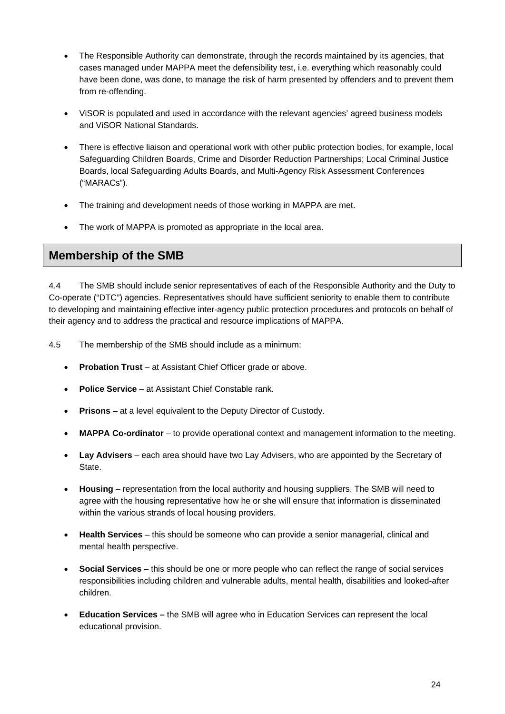- The Responsible Authority can demonstrate, through the records maintained by its agencies, that cases managed under MAPPA meet the defensibility test, i.e. everything which reasonably could have been done, was done, to manage the risk of harm presented by offenders and to prevent them from re-offending.
- ViSOR is populated and used in accordance with the relevant agencies' agreed business models and ViSOR National Standards.
- There is effective liaison and operational work with other public protection bodies, for example, local Safeguarding Children Boards, Crime and Disorder Reduction Partnerships; Local Criminal Justice Boards, local Safeguarding Adults Boards, and Multi-Agency Risk Assessment Conferences ("MARACs").
- The training and development needs of those working in MAPPA are met.
- The work of MAPPA is promoted as appropriate in the local area.

### **Membership of the SMB**

4.4 The SMB should include senior representatives of each of the Responsible Authority and the Duty to Co-operate ("DTC") agencies. Representatives should have sufficient seniority to enable them to contribute to developing and maintaining effective inter-agency public protection procedures and protocols on behalf of their agency and to address the practical and resource implications of MAPPA.

- 4.5 The membership of the SMB should include as a minimum:
	- **Probation Trust** at Assistant Chief Officer grade or above.
	- **Police Service** at Assistant Chief Constable rank.
	- **Prisons**  at a level equivalent to the Deputy Director of Custody.
	- **MAPPA Co-ordinator** to provide operational context and management information to the meeting.
	- **Lay Advisers** each area should have two Lay Advisers, who are appointed by the Secretary of State.
	- **Housing** representation from the local authority and housing suppliers. The SMB will need to agree with the housing representative how he or she will ensure that information is disseminated within the various strands of local housing providers.
	- **Health Services** this should be someone who can provide a senior managerial, clinical and mental health perspective.
	- **Social Services** this should be one or more people who can reflect the range of social services responsibilities including children and vulnerable adults, mental health, disabilities and looked-after children.
	- **Education Services** the SMB will agree who in Education Services can represent the local educational provision.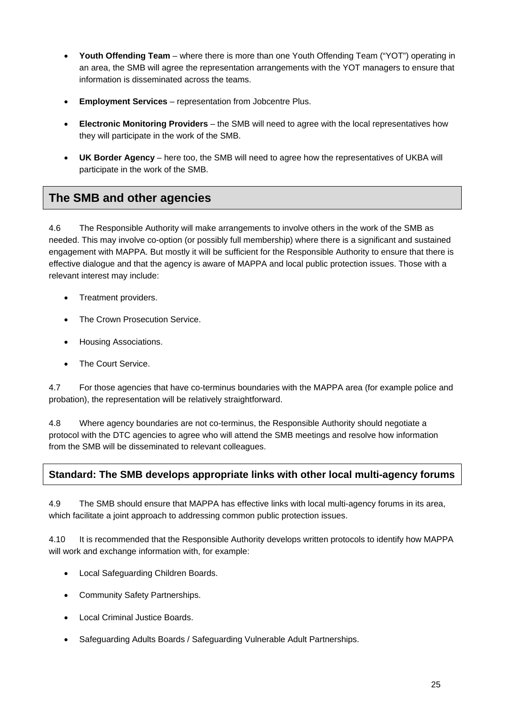- **Youth Offending Team** where there is more than one Youth Offending Team ("YOT") operating in an area, the SMB will agree the representation arrangements with the YOT managers to ensure that information is disseminated across the teams.
- **Employment Services**  representation from Jobcentre Plus.
- **Electronic Monitoring Providers**  the SMB will need to agree with the local representatives how they will participate in the work of the SMB.
- **UK Border Agency**  here too, the SMB will need to agree how the representatives of UKBA will participate in the work of the SMB.

# **The SMB and other agencies**

4.6 The Responsible Authority will make arrangements to involve others in the work of the SMB as needed. This may involve co-option (or possibly full membership) where there is a significant and sustained engagement with MAPPA. But mostly it will be sufficient for the Responsible Authority to ensure that there is effective dialogue and that the agency is aware of MAPPA and local public protection issues. Those with a relevant interest may include:

- Treatment providers.
- The Crown Prosecution Service.
- Housing Associations.
- The Court Service.

4.7 For those agencies that have co-terminus boundaries with the MAPPA area (for example police and probation), the representation will be relatively straightforward.

4.8 Where agency boundaries are not co-terminus, the Responsible Authority should negotiate a protocol with the DTC agencies to agree who will attend the SMB meetings and resolve how information from the SMB will be disseminated to relevant colleagues.

#### **Standard: The SMB develops appropriate links with other local multi-agency forums**

4.9 The SMB should ensure that MAPPA has effective links with local multi-agency forums in its area, which facilitate a joint approach to addressing common public protection issues.

4.10 It is recommended that the Responsible Authority develops written protocols to identify how MAPPA will work and exchange information with, for example:

- Local Safeguarding Children Boards.
- Community Safety Partnerships.
- Local Criminal Justice Boards.
- Safeguarding Adults Boards / Safeguarding Vulnerable Adult Partnerships.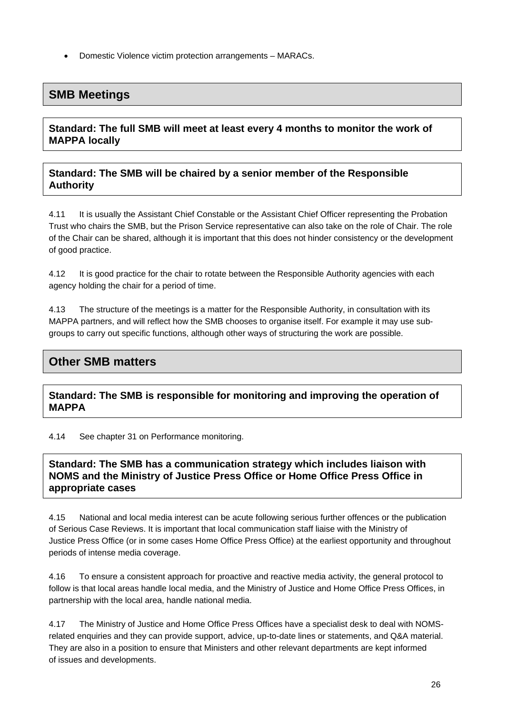Domestic Violence victim protection arrangements – MARACs.

# **SMB Meetings**

#### **Standard: The full SMB will meet at least every 4 months to monitor the work of MAPPA locally**

#### **Standard: The SMB will be chaired by a senior member of the Responsible Authority**

4.11 It is usually the Assistant Chief Constable or the Assistant Chief Officer representing the Probation Trust who chairs the SMB, but the Prison Service representative can also take on the role of Chair. The role of the Chair can be shared, although it is important that this does not hinder consistency or the development of good practice.

4.12 It is good practice for the chair to rotate between the Responsible Authority agencies with each agency holding the chair for a period of time.

4.13 The structure of the meetings is a matter for the Responsible Authority, in consultation with its MAPPA partners, and will reflect how the SMB chooses to organise itself. For example it may use subgroups to carry out specific functions, although other ways of structuring the work are possible.

# **Other SMB matters**

#### **Standard: The SMB is responsible for monitoring and improving the operation of MAPPA**

4.14 See chapter 31 on Performance monitoring.

#### **Standard: The SMB has a communication strategy which includes liaison with NOMS and the Ministry of Justice Press Office or Home Office Press Office in appropriate cases**

4.15 National and local media interest can be acute following serious further offences or the publication of Serious Case Reviews. It is important that local communication staff liaise with the Ministry of Justice Press Office (or in some cases Home Office Press Office) at the earliest opportunity and throughout periods of intense media coverage.

4.16 To ensure a consistent approach for proactive and reactive media activity, the general protocol to follow is that local areas handle local media, and the Ministry of Justice and Home Office Press Offices, in partnership with the local area, handle national media.

4.17 The Ministry of Justice and Home Office Press Offices have a specialist desk to deal with NOMSrelated enquiries and they can provide support, advice, up-to-date lines or statements, and Q&A material. They are also in a position to ensure that Ministers and other relevant departments are kept informed of issues and developments.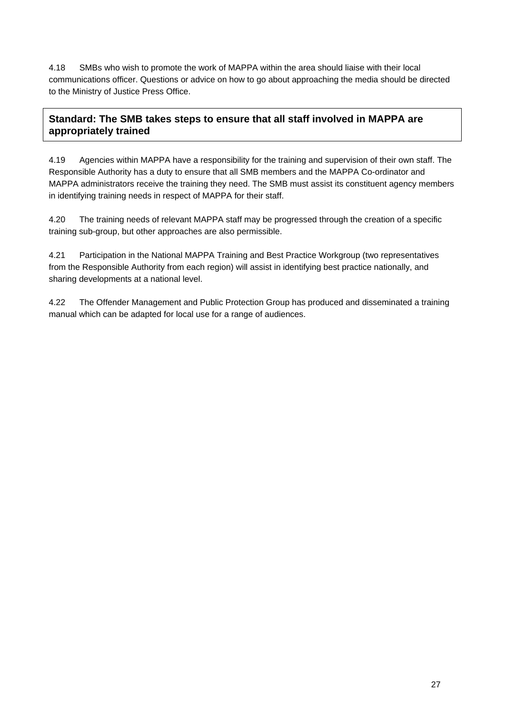4.18 SMBs who wish to promote the work of MAPPA within the area should liaise with their local communications officer. Questions or advice on how to go about approaching the media should be directed to the Ministry of Justice Press Office.

## **Standard: The SMB takes steps to ensure that all staff involved in MAPPA are appropriately trained**

4.19 Agencies within MAPPA have a responsibility for the training and supervision of their own staff. The Responsible Authority has a duty to ensure that all SMB members and the MAPPA Co-ordinator and MAPPA administrators receive the training they need. The SMB must assist its constituent agency members in identifying training needs in respect of MAPPA for their staff.

4.20 The training needs of relevant MAPPA staff may be progressed through the creation of a specific training sub-group, but other approaches are also permissible.

4.21 Participation in the National MAPPA Training and Best Practice Workgroup (two representatives from the Responsible Authority from each region) will assist in identifying best practice nationally, and sharing developments at a national level.

4.22 The Offender Management and Public Protection Group has produced and disseminated a training manual which can be adapted for local use for a range of audiences.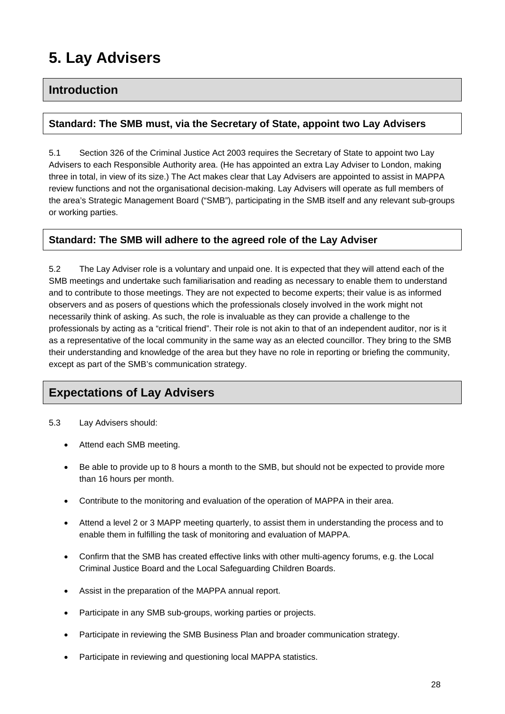# **5. Lay Advisers**

## **Introduction**

#### **Standard: The SMB must, via the Secretary of State, appoint two Lay Advisers**

5.1 Section 326 of the Criminal Justice Act 2003 requires the Secretary of State to appoint two Lay Advisers to each Responsible Authority area. (He has appointed an extra Lay Adviser to London, making three in total, in view of its size.) The Act makes clear that Lay Advisers are appointed to assist in MAPPA review functions and not the organisational decision-making. Lay Advisers will operate as full members of the area's Strategic Management Board ("SMB"), participating in the SMB itself and any relevant sub-groups or working parties.

#### **Standard: The SMB will adhere to the agreed role of the Lay Adviser**

5.2 The Lay Adviser role is a voluntary and unpaid one. It is expected that they will attend each of the SMB meetings and undertake such familiarisation and reading as necessary to enable them to understand and to contribute to those meetings. They are not expected to become experts; their value is as informed observers and as posers of questions which the professionals closely involved in the work might not necessarily think of asking. As such, the role is invaluable as they can provide a challenge to the professionals by acting as a "critical friend". Their role is not akin to that of an independent auditor, nor is it as a representative of the local community in the same way as an elected councillor. They bring to the SMB their understanding and knowledge of the area but they have no role in reporting or briefing the community, except as part of the SMB's communication strategy.

# **Expectations of Lay Advisers**

- 5.3 Lay Advisers should:
	- Attend each SMB meeting.
	- Be able to provide up to 8 hours a month to the SMB, but should not be expected to provide more than 16 hours per month.
	- Contribute to the monitoring and evaluation of the operation of MAPPA in their area.
	- Attend a level 2 or 3 MAPP meeting quarterly, to assist them in understanding the process and to enable them in fulfilling the task of monitoring and evaluation of MAPPA.
	- Confirm that the SMB has created effective links with other multi-agency forums, e.g. the Local Criminal Justice Board and the Local Safeguarding Children Boards.
	- Assist in the preparation of the MAPPA annual report.
	- Participate in any SMB sub-groups, working parties or projects.
	- Participate in reviewing the SMB Business Plan and broader communication strategy.
	- Participate in reviewing and questioning local MAPPA statistics.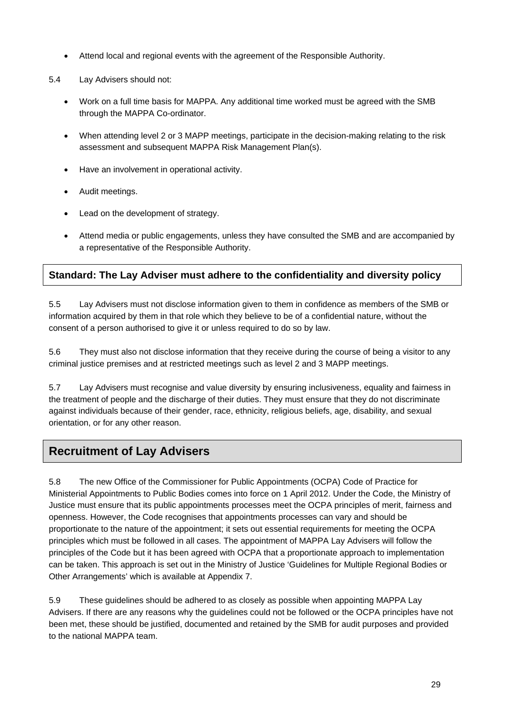- Attend local and regional events with the agreement of the Responsible Authority.
- 5.4 Lay Advisers should not:
	- Work on a full time basis for MAPPA. Any additional time worked must be agreed with the SMB through the MAPPA Co-ordinator.
	- When attending level 2 or 3 MAPP meetings, participate in the decision-making relating to the risk assessment and subsequent MAPPA Risk Management Plan(s).
	- Have an involvement in operational activity.
	- Audit meetings.
	- Lead on the development of strategy.
	- Attend media or public engagements, unless they have consulted the SMB and are accompanied by a representative of the Responsible Authority.

## **Standard: The Lay Adviser must adhere to the confidentiality and diversity policy**

5.5 Lay Advisers must not disclose information given to them in confidence as members of the SMB or information acquired by them in that role which they believe to be of a confidential nature, without the consent of a person authorised to give it or unless required to do so by law.

5.6 They must also not disclose information that they receive during the course of being a visitor to any criminal justice premises and at restricted meetings such as level 2 and 3 MAPP meetings.

5.7 Lay Advisers must recognise and value diversity by ensuring inclusiveness, equality and fairness in the treatment of people and the discharge of their duties. They must ensure that they do not discriminate against individuals because of their gender, race, ethnicity, religious beliefs, age, disability, and sexual orientation, or for any other reason.

# **Recruitment of Lay Advisers**

5.8 The new Office of the Commissioner for Public Appointments (OCPA) Code of Practice for Ministerial Appointments to Public Bodies comes into force on 1 April 2012. Under the Code, the Ministry of Justice must ensure that its public appointments processes meet the OCPA principles of merit, fairness and openness. However, the Code recognises that appointments processes can vary and should be proportionate to the nature of the appointment; it sets out essential requirements for meeting the OCPA principles which must be followed in all cases. The appointment of MAPPA Lay Advisers will follow the principles of the Code but it has been agreed with OCPA that a proportionate approach to implementation can be taken. This approach is set out in the Ministry of Justice 'Guidelines for Multiple Regional Bodies or Other Arrangements' which is available at Appendix 7.

5.9 These guidelines should be adhered to as closely as possible when appointing MAPPA Lay Advisers. If there are any reasons why the guidelines could not be followed or the OCPA principles have not been met, these should be justified, documented and retained by the SMB for audit purposes and provided to the national MAPPA team.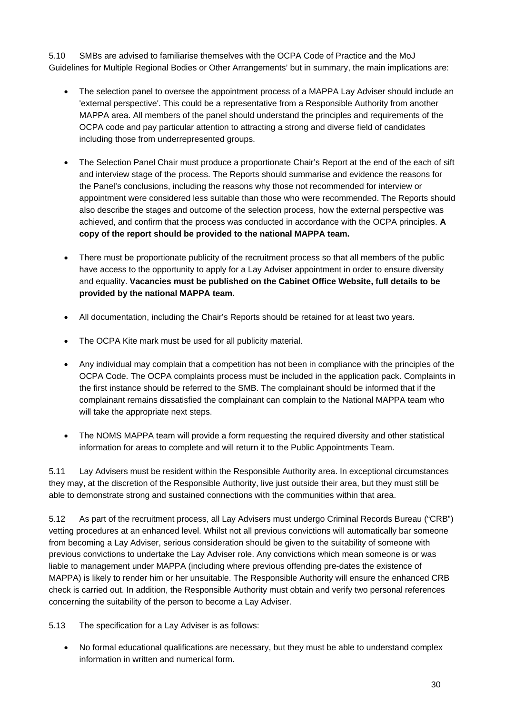5.10 SMBs are advised to familiarise themselves with the OCPA Code of Practice and the MoJ Guidelines for Multiple Regional Bodies or Other Arrangements' but in summary, the main implications are:

- The selection panel to oversee the appointment process of a MAPPA Lay Adviser should include an 'external perspective'. This could be a representative from a Responsible Authority from another MAPPA area. All members of the panel should understand the principles and requirements of the OCPA code and pay particular attention to attracting a strong and diverse field of candidates including those from underrepresented groups.
- The Selection Panel Chair must produce a proportionate Chair's Report at the end of the each of sift and interview stage of the process. The Reports should summarise and evidence the reasons for the Panel's conclusions, including the reasons why those not recommended for interview or appointment were considered less suitable than those who were recommended. The Reports should also describe the stages and outcome of the selection process, how the external perspective was achieved, and confirm that the process was conducted in accordance with the OCPA principles. **A copy of the report should be provided to the national MAPPA team.**
- There must be proportionate publicity of the recruitment process so that all members of the public have access to the opportunity to apply for a Lay Adviser appointment in order to ensure diversity and equality. **Vacancies must be published on the Cabinet Office Website, full details to be provided by the national MAPPA team.**
- All documentation, including the Chair's Reports should be retained for at least two years.
- The OCPA Kite mark must be used for all publicity material.
- Any individual may complain that a competition has not been in compliance with the principles of the OCPA Code. The OCPA complaints process must be included in the application pack. Complaints in the first instance should be referred to the SMB. The complainant should be informed that if the complainant remains dissatisfied the complainant can complain to the National MAPPA team who will take the appropriate next steps.
- The NOMS MAPPA team will provide a form requesting the required diversity and other statistical information for areas to complete and will return it to the Public Appointments Team.

5.11 Lay Advisers must be resident within the Responsible Authority area. In exceptional circumstances they may, at the discretion of the Responsible Authority, live just outside their area, but they must still be able to demonstrate strong and sustained connections with the communities within that area.

5.12 As part of the recruitment process, all Lay Advisers must undergo Criminal Records Bureau ("CRB") vetting procedures at an enhanced level. Whilst not all previous convictions will automatically bar someone from becoming a Lay Adviser, serious consideration should be given to the suitability of someone with previous convictions to undertake the Lay Adviser role. Any convictions which mean someone is or was liable to management under MAPPA (including where previous offending pre-dates the existence of MAPPA) is likely to render him or her unsuitable. The Responsible Authority will ensure the enhanced CRB check is carried out. In addition, the Responsible Authority must obtain and verify two personal references concerning the suitability of the person to become a Lay Adviser.

5.13 The specification for a Lay Adviser is as follows:

 No formal educational qualifications are necessary, but they must be able to understand complex information in written and numerical form.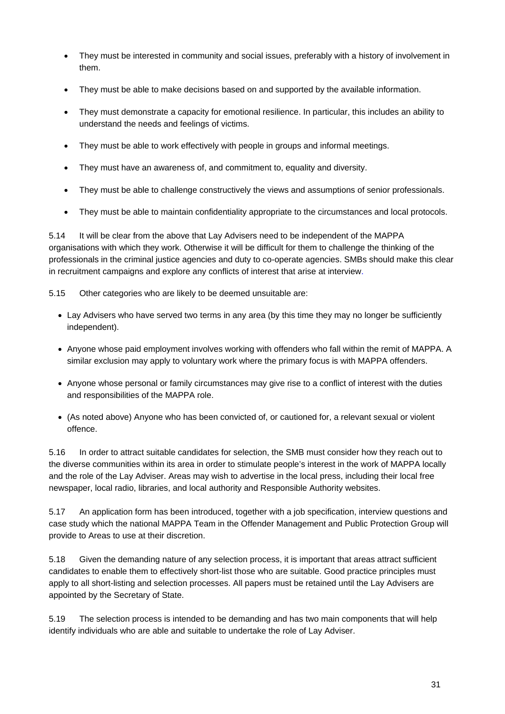- They must be interested in community and social issues, preferably with a history of involvement in them.
- They must be able to make decisions based on and supported by the available information.
- They must demonstrate a capacity for emotional resilience. In particular, this includes an ability to understand the needs and feelings of victims.
- They must be able to work effectively with people in groups and informal meetings.
- They must have an awareness of, and commitment to, equality and diversity.
- They must be able to challenge constructively the views and assumptions of senior professionals.
- They must be able to maintain confidentiality appropriate to the circumstances and local protocols.

5.14 It will be clear from the above that Lay Advisers need to be independent of the MAPPA organisations with which they work. Otherwise it will be difficult for them to challenge the thinking of the professionals in the criminal justice agencies and duty to co-operate agencies. SMBs should make this clear in recruitment campaigns and explore any conflicts of interest that arise at interview.

5.15 Other categories who are likely to be deemed unsuitable are:

- Lay Advisers who have served two terms in any area (by this time they may no longer be sufficiently independent).
- Anyone whose paid employment involves working with offenders who fall within the remit of MAPPA. A similar exclusion may apply to voluntary work where the primary focus is with MAPPA offenders.
- Anyone whose personal or family circumstances may give rise to a conflict of interest with the duties and responsibilities of the MAPPA role.
- (As noted above) Anyone who has been convicted of, or cautioned for, a relevant sexual or violent offence.

5.16 In order to attract suitable candidates for selection, the SMB must consider how they reach out to the diverse communities within its area in order to stimulate people's interest in the work of MAPPA locally and the role of the Lay Adviser. Areas may wish to advertise in the local press, including their local free newspaper, local radio, libraries, and local authority and Responsible Authority websites.

5.17 An application form has been introduced, together with a job specification, interview questions and case study which the national MAPPA Team in the Offender Management and Public Protection Group will provide to Areas to use at their discretion.

5.18 Given the demanding nature of any selection process, it is important that areas attract sufficient candidates to enable them to effectively short-list those who are suitable. Good practice principles must apply to all short-listing and selection processes. All papers must be retained until the Lay Advisers are appointed by the Secretary of State.

5.19 The selection process is intended to be demanding and has two main components that will help identify individuals who are able and suitable to undertake the role of Lay Adviser.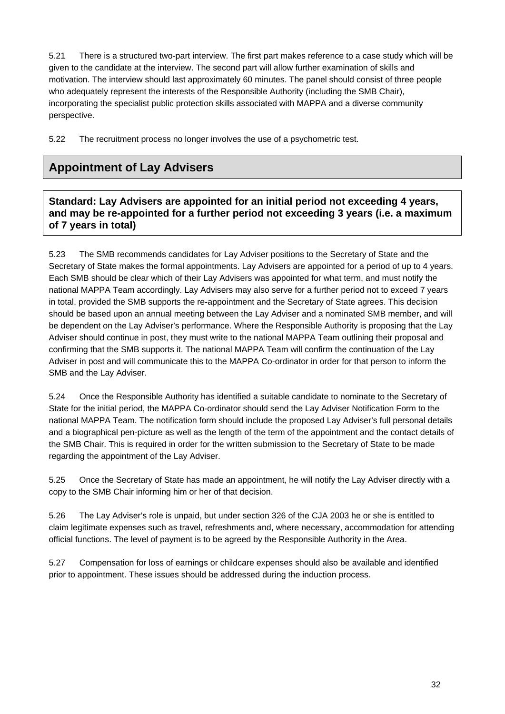5.21 There is a structured two-part interview. The first part makes reference to a case study which will be given to the candidate at the interview. The second part will allow further examination of skills and motivation. The interview should last approximately 60 minutes. The panel should consist of three people who adequately represent the interests of the Responsible Authority (including the SMB Chair), incorporating the specialist public protection skills associated with MAPPA and a diverse community perspective.

5.22 The recruitment process no longer involves the use of a psychometric test.

# **Appointment of Lay Advisers**

**Standard: Lay Advisers are appointed for an initial period not exceeding 4 years, and may be re-appointed for a further period not exceeding 3 years (i.e. a maximum of 7 years in total)** 

5.23 The SMB recommends candidates for Lay Adviser positions to the Secretary of State and the Secretary of State makes the formal appointments. Lay Advisers are appointed for a period of up to 4 years. Each SMB should be clear which of their Lay Advisers was appointed for what term, and must notify the national MAPPA Team accordingly. Lay Advisers may also serve for a further period not to exceed 7 years in total, provided the SMB supports the re-appointment and the Secretary of State agrees. This decision should be based upon an annual meeting between the Lay Adviser and a nominated SMB member, and will be dependent on the Lay Adviser's performance. Where the Responsible Authority is proposing that the Lay Adviser should continue in post, they must write to the national MAPPA Team outlining their proposal and confirming that the SMB supports it. The national MAPPA Team will confirm the continuation of the Lay Adviser in post and will communicate this to the MAPPA Co-ordinator in order for that person to inform the SMB and the Lay Adviser.

5.24 Once the Responsible Authority has identified a suitable candidate to nominate to the Secretary of State for the initial period, the MAPPA Co-ordinator should send the Lay Adviser Notification Form to the national MAPPA Team. The notification form should include the proposed Lay Adviser's full personal details and a biographical pen-picture as well as the length of the term of the appointment and the contact details of the SMB Chair. This is required in order for the written submission to the Secretary of State to be made regarding the appointment of the Lay Adviser.

5.25 Once the Secretary of State has made an appointment, he will notify the Lay Adviser directly with a copy to the SMB Chair informing him or her of that decision.

5.26 The Lay Adviser's role is unpaid, but under section 326 of the CJA 2003 he or she is entitled to claim legitimate expenses such as travel, refreshments and, where necessary, accommodation for attending official functions. The level of payment is to be agreed by the Responsible Authority in the Area.

5.27 Compensation for loss of earnings or childcare expenses should also be available and identified prior to appointment. These issues should be addressed during the induction process.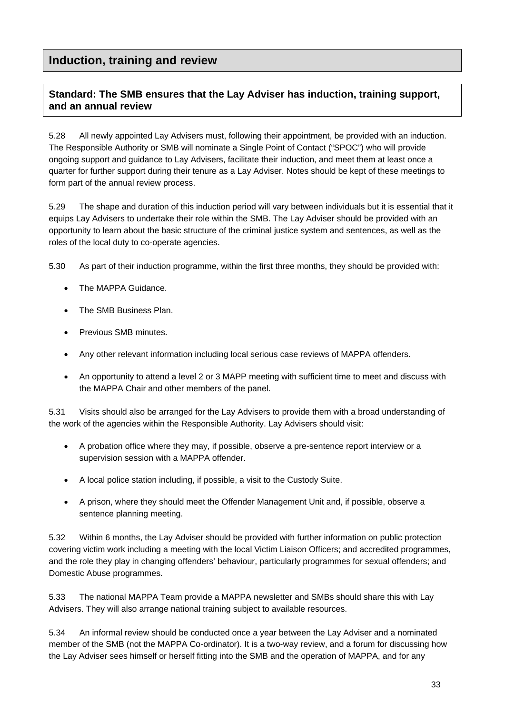# **Induction, training and review**

## **Standard: The SMB ensures that the Lay Adviser has induction, training support, and an annual review**

5.28 All newly appointed Lay Advisers must, following their appointment, be provided with an induction. The Responsible Authority or SMB will nominate a Single Point of Contact ("SPOC") who will provide ongoing support and guidance to Lay Advisers, facilitate their induction, and meet them at least once a quarter for further support during their tenure as a Lay Adviser. Notes should be kept of these meetings to form part of the annual review process.

5.29 The shape and duration of this induction period will vary between individuals but it is essential that it equips Lay Advisers to undertake their role within the SMB. The Lay Adviser should be provided with an opportunity to learn about the basic structure of the criminal justice system and sentences, as well as the roles of the local duty to co-operate agencies.

5.30 As part of their induction programme, within the first three months, they should be provided with:

- The MAPPA Guidance.
- The SMB Business Plan.
- Previous SMB minutes.
- Any other relevant information including local serious case reviews of MAPPA offenders.
- An opportunity to attend a level 2 or 3 MAPP meeting with sufficient time to meet and discuss with the MAPPA Chair and other members of the panel.

5.31 Visits should also be arranged for the Lay Advisers to provide them with a broad understanding of the work of the agencies within the Responsible Authority. Lay Advisers should visit:

- A probation office where they may, if possible, observe a pre-sentence report interview or a supervision session with a MAPPA offender.
- A local police station including, if possible, a visit to the Custody Suite.
- A prison, where they should meet the Offender Management Unit and, if possible, observe a sentence planning meeting.

5.32 Within 6 months, the Lay Adviser should be provided with further information on public protection covering victim work including a meeting with the local Victim Liaison Officers; and accredited programmes, and the role they play in changing offenders' behaviour, particularly programmes for sexual offenders; and Domestic Abuse programmes.

5.33 The national MAPPA Team provide a MAPPA newsletter and SMBs should share this with Lay Advisers. They will also arrange national training subject to available resources.

5.34 An informal review should be conducted once a year between the Lay Adviser and a nominated member of the SMB (not the MAPPA Co-ordinator). It is a two-way review, and a forum for discussing how the Lay Adviser sees himself or herself fitting into the SMB and the operation of MAPPA, and for any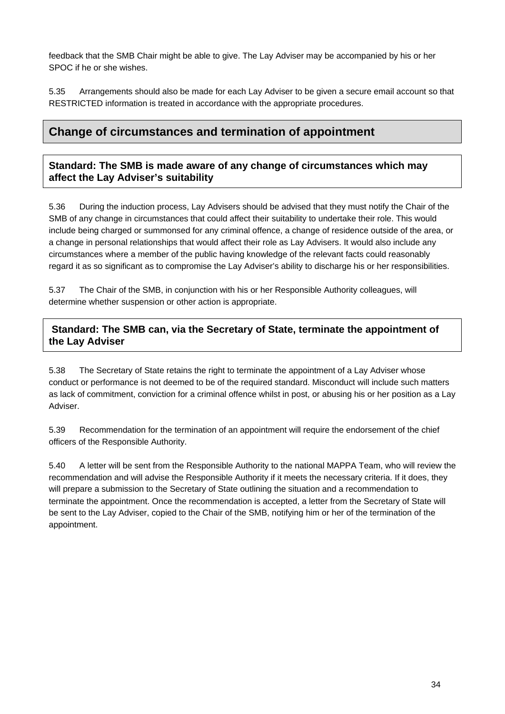feedback that the SMB Chair might be able to give. The Lay Adviser may be accompanied by his or her SPOC if he or she wishes.

5.35 Arrangements should also be made for each Lay Adviser to be given a secure email account so that RESTRICTED information is treated in accordance with the appropriate procedures.

## **Change of circumstances and termination of appointment**

#### **Standard: The SMB is made aware of any change of circumstances which may affect the Lay Adviser's suitability**

5.36 During the induction process, Lay Advisers should be advised that they must notify the Chair of the SMB of any change in circumstances that could affect their suitability to undertake their role. This would include being charged or summonsed for any criminal offence, a change of residence outside of the area, or a change in personal relationships that would affect their role as Lay Advisers. It would also include any circumstances where a member of the public having knowledge of the relevant facts could reasonably regard it as so significant as to compromise the Lay Adviser's ability to discharge his or her responsibilities.

5.37 The Chair of the SMB, in conjunction with his or her Responsible Authority colleagues, will determine whether suspension or other action is appropriate.

#### **Standard: The SMB can, via the Secretary of State, terminate the appointment of the Lay Adviser**

5.38 The Secretary of State retains the right to terminate the appointment of a Lay Adviser whose conduct or performance is not deemed to be of the required standard. Misconduct will include such matters as lack of commitment, conviction for a criminal offence whilst in post, or abusing his or her position as a Lay Adviser.

5.39 Recommendation for the termination of an appointment will require the endorsement of the chief officers of the Responsible Authority.

5.40 A letter will be sent from the Responsible Authority to the national MAPPA Team, who will review the recommendation and will advise the Responsible Authority if it meets the necessary criteria. If it does, they will prepare a submission to the Secretary of State outlining the situation and a recommendation to terminate the appointment. Once the recommendation is accepted, a letter from the Secretary of State will be sent to the Lay Adviser, copied to the Chair of the SMB, notifying him or her of the termination of the appointment.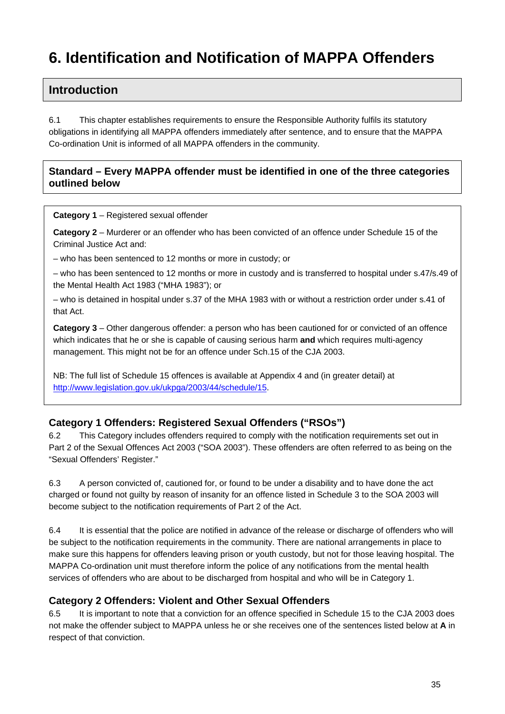# **6. Identification and Notification of MAPPA Offenders**

# **Introduction**

6.1 This chapter establishes requirements to ensure the Responsible Authority fulfils its statutory obligations in identifying all MAPPA offenders immediately after sentence, and to ensure that the MAPPA Co-ordination Unit is informed of all MAPPA offenders in the community.

### **Standard – Every MAPPA offender must be identified in one of the three categories outlined below**

**Category 1** – Registered sexual offender

**Category 2** – Murderer or an offender who has been convicted of an offence under Schedule 15 of the Criminal Justice Act and:

– who has been sentenced to 12 months or more in custody; or

– who has been sentenced to 12 months or more in custody and is transferred to hospital under s.47/s.49 of the Mental Health Act 1983 ("MHA 1983"); or

– who is detained in hospital under s.37 of the MHA 1983 with or without a restriction order under s.41 of that Act.

**Category 3** – Other dangerous offender: a person who has been cautioned for or convicted of an offence which indicates that he or she is capable of causing serious harm **and** which requires multi-agency management. This might not be for an offence under Sch.15 of the CJA 2003.

NB: The full list of Schedule 15 offences is available at Appendix 4 and (in greater detail) at [http://www.legislation.gov.uk/ukpga/2003/44/schedule/15.](http://www.legislation.gov.uk/ukpga/2003/44/schedule/15)

## **Category 1 Offenders: Registered Sexual Offenders ("RSOs")**

6.2 This Category includes offenders required to comply with the notification requirements set out in Part 2 of the Sexual Offences Act 2003 ("SOA 2003"). These offenders are often referred to as being on the "Sexual Offenders' Register."

6.3 A person convicted of, cautioned for, or found to be under a disability and to have done the act charged or found not guilty by reason of insanity for an offence listed in Schedule 3 to the SOA 2003 will become subject to the notification requirements of Part 2 of the Act.

6.4 It is essential that the police are notified in advance of the release or discharge of offenders who will be subject to the notification requirements in the community. There are national arrangements in place to make sure this happens for offenders leaving prison or youth custody, but not for those leaving hospital. The MAPPA Co-ordination unit must therefore inform the police of any notifications from the mental health services of offenders who are about to be discharged from hospital and who will be in Category 1.

## **Category 2 Offenders: Violent and Other Sexual Offenders**

6.5 It is important to note that a conviction for an offence specified in Schedule 15 to the CJA 2003 does not make the offender subject to MAPPA unless he or she receives one of the sentences listed below at **A** in respect of that conviction.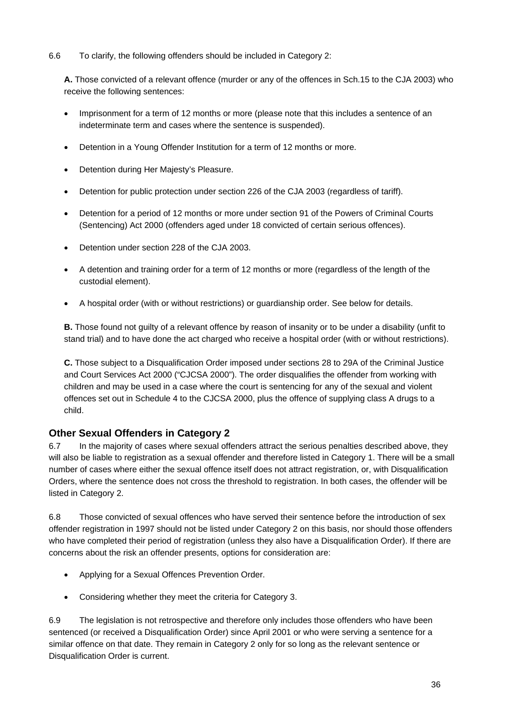6.6 To clarify, the following offenders should be included in Category 2:

**A.** Those convicted of a relevant offence (murder or any of the offences in Sch.15 to the CJA 2003) who receive the following sentences:

- Imprisonment for a term of 12 months or more (please note that this includes a sentence of an indeterminate term and cases where the sentence is suspended).
- Detention in a Young Offender Institution for a term of 12 months or more.
- Detention during Her Majesty's Pleasure.
- Detention for public protection under section 226 of the CJA 2003 (regardless of tariff).
- Detention for a period of 12 months or more under section 91 of the Powers of Criminal Courts (Sentencing) Act 2000 (offenders aged under 18 convicted of certain serious offences).
- Detention under section 228 of the CJA 2003.
- A detention and training order for a term of 12 months or more (regardless of the length of the custodial element).
- A hospital order (with or without restrictions) or guardianship order. See below for details.

**B.** Those found not guilty of a relevant offence by reason of insanity or to be under a disability (unfit to stand trial) and to have done the act charged who receive a hospital order (with or without restrictions).

**C.** Those subject to a Disqualification Order imposed under sections 28 to 29A of the Criminal Justice and Court Services Act 2000 ("CJCSA 2000"). The order disqualifies the offender from working with children and may be used in a case where the court is sentencing for any of the sexual and violent offences set out in Schedule 4 to the CJCSA 2000, plus the offence of supplying class A drugs to a child.

#### **Other Sexual Offenders in Category 2**

6.7 In the majority of cases where sexual offenders attract the serious penalties described above, they will also be liable to registration as a sexual offender and therefore listed in Category 1. There will be a small number of cases where either the sexual offence itself does not attract registration, or, with Disqualification Orders, where the sentence does not cross the threshold to registration. In both cases, the offender will be listed in Category 2.

6.8 Those convicted of sexual offences who have served their sentence before the introduction of sex offender registration in 1997 should not be listed under Category 2 on this basis, nor should those offenders who have completed their period of registration (unless they also have a Disqualification Order). If there are concerns about the risk an offender presents, options for consideration are:

- Applying for a Sexual Offences Prevention Order.
- Considering whether they meet the criteria for Category 3.

6.9 The legislation is not retrospective and therefore only includes those offenders who have been sentenced (or received a Disqualification Order) since April 2001 or who were serving a sentence for a similar offence on that date. They remain in Category 2 only for so long as the relevant sentence or Disqualification Order is current.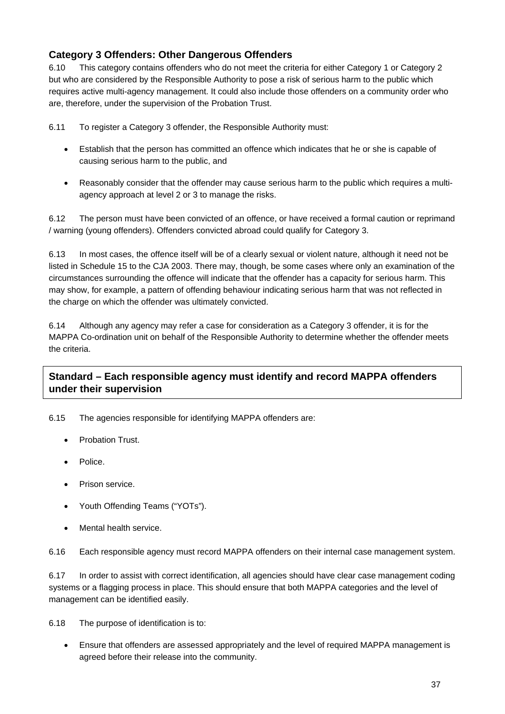## **Category 3 Offenders: Other Dangerous Offenders**

6.10 This category contains offenders who do not meet the criteria for either Category 1 or Category 2 but who are considered by the Responsible Authority to pose a risk of serious harm to the public which requires active multi-agency management. It could also include those offenders on a community order who are, therefore, under the supervision of the Probation Trust.

6.11 To register a Category 3 offender, the Responsible Authority must:

- Establish that the person has committed an offence which indicates that he or she is capable of causing serious harm to the public, and
- Reasonably consider that the offender may cause serious harm to the public which requires a multiagency approach at level 2 or 3 to manage the risks.

6.12 The person must have been convicted of an offence, or have received a formal caution or reprimand / warning (young offenders). Offenders convicted abroad could qualify for Category 3.

6.13 In most cases, the offence itself will be of a clearly sexual or violent nature, although it need not be listed in Schedule 15 to the CJA 2003. There may, though, be some cases where only an examination of the circumstances surrounding the offence will indicate that the offender has a capacity for serious harm. This may show, for example, a pattern of offending behaviour indicating serious harm that was not reflected in the charge on which the offender was ultimately convicted.

6.14 Although any agency may refer a case for consideration as a Category 3 offender, it is for the MAPPA Co-ordination unit on behalf of the Responsible Authority to determine whether the offender meets the criteria.

## **Standard – Each responsible agency must identify and record MAPPA offenders under their supervision**

6.15 The agencies responsible for identifying MAPPA offenders are:

- Probation Trust.
- Police.
- Prison service.
- Youth Offending Teams ("YOTs").
- Mental health service.

6.16 Each responsible agency must record MAPPA offenders on their internal case management system.

6.17 In order to assist with correct identification, all agencies should have clear case management coding systems or a flagging process in place. This should ensure that both MAPPA categories and the level of management can be identified easily.

6.18 The purpose of identification is to:

 Ensure that offenders are assessed appropriately and the level of required MAPPA management is agreed before their release into the community.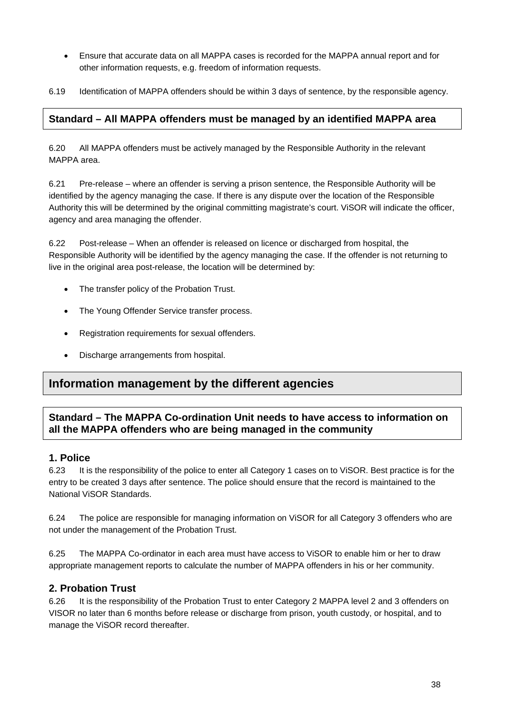- Ensure that accurate data on all MAPPA cases is recorded for the MAPPA annual report and for other information requests, e.g. freedom of information requests.
- 6.19 Identification of MAPPA offenders should be within 3 days of sentence, by the responsible agency.

#### **Standard – All MAPPA offenders must be managed by an identified MAPPA area**

6.20 All MAPPA offenders must be actively managed by the Responsible Authority in the relevant MAPPA area.

6.21 Pre-release – where an offender is serving a prison sentence, the Responsible Authority will be identified by the agency managing the case. If there is any dispute over the location of the Responsible Authority this will be determined by the original committing magistrate's court. ViSOR will indicate the officer, agency and area managing the offender.

6.22 Post-release – When an offender is released on licence or discharged from hospital, the Responsible Authority will be identified by the agency managing the case. If the offender is not returning to live in the original area post-release, the location will be determined by:

- The transfer policy of the Probation Trust.
- The Young Offender Service transfer process.
- Registration requirements for sexual offenders.
- Discharge arrangements from hospital.

## **Information management by the different agencies**

## **Standard – The MAPPA Co-ordination Unit needs to have access to information on all the MAPPA offenders who are being managed in the community**

#### **1. Police**

6.23 It is the responsibility of the police to enter all Category 1 cases on to ViSOR. Best practice is for the entry to be created 3 days after sentence. The police should ensure that the record is maintained to the National ViSOR Standards.

6.24 The police are responsible for managing information on ViSOR for all Category 3 offenders who are not under the management of the Probation Trust.

6.25 The MAPPA Co-ordinator in each area must have access to ViSOR to enable him or her to draw appropriate management reports to calculate the number of MAPPA offenders in his or her community.

#### **2. Probation Trust**

6.26 It is the responsibility of the Probation Trust to enter Category 2 MAPPA level 2 and 3 offenders on VISOR no later than 6 months before release or discharge from prison, youth custody, or hospital, and to manage the ViSOR record thereafter.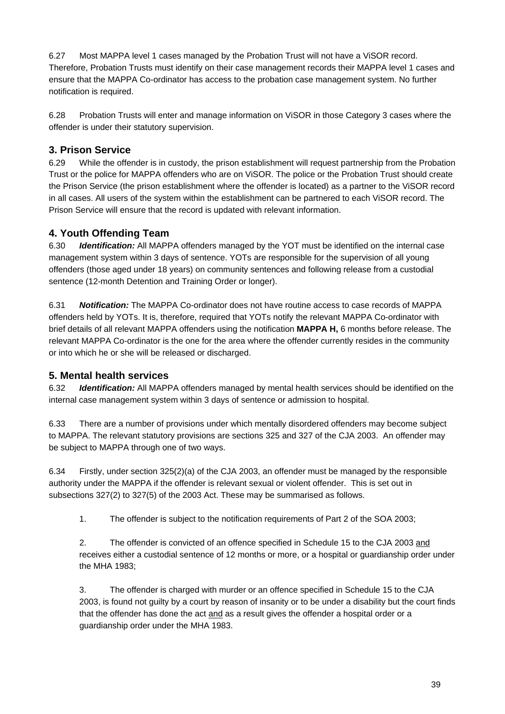6.27 Most MAPPA level 1 cases managed by the Probation Trust will not have a ViSOR record. Therefore, Probation Trusts must identify on their case management records their MAPPA level 1 cases and ensure that the MAPPA Co-ordinator has access to the probation case management system. No further notification is required.

6.28 Probation Trusts will enter and manage information on ViSOR in those Category 3 cases where the offender is under their statutory supervision.

## **3. Prison Service**

6.29 While the offender is in custody, the prison establishment will request partnership from the Probation Trust or the police for MAPPA offenders who are on ViSOR. The police or the Probation Trust should create the Prison Service (the prison establishment where the offender is located) as a partner to the ViSOR record in all cases. All users of the system within the establishment can be partnered to each ViSOR record. The Prison Service will ensure that the record is updated with relevant information.

## **4. Youth Offending Team**

6.30 *Identification:* All MAPPA offenders managed by the YOT must be identified on the internal case management system within 3 days of sentence. YOTs are responsible for the supervision of all young offenders (those aged under 18 years) on community sentences and following release from a custodial sentence (12-month Detention and Training Order or longer).

6.31 *Notification:* The MAPPA Co-ordinator does not have routine access to case records of MAPPA offenders held by YOTs. It is, therefore, required that YOTs notify the relevant MAPPA Co-ordinator with brief details of all relevant MAPPA offenders using the notification **MAPPA H,** 6 months before release. The relevant MAPPA Co-ordinator is the one for the area where the offender currently resides in the community or into which he or she will be released or discharged.

#### **5. Mental health services**

6.32 *Identification:* All MAPPA offenders managed by mental health services should be identified on the internal case management system within 3 days of sentence or admission to hospital.

6.33 There are a number of provisions under which mentally disordered offenders may become subject to MAPPA. The relevant statutory provisions are sections 325 and 327 of the CJA 2003. An offender may be subject to MAPPA through one of two ways.

6.34 Firstly, under section 325(2)(a) of the CJA 2003, an offender must be managed by the responsible authority under the MAPPA if the offender is relevant sexual or violent offender. This is set out in subsections 327(2) to 327(5) of the 2003 Act. These may be summarised as follows.

1. The offender is subject to the notification requirements of Part 2 of the SOA 2003;

2. The offender is convicted of an offence specified in Schedule 15 to the CJA 2003 and receives either a custodial sentence of 12 months or more, or a hospital or guardianship order under the MHA 1983;

3. The offender is charged with murder or an offence specified in Schedule 15 to the CJA 2003, is found not guilty by a court by reason of insanity or to be under a disability but the court finds that the offender has done the act and as a result gives the offender a hospital order or a guardianship order under the MHA 1983.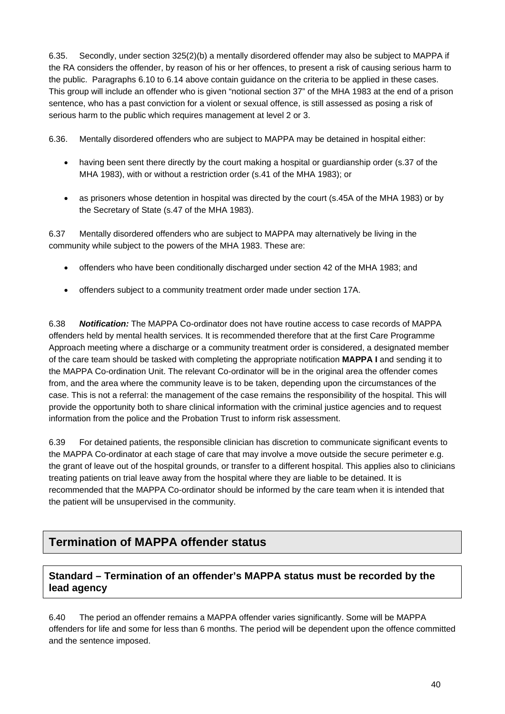6.35. Secondly, under section 325(2)(b) a mentally disordered offender may also be subject to MAPPA if the RA considers the offender, by reason of his or her offences, to present a risk of causing serious harm to the public. Paragraphs 6.10 to 6.14 above contain guidance on the criteria to be applied in these cases. This group will include an offender who is given "notional section 37" of the MHA 1983 at the end of a prison sentence, who has a past conviction for a violent or sexual offence, is still assessed as posing a risk of serious harm to the public which requires management at level 2 or 3.

6.36. Mentally disordered offenders who are subject to MAPPA may be detained in hospital either:

- having been sent there directly by the court making a hospital or guardianship order (s.37 of the MHA 1983), with or without a restriction order (s.41 of the MHA 1983); or
- as prisoners whose detention in hospital was directed by the court (s.45A of the MHA 1983) or by the Secretary of State (s.47 of the MHA 1983).

6.37 Mentally disordered offenders who are subject to MAPPA may alternatively be living in the community while subject to the powers of the MHA 1983. These are:

- offenders who have been conditionally discharged under section 42 of the MHA 1983; and
- offenders subject to a community treatment order made under section 17A.

6.38 *Notification:* The MAPPA Co-ordinator does not have routine access to case records of MAPPA offenders held by mental health services. It is recommended therefore that at the first Care Programme Approach meeting where a discharge or a community treatment order is considered, a designated member of the care team should be tasked with completing the appropriate notification **MAPPA I** and sending it to the MAPPA Co-ordination Unit. The relevant Co-ordinator will be in the original area the offender comes from, and the area where the community leave is to be taken, depending upon the circumstances of the case. This is not a referral: the management of the case remains the responsibility of the hospital. This will provide the opportunity both to share clinical information with the criminal justice agencies and to request information from the police and the Probation Trust to inform risk assessment.

6.39 For detained patients, the responsible clinician has discretion to communicate significant events to the MAPPA Co-ordinator at each stage of care that may involve a move outside the secure perimeter e.g. the grant of leave out of the hospital grounds, or transfer to a different hospital. This applies also to clinicians treating patients on trial leave away from the hospital where they are liable to be detained. It is recommended that the MAPPA Co-ordinator should be informed by the care team when it is intended that the patient will be unsupervised in the community.

## **Termination of MAPPA offender status**

## **Standard – Termination of an offender's MAPPA status must be recorded by the lead agency**

6.40 The period an offender remains a MAPPA offender varies significantly. Some will be MAPPA offenders for life and some for less than 6 months. The period will be dependent upon the offence committed and the sentence imposed.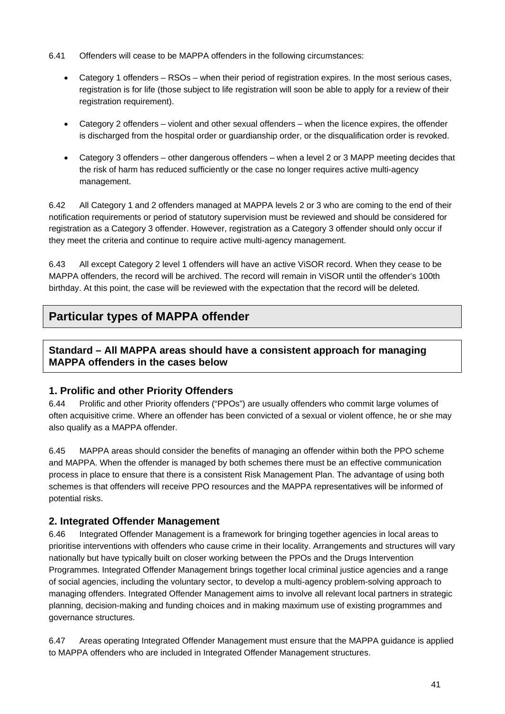- 6.41 Offenders will cease to be MAPPA offenders in the following circumstances:
	- Category 1 offenders RSOs when their period of registration expires. In the most serious cases, registration is for life (those subject to life registration will soon be able to apply for a review of their registration requirement).
	- Category 2 offenders violent and other sexual offenders when the licence expires, the offender is discharged from the hospital order or guardianship order, or the disqualification order is revoked.
	- Category 3 offenders other dangerous offenders when a level 2 or 3 MAPP meeting decides that the risk of harm has reduced sufficiently or the case no longer requires active multi-agency management.

6.42 All Category 1 and 2 offenders managed at MAPPA levels 2 or 3 who are coming to the end of their notification requirements or period of statutory supervision must be reviewed and should be considered for registration as a Category 3 offender. However, registration as a Category 3 offender should only occur if they meet the criteria and continue to require active multi-agency management.

6.43 All except Category 2 level 1 offenders will have an active ViSOR record. When they cease to be MAPPA offenders, the record will be archived. The record will remain in ViSOR until the offender's 100th birthday. At this point, the case will be reviewed with the expectation that the record will be deleted.

# **Particular types of MAPPA offender**

## **Standard – All MAPPA areas should have a consistent approach for managing MAPPA offenders in the cases below**

#### **1. Prolific and other Priority Offenders**

6.44 Prolific and other Priority offenders ("PPOs") are usually offenders who commit large volumes of often acquisitive crime. Where an offender has been convicted of a sexual or violent offence, he or she may also qualify as a MAPPA offender.

6.45 MAPPA areas should consider the benefits of managing an offender within both the PPO scheme and MAPPA. When the offender is managed by both schemes there must be an effective communication process in place to ensure that there is a consistent Risk Management Plan. The advantage of using both schemes is that offenders will receive PPO resources and the MAPPA representatives will be informed of potential risks.

#### **2. Integrated Offender Management**

6.46 Integrated Offender Management is a framework for bringing together agencies in local areas to prioritise interventions with offenders who cause crime in their locality. Arrangements and structures will vary nationally but have typically built on closer working between the PPOs and the Drugs Intervention Programmes. Integrated Offender Management brings together local criminal justice agencies and a range of social agencies, including the voluntary sector, to develop a multi-agency problem-solving approach to managing offenders. Integrated Offender Management aims to involve all relevant local partners in strategic planning, decision-making and funding choices and in making maximum use of existing programmes and governance structures.

6.47 Areas operating Integrated Offender Management must ensure that the MAPPA guidance is applied to MAPPA offenders who are included in Integrated Offender Management structures.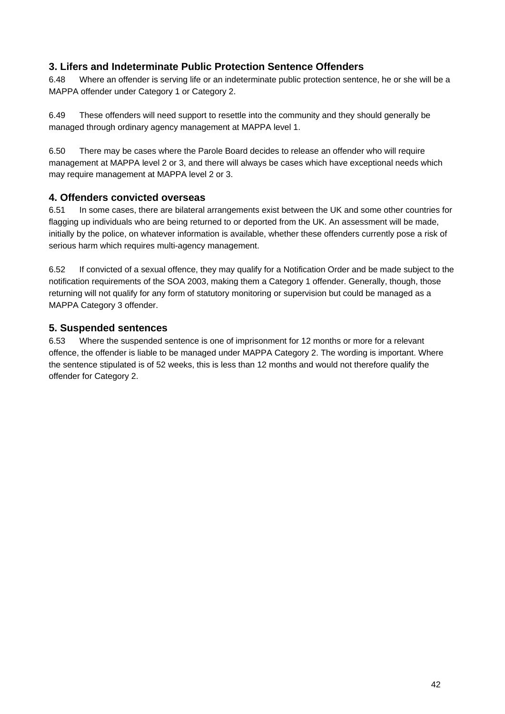## **3. Lifers and Indeterminate Public Protection Sentence Offenders**

6.48 Where an offender is serving life or an indeterminate public protection sentence, he or she will be a MAPPA offender under Category 1 or Category 2.

6.49 These offenders will need support to resettle into the community and they should generally be managed through ordinary agency management at MAPPA level 1.

6.50 There may be cases where the Parole Board decides to release an offender who will require management at MAPPA level 2 or 3, and there will always be cases which have exceptional needs which may require management at MAPPA level 2 or 3.

#### **4. Offenders convicted overseas**

6.51 In some cases, there are bilateral arrangements exist between the UK and some other countries for flagging up individuals who are being returned to or deported from the UK. An assessment will be made, initially by the police, on whatever information is available, whether these offenders currently pose a risk of serious harm which requires multi-agency management.

6.52 If convicted of a sexual offence, they may qualify for a Notification Order and be made subject to the notification requirements of the SOA 2003, making them a Category 1 offender. Generally, though, those returning will not qualify for any form of statutory monitoring or supervision but could be managed as a MAPPA Category 3 offender.

#### **5. Suspended sentences**

6.53 Where the suspended sentence is one of imprisonment for 12 months or more for a relevant offence, the offender is liable to be managed under MAPPA Category 2. The wording is important. Where the sentence stipulated is of 52 weeks, this is less than 12 months and would not therefore qualify the offender for Category 2.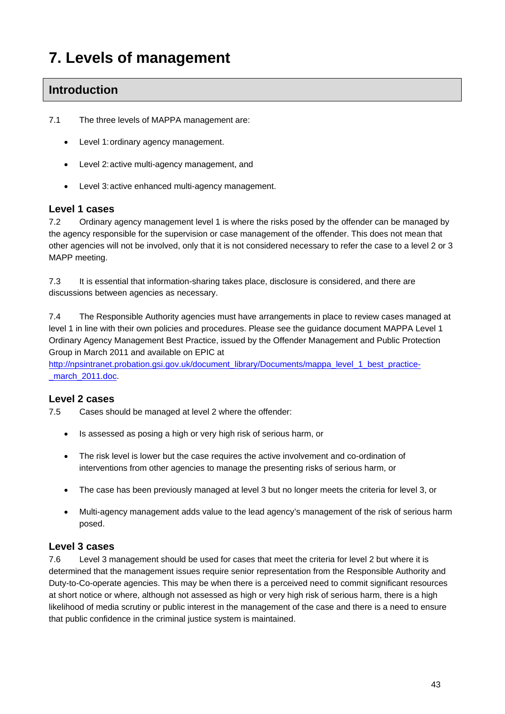# **7. Levels of management**

# **Introduction**

7.1 The three levels of MAPPA management are:

- Level 1: ordinary agency management.
- Level 2: active multi-agency management, and
- Level 3: active enhanced multi-agency management.

#### **Level 1 cases**

7.2 Ordinary agency management level 1 is where the risks posed by the offender can be managed by the agency responsible for the supervision or case management of the offender. This does not mean that other agencies will not be involved, only that it is not considered necessary to refer the case to a level 2 or 3 MAPP meeting.

7.3 It is essential that information-sharing takes place, disclosure is considered, and there are discussions between agencies as necessary.

7.4 The Responsible Authority agencies must have arrangements in place to review cases managed at level 1 in line with their own policies and procedures. Please see the guidance document MAPPA Level 1 Ordinary Agency Management Best Practice, issued by the Offender Management and Public Protection Group in March 2011 and available on EPIC at

[http://npsintranet.probation.gsi.gov.uk/document\\_library/Documents/mappa\\_level\\_1\\_best\\_practice](http://npsintranet.probation.gsi.gov.uk/document_library/Documents/mappa_level_1_best_practice-_march_2011.doc) march 2011.doc.

#### **Level 2 cases**

7.5 Cases should be managed at level 2 where the offender:

- Is assessed as posing a high or very high risk of serious harm, or
- The risk level is lower but the case requires the active involvement and co-ordination of interventions from other agencies to manage the presenting risks of serious harm, or
- The case has been previously managed at level 3 but no longer meets the criteria for level 3, or
- Multi-agency management adds value to the lead agency's management of the risk of serious harm posed.

#### **Level 3 cases**

7.6 Level 3 management should be used for cases that meet the criteria for level 2 but where it is determined that the management issues require senior representation from the Responsible Authority and Duty-to-Co-operate agencies. This may be when there is a perceived need to commit significant resources at short notice or where, although not assessed as high or very high risk of serious harm, there is a high likelihood of media scrutiny or public interest in the management of the case and there is a need to ensure that public confidence in the criminal justice system is maintained.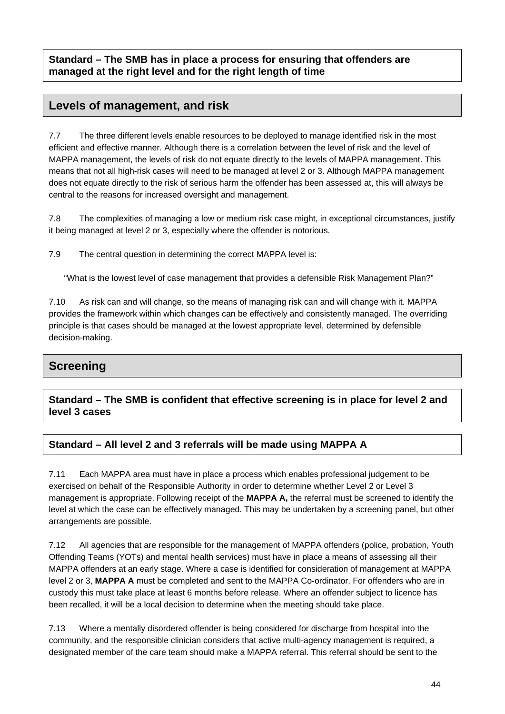**Standard – The SMB has in place a process for ensuring that offenders are managed at the right level and for the right length of time** 

# **Levels of management, and risk**

7.7 The three different levels enable resources to be deployed to manage identified risk in the most efficient and effective manner. Although there is a correlation between the level of risk and the level of MAPPA management, the levels of risk do not equate directly to the levels of MAPPA management. This means that not all high-risk cases will need to be managed at level 2 or 3. Although MAPPA management does not equate directly to the risk of serious harm the offender has been assessed at, this will always be central to the reasons for increased oversight and management.

7.8 The complexities of managing a low or medium risk case might, in exceptional circumstances, justify it being managed at level 2 or 3, especially where the offender is notorious.

7.9 The central question in determining the correct MAPPA level is:

"What is the lowest level of case management that provides a defensible Risk Management Plan?"

7.10 As risk can and will change, so the means of managing risk can and will change with it. MAPPA provides the framework within which changes can be effectively and consistently managed. The overriding principle is that cases should be managed at the lowest appropriate level, determined by defensible decision-making.

# **Screening**

**Standard – The SMB is confident that effective screening is in place for level 2 and level 3 cases** 

## **Standard – All level 2 and 3 referrals will be made using MAPPA A**

7.11 Each MAPPA area must have in place a process which enables professional judgement to be exercised on behalf of the Responsible Authority in order to determine whether Level 2 or Level 3 management is appropriate. Following receipt of the **MAPPA A,** the referral must be screened to identify the level at which the case can be effectively managed. This may be undertaken by a screening panel, but other arrangements are possible.

7.12 All agencies that are responsible for the management of MAPPA offenders (police, probation, Youth Offending Teams (YOTs) and mental health services) must have in place a means of assessing all their MAPPA offenders at an early stage. Where a case is identified for consideration of management at MAPPA level 2 or 3, **MAPPA A** must be completed and sent to the MAPPA Co-ordinator. For offenders who are in custody this must take place at least 6 months before release. Where an offender subject to licence has been recalled, it will be a local decision to determine when the meeting should take place.

7.13 Where a mentally disordered offender is being considered for discharge from hospital into the community, and the responsible clinician considers that active multi-agency management is required, a designated member of the care team should make a MAPPA referral. This referral should be sent to the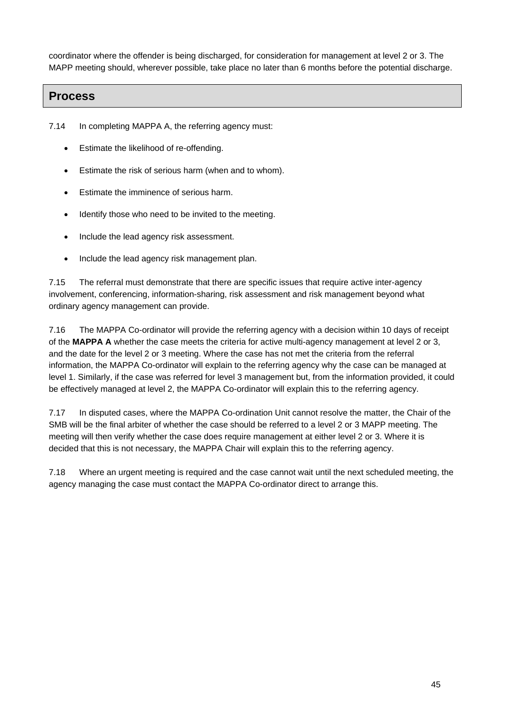coordinator where the offender is being discharged, for consideration for management at level 2 or 3. The MAPP meeting should, wherever possible, take place no later than 6 months before the potential discharge.

## **Process**

7.14 In completing MAPPA A, the referring agency must:

- Estimate the likelihood of re-offending.
- Estimate the risk of serious harm (when and to whom).
- Estimate the imminence of serious harm.
- Identify those who need to be invited to the meeting.
- Include the lead agency risk assessment.
- Include the lead agency risk management plan.

7.15 The referral must demonstrate that there are specific issues that require active inter-agency involvement, conferencing, information-sharing, risk assessment and risk management beyond what ordinary agency management can provide.

7.16 The MAPPA Co-ordinator will provide the referring agency with a decision within 10 days of receipt of the **MAPPA A** whether the case meets the criteria for active multi-agency management at level 2 or 3, and the date for the level 2 or 3 meeting. Where the case has not met the criteria from the referral information, the MAPPA Co-ordinator will explain to the referring agency why the case can be managed at level 1. Similarly, if the case was referred for level 3 management but, from the information provided, it could be effectively managed at level 2, the MAPPA Co-ordinator will explain this to the referring agency.

7.17 In disputed cases, where the MAPPA Co-ordination Unit cannot resolve the matter, the Chair of the SMB will be the final arbiter of whether the case should be referred to a level 2 or 3 MAPP meeting. The meeting will then verify whether the case does require management at either level 2 or 3. Where it is decided that this is not necessary, the MAPPA Chair will explain this to the referring agency.

7.18 Where an urgent meeting is required and the case cannot wait until the next scheduled meeting, the agency managing the case must contact the MAPPA Co-ordinator direct to arrange this.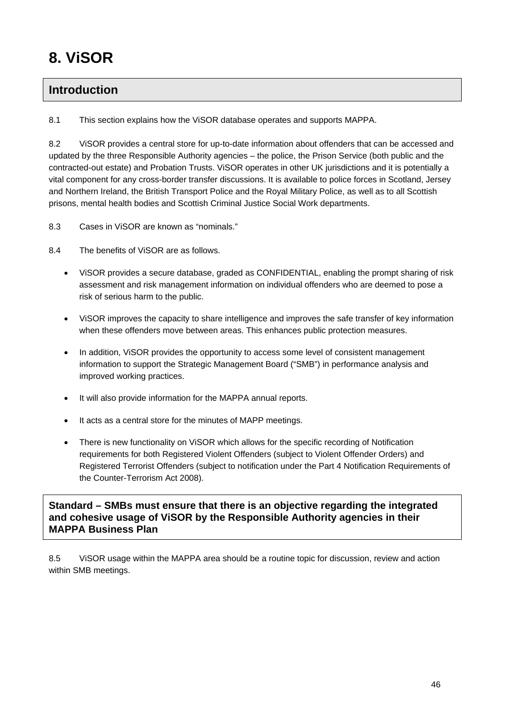# **8. ViSOR**

# **Introduction**

8.1 This section explains how the ViSOR database operates and supports MAPPA.

8.2 ViSOR provides a central store for up-to-date information about offenders that can be accessed and updated by the three Responsible Authority agencies – the police, the Prison Service (both public and the contracted-out estate) and Probation Trusts. ViSOR operates in other UK jurisdictions and it is potentially a vital component for any cross-border transfer discussions. It is available to police forces in Scotland, Jersey and Northern Ireland, the British Transport Police and the Royal Military Police, as well as to all Scottish prisons, mental health bodies and Scottish Criminal Justice Social Work departments.

8.3 Cases in ViSOR are known as "nominals."

- 8.4 The benefits of ViSOR are as follows.
	- ViSOR provides a secure database, graded as CONFIDENTIAL, enabling the prompt sharing of risk assessment and risk management information on individual offenders who are deemed to pose a risk of serious harm to the public.
	- ViSOR improves the capacity to share intelligence and improves the safe transfer of key information when these offenders move between areas. This enhances public protection measures.
	- In addition, ViSOR provides the opportunity to access some level of consistent management information to support the Strategic Management Board ("SMB") in performance analysis and improved working practices.
	- It will also provide information for the MAPPA annual reports.
	- It acts as a central store for the minutes of MAPP meetings.
	- There is new functionality on ViSOR which allows for the specific recording of Notification requirements for both Registered Violent Offenders (subject to Violent Offender Orders) and Registered Terrorist Offenders (subject to notification under the Part 4 Notification Requirements of the Counter-Terrorism Act 2008).

**Standard – SMBs must ensure that there is an objective regarding the integrated and cohesive usage of ViSOR by the Responsible Authority agencies in their MAPPA Business Plan** 

8.5 ViSOR usage within the MAPPA area should be a routine topic for discussion, review and action within SMB meetings.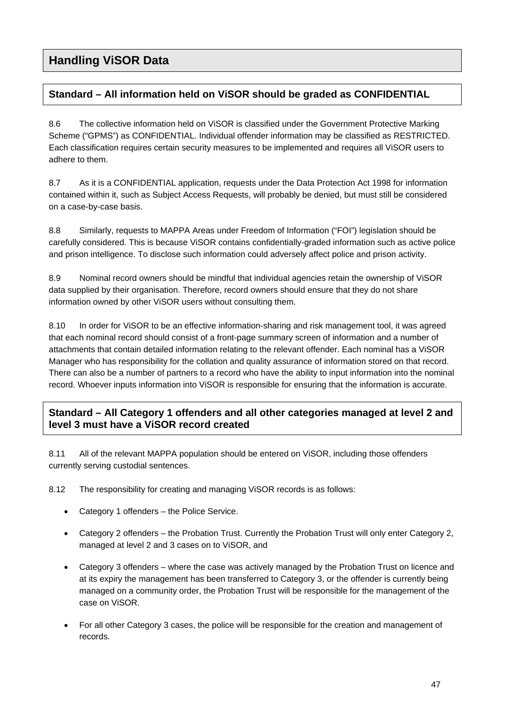# **Standard – All information held on ViSOR should be graded as CONFIDENTIAL**

8.6 The collective information held on ViSOR is classified under the Government Protective Marking Scheme ("GPMS") as CONFIDENTIAL. Individual offender information may be classified as RESTRICTED. Each classification requires certain security measures to be implemented and requires all ViSOR users to adhere to them.

8.7 As it is a CONFIDENTIAL application, requests under the Data Protection Act 1998 for information contained within it, such as Subject Access Requests, will probably be denied, but must still be considered on a case-by-case basis.

8.8 Similarly, requests to MAPPA Areas under Freedom of Information ("FOI") legislation should be carefully considered. This is because ViSOR contains confidentially-graded information such as active police and prison intelligence. To disclose such information could adversely affect police and prison activity.

8.9 Nominal record owners should be mindful that individual agencies retain the ownership of ViSOR data supplied by their organisation. Therefore, record owners should ensure that they do not share information owned by other ViSOR users without consulting them.

8.10 In order for ViSOR to be an effective information-sharing and risk management tool, it was agreed that each nominal record should consist of a front-page summary screen of information and a number of attachments that contain detailed information relating to the relevant offender. Each nominal has a ViSOR Manager who has responsibility for the collation and quality assurance of information stored on that record. There can also be a number of partners to a record who have the ability to input information into the nominal record. Whoever inputs information into ViSOR is responsible for ensuring that the information is accurate.

## **Standard – All Category 1 offenders and all other categories managed at level 2 and level 3 must have a ViSOR record created**

8.11 All of the relevant MAPPA population should be entered on ViSOR, including those offenders currently serving custodial sentences.

8.12 The responsibility for creating and managing ViSOR records is as follows:

- Category 1 offenders the Police Service.
- Category 2 offenders the Probation Trust. Currently the Probation Trust will only enter Category 2, managed at level 2 and 3 cases on to ViSOR, and
- Category 3 offenders where the case was actively managed by the Probation Trust on licence and at its expiry the management has been transferred to Category 3, or the offender is currently being managed on a community order, the Probation Trust will be responsible for the management of the case on ViSOR.
- For all other Category 3 cases, the police will be responsible for the creation and management of records.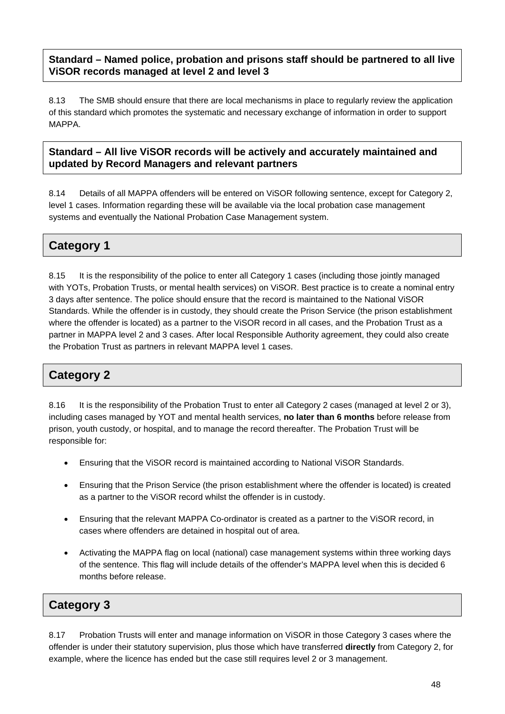## **Standard – Named police, probation and prisons staff should be partnered to all live ViSOR records managed at level 2 and level 3**

8.13 The SMB should ensure that there are local mechanisms in place to regularly review the application of this standard which promotes the systematic and necessary exchange of information in order to support MAPPA.

## **Standard – All live ViSOR records will be actively and accurately maintained and updated by Record Managers and relevant partners**

8.14 Details of all MAPPA offenders will be entered on ViSOR following sentence, except for Category 2, level 1 cases. Information regarding these will be available via the local probation case management systems and eventually the National Probation Case Management system.

# **Category 1**

8.15 It is the responsibility of the police to enter all Category 1 cases (including those jointly managed with YOTs, Probation Trusts, or mental health services) on ViSOR. Best practice is to create a nominal entry 3 days after sentence. The police should ensure that the record is maintained to the National ViSOR Standards. While the offender is in custody, they should create the Prison Service (the prison establishment where the offender is located) as a partner to the ViSOR record in all cases, and the Probation Trust as a partner in MAPPA level 2 and 3 cases. After local Responsible Authority agreement, they could also create the Probation Trust as partners in relevant MAPPA level 1 cases.

# **Category 2**

8.16 It is the responsibility of the Probation Trust to enter all Category 2 cases (managed at level 2 or 3), including cases managed by YOT and mental health services, **no later than 6 months** before release from prison, youth custody, or hospital, and to manage the record thereafter. The Probation Trust will be responsible for:

- Ensuring that the ViSOR record is maintained according to National ViSOR Standards.
- Ensuring that the Prison Service (the prison establishment where the offender is located) is created as a partner to the ViSOR record whilst the offender is in custody.
- Ensuring that the relevant MAPPA Co-ordinator is created as a partner to the ViSOR record, in cases where offenders are detained in hospital out of area.
- Activating the MAPPA flag on local (national) case management systems within three working days of the sentence. This flag will include details of the offender's MAPPA level when this is decided 6 months before release.

# **Category 3**

8.17 Probation Trusts will enter and manage information on ViSOR in those Category 3 cases where the offender is under their statutory supervision, plus those which have transferred **directly** from Category 2, for example, where the licence has ended but the case still requires level 2 or 3 management.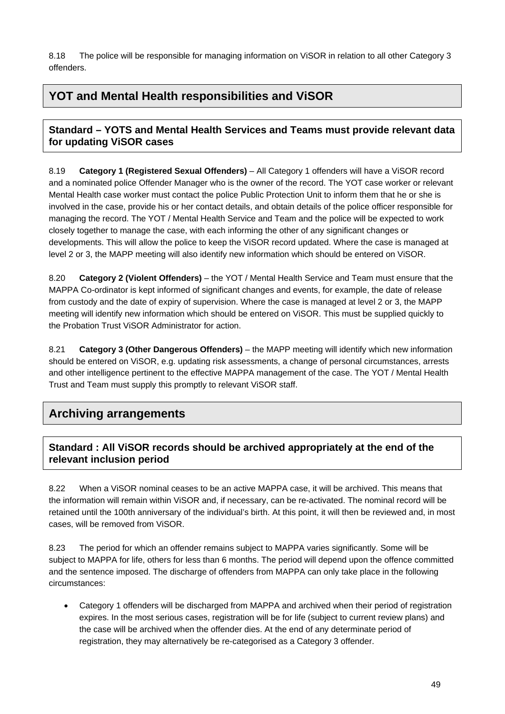8.18 The police will be responsible for managing information on ViSOR in relation to all other Category 3 offenders.

# **YOT and Mental Health responsibilities and ViSOR**

## **Standard – YOTS and Mental Health Services and Teams must provide relevant data for updating ViSOR cases**

8.19 **Category 1 (Registered Sexual Offenders)** – All Category 1 offenders will have a ViSOR record and a nominated police Offender Manager who is the owner of the record. The YOT case worker or relevant Mental Health case worker must contact the police Public Protection Unit to inform them that he or she is involved in the case, provide his or her contact details, and obtain details of the police officer responsible for managing the record. The YOT / Mental Health Service and Team and the police will be expected to work closely together to manage the case, with each informing the other of any significant changes or developments. This will allow the police to keep the ViSOR record updated. Where the case is managed at level 2 or 3, the MAPP meeting will also identify new information which should be entered on ViSOR.

8.20 **Category 2 (Violent Offenders)** – the YOT / Mental Health Service and Team must ensure that the MAPPA Co-ordinator is kept informed of significant changes and events, for example, the date of release from custody and the date of expiry of supervision. Where the case is managed at level 2 or 3, the MAPP meeting will identify new information which should be entered on ViSOR. This must be supplied quickly to the Probation Trust ViSOR Administrator for action.

8.21 **Category 3 (Other Dangerous Offenders)** – the MAPP meeting will identify which new information should be entered on ViSOR, e.g. updating risk assessments, a change of personal circumstances, arrests and other intelligence pertinent to the effective MAPPA management of the case. The YOT / Mental Health Trust and Team must supply this promptly to relevant ViSOR staff.

# **Archiving arrangements**

## **Standard : All ViSOR records should be archived appropriately at the end of the relevant inclusion period**

8.22 When a ViSOR nominal ceases to be an active MAPPA case, it will be archived. This means that the information will remain within ViSOR and, if necessary, can be re-activated. The nominal record will be retained until the 100th anniversary of the individual's birth. At this point, it will then be reviewed and, in most cases, will be removed from ViSOR.

8.23 The period for which an offender remains subject to MAPPA varies significantly. Some will be subject to MAPPA for life, others for less than 6 months. The period will depend upon the offence committed and the sentence imposed. The discharge of offenders from MAPPA can only take place in the following circumstances:

 Category 1 offenders will be discharged from MAPPA and archived when their period of registration expires. In the most serious cases, registration will be for life (subject to current review plans) and the case will be archived when the offender dies. At the end of any determinate period of registration, they may alternatively be re-categorised as a Category 3 offender.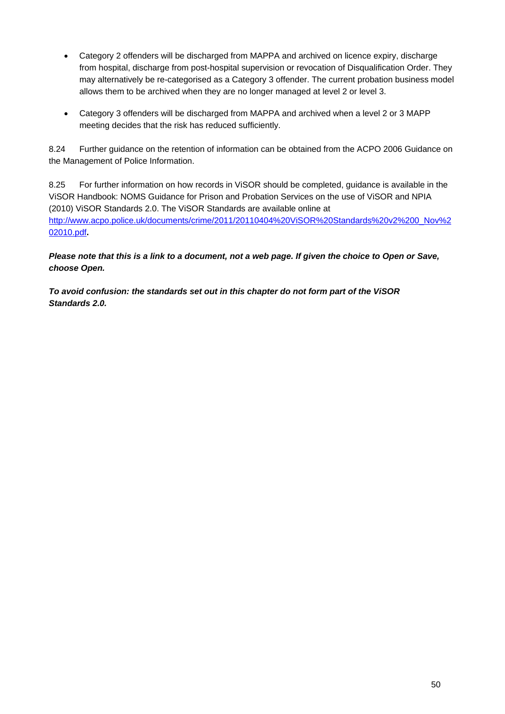- Category 2 offenders will be discharged from MAPPA and archived on licence expiry, discharge from hospital, discharge from post-hospital supervision or revocation of Disqualification Order. They may alternatively be re-categorised as a Category 3 offender. The current probation business model allows them to be archived when they are no longer managed at level 2 or level 3.
- Category 3 offenders will be discharged from MAPPA and archived when a level 2 or 3 MAPP meeting decides that the risk has reduced sufficiently.

8.24 Further guidance on the retention of information can be obtained from the ACPO 2006 Guidance on the Management of Police Information.

8.25 For further information on how records in ViSOR should be completed, guidance is available in the ViSOR Handbook: NOMS Guidance for Prison and Probation Services on the use of ViSOR and NPIA (2010) ViSOR Standards 2.0. The ViSOR Standards are available online at [http://www.acpo.police.uk/documents/crime/2011/20110404%20ViSOR%20Standards%20v2%200\\_Nov%2](http://www.acpo.police.uk/documents/crime/2011/20110404%20ViSOR%20Standards%20v2%200_Nov%202010.pdf) [02010.pdf](http://www.acpo.police.uk/documents/crime/2011/20110404%20ViSOR%20Standards%20v2%200_Nov%202010.pdf)**.** 

*Please note that this is a link to a document, not a web page. If given the choice to Open or Save, choose Open.* 

*To avoid confusion: the standards set out in this chapter do not form part of the ViSOR Standards 2.0.*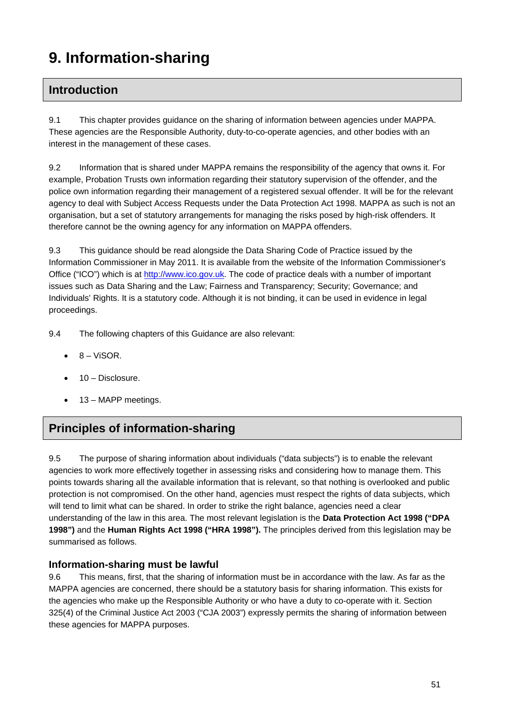# **9. Information-sharing**

# **Introduction**

9.1 This chapter provides guidance on the sharing of information between agencies under MAPPA. These agencies are the Responsible Authority, duty-to-co-operate agencies, and other bodies with an interest in the management of these cases.

9.2 Information that is shared under MAPPA remains the responsibility of the agency that owns it. For example, Probation Trusts own information regarding their statutory supervision of the offender, and the police own information regarding their management of a registered sexual offender. It will be for the relevant agency to deal with Subject Access Requests under the Data Protection Act 1998. MAPPA as such is not an organisation, but a set of statutory arrangements for managing the risks posed by high-risk offenders. It therefore cannot be the owning agency for any information on MAPPA offenders.

9.3 This guidance should be read alongside the Data Sharing Code of Practice issued by the Information Commissioner in May 2011. It is available from the website of the Information Commissioner's Office ("ICO") which is at [http://www.ico.gov.uk](http://www.ico.gov.uk/). The code of practice deals with a number of important issues such as Data Sharing and the Law; Fairness and Transparency; Security; Governance; and Individuals' Rights. It is a statutory code. Although it is not binding, it can be used in evidence in legal proceedings.

9.4 The following chapters of this Guidance are also relevant:

- $\bullet$   $8 V$ isor.
- 10 Disclosure.
- 13 MAPP meetings.

# **Principles of information-sharing**

9.5 The purpose of sharing information about individuals ("data subjects") is to enable the relevant agencies to work more effectively together in assessing risks and considering how to manage them. This points towards sharing all the available information that is relevant, so that nothing is overlooked and public protection is not compromised. On the other hand, agencies must respect the rights of data subjects, which will tend to limit what can be shared. In order to strike the right balance, agencies need a clear understanding of the law in this area. The most relevant legislation is the **Data Protection Act 1998 ("DPA 1998")** and the **Human Rights Act 1998 ("HRA 1998").** The principles derived from this legislation may be summarised as follows.

#### **Information-sharing must be lawful**

9.6 This means, first, that the sharing of information must be in accordance with the law. As far as the MAPPA agencies are concerned, there should be a statutory basis for sharing information. This exists for the agencies who make up the Responsible Authority or who have a duty to co-operate with it. Section 325(4) of the Criminal Justice Act 2003 ("CJA 2003") expressly permits the sharing of information between these agencies for MAPPA purposes.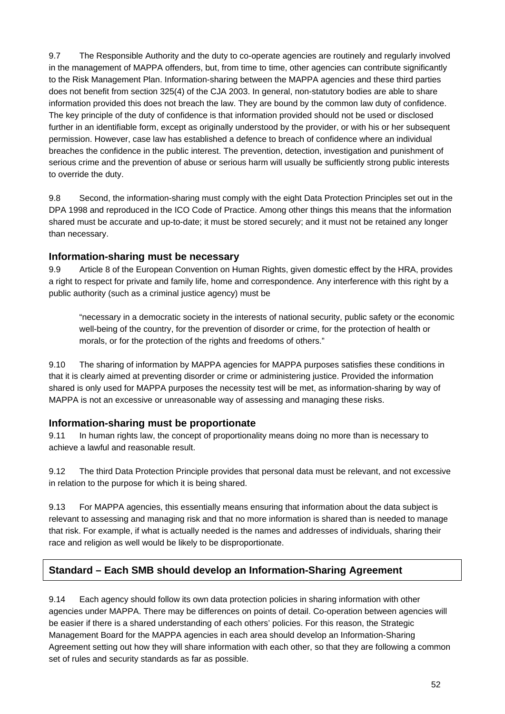9.7 The Responsible Authority and the duty to co-operate agencies are routinely and regularly involved in the management of MAPPA offenders, but, from time to time, other agencies can contribute significantly to the Risk Management Plan. Information-sharing between the MAPPA agencies and these third parties does not benefit from section 325(4) of the CJA 2003. In general, non-statutory bodies are able to share information provided this does not breach the law. They are bound by the common law duty of confidence. The key principle of the duty of confidence is that information provided should not be used or disclosed further in an identifiable form, except as originally understood by the provider, or with his or her subsequent permission. However, case law has established a defence to breach of confidence where an individual breaches the confidence in the public interest. The prevention, detection, investigation and punishment of serious crime and the prevention of abuse or serious harm will usually be sufficiently strong public interests to override the duty.

9.8 Second, the information-sharing must comply with the eight Data Protection Principles set out in the DPA 1998 and reproduced in the ICO Code of Practice. Among other things this means that the information shared must be accurate and up-to-date; it must be stored securely; and it must not be retained any longer than necessary.

#### **Information-sharing must be necessary**

9.9 Article 8 of the European Convention on Human Rights, given domestic effect by the HRA, provides a right to respect for private and family life, home and correspondence. Any interference with this right by a public authority (such as a criminal justice agency) must be

"necessary in a democratic society in the interests of national security, public safety or the economic well-being of the country, for the prevention of disorder or crime, for the protection of health or morals, or for the protection of the rights and freedoms of others."

9.10 The sharing of information by MAPPA agencies for MAPPA purposes satisfies these conditions in that it is clearly aimed at preventing disorder or crime or administering justice. Provided the information shared is only used for MAPPA purposes the necessity test will be met, as information-sharing by way of MAPPA is not an excessive or unreasonable way of assessing and managing these risks.

#### **Information-sharing must be proportionate**

9.11 In human rights law, the concept of proportionality means doing no more than is necessary to achieve a lawful and reasonable result.

9.12 The third Data Protection Principle provides that personal data must be relevant, and not excessive in relation to the purpose for which it is being shared.

9.13 For MAPPA agencies, this essentially means ensuring that information about the data subject is relevant to assessing and managing risk and that no more information is shared than is needed to manage that risk. For example, if what is actually needed is the names and addresses of individuals, sharing their race and religion as well would be likely to be disproportionate.

#### **Standard – Each SMB should develop an Information-Sharing Agreement**

9.14 Each agency should follow its own data protection policies in sharing information with other agencies under MAPPA. There may be differences on points of detail. Co-operation between agencies will be easier if there is a shared understanding of each others' policies. For this reason, the Strategic Management Board for the MAPPA agencies in each area should develop an Information-Sharing Agreement setting out how they will share information with each other, so that they are following a common set of rules and security standards as far as possible.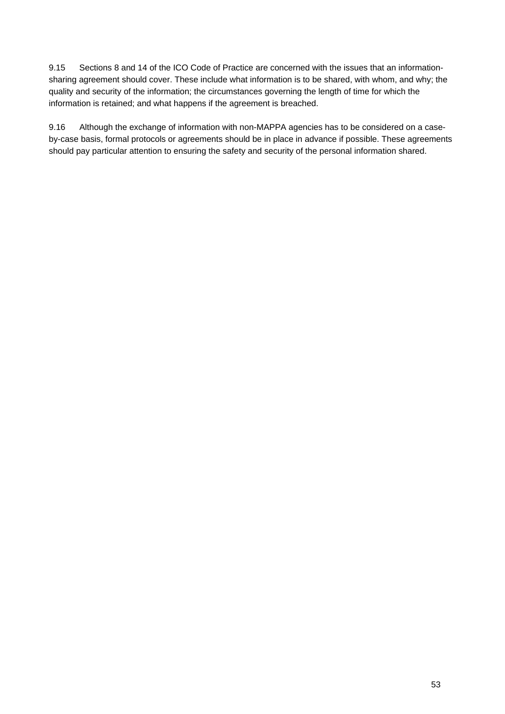9.15 Sections 8 and 14 of the ICO Code of Practice are concerned with the issues that an informationsharing agreement should cover. These include what information is to be shared, with whom, and why; the quality and security of the information; the circumstances governing the length of time for which the information is retained; and what happens if the agreement is breached.

9.16 Although the exchange of information with non-MAPPA agencies has to be considered on a caseby-case basis, formal protocols or agreements should be in place in advance if possible. These agreements should pay particular attention to ensuring the safety and security of the personal information shared.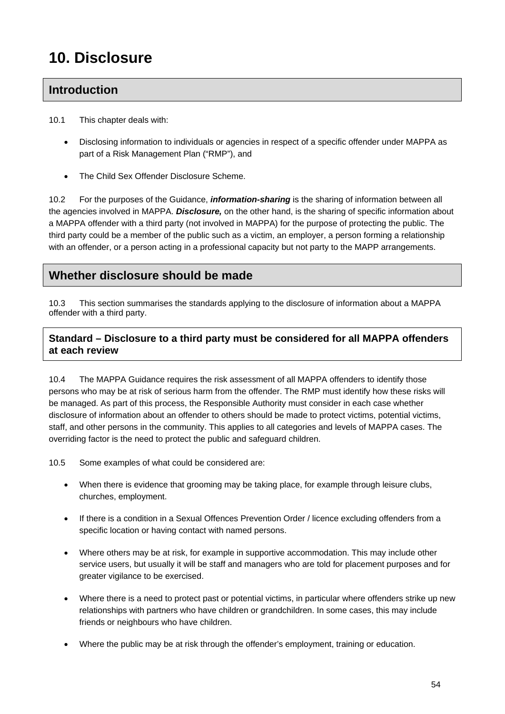# **10. Disclosure**

# **Introduction**

- 10.1 This chapter deals with:
	- Disclosing information to individuals or agencies in respect of a specific offender under MAPPA as part of a Risk Management Plan ("RMP"), and
	- The Child Sex Offender Disclosure Scheme.

10.2 For the purposes of the Guidance, *information-sharing* is the sharing of information between all the agencies involved in MAPPA. *Disclosure,* on the other hand, is the sharing of specific information about a MAPPA offender with a third party (not involved in MAPPA) for the purpose of protecting the public. The third party could be a member of the public such as a victim, an employer, a person forming a relationship with an offender, or a person acting in a professional capacity but not party to the MAPP arrangements.

# **Whether disclosure should be made**

10.3 This section summarises the standards applying to the disclosure of information about a MAPPA offender with a third party.

## **Standard – Disclosure to a third party must be considered for all MAPPA offenders at each review**

10.4 The MAPPA Guidance requires the risk assessment of all MAPPA offenders to identify those persons who may be at risk of serious harm from the offender. The RMP must identify how these risks will be managed. As part of this process, the Responsible Authority must consider in each case whether disclosure of information about an offender to others should be made to protect victims, potential victims, staff, and other persons in the community. This applies to all categories and levels of MAPPA cases. The overriding factor is the need to protect the public and safeguard children.

10.5 Some examples of what could be considered are:

- When there is evidence that grooming may be taking place, for example through leisure clubs, churches, employment.
- If there is a condition in a Sexual Offences Prevention Order / licence excluding offenders from a specific location or having contact with named persons.
- Where others may be at risk, for example in supportive accommodation. This may include other service users, but usually it will be staff and managers who are told for placement purposes and for greater vigilance to be exercised.
- Where there is a need to protect past or potential victims, in particular where offenders strike up new relationships with partners who have children or grandchildren. In some cases, this may include friends or neighbours who have children.
- Where the public may be at risk through the offender's employment, training or education.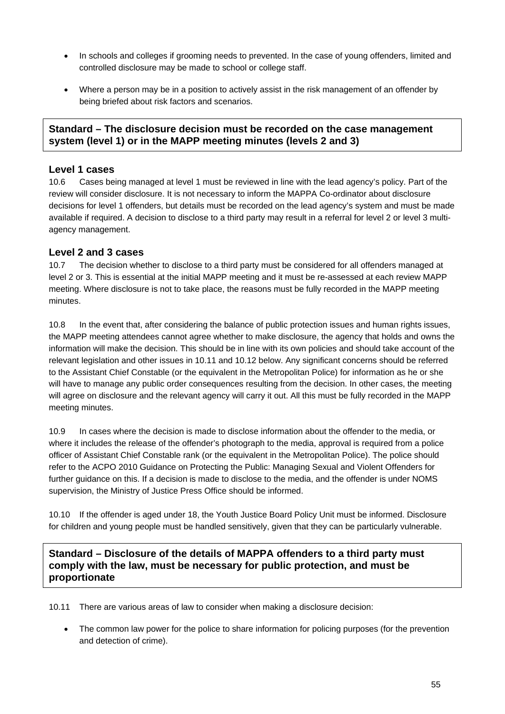- In schools and colleges if grooming needs to prevented. In the case of young offenders, limited and controlled disclosure may be made to school or college staff.
- Where a person may be in a position to actively assist in the risk management of an offender by being briefed about risk factors and scenarios.

#### **Standard – The disclosure decision must be recorded on the case management system (level 1) or in the MAPP meeting minutes (levels 2 and 3)**

#### **Level 1 cases**

10.6 Cases being managed at level 1 must be reviewed in line with the lead agency's policy. Part of the review will consider disclosure. It is not necessary to inform the MAPPA Co-ordinator about disclosure decisions for level 1 offenders, but details must be recorded on the lead agency's system and must be made available if required. A decision to disclose to a third party may result in a referral for level 2 or level 3 multiagency management.

#### **Level 2 and 3 cases**

10.7 The decision whether to disclose to a third party must be considered for all offenders managed at level 2 or 3. This is essential at the initial MAPP meeting and it must be re-assessed at each review MAPP meeting. Where disclosure is not to take place, the reasons must be fully recorded in the MAPP meeting minutes.

10.8 In the event that, after considering the balance of public protection issues and human rights issues, the MAPP meeting attendees cannot agree whether to make disclosure, the agency that holds and owns the information will make the decision. This should be in line with its own policies and should take account of the relevant legislation and other issues in 10.11 and 10.12 below. Any significant concerns should be referred to the Assistant Chief Constable (or the equivalent in the Metropolitan Police) for information as he or she will have to manage any public order consequences resulting from the decision. In other cases, the meeting will agree on disclosure and the relevant agency will carry it out. All this must be fully recorded in the MAPP meeting minutes.

10.9 In cases where the decision is made to disclose information about the offender to the media, or where it includes the release of the offender's photograph to the media, approval is required from a police officer of Assistant Chief Constable rank (or the equivalent in the Metropolitan Police). The police should refer to the ACPO 2010 Guidance on Protecting the Public: Managing Sexual and Violent Offenders for further guidance on this. If a decision is made to disclose to the media, and the offender is under NOMS supervision, the Ministry of Justice Press Office should be informed.

10.10 If the offender is aged under 18, the Youth Justice Board Policy Unit must be informed. Disclosure for children and young people must be handled sensitively, given that they can be particularly vulnerable.

#### **Standard – Disclosure of the details of MAPPA offenders to a third party must comply with the law, must be necessary for public protection, and must be proportionate**

10.11 There are various areas of law to consider when making a disclosure decision:

• The common law power for the police to share information for policing purposes (for the prevention and detection of crime).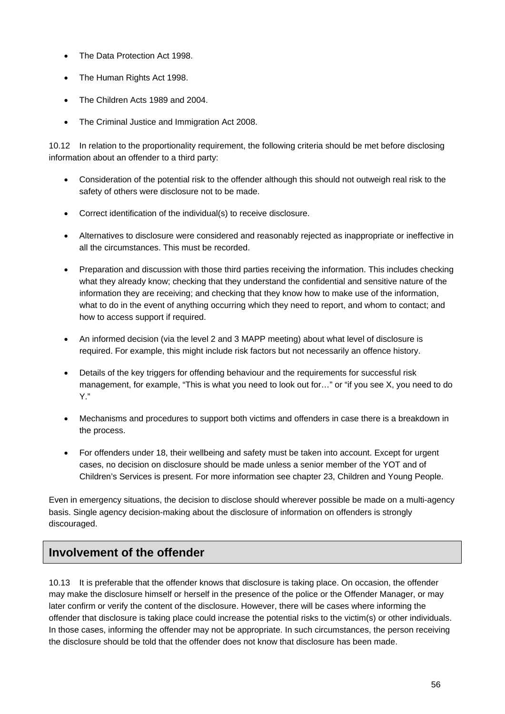- The Data Protection Act 1998.
- The Human Rights Act 1998.
- The Children Acts 1989 and 2004
- The Criminal Justice and Immigration Act 2008.

10.12 In relation to the proportionality requirement, the following criteria should be met before disclosing information about an offender to a third party:

- Consideration of the potential risk to the offender although this should not outweigh real risk to the safety of others were disclosure not to be made.
- Correct identification of the individual(s) to receive disclosure.
- Alternatives to disclosure were considered and reasonably rejected as inappropriate or ineffective in all the circumstances. This must be recorded.
- Preparation and discussion with those third parties receiving the information. This includes checking what they already know; checking that they understand the confidential and sensitive nature of the information they are receiving; and checking that they know how to make use of the information, what to do in the event of anything occurring which they need to report, and whom to contact; and how to access support if required.
- An informed decision (via the level 2 and 3 MAPP meeting) about what level of disclosure is required. For example, this might include risk factors but not necessarily an offence history.
- Details of the key triggers for offending behaviour and the requirements for successful risk management, for example, "This is what you need to look out for…" or "if you see X, you need to do Y."
- Mechanisms and procedures to support both victims and offenders in case there is a breakdown in the process.
- For offenders under 18, their wellbeing and safety must be taken into account. Except for urgent cases, no decision on disclosure should be made unless a senior member of the YOT and of Children's Services is present. For more information see chapter 23, Children and Young People.

Even in emergency situations, the decision to disclose should wherever possible be made on a multi-agency basis. Single agency decision-making about the disclosure of information on offenders is strongly discouraged.

# **Involvement of the offender**

10.13 It is preferable that the offender knows that disclosure is taking place. On occasion, the offender may make the disclosure himself or herself in the presence of the police or the Offender Manager, or may later confirm or verify the content of the disclosure. However, there will be cases where informing the offender that disclosure is taking place could increase the potential risks to the victim(s) or other individuals. In those cases, informing the offender may not be appropriate. In such circumstances, the person receiving the disclosure should be told that the offender does not know that disclosure has been made.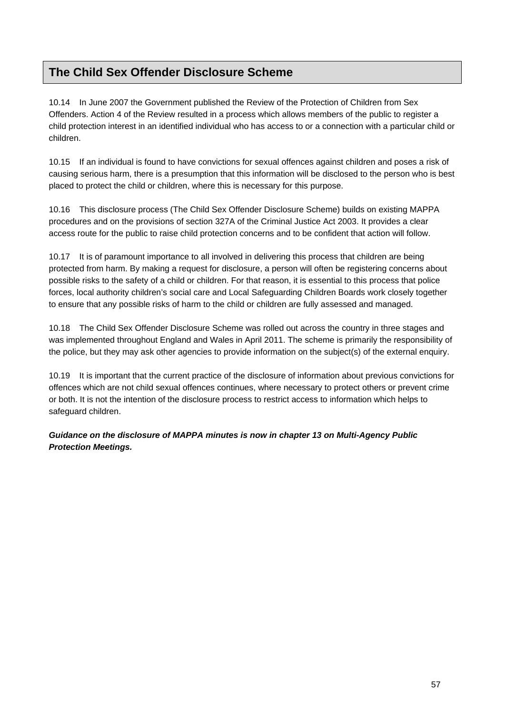# **The Child Sex Offender Disclosure Scheme**

10.14 In June 2007 the Government published the Review of the Protection of Children from Sex Offenders. Action 4 of the Review resulted in a process which allows members of the public to register a child protection interest in an identified individual who has access to or a connection with a particular child or children.

10.15 If an individual is found to have convictions for sexual offences against children and poses a risk of causing serious harm, there is a presumption that this information will be disclosed to the person who is best placed to protect the child or children, where this is necessary for this purpose.

10.16 This disclosure process (The Child Sex Offender Disclosure Scheme) builds on existing MAPPA procedures and on the provisions of section 327A of the Criminal Justice Act 2003. It provides a clear access route for the public to raise child protection concerns and to be confident that action will follow.

10.17 It is of paramount importance to all involved in delivering this process that children are being protected from harm. By making a request for disclosure, a person will often be registering concerns about possible risks to the safety of a child or children. For that reason, it is essential to this process that police forces, local authority children's social care and Local Safeguarding Children Boards work closely together to ensure that any possible risks of harm to the child or children are fully assessed and managed.

10.18 The Child Sex Offender Disclosure Scheme was rolled out across the country in three stages and was implemented throughout England and Wales in April 2011. The scheme is primarily the responsibility of the police, but they may ask other agencies to provide information on the subject(s) of the external enquiry.

10.19 It is important that the current practice of the disclosure of information about previous convictions for offences which are not child sexual offences continues, where necessary to protect others or prevent crime or both. It is not the intention of the disclosure process to restrict access to information which helps to safeguard children.

*Guidance on the disclosure of MAPPA minutes is now in chapter 13 on Multi-Agency Public Protection Meetings.*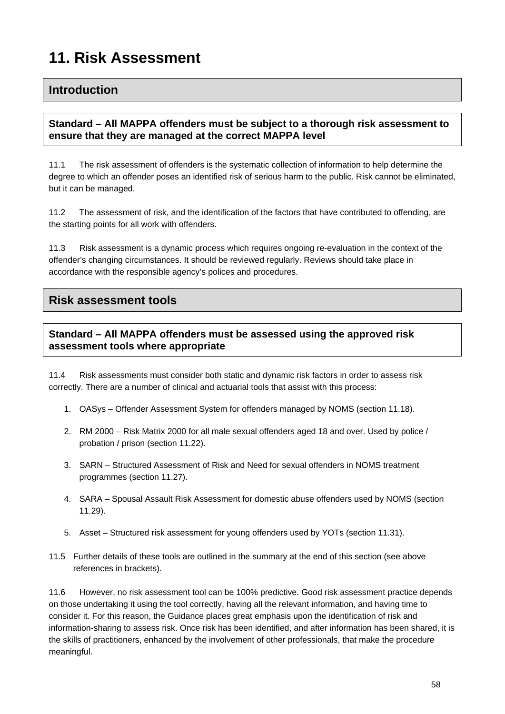# **11. Risk Assessment**

## **Introduction**

#### **Standard – All MAPPA offenders must be subject to a thorough risk assessment to ensure that they are managed at the correct MAPPA level**

11.1 The risk assessment of offenders is the systematic collection of information to help determine the degree to which an offender poses an identified risk of serious harm to the public. Risk cannot be eliminated, but it can be managed.

11.2 The assessment of risk, and the identification of the factors that have contributed to offending, are the starting points for all work with offenders.

11.3 Risk assessment is a dynamic process which requires ongoing re-evaluation in the context of the offender's changing circumstances. It should be reviewed regularly. Reviews should take place in accordance with the responsible agency's polices and procedures.

## **Risk assessment tools**

## **Standard – All MAPPA offenders must be assessed using the approved risk assessment tools where appropriate**

11.4 Risk assessments must consider both static and dynamic risk factors in order to assess risk correctly. There are a number of clinical and actuarial tools that assist with this process:

- 1. OASys Offender Assessment System for offenders managed by NOMS (section 11.18).
- 2. RM 2000 Risk Matrix 2000 for all male sexual offenders aged 18 and over. Used by police / probation / prison (section 11.22).
- 3. SARN Structured Assessment of Risk and Need for sexual offenders in NOMS treatment programmes (section 11.27).
- 4. SARA Spousal Assault Risk Assessment for domestic abuse offenders used by NOMS (section 11.29).
- 5. Asset Structured risk assessment for young offenders used by YOTs (section 11.31).
- 11.5 Further details of these tools are outlined in the summary at the end of this section (see above references in brackets).

11.6 However, no risk assessment tool can be 100% predictive. Good risk assessment practice depends on those undertaking it using the tool correctly, having all the relevant information, and having time to consider it. For this reason, the Guidance places great emphasis upon the identification of risk and information-sharing to assess risk. Once risk has been identified, and after information has been shared, it is the skills of practitioners, enhanced by the involvement of other professionals, that make the procedure meaningful.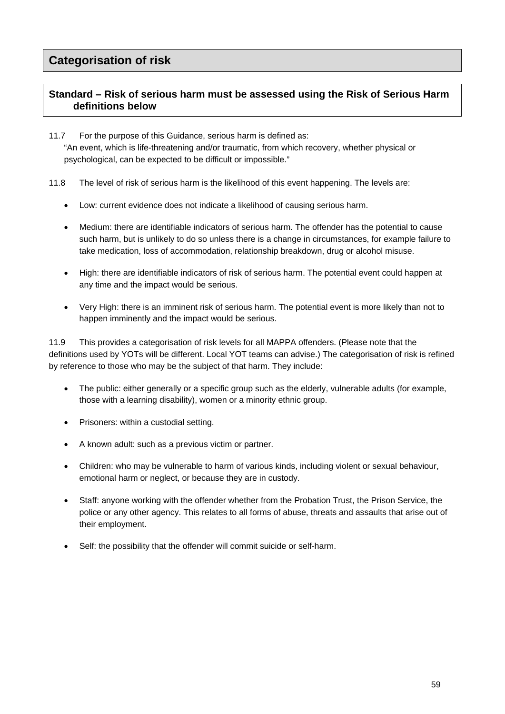## **Standard – Risk of serious harm must be assessed using the Risk of Serious Harm definitions below**

11.7 For the purpose of this Guidance, serious harm is defined as: "An event, which is life-threatening and/or traumatic, from which recovery, whether physical or psychological, can be expected to be difficult or impossible."

- 11.8 The level of risk of serious harm is the likelihood of this event happening. The levels are:
	- Low: current evidence does not indicate a likelihood of causing serious harm.
	- Medium: there are identifiable indicators of serious harm. The offender has the potential to cause such harm, but is unlikely to do so unless there is a change in circumstances, for example failure to take medication, loss of accommodation, relationship breakdown, drug or alcohol misuse.
	- High: there are identifiable indicators of risk of serious harm. The potential event could happen at any time and the impact would be serious.
	- Very High: there is an imminent risk of serious harm. The potential event is more likely than not to happen imminently and the impact would be serious.

11.9 This provides a categorisation of risk levels for all MAPPA offenders. (Please note that the definitions used by YOTs will be different. Local YOT teams can advise.) The categorisation of risk is refined by reference to those who may be the subject of that harm. They include:

- The public: either generally or a specific group such as the elderly, vulnerable adults (for example, those with a learning disability), women or a minority ethnic group.
- Prisoners: within a custodial setting.
- A known adult: such as a previous victim or partner.
- Children: who may be vulnerable to harm of various kinds, including violent or sexual behaviour, emotional harm or neglect, or because they are in custody.
- Staff: anyone working with the offender whether from the Probation Trust, the Prison Service, the police or any other agency. This relates to all forms of abuse, threats and assaults that arise out of their employment.
- Self: the possibility that the offender will commit suicide or self-harm.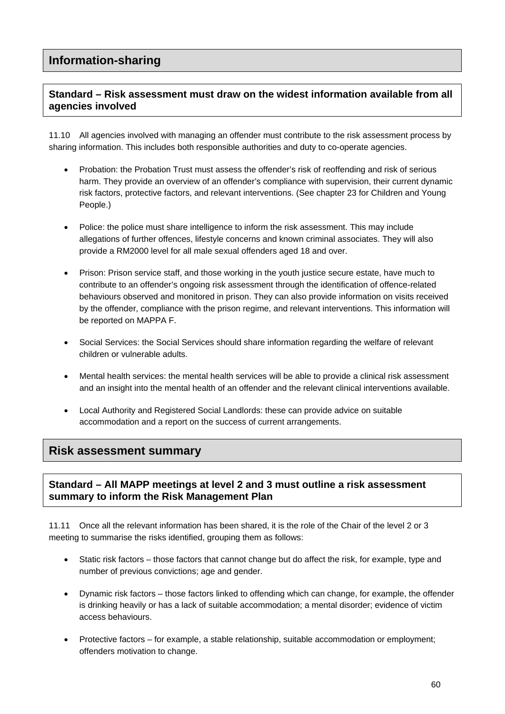# **Information-sharing**

### **Standard – Risk assessment must draw on the widest information available from all agencies involved**

11.10 All agencies involved with managing an offender must contribute to the risk assessment process by sharing information. This includes both responsible authorities and duty to co-operate agencies.

- Probation: the Probation Trust must assess the offender's risk of reoffending and risk of serious harm. They provide an overview of an offender's compliance with supervision, their current dynamic risk factors, protective factors, and relevant interventions. (See chapter 23 for Children and Young People.)
- Police: the police must share intelligence to inform the risk assessment. This may include allegations of further offences, lifestyle concerns and known criminal associates. They will also provide a RM2000 level for all male sexual offenders aged 18 and over.
- Prison: Prison service staff, and those working in the youth justice secure estate, have much to contribute to an offender's ongoing risk assessment through the identification of offence-related behaviours observed and monitored in prison. They can also provide information on visits received by the offender, compliance with the prison regime, and relevant interventions. This information will be reported on MAPPA F.
- Social Services: the Social Services should share information regarding the welfare of relevant children or vulnerable adults.
- Mental health services: the mental health services will be able to provide a clinical risk assessment and an insight into the mental health of an offender and the relevant clinical interventions available.
- Local Authority and Registered Social Landlords: these can provide advice on suitable accommodation and a report on the success of current arrangements.

## **Risk assessment summary**

#### **Standard – All MAPP meetings at level 2 and 3 must outline a risk assessment summary to inform the Risk Management Plan**

11.11 Once all the relevant information has been shared, it is the role of the Chair of the level 2 or 3 meeting to summarise the risks identified, grouping them as follows:

- Static risk factors those factors that cannot change but do affect the risk, for example, type and number of previous convictions; age and gender.
- Dynamic risk factors those factors linked to offending which can change, for example, the offender is drinking heavily or has a lack of suitable accommodation; a mental disorder; evidence of victim access behaviours.
- Protective factors for example, a stable relationship, suitable accommodation or employment; offenders motivation to change.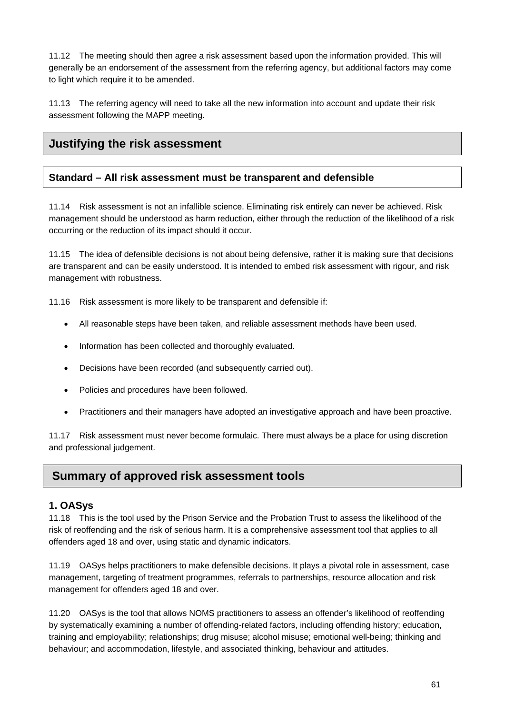11.12 The meeting should then agree a risk assessment based upon the information provided. This will generally be an endorsement of the assessment from the referring agency, but additional factors may come to light which require it to be amended.

11.13 The referring agency will need to take all the new information into account and update their risk assessment following the MAPP meeting.

# **Justifying the risk assessment**

#### **Standard – All risk assessment must be transparent and defensible**

11.14 Risk assessment is not an infallible science. Eliminating risk entirely can never be achieved. Risk management should be understood as harm reduction, either through the reduction of the likelihood of a risk occurring or the reduction of its impact should it occur.

11.15 The idea of defensible decisions is not about being defensive, rather it is making sure that decisions are transparent and can be easily understood. It is intended to embed risk assessment with rigour, and risk management with robustness.

11.16 Risk assessment is more likely to be transparent and defensible if:

- All reasonable steps have been taken, and reliable assessment methods have been used.
- Information has been collected and thoroughly evaluated.
- Decisions have been recorded (and subsequently carried out).
- Policies and procedures have been followed.
- Practitioners and their managers have adopted an investigative approach and have been proactive.

11.17 Risk assessment must never become formulaic. There must always be a place for using discretion and professional judgement.

## **Summary of approved risk assessment tools**

#### **1. OASys**

11.18 This is the tool used by the Prison Service and the Probation Trust to assess the likelihood of the risk of reoffending and the risk of serious harm. It is a comprehensive assessment tool that applies to all offenders aged 18 and over, using static and dynamic indicators.

11.19 OASys helps practitioners to make defensible decisions. It plays a pivotal role in assessment, case management, targeting of treatment programmes, referrals to partnerships, resource allocation and risk management for offenders aged 18 and over.

11.20 OASys is the tool that allows NOMS practitioners to assess an offender's likelihood of reoffending by systematically examining a number of offending-related factors, including offending history; education, training and employability; relationships; drug misuse; alcohol misuse; emotional well-being; thinking and behaviour; and accommodation, lifestyle, and associated thinking, behaviour and attitudes.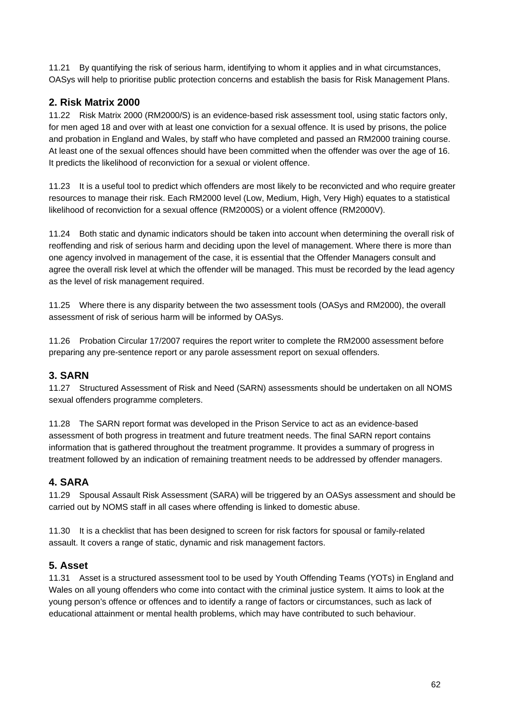11.21 By quantifying the risk of serious harm, identifying to whom it applies and in what circumstances, OASys will help to prioritise public protection concerns and establish the basis for Risk Management Plans.

## **2. Risk Matrix 2000**

11.22 Risk Matrix 2000 (RM2000/S) is an evidence-based risk assessment tool, using static factors only, for men aged 18 and over with at least one conviction for a sexual offence. It is used by prisons, the police and probation in England and Wales, by staff who have completed and passed an RM2000 training course. At least one of the sexual offences should have been committed when the offender was over the age of 16. It predicts the likelihood of reconviction for a sexual or violent offence.

11.23 It is a useful tool to predict which offenders are most likely to be reconvicted and who require greater resources to manage their risk. Each RM2000 level (Low, Medium, High, Very High) equates to a statistical likelihood of reconviction for a sexual offence (RM2000S) or a violent offence (RM2000V).

11.24 Both static and dynamic indicators should be taken into account when determining the overall risk of reoffending and risk of serious harm and deciding upon the level of management. Where there is more than one agency involved in management of the case, it is essential that the Offender Managers consult and agree the overall risk level at which the offender will be managed. This must be recorded by the lead agency as the level of risk management required.

11.25 Where there is any disparity between the two assessment tools (OASys and RM2000), the overall assessment of risk of serious harm will be informed by OASys.

11.26 Probation Circular 17/2007 requires the report writer to complete the RM2000 assessment before preparing any pre-sentence report or any parole assessment report on sexual offenders.

#### **3. SARN**

11.27 Structured Assessment of Risk and Need (SARN) assessments should be undertaken on all NOMS sexual offenders programme completers.

11.28 The SARN report format was developed in the Prison Service to act as an evidence-based assessment of both progress in treatment and future treatment needs. The final SARN report contains information that is gathered throughout the treatment programme. It provides a summary of progress in treatment followed by an indication of remaining treatment needs to be addressed by offender managers.

## **4. SARA**

11.29 Spousal Assault Risk Assessment (SARA) will be triggered by an OASys assessment and should be carried out by NOMS staff in all cases where offending is linked to domestic abuse.

11.30 It is a checklist that has been designed to screen for risk factors for spousal or family-related assault. It covers a range of static, dynamic and risk management factors.

#### **5. Asset**

11.31 Asset is a structured assessment tool to be used by Youth Offending Teams (YOTs) in England and Wales on all young offenders who come into contact with the criminal justice system. It aims to look at the young person's offence or offences and to identify a range of factors or circumstances, such as lack of educational attainment or mental health problems, which may have contributed to such behaviour.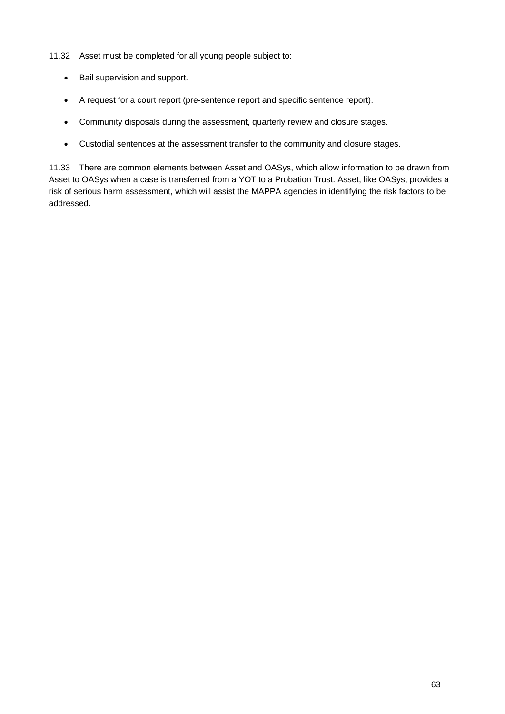- 11.32 Asset must be completed for all young people subject to:
	- Bail supervision and support.
	- A request for a court report (pre-sentence report and specific sentence report).
	- Community disposals during the assessment, quarterly review and closure stages.
	- Custodial sentences at the assessment transfer to the community and closure stages.

11.33 There are common elements between Asset and OASys, which allow information to be drawn from Asset to OASys when a case is transferred from a YOT to a Probation Trust. Asset, like OASys, provides a risk of serious harm assessment, which will assist the MAPPA agencies in identifying the risk factors to be addressed.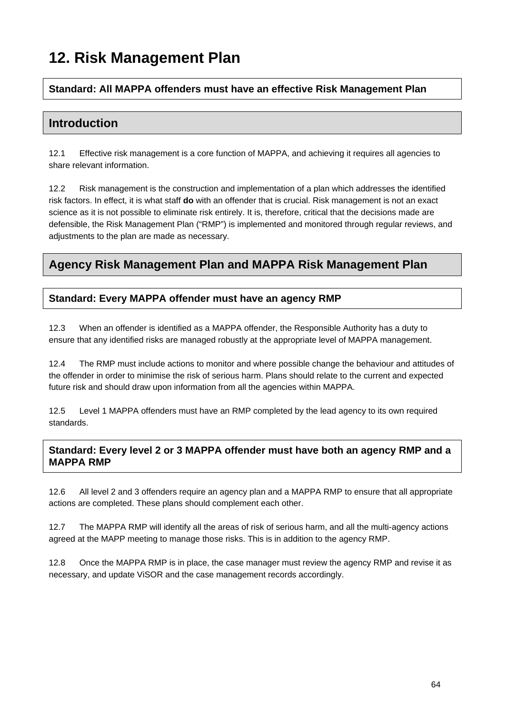# **12. Risk Management Plan**

#### **Standard: All MAPPA offenders must have an effective Risk Management Plan**

# **Introduction**

12.1 Effective risk management is a core function of MAPPA, and achieving it requires all agencies to share relevant information.

12.2 Risk management is the construction and implementation of a plan which addresses the identified risk factors. In effect, it is what staff **do** with an offender that is crucial. Risk management is not an exact science as it is not possible to eliminate risk entirely. It is, therefore, critical that the decisions made are defensible, the Risk Management Plan ("RMP") is implemented and monitored through regular reviews, and adjustments to the plan are made as necessary.

# **Agency Risk Management Plan and MAPPA Risk Management Plan**

#### **Standard: Every MAPPA offender must have an agency RMP**

12.3 When an offender is identified as a MAPPA offender, the Responsible Authority has a duty to ensure that any identified risks are managed robustly at the appropriate level of MAPPA management.

12.4 The RMP must include actions to monitor and where possible change the behaviour and attitudes of the offender in order to minimise the risk of serious harm. Plans should relate to the current and expected future risk and should draw upon information from all the agencies within MAPPA.

12.5 Level 1 MAPPA offenders must have an RMP completed by the lead agency to its own required standards.

#### **Standard: Every level 2 or 3 MAPPA offender must have both an agency RMP and a MAPPA RMP**

12.6 All level 2 and 3 offenders require an agency plan and a MAPPA RMP to ensure that all appropriate actions are completed. These plans should complement each other.

12.7 The MAPPA RMP will identify all the areas of risk of serious harm, and all the multi-agency actions agreed at the MAPP meeting to manage those risks. This is in addition to the agency RMP.

12.8 Once the MAPPA RMP is in place, the case manager must review the agency RMP and revise it as necessary, and update ViSOR and the case management records accordingly.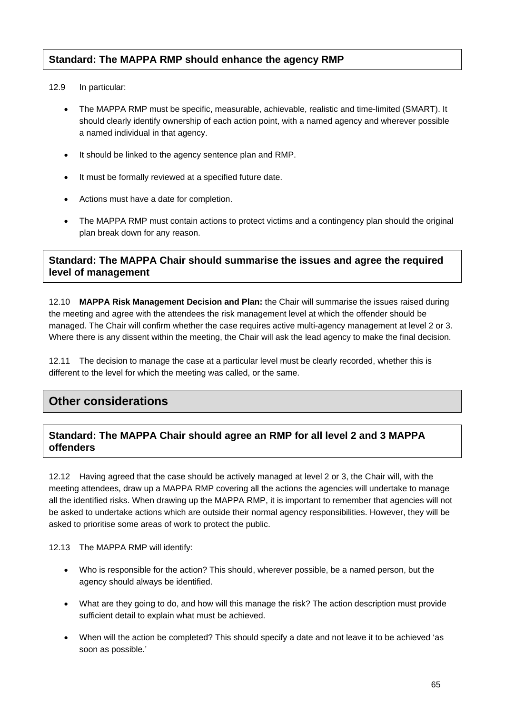#### **Standard: The MAPPA RMP should enhance the agency RMP**

#### 12.9 In particular:

- The MAPPA RMP must be specific, measurable, achievable, realistic and time-limited (SMART). It should clearly identify ownership of each action point, with a named agency and wherever possible a named individual in that agency.
- It should be linked to the agency sentence plan and RMP.
- It must be formally reviewed at a specified future date.
- Actions must have a date for completion.
- The MAPPA RMP must contain actions to protect victims and a contingency plan should the original plan break down for any reason.

#### **Standard: The MAPPA Chair should summarise the issues and agree the required level of management**

12.10 **MAPPA Risk Management Decision and Plan:** the Chair will summarise the issues raised during the meeting and agree with the attendees the risk management level at which the offender should be managed. The Chair will confirm whether the case requires active multi-agency management at level 2 or 3. Where there is any dissent within the meeting, the Chair will ask the lead agency to make the final decision.

12.11 The decision to manage the case at a particular level must be clearly recorded, whether this is different to the level for which the meeting was called, or the same.

## **Other considerations**

#### **Standard: The MAPPA Chair should agree an RMP for all level 2 and 3 MAPPA offenders**

12.12 Having agreed that the case should be actively managed at level 2 or 3, the Chair will, with the meeting attendees, draw up a MAPPA RMP covering all the actions the agencies will undertake to manage all the identified risks. When drawing up the MAPPA RMP, it is important to remember that agencies will not be asked to undertake actions which are outside their normal agency responsibilities. However, they will be asked to prioritise some areas of work to protect the public.

12.13 The MAPPA RMP will identify:

- Who is responsible for the action? This should, wherever possible, be a named person, but the agency should always be identified.
- What are they going to do, and how will this manage the risk? The action description must provide sufficient detail to explain what must be achieved.
- When will the action be completed? This should specify a date and not leave it to be achieved 'as soon as possible.'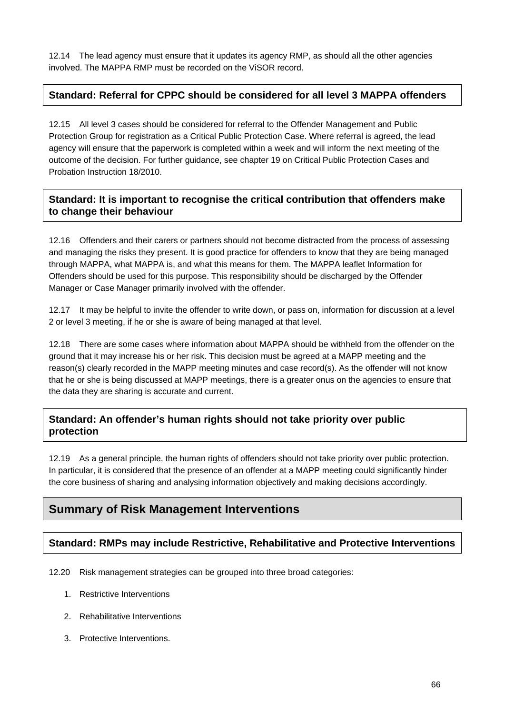12.14 The lead agency must ensure that it updates its agency RMP, as should all the other agencies involved. The MAPPA RMP must be recorded on the ViSOR record.

#### **Standard: Referral for CPPC should be considered for all level 3 MAPPA offenders**

12.15 All level 3 cases should be considered for referral to the Offender Management and Public Protection Group for registration as a Critical Public Protection Case. Where referral is agreed, the lead agency will ensure that the paperwork is completed within a week and will inform the next meeting of the outcome of the decision. For further guidance, see chapter 19 on Critical Public Protection Cases and Probation Instruction 18/2010.

#### **Standard: It is important to recognise the critical contribution that offenders make to change their behaviour**

12.16 Offenders and their carers or partners should not become distracted from the process of assessing and managing the risks they present. It is good practice for offenders to know that they are being managed through MAPPA, what MAPPA is, and what this means for them. The MAPPA leaflet Information for Offenders should be used for this purpose. This responsibility should be discharged by the Offender Manager or Case Manager primarily involved with the offender.

12.17 It may be helpful to invite the offender to write down, or pass on, information for discussion at a level 2 or level 3 meeting, if he or she is aware of being managed at that level.

12.18 There are some cases where information about MAPPA should be withheld from the offender on the ground that it may increase his or her risk. This decision must be agreed at a MAPP meeting and the reason(s) clearly recorded in the MAPP meeting minutes and case record(s). As the offender will not know that he or she is being discussed at MAPP meetings, there is a greater onus on the agencies to ensure that the data they are sharing is accurate and current.

#### **Standard: An offender's human rights should not take priority over public protection**

12.19 As a general principle, the human rights of offenders should not take priority over public protection. In particular, it is considered that the presence of an offender at a MAPP meeting could significantly hinder the core business of sharing and analysing information objectively and making decisions accordingly.

## **Summary of Risk Management Interventions**

#### **Standard: RMPs may include Restrictive, Rehabilitative and Protective Interventions**

12.20 Risk management strategies can be grouped into three broad categories:

- 1. Restrictive Interventions
- 2. Rehabilitative Interventions
- 3. Protective Interventions.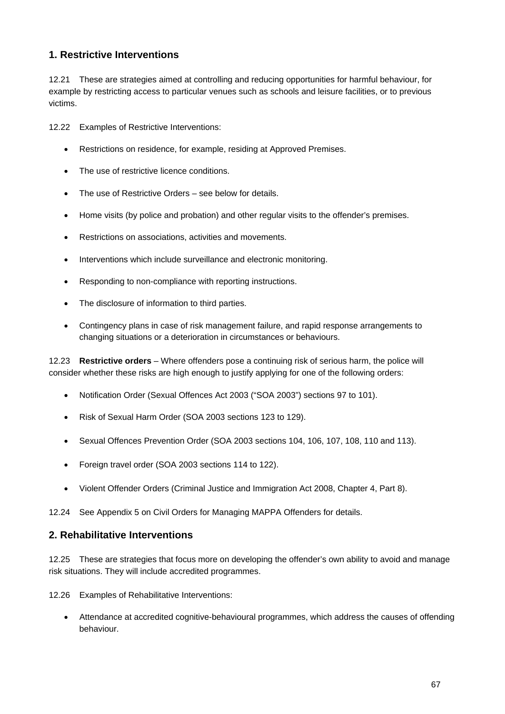#### **1. Restrictive Interventions**

12.21 These are strategies aimed at controlling and reducing opportunities for harmful behaviour, for example by restricting access to particular venues such as schools and leisure facilities, or to previous victims.

12.22 Examples of Restrictive Interventions:

- Restrictions on residence, for example, residing at Approved Premises.
- The use of restrictive licence conditions.
- The use of Restrictive Orders see below for details.
- Home visits (by police and probation) and other regular visits to the offender's premises.
- Restrictions on associations, activities and movements.
- Interventions which include surveillance and electronic monitoring.
- Responding to non-compliance with reporting instructions.
- The disclosure of information to third parties.
- Contingency plans in case of risk management failure, and rapid response arrangements to changing situations or a deterioration in circumstances or behaviours.

12.23 **Restrictive orders** – Where offenders pose a continuing risk of serious harm, the police will consider whether these risks are high enough to justify applying for one of the following orders:

- Notification Order (Sexual Offences Act 2003 ("SOA 2003") sections 97 to 101).
- Risk of Sexual Harm Order (SOA 2003 sections 123 to 129).
- Sexual Offences Prevention Order (SOA 2003 sections 104, 106, 107, 108, 110 and 113).
- Foreign travel order (SOA 2003 sections 114 to 122).
- Violent Offender Orders (Criminal Justice and Immigration Act 2008, Chapter 4, Part 8).

12.24 See Appendix 5 on Civil Orders for Managing MAPPA Offenders for details.

#### **2. Rehabilitative Interventions**

12.25 These are strategies that focus more on developing the offender's own ability to avoid and manage risk situations. They will include accredited programmes.

12.26 Examples of Rehabilitative Interventions:

 Attendance at accredited cognitive-behavioural programmes, which address the causes of offending behaviour.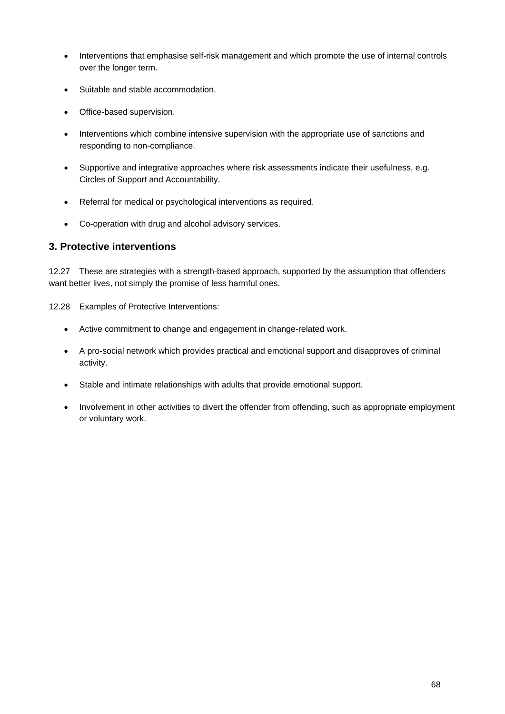- Interventions that emphasise self-risk management and which promote the use of internal controls over the longer term.
- Suitable and stable accommodation.
- Office-based supervision.
- Interventions which combine intensive supervision with the appropriate use of sanctions and responding to non-compliance.
- Supportive and integrative approaches where risk assessments indicate their usefulness, e.g. Circles of Support and Accountability.
- Referral for medical or psychological interventions as required.
- Co-operation with drug and alcohol advisory services.

#### **3. Protective interventions**

12.27 These are strategies with a strength-based approach, supported by the assumption that offenders want better lives, not simply the promise of less harmful ones.

- 12.28 Examples of Protective Interventions:
	- Active commitment to change and engagement in change-related work.
	- A pro-social network which provides practical and emotional support and disapproves of criminal activity.
	- Stable and intimate relationships with adults that provide emotional support.
	- Involvement in other activities to divert the offender from offending, such as appropriate employment or voluntary work.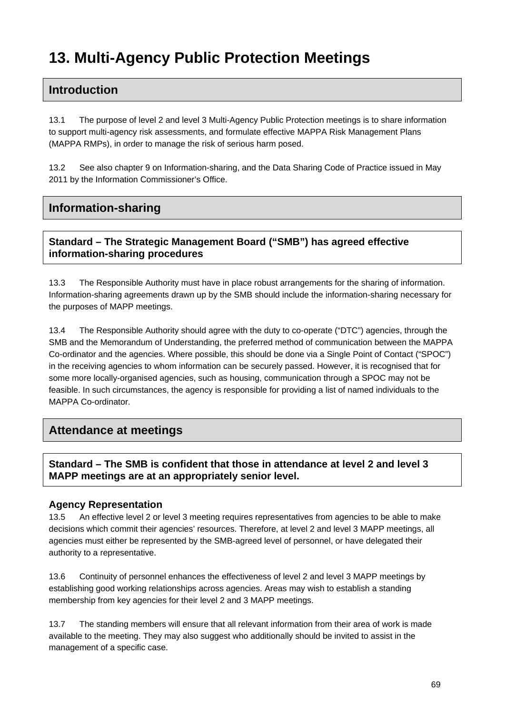# **13. Multi-Agency Public Protection Meetings**

### **Introduction**

13.1 The purpose of level 2 and level 3 Multi-Agency Public Protection meetings is to share information to support multi-agency risk assessments, and formulate effective MAPPA Risk Management Plans (MAPPA RMPs), in order to manage the risk of serious harm posed.

13.2 See also chapter 9 on Information-sharing, and the Data Sharing Code of Practice issued in May 2011 by the Information Commissioner's Office.

## **Information-sharing**

#### **Standard – The Strategic Management Board ("SMB") has agreed effective information-sharing procedures**

13.3 The Responsible Authority must have in place robust arrangements for the sharing of information. Information-sharing agreements drawn up by the SMB should include the information-sharing necessary for the purposes of MAPP meetings.

13.4 The Responsible Authority should agree with the duty to co-operate ("DTC") agencies, through the SMB and the Memorandum of Understanding, the preferred method of communication between the MAPPA Co-ordinator and the agencies. Where possible, this should be done via a Single Point of Contact ("SPOC") in the receiving agencies to whom information can be securely passed. However, it is recognised that for some more locally-organised agencies, such as housing, communication through a SPOC may not be feasible. In such circumstances, the agency is responsible for providing a list of named individuals to the MAPPA Co-ordinator.

#### **Attendance at meetings**

#### **Standard – The SMB is confident that those in attendance at level 2 and level 3 MAPP meetings are at an appropriately senior level.**

#### **Agency Representation**

13.5 An effective level 2 or level 3 meeting requires representatives from agencies to be able to make decisions which commit their agencies' resources. Therefore, at level 2 and level 3 MAPP meetings, all agencies must either be represented by the SMB-agreed level of personnel, or have delegated their authority to a representative.

13.6 Continuity of personnel enhances the effectiveness of level 2 and level 3 MAPP meetings by establishing good working relationships across agencies. Areas may wish to establish a standing membership from key agencies for their level 2 and 3 MAPP meetings.

13.7 The standing members will ensure that all relevant information from their area of work is made available to the meeting. They may also suggest who additionally should be invited to assist in the management of a specific case.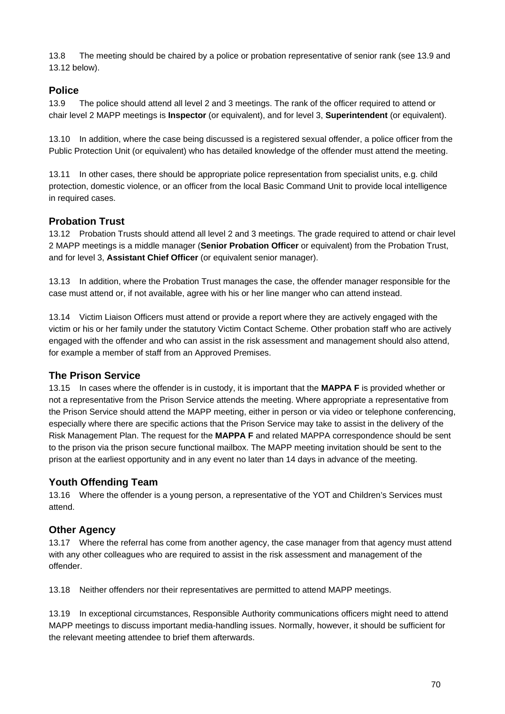13.8 The meeting should be chaired by a police or probation representative of senior rank (see 13.9 and 13.12 below).

#### **Police**

13.9 The police should attend all level 2 and 3 meetings. The rank of the officer required to attend or chair level 2 MAPP meetings is **Inspector** (or equivalent), and for level 3, **Superintendent** (or equivalent).

13.10 In addition, where the case being discussed is a registered sexual offender, a police officer from the Public Protection Unit (or equivalent) who has detailed knowledge of the offender must attend the meeting.

13.11 In other cases, there should be appropriate police representation from specialist units, e.g. child protection, domestic violence, or an officer from the local Basic Command Unit to provide local intelligence in required cases.

#### **Probation Trust**

13.12 Probation Trusts should attend all level 2 and 3 meetings. The grade required to attend or chair level 2 MAPP meetings is a middle manager (**Senior Probation Officer** or equivalent) from the Probation Trust, and for level 3, **Assistant Chief Officer** (or equivalent senior manager).

13.13 In addition, where the Probation Trust manages the case, the offender manager responsible for the case must attend or, if not available, agree with his or her line manger who can attend instead.

13.14 Victim Liaison Officers must attend or provide a report where they are actively engaged with the victim or his or her family under the statutory Victim Contact Scheme. Other probation staff who are actively engaged with the offender and who can assist in the risk assessment and management should also attend, for example a member of staff from an Approved Premises.

#### **The Prison Service**

13.15 In cases where the offender is in custody, it is important that the **MAPPA F** is provided whether or not a representative from the Prison Service attends the meeting. Where appropriate a representative from the Prison Service should attend the MAPP meeting, either in person or via video or telephone conferencing, especially where there are specific actions that the Prison Service may take to assist in the delivery of the Risk Management Plan. The request for the **MAPPA F** and related MAPPA correspondence should be sent to the prison via the prison secure functional mailbox. The MAPP meeting invitation should be sent to the prison at the earliest opportunity and in any event no later than 14 days in advance of the meeting.

#### **Youth Offending Team**

13.16 Where the offender is a young person, a representative of the YOT and Children's Services must attend.

#### **Other Agency**

13.17 Where the referral has come from another agency, the case manager from that agency must attend with any other colleagues who are required to assist in the risk assessment and management of the offender.

13.18 Neither offenders nor their representatives are permitted to attend MAPP meetings.

13.19 In exceptional circumstances, Responsible Authority communications officers might need to attend MAPP meetings to discuss important media-handling issues. Normally, however, it should be sufficient for the relevant meeting attendee to brief them afterwards.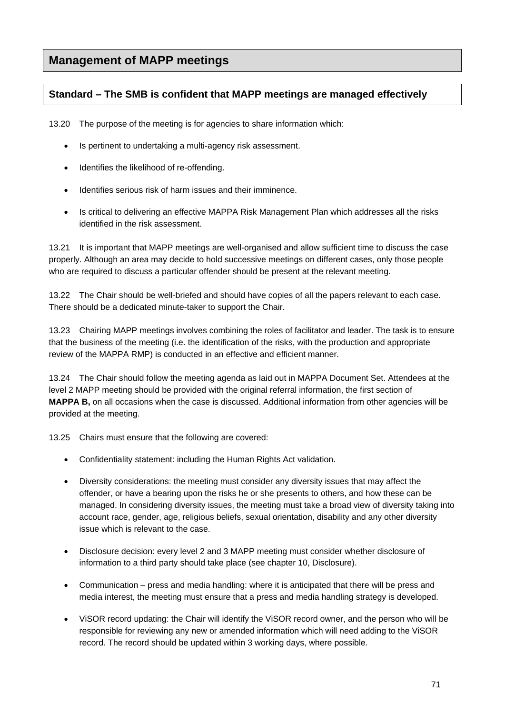# **Management of MAPP meetings**

#### **Standard – The SMB is confident that MAPP meetings are managed effectively**

13.20 The purpose of the meeting is for agencies to share information which:

- Is pertinent to undertaking a multi-agency risk assessment.
- Identifies the likelihood of re-offending.
- Identifies serious risk of harm issues and their imminence.
- Is critical to delivering an effective MAPPA Risk Management Plan which addresses all the risks identified in the risk assessment.

13.21 It is important that MAPP meetings are well-organised and allow sufficient time to discuss the case properly. Although an area may decide to hold successive meetings on different cases, only those people who are required to discuss a particular offender should be present at the relevant meeting.

13.22 The Chair should be well-briefed and should have copies of all the papers relevant to each case. There should be a dedicated minute-taker to support the Chair.

13.23 Chairing MAPP meetings involves combining the roles of facilitator and leader. The task is to ensure that the business of the meeting (i.e. the identification of the risks, with the production and appropriate review of the MAPPA RMP) is conducted in an effective and efficient manner.

13.24 The Chair should follow the meeting agenda as laid out in MAPPA Document Set. Attendees at the level 2 MAPP meeting should be provided with the original referral information, the first section of **MAPPA B,** on all occasions when the case is discussed. Additional information from other agencies will be provided at the meeting.

13.25 Chairs must ensure that the following are covered:

- Confidentiality statement: including the Human Rights Act validation.
- Diversity considerations: the meeting must consider any diversity issues that may affect the offender, or have a bearing upon the risks he or she presents to others, and how these can be managed. In considering diversity issues, the meeting must take a broad view of diversity taking into account race, gender, age, religious beliefs, sexual orientation, disability and any other diversity issue which is relevant to the case.
- Disclosure decision: every level 2 and 3 MAPP meeting must consider whether disclosure of information to a third party should take place (see chapter 10, Disclosure).
- Communication press and media handling: where it is anticipated that there will be press and media interest, the meeting must ensure that a press and media handling strategy is developed.
- ViSOR record updating: the Chair will identify the ViSOR record owner, and the person who will be responsible for reviewing any new or amended information which will need adding to the ViSOR record. The record should be updated within 3 working days, where possible.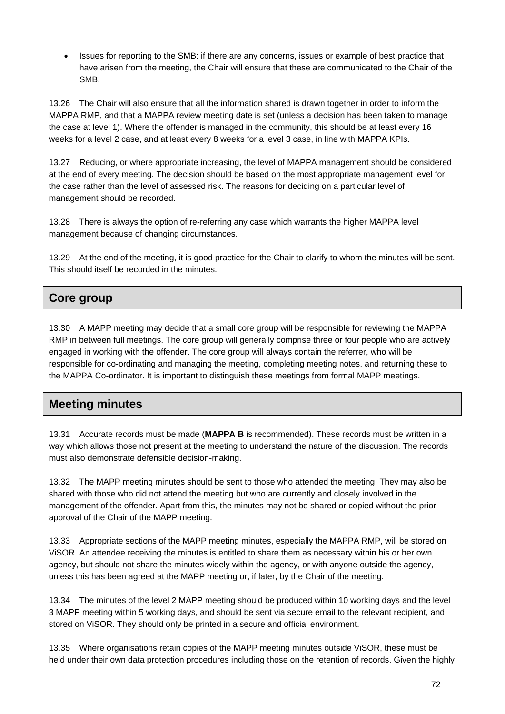• Issues for reporting to the SMB: if there are any concerns, issues or example of best practice that have arisen from the meeting, the Chair will ensure that these are communicated to the Chair of the SMB.

13.26 The Chair will also ensure that all the information shared is drawn together in order to inform the MAPPA RMP, and that a MAPPA review meeting date is set (unless a decision has been taken to manage the case at level 1). Where the offender is managed in the community, this should be at least every 16 weeks for a level 2 case, and at least every 8 weeks for a level 3 case, in line with MAPPA KPIs.

13.27 Reducing, or where appropriate increasing, the level of MAPPA management should be considered at the end of every meeting. The decision should be based on the most appropriate management level for the case rather than the level of assessed risk. The reasons for deciding on a particular level of management should be recorded.

13.28 There is always the option of re-referring any case which warrants the higher MAPPA level management because of changing circumstances.

13.29 At the end of the meeting, it is good practice for the Chair to clarify to whom the minutes will be sent. This should itself be recorded in the minutes.

# **Core group**

13.30 A MAPP meeting may decide that a small core group will be responsible for reviewing the MAPPA RMP in between full meetings. The core group will generally comprise three or four people who are actively engaged in working with the offender. The core group will always contain the referrer, who will be responsible for co-ordinating and managing the meeting, completing meeting notes, and returning these to the MAPPA Co-ordinator. It is important to distinguish these meetings from formal MAPP meetings.

## **Meeting minutes**

13.31 Accurate records must be made (**MAPPA B** is recommended). These records must be written in a way which allows those not present at the meeting to understand the nature of the discussion. The records must also demonstrate defensible decision-making.

13.32 The MAPP meeting minutes should be sent to those who attended the meeting. They may also be shared with those who did not attend the meeting but who are currently and closely involved in the management of the offender. Apart from this, the minutes may not be shared or copied without the prior approval of the Chair of the MAPP meeting.

13.33 Appropriate sections of the MAPP meeting minutes, especially the MAPPA RMP, will be stored on ViSOR. An attendee receiving the minutes is entitled to share them as necessary within his or her own agency, but should not share the minutes widely within the agency, or with anyone outside the agency, unless this has been agreed at the MAPP meeting or, if later, by the Chair of the meeting.

13.34 The minutes of the level 2 MAPP meeting should be produced within 10 working days and the level 3 MAPP meeting within 5 working days, and should be sent via secure email to the relevant recipient, and stored on ViSOR. They should only be printed in a secure and official environment.

13.35 Where organisations retain copies of the MAPP meeting minutes outside ViSOR, these must be held under their own data protection procedures including those on the retention of records. Given the highly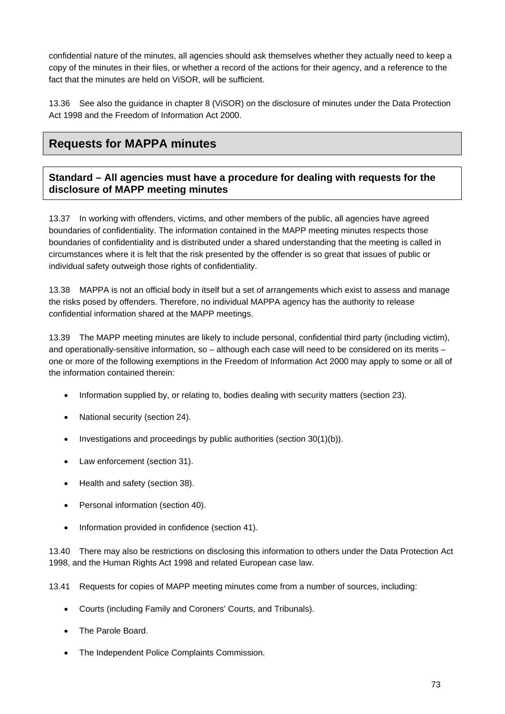confidential nature of the minutes, all agencies should ask themselves whether they actually need to keep a copy of the minutes in their files, or whether a record of the actions for their agency, and a reference to the fact that the minutes are held on ViSOR, will be sufficient.

13.36 See also the guidance in chapter 8 (ViSOR) on the disclosure of minutes under the Data Protection Act 1998 and the Freedom of Information Act 2000.

# **Requests for MAPPA minutes**

#### **Standard – All agencies must have a procedure for dealing with requests for the disclosure of MAPP meeting minutes**

13.37 In working with offenders, victims, and other members of the public, all agencies have agreed boundaries of confidentiality. The information contained in the MAPP meeting minutes respects those boundaries of confidentiality and is distributed under a shared understanding that the meeting is called in circumstances where it is felt that the risk presented by the offender is so great that issues of public or individual safety outweigh those rights of confidentiality.

13.38 MAPPA is not an official body in itself but a set of arrangements which exist to assess and manage the risks posed by offenders. Therefore, no individual MAPPA agency has the authority to release confidential information shared at the MAPP meetings.

13.39 The MAPP meeting minutes are likely to include personal, confidential third party (including victim), and operationally-sensitive information, so – although each case will need to be considered on its merits – one or more of the following exemptions in the Freedom of Information Act 2000 may apply to some or all of the information contained therein:

- Information supplied by, or relating to, bodies dealing with security matters (section 23).
- National security (section 24).
- $\bullet$  Investigations and proceedings by public authorities (section 30(1)(b)).
- Law enforcement (section 31).
- Health and safety (section 38).
- Personal information (section 40).
- Information provided in confidence (section 41).

13.40 There may also be restrictions on disclosing this information to others under the Data Protection Act 1998, and the Human Rights Act 1998 and related European case law.

13.41 Requests for copies of MAPP meeting minutes come from a number of sources, including:

- Courts (including Family and Coroners' Courts, and Tribunals).
- The Parole Board.
- The Independent Police Complaints Commission.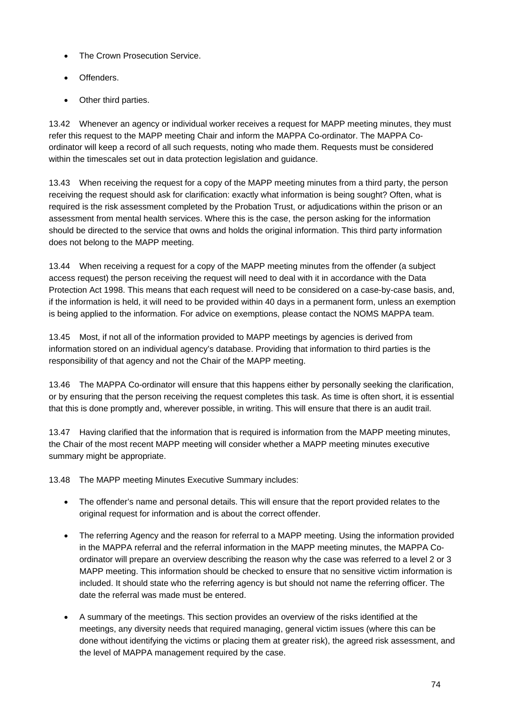- The Crown Prosecution Service.
- Offenders.
- Other third parties.

13.42 Whenever an agency or individual worker receives a request for MAPP meeting minutes, they must refer this request to the MAPP meeting Chair and inform the MAPPA Co-ordinator. The MAPPA Coordinator will keep a record of all such requests, noting who made them. Requests must be considered within the timescales set out in data protection legislation and guidance.

13.43 When receiving the request for a copy of the MAPP meeting minutes from a third party, the person receiving the request should ask for clarification: exactly what information is being sought? Often, what is required is the risk assessment completed by the Probation Trust, or adjudications within the prison or an assessment from mental health services. Where this is the case, the person asking for the information should be directed to the service that owns and holds the original information. This third party information does not belong to the MAPP meeting.

13.44 When receiving a request for a copy of the MAPP meeting minutes from the offender (a subject access request) the person receiving the request will need to deal with it in accordance with the Data Protection Act 1998. This means that each request will need to be considered on a case-by-case basis, and, if the information is held, it will need to be provided within 40 days in a permanent form, unless an exemption is being applied to the information. For advice on exemptions, please contact the NOMS MAPPA team.

13.45 Most, if not all of the information provided to MAPP meetings by agencies is derived from information stored on an individual agency's database. Providing that information to third parties is the responsibility of that agency and not the Chair of the MAPP meeting.

13.46 The MAPPA Co-ordinator will ensure that this happens either by personally seeking the clarification, or by ensuring that the person receiving the request completes this task. As time is often short, it is essential that this is done promptly and, wherever possible, in writing. This will ensure that there is an audit trail.

13.47 Having clarified that the information that is required is information from the MAPP meeting minutes, the Chair of the most recent MAPP meeting will consider whether a MAPP meeting minutes executive summary might be appropriate.

13.48 The MAPP meeting Minutes Executive Summary includes:

- The offender's name and personal details. This will ensure that the report provided relates to the original request for information and is about the correct offender.
- The referring Agency and the reason for referral to a MAPP meeting. Using the information provided in the MAPPA referral and the referral information in the MAPP meeting minutes, the MAPPA Coordinator will prepare an overview describing the reason why the case was referred to a level 2 or 3 MAPP meeting. This information should be checked to ensure that no sensitive victim information is included. It should state who the referring agency is but should not name the referring officer. The date the referral was made must be entered.
- A summary of the meetings. This section provides an overview of the risks identified at the meetings, any diversity needs that required managing, general victim issues (where this can be done without identifying the victims or placing them at greater risk), the agreed risk assessment, and the level of MAPPA management required by the case.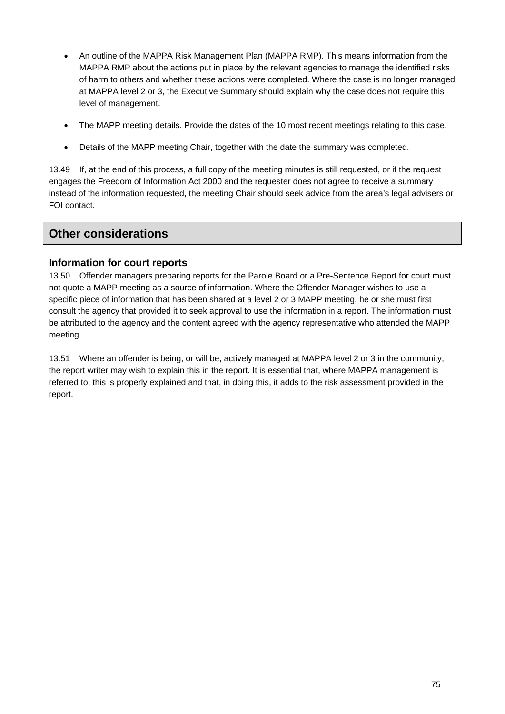- An outline of the MAPPA Risk Management Plan (MAPPA RMP). This means information from the MAPPA RMP about the actions put in place by the relevant agencies to manage the identified risks of harm to others and whether these actions were completed. Where the case is no longer managed at MAPPA level 2 or 3, the Executive Summary should explain why the case does not require this level of management.
- The MAPP meeting details. Provide the dates of the 10 most recent meetings relating to this case.
- Details of the MAPP meeting Chair, together with the date the summary was completed.

13.49 If, at the end of this process, a full copy of the meeting minutes is still requested, or if the request engages the Freedom of Information Act 2000 and the requester does not agree to receive a summary instead of the information requested, the meeting Chair should seek advice from the area's legal advisers or FOI contact.

## **Other considerations**

#### **Information for court reports**

13.50 Offender managers preparing reports for the Parole Board or a Pre-Sentence Report for court must not quote a MAPP meeting as a source of information. Where the Offender Manager wishes to use a specific piece of information that has been shared at a level 2 or 3 MAPP meeting, he or she must first consult the agency that provided it to seek approval to use the information in a report. The information must be attributed to the agency and the content agreed with the agency representative who attended the MAPP meeting.

13.51 Where an offender is being, or will be, actively managed at MAPPA level 2 or 3 in the community, the report writer may wish to explain this in the report. It is essential that, where MAPPA management is referred to, this is properly explained and that, in doing this, it adds to the risk assessment provided in the report.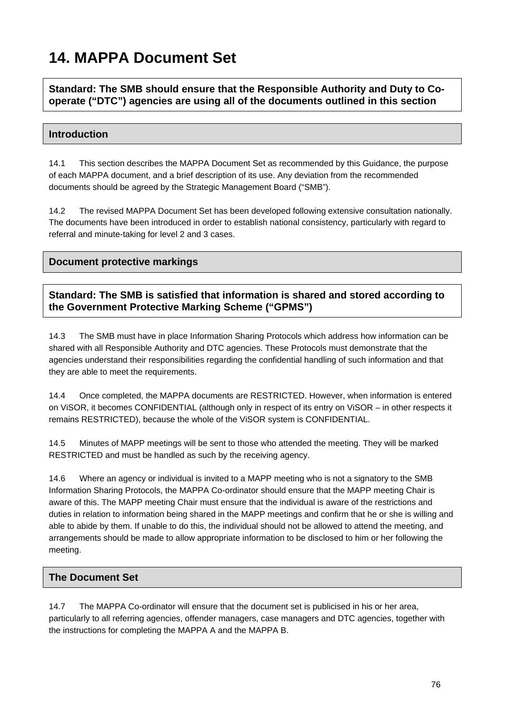# **14. MAPPA Document Set**

**Standard: The SMB should ensure that the Responsible Authority and Duty to Cooperate ("DTC") agencies are using all of the documents outlined in this section** 

#### **Introduction**

14.1 This section describes the MAPPA Document Set as recommended by this Guidance, the purpose of each MAPPA document, and a brief description of its use. Any deviation from the recommended documents should be agreed by the Strategic Management Board ("SMB").

14.2 The revised MAPPA Document Set has been developed following extensive consultation nationally. The documents have been introduced in order to establish national consistency, particularly with regard to referral and minute-taking for level 2 and 3 cases.

#### **Document protective markings**

**Standard: The SMB is satisfied that information is shared and stored according to the Government Protective Marking Scheme ("GPMS")** 

14.3 The SMB must have in place Information Sharing Protocols which address how information can be shared with all Responsible Authority and DTC agencies. These Protocols must demonstrate that the agencies understand their responsibilities regarding the confidential handling of such information and that they are able to meet the requirements.

14.4 Once completed, the MAPPA documents are RESTRICTED. However, when information is entered on ViSOR, it becomes CONFIDENTIAL (although only in respect of its entry on ViSOR – in other respects it remains RESTRICTED), because the whole of the ViSOR system is CONFIDENTIAL.

14.5 Minutes of MAPP meetings will be sent to those who attended the meeting. They will be marked RESTRICTED and must be handled as such by the receiving agency.

14.6 Where an agency or individual is invited to a MAPP meeting who is not a signatory to the SMB Information Sharing Protocols, the MAPPA Co-ordinator should ensure that the MAPP meeting Chair is aware of this. The MAPP meeting Chair must ensure that the individual is aware of the restrictions and duties in relation to information being shared in the MAPP meetings and confirm that he or she is willing and able to abide by them. If unable to do this, the individual should not be allowed to attend the meeting, and arrangements should be made to allow appropriate information to be disclosed to him or her following the meeting.

#### **The Document Set**

14.7 The MAPPA Co-ordinator will ensure that the document set is publicised in his or her area, particularly to all referring agencies, offender managers, case managers and DTC agencies, together with the instructions for completing the MAPPA A and the MAPPA B.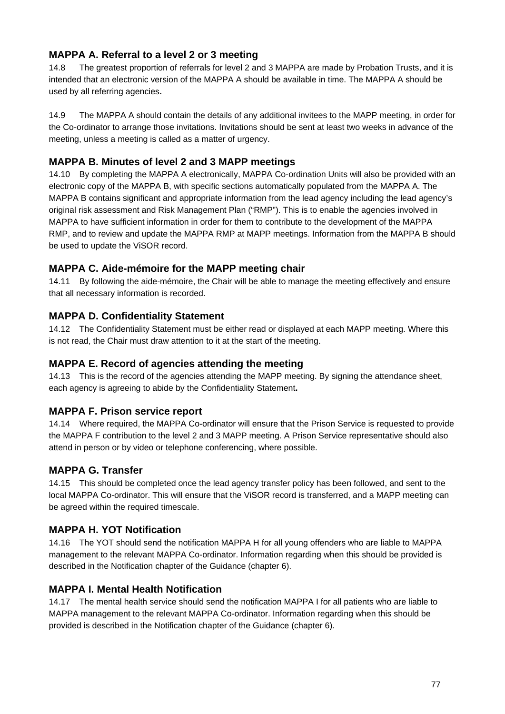### **MAPPA A. Referral to a level 2 or 3 meeting**

14.8 The greatest proportion of referrals for level 2 and 3 MAPPA are made by Probation Trusts, and it is intended that an electronic version of the MAPPA A should be available in time. The MAPPA A should be used by all referring agencies**.** 

14.9 The MAPPA A should contain the details of any additional invitees to the MAPP meeting, in order for the Co-ordinator to arrange those invitations. Invitations should be sent at least two weeks in advance of the meeting, unless a meeting is called as a matter of urgency.

#### **MAPPA B. Minutes of level 2 and 3 MAPP meetings**

14.10 By completing the MAPPA A electronically, MAPPA Co-ordination Units will also be provided with an electronic copy of the MAPPA B, with specific sections automatically populated from the MAPPA A. The MAPPA B contains significant and appropriate information from the lead agency including the lead agency's original risk assessment and Risk Management Plan ("RMP"). This is to enable the agencies involved in MAPPA to have sufficient information in order for them to contribute to the development of the MAPPA RMP, and to review and update the MAPPA RMP at MAPP meetings. Information from the MAPPA B should be used to update the ViSOR record.

#### **MAPPA C. Aide-mémoire for the MAPP meeting chair**

14.11 By following the aide-mémoire, the Chair will be able to manage the meeting effectively and ensure that all necessary information is recorded.

#### **MAPPA D. Confidentiality Statement**

14.12 The Confidentiality Statement must be either read or displayed at each MAPP meeting. Where this is not read, the Chair must draw attention to it at the start of the meeting.

#### **MAPPA E. Record of agencies attending the meeting**

14.13 This is the record of the agencies attending the MAPP meeting. By signing the attendance sheet, each agency is agreeing to abide by the Confidentiality Statement**.** 

#### **MAPPA F. Prison service report**

14.14 Where required, the MAPPA Co-ordinator will ensure that the Prison Service is requested to provide the MAPPA F contribution to the level 2 and 3 MAPP meeting. A Prison Service representative should also attend in person or by video or telephone conferencing, where possible.

#### **MAPPA G. Transfer**

14.15 This should be completed once the lead agency transfer policy has been followed, and sent to the local MAPPA Co-ordinator. This will ensure that the ViSOR record is transferred, and a MAPP meeting can be agreed within the required timescale.

#### **MAPPA H. YOT Notification**

14.16 The YOT should send the notification MAPPA H for all young offenders who are liable to MAPPA management to the relevant MAPPA Co-ordinator. Information regarding when this should be provided is described in the Notification chapter of the Guidance (chapter 6).

#### **MAPPA I. Mental Health Notification**

14.17 The mental health service should send the notification MAPPA I for all patients who are liable to MAPPA management to the relevant MAPPA Co-ordinator. Information regarding when this should be provided is described in the Notification chapter of the Guidance (chapter 6).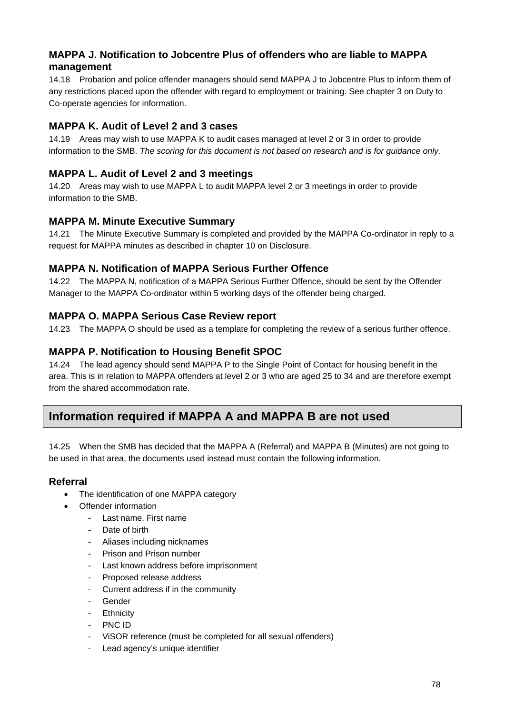#### **MAPPA J. Notification to Jobcentre Plus of offenders who are liable to MAPPA management**

14.18 Probation and police offender managers should send MAPPA J to Jobcentre Plus to inform them of any restrictions placed upon the offender with regard to employment or training. See chapter 3 on Duty to Co-operate agencies for information.

#### **MAPPA K. Audit of Level 2 and 3 cases**

14.19 Areas may wish to use MAPPA K to audit cases managed at level 2 or 3 in order to provide information to the SMB. *The scoring for this document is not based on research and is for guidance only.* 

### **MAPPA L. Audit of Level 2 and 3 meetings**

14.20 Areas may wish to use MAPPA L to audit MAPPA level 2 or 3 meetings in order to provide information to the SMB.

#### **MAPPA M. Minute Executive Summary**

14.21 The Minute Executive Summary is completed and provided by the MAPPA Co-ordinator in reply to a request for MAPPA minutes as described in chapter 10 on Disclosure.

#### **MAPPA N. Notification of MAPPA Serious Further Offence**

14.22 The MAPPA N, notification of a MAPPA Serious Further Offence, should be sent by the Offender Manager to the MAPPA Co-ordinator within 5 working days of the offender being charged.

#### **MAPPA O. MAPPA Serious Case Review report**

14.23 The MAPPA O should be used as a template for completing the review of a serious further offence.

#### **MAPPA P. Notification to Housing Benefit SPOC**

14.24 The lead agency should send MAPPA P to the Single Point of Contact for housing benefit in the area. This is in relation to MAPPA offenders at level 2 or 3 who are aged 25 to 34 and are therefore exempt from the shared accommodation rate.

# **Information required if MAPPA A and MAPPA B are not used**

14.25 When the SMB has decided that the MAPPA A (Referral) and MAPPA B (Minutes) are not going to be used in that area, the documents used instead must contain the following information.

#### **Referral**

- The identification of one MAPPA category
- Offender information
	- Last name, First name
	- Date of birth
	- Aliases including nicknames
	- Prison and Prison number
	- Last known address before imprisonment
	- Proposed release address
	- Current address if in the community
	- Gender
	- Ethnicity
	- PNC ID
	- ViSOR reference (must be completed for all sexual offenders)
	- Lead agency's unique identifier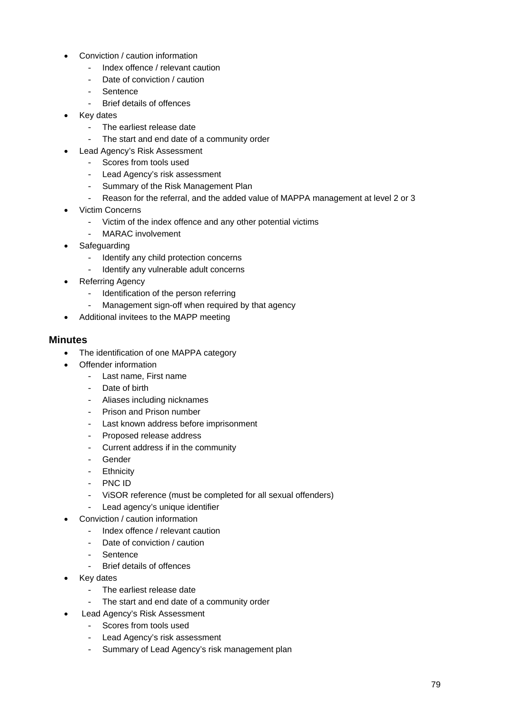- Conviction / caution information
	- Index offence / relevant caution
	- Date of conviction / caution
	- Sentence
	- Brief details of offences
- Key dates
	- The earliest release date
	- The start and end date of a community order
- Lead Agency's Risk Assessment
	- Scores from tools used
	- Lead Agency's risk assessment
	- Summary of the Risk Management Plan
	- Reason for the referral, and the added value of MAPPA management at level 2 or 3
- Victim Concerns
	- Victim of the index offence and any other potential victims
	- MARAC involvement
- Safeguarding
	- Identify any child protection concerns
	- Identify any vulnerable adult concerns
- Referring Agency
	- Identification of the person referring
	- Management sign-off when required by that agency
- Additional invitees to the MAPP meeting

#### **Minutes**

- The identification of one MAPPA category
- Offender information
	- Last name, First name
	- Date of birth
	- Aliases including nicknames
	- Prison and Prison number
	- Last known address before imprisonment
	- Proposed release address
	- Current address if in the community
	- Gender
	- Ethnicity
	- PNC ID
	- ViSOR reference (must be completed for all sexual offenders)
	- Lead agency's unique identifier
- Conviction / caution information
	- Index offence / relevant caution
	- Date of conviction / caution
	- Sentence
	- Brief details of offences
- Key dates
	- The earliest release date
	- The start and end date of a community order
- Lead Agency's Risk Assessment
	- Scores from tools used
	- Lead Agency's risk assessment
	- Summary of Lead Agency's risk management plan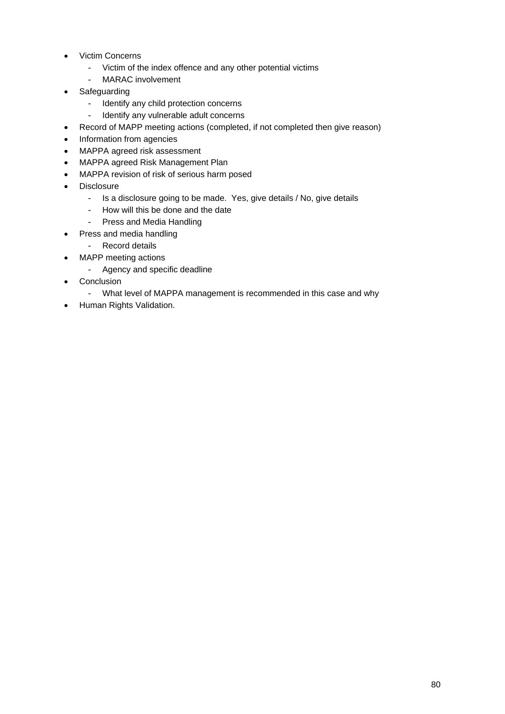- Victim Concerns
	- Victim of the index offence and any other potential victims
	- MARAC involvement
- Safeguarding
	- Identify any child protection concerns
	- Identify any vulnerable adult concerns
- Record of MAPP meeting actions (completed, if not completed then give reason)
- Information from agencies
- MAPPA agreed risk assessment
- MAPPA agreed Risk Management Plan
- MAPPA revision of risk of serious harm posed
- Disclosure
	- Is a disclosure going to be made. Yes, give details / No, give details
	- How will this be done and the date
	- Press and Media Handling
- Press and media handling
	- Record details
- MAPP meeting actions
	- Agency and specific deadline
- Conclusion
	- What level of MAPPA management is recommended in this case and why
- Human Rights Validation.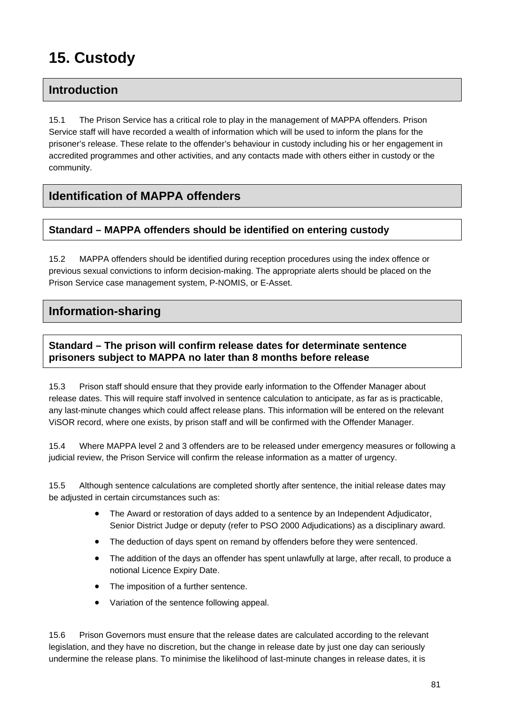# **15. Custody**

# **Introduction**

15.1 The Prison Service has a critical role to play in the management of MAPPA offenders. Prison Service staff will have recorded a wealth of information which will be used to inform the plans for the prisoner's release. These relate to the offender's behaviour in custody including his or her engagement in accredited programmes and other activities, and any contacts made with others either in custody or the community.

# **Identification of MAPPA offenders**

#### **Standard – MAPPA offenders should be identified on entering custody**

15.2 MAPPA offenders should be identified during reception procedures using the index offence or previous sexual convictions to inform decision-making. The appropriate alerts should be placed on the Prison Service case management system, P-NOMIS, or E-Asset.

# **Information-sharing**

#### **Standard – The prison will confirm release dates for determinate sentence prisoners subject to MAPPA no later than 8 months before release**

15.3 Prison staff should ensure that they provide early information to the Offender Manager about release dates. This will require staff involved in sentence calculation to anticipate, as far as is practicable, any last-minute changes which could affect release plans. This information will be entered on the relevant ViSOR record, where one exists, by prison staff and will be confirmed with the Offender Manager.

15.4 Where MAPPA level 2 and 3 offenders are to be released under emergency measures or following a judicial review, the Prison Service will confirm the release information as a matter of urgency.

15.5 Although sentence calculations are completed shortly after sentence, the initial release dates may be adjusted in certain circumstances such as:

- The Award or restoration of days added to a sentence by an Independent Adjudicator, Senior District Judge or deputy (refer to PSO 2000 Adjudications) as a disciplinary award.
- The deduction of days spent on remand by offenders before they were sentenced.
- The addition of the days an offender has spent unlawfully at large, after recall, to produce a notional Licence Expiry Date.
- The imposition of a further sentence.
- Variation of the sentence following appeal.

15.6 Prison Governors must ensure that the release dates are calculated according to the relevant legislation, and they have no discretion, but the change in release date by just one day can seriously undermine the release plans. To minimise the likelihood of last-minute changes in release dates, it is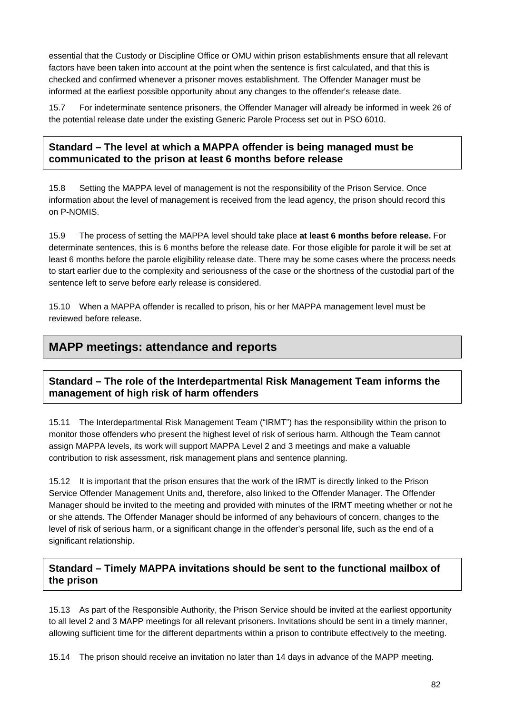essential that the Custody or Discipline Office or OMU within prison establishments ensure that all relevant factors have been taken into account at the point when the sentence is first calculated, and that this is checked and confirmed whenever a prisoner moves establishment. The Offender Manager must be informed at the earliest possible opportunity about any changes to the offender's release date.

15.7 For indeterminate sentence prisoners, the Offender Manager will already be informed in week 26 of the potential release date under the existing Generic Parole Process set out in PSO 6010.

#### **Standard – The level at which a MAPPA offender is being managed must be communicated to the prison at least 6 months before release**

15.8 Setting the MAPPA level of management is not the responsibility of the Prison Service. Once information about the level of management is received from the lead agency, the prison should record this on P-NOMIS.

15.9 The process of setting the MAPPA level should take place **at least 6 months before release.** For determinate sentences, this is 6 months before the release date. For those eligible for parole it will be set at least 6 months before the parole eligibility release date. There may be some cases where the process needs to start earlier due to the complexity and seriousness of the case or the shortness of the custodial part of the sentence left to serve before early release is considered.

15.10 When a MAPPA offender is recalled to prison, his or her MAPPA management level must be reviewed before release.

# **MAPP meetings: attendance and reports**

#### **Standard – The role of the Interdepartmental Risk Management Team informs the management of high risk of harm offenders**

15.11 The Interdepartmental Risk Management Team ("IRMT") has the responsibility within the prison to monitor those offenders who present the highest level of risk of serious harm. Although the Team cannot assign MAPPA levels, its work will support MAPPA Level 2 and 3 meetings and make a valuable contribution to risk assessment, risk management plans and sentence planning.

15.12 It is important that the prison ensures that the work of the IRMT is directly linked to the Prison Service Offender Management Units and, therefore, also linked to the Offender Manager. The Offender Manager should be invited to the meeting and provided with minutes of the IRMT meeting whether or not he or she attends. The Offender Manager should be informed of any behaviours of concern, changes to the level of risk of serious harm, or a significant change in the offender's personal life, such as the end of a significant relationship.

#### **Standard – Timely MAPPA invitations should be sent to the functional mailbox of the prison**

15.13 As part of the Responsible Authority, the Prison Service should be invited at the earliest opportunity to all level 2 and 3 MAPP meetings for all relevant prisoners. Invitations should be sent in a timely manner, allowing sufficient time for the different departments within a prison to contribute effectively to the meeting.

15.14 The prison should receive an invitation no later than 14 days in advance of the MAPP meeting.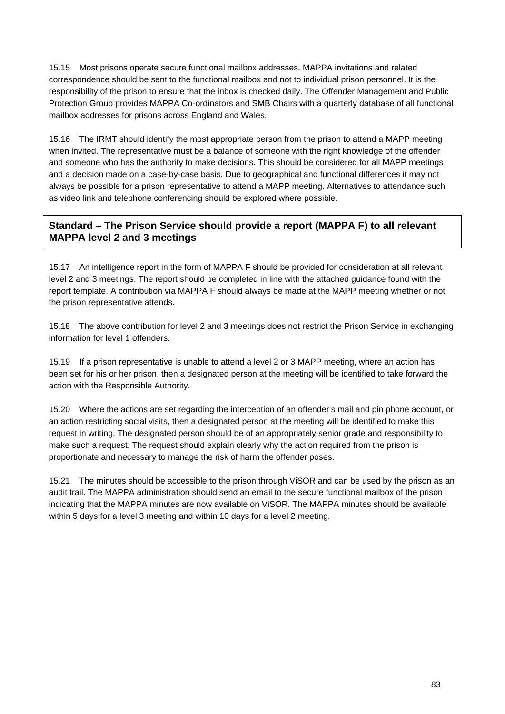15.15 Most prisons operate secure functional mailbox addresses. MAPPA invitations and related correspondence should be sent to the functional mailbox and not to individual prison personnel. It is the responsibility of the prison to ensure that the inbox is checked daily. The Offender Management and Public Protection Group provides MAPPA Co-ordinators and SMB Chairs with a quarterly database of all functional mailbox addresses for prisons across England and Wales.

15.16 The IRMT should identify the most appropriate person from the prison to attend a MAPP meeting when invited. The representative must be a balance of someone with the right knowledge of the offender and someone who has the authority to make decisions. This should be considered for all MAPP meetings and a decision made on a case-by-case basis. Due to geographical and functional differences it may not always be possible for a prison representative to attend a MAPP meeting. Alternatives to attendance such as video link and telephone conferencing should be explored where possible.

### **Standard – The Prison Service should provide a report (MAPPA F) to all relevant MAPPA level 2 and 3 meetings**

15.17 An intelligence report in the form of MAPPA F should be provided for consideration at all relevant level 2 and 3 meetings. The report should be completed in line with the attached guidance found with the report template. A contribution via MAPPA F should always be made at the MAPP meeting whether or not the prison representative attends.

15.18 The above contribution for level 2 and 3 meetings does not restrict the Prison Service in exchanging information for level 1 offenders.

15.19 If a prison representative is unable to attend a level 2 or 3 MAPP meeting, where an action has been set for his or her prison, then a designated person at the meeting will be identified to take forward the action with the Responsible Authority.

15.20 Where the actions are set regarding the interception of an offender's mail and pin phone account, or an action restricting social visits, then a designated person at the meeting will be identified to make this request in writing. The designated person should be of an appropriately senior grade and responsibility to make such a request. The request should explain clearly why the action required from the prison is proportionate and necessary to manage the risk of harm the offender poses.

15.21 The minutes should be accessible to the prison through ViSOR and can be used by the prison as an audit trail. The MAPPA administration should send an email to the secure functional mailbox of the prison indicating that the MAPPA minutes are now available on ViSOR. The MAPPA minutes should be available within 5 days for a level 3 meeting and within 10 days for a level 2 meeting.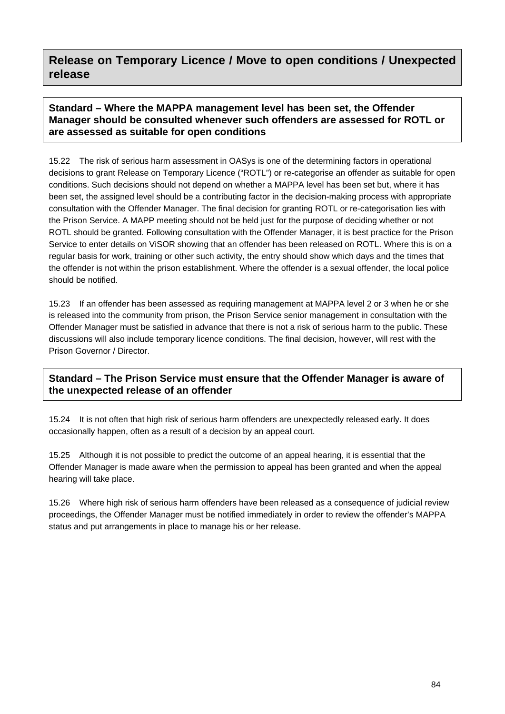## **Release on Temporary Licence / Move to open conditions / Unexpected release**

#### **Standard – Where the MAPPA management level has been set, the Offender Manager should be consulted whenever such offenders are assessed for ROTL or are assessed as suitable for open conditions**

15.22 The risk of serious harm assessment in OASys is one of the determining factors in operational decisions to grant Release on Temporary Licence ("ROTL") or re-categorise an offender as suitable for open conditions. Such decisions should not depend on whether a MAPPA level has been set but, where it has been set, the assigned level should be a contributing factor in the decision-making process with appropriate consultation with the Offender Manager. The final decision for granting ROTL or re-categorisation lies with the Prison Service. A MAPP meeting should not be held just for the purpose of deciding whether or not ROTL should be granted. Following consultation with the Offender Manager, it is best practice for the Prison Service to enter details on ViSOR showing that an offender has been released on ROTL. Where this is on a regular basis for work, training or other such activity, the entry should show which days and the times that the offender is not within the prison establishment. Where the offender is a sexual offender, the local police should be notified.

15.23 If an offender has been assessed as requiring management at MAPPA level 2 or 3 when he or she is released into the community from prison, the Prison Service senior management in consultation with the Offender Manager must be satisfied in advance that there is not a risk of serious harm to the public. These discussions will also include temporary licence conditions. The final decision, however, will rest with the Prison Governor / Director.

#### **Standard – The Prison Service must ensure that the Offender Manager is aware of the unexpected release of an offender**

15.24 It is not often that high risk of serious harm offenders are unexpectedly released early. It does occasionally happen, often as a result of a decision by an appeal court.

15.25 Although it is not possible to predict the outcome of an appeal hearing, it is essential that the Offender Manager is made aware when the permission to appeal has been granted and when the appeal hearing will take place.

15.26 Where high risk of serious harm offenders have been released as a consequence of judicial review proceedings, the Offender Manager must be notified immediately in order to review the offender's MAPPA status and put arrangements in place to manage his or her release.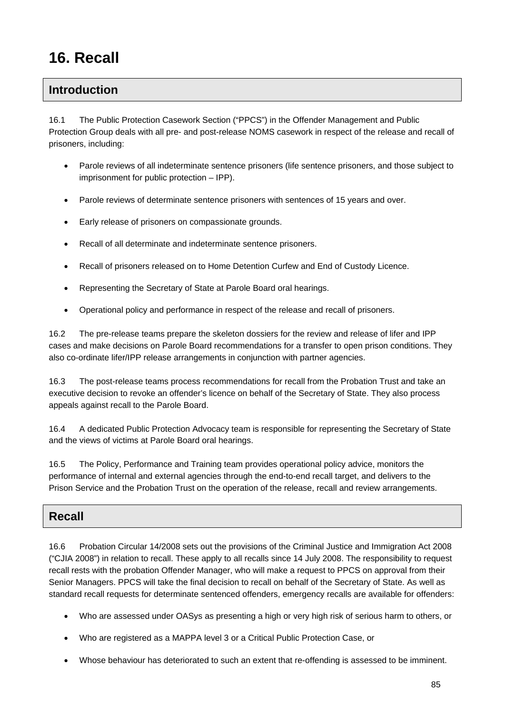# **16. Recall**

## **Introduction**

16.1 The Public Protection Casework Section ("PPCS") in the Offender Management and Public Protection Group deals with all pre- and post-release NOMS casework in respect of the release and recall of prisoners, including:

- Parole reviews of all indeterminate sentence prisoners (life sentence prisoners, and those subject to imprisonment for public protection – IPP).
- Parole reviews of determinate sentence prisoners with sentences of 15 years and over.
- Early release of prisoners on compassionate grounds.
- Recall of all determinate and indeterminate sentence prisoners.
- Recall of prisoners released on to Home Detention Curfew and End of Custody Licence.
- Representing the Secretary of State at Parole Board oral hearings.
- Operational policy and performance in respect of the release and recall of prisoners.

16.2 The pre-release teams prepare the skeleton dossiers for the review and release of lifer and IPP cases and make decisions on Parole Board recommendations for a transfer to open prison conditions. They also co-ordinate lifer/IPP release arrangements in conjunction with partner agencies.

16.3 The post-release teams process recommendations for recall from the Probation Trust and take an executive decision to revoke an offender's licence on behalf of the Secretary of State. They also process appeals against recall to the Parole Board.

16.4 A dedicated Public Protection Advocacy team is responsible for representing the Secretary of State and the views of victims at Parole Board oral hearings.

16.5 The Policy, Performance and Training team provides operational policy advice, monitors the performance of internal and external agencies through the end-to-end recall target, and delivers to the Prison Service and the Probation Trust on the operation of the release, recall and review arrangements.

#### **Recall**

16.6 Probation Circular 14/2008 sets out the provisions of the Criminal Justice and Immigration Act 2008 ("CJIA 2008") in relation to recall. These apply to all recalls since 14 July 2008. The responsibility to request recall rests with the probation Offender Manager, who will make a request to PPCS on approval from their Senior Managers. PPCS will take the final decision to recall on behalf of the Secretary of State. As well as standard recall requests for determinate sentenced offenders, emergency recalls are available for offenders:

- Who are assessed under OASys as presenting a high or very high risk of serious harm to others, or
- Who are registered as a MAPPA level 3 or a Critical Public Protection Case, or
- Whose behaviour has deteriorated to such an extent that re-offending is assessed to be imminent.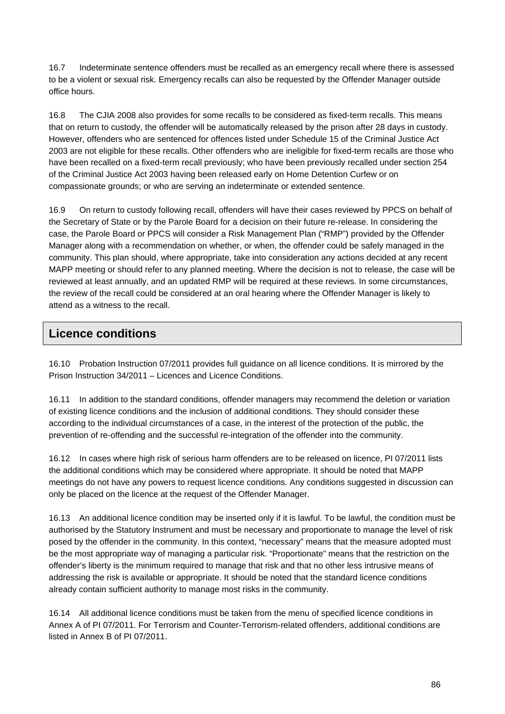16.7 Indeterminate sentence offenders must be recalled as an emergency recall where there is assessed to be a violent or sexual risk. Emergency recalls can also be requested by the Offender Manager outside office hours.

16.8 The CJIA 2008 also provides for some recalls to be considered as fixed-term recalls. This means that on return to custody, the offender will be automatically released by the prison after 28 days in custody. However, offenders who are sentenced for offences listed under Schedule 15 of the Criminal Justice Act 2003 are not eligible for these recalls. Other offenders who are ineligible for fixed-term recalls are those who have been recalled on a fixed-term recall previously; who have been previously recalled under section 254 of the Criminal Justice Act 2003 having been released early on Home Detention Curfew or on compassionate grounds; or who are serving an indeterminate or extended sentence.

16.9 On return to custody following recall, offenders will have their cases reviewed by PPCS on behalf of the Secretary of State or by the Parole Board for a decision on their future re-release. In considering the case, the Parole Board or PPCS will consider a Risk Management Plan ("RMP") provided by the Offender Manager along with a recommendation on whether, or when, the offender could be safely managed in the community. This plan should, where appropriate, take into consideration any actions decided at any recent MAPP meeting or should refer to any planned meeting. Where the decision is not to release, the case will be reviewed at least annually, and an updated RMP will be required at these reviews. In some circumstances, the review of the recall could be considered at an oral hearing where the Offender Manager is likely to attend as a witness to the recall.

## **Licence conditions**

16.10 Probation Instruction 07/2011 provides full guidance on all licence conditions. It is mirrored by the Prison Instruction 34/2011 – Licences and Licence Conditions.

16.11 In addition to the standard conditions, offender managers may recommend the deletion or variation of existing licence conditions and the inclusion of additional conditions. They should consider these according to the individual circumstances of a case, in the interest of the protection of the public, the prevention of re-offending and the successful re-integration of the offender into the community.

16.12 In cases where high risk of serious harm offenders are to be released on licence, PI 07/2011 lists the additional conditions which may be considered where appropriate. It should be noted that MAPP meetings do not have any powers to request licence conditions. Any conditions suggested in discussion can only be placed on the licence at the request of the Offender Manager.

16.13 An additional licence condition may be inserted only if it is lawful. To be lawful, the condition must be authorised by the Statutory Instrument and must be necessary and proportionate to manage the level of risk posed by the offender in the community. In this context, "necessary" means that the measure adopted must be the most appropriate way of managing a particular risk. "Proportionate" means that the restriction on the offender's liberty is the minimum required to manage that risk and that no other less intrusive means of addressing the risk is available or appropriate. It should be noted that the standard licence conditions already contain sufficient authority to manage most risks in the community.

16.14 All additional licence conditions must be taken from the menu of specified licence conditions in Annex A of PI 07/2011. For Terrorism and Counter-Terrorism-related offenders, additional conditions are listed in Annex B of PI 07/2011.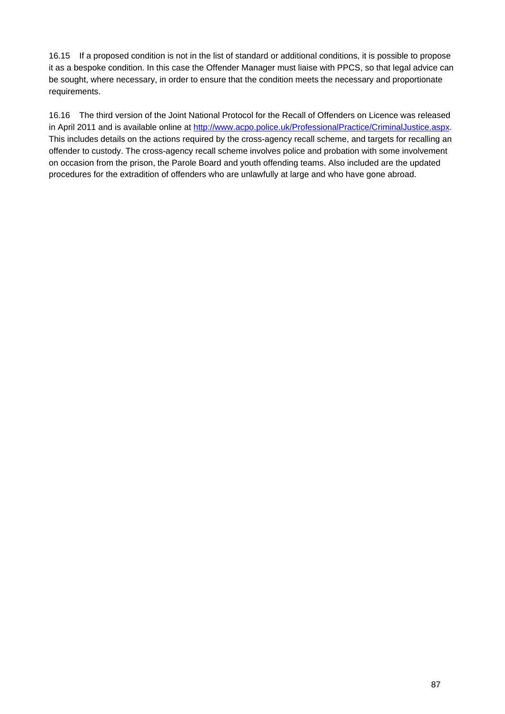16.15 If a proposed condition is not in the list of standard or additional conditions, it is possible to propose it as a bespoke condition. In this case the Offender Manager must liaise with PPCS, so that legal advice can be sought, where necessary, in order to ensure that the condition meets the necessary and proportionate requirements.

16.16 The third version of the Joint National Protocol for the Recall of Offenders on Licence was released in April 2011 and is available online at<http://www.acpo.police.uk/ProfessionalPractice/CriminalJustice.aspx>. This includes details on the actions required by the cross-agency recall scheme, and targets for recalling an offender to custody. The cross-agency recall scheme involves police and probation with some involvement on occasion from the prison, the Parole Board and youth offending teams. Also included are the updated procedures for the extradition of offenders who are unlawfully at large and who have gone abroad.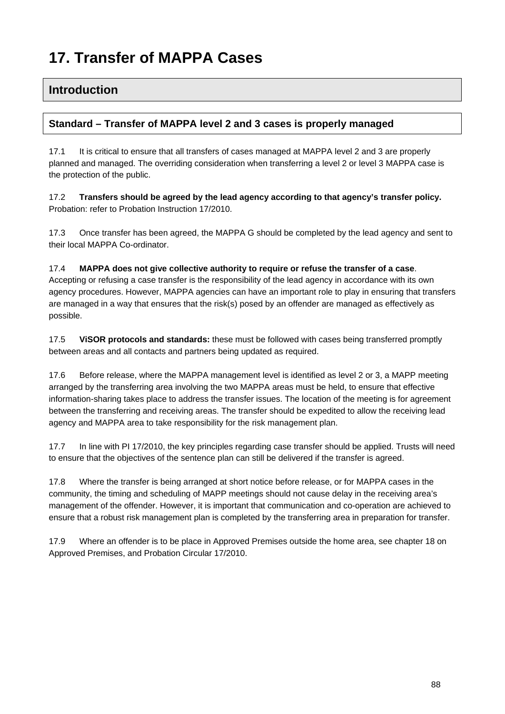# **17. Transfer of MAPPA Cases**

### **Introduction**

#### **Standard – Transfer of MAPPA level 2 and 3 cases is properly managed**

17.1 It is critical to ensure that all transfers of cases managed at MAPPA level 2 and 3 are properly planned and managed. The overriding consideration when transferring a level 2 or level 3 MAPPA case is the protection of the public.

17.2 **Transfers should be agreed by the lead agency according to that agency's transfer policy.**  Probation: refer to Probation Instruction 17/2010.

17.3 Once transfer has been agreed, the MAPPA G should be completed by the lead agency and sent to their local MAPPA Co-ordinator.

#### 17.4 **MAPPA does not give collective authority to require or refuse the transfer of a case**.

Accepting or refusing a case transfer is the responsibility of the lead agency in accordance with its own agency procedures. However, MAPPA agencies can have an important role to play in ensuring that transfers are managed in a way that ensures that the risk(s) posed by an offender are managed as effectively as possible.

17.5 **ViSOR protocols and standards:** these must be followed with cases being transferred promptly between areas and all contacts and partners being updated as required.

17.6 Before release, where the MAPPA management level is identified as level 2 or 3, a MAPP meeting arranged by the transferring area involving the two MAPPA areas must be held, to ensure that effective information-sharing takes place to address the transfer issues. The location of the meeting is for agreement between the transferring and receiving areas. The transfer should be expedited to allow the receiving lead agency and MAPPA area to take responsibility for the risk management plan.

17.7 In line with PI 17/2010, the key principles regarding case transfer should be applied. Trusts will need to ensure that the objectives of the sentence plan can still be delivered if the transfer is agreed.

17.8 Where the transfer is being arranged at short notice before release, or for MAPPA cases in the community, the timing and scheduling of MAPP meetings should not cause delay in the receiving area's management of the offender. However, it is important that communication and co-operation are achieved to ensure that a robust risk management plan is completed by the transferring area in preparation for transfer.

17.9 Where an offender is to be place in Approved Premises outside the home area, see chapter 18 on Approved Premises, and Probation Circular 17/2010.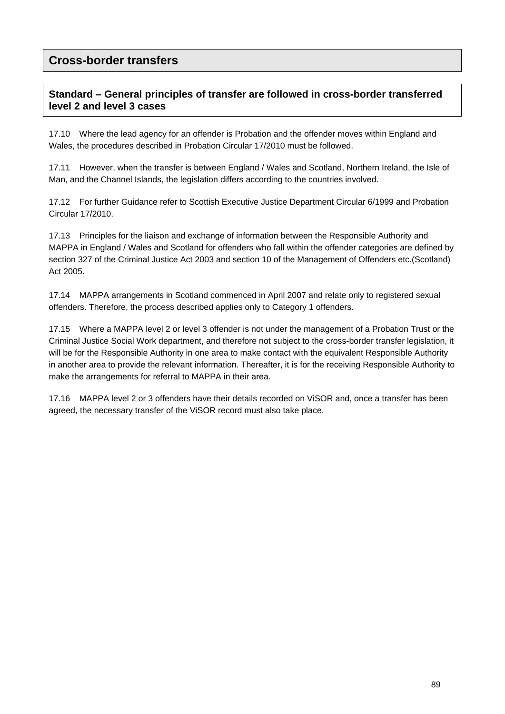## **Cross-border transfers**

#### **Standard – General principles of transfer are followed in cross-border transferred level 2 and level 3 cases**

17.10 Where the lead agency for an offender is Probation and the offender moves within England and Wales, the procedures described in Probation Circular 17/2010 must be followed.

17.11 However, when the transfer is between England / Wales and Scotland, Northern Ireland, the Isle of Man, and the Channel Islands, the legislation differs according to the countries involved.

17.12 For further Guidance refer to Scottish Executive Justice Department Circular 6/1999 and Probation Circular 17/2010.

17.13 Principles for the liaison and exchange of information between the Responsible Authority and MAPPA in England / Wales and Scotland for offenders who fall within the offender categories are defined by section 327 of the Criminal Justice Act 2003 and section 10 of the Management of Offenders etc.(Scotland) Act 2005.

17.14 MAPPA arrangements in Scotland commenced in April 2007 and relate only to registered sexual offenders. Therefore, the process described applies only to Category 1 offenders.

17.15 Where a MAPPA level 2 or level 3 offender is not under the management of a Probation Trust or the Criminal Justice Social Work department, and therefore not subject to the cross-border transfer legislation, it will be for the Responsible Authority in one area to make contact with the equivalent Responsible Authority in another area to provide the relevant information. Thereafter, it is for the receiving Responsible Authority to make the arrangements for referral to MAPPA in their area.

17.16 MAPPA level 2 or 3 offenders have their details recorded on ViSOR and, once a transfer has been agreed, the necessary transfer of the ViSOR record must also take place.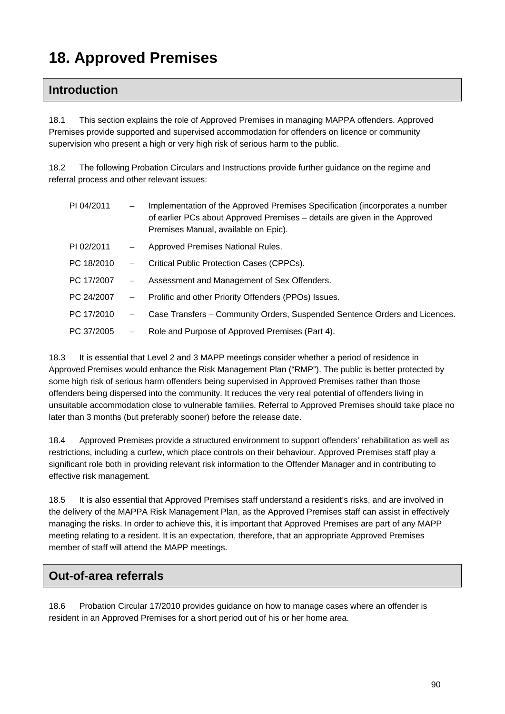# **18. Approved Premises**

## **Introduction**

18.1 This section explains the role of Approved Premises in managing MAPPA offenders. Approved Premises provide supported and supervised accommodation for offenders on licence or community supervision who present a high or very high risk of serious harm to the public.

18.2 The following Probation Circulars and Instructions provide further guidance on the regime and referral process and other relevant issues:

| PI 04/2011 | $\qquad \qquad -$ | Implementation of the Approved Premises Specification (incorporates a number<br>of earlier PCs about Approved Premises – details are given in the Approved<br>Premises Manual, available on Epic). |
|------------|-------------------|----------------------------------------------------------------------------------------------------------------------------------------------------------------------------------------------------|
| PI 02/2011 |                   | Approved Premises National Rules.                                                                                                                                                                  |
| PC 18/2010 | $\qquad \qquad -$ | Critical Public Protection Cases (CPPCs).                                                                                                                                                          |
| PC 17/2007 | $\qquad \qquad -$ | Assessment and Management of Sex Offenders.                                                                                                                                                        |
| PC 24/2007 | $\qquad \qquad -$ | Prolific and other Priority Offenders (PPOs) Issues.                                                                                                                                               |
| PC 17/2010 | $\qquad \qquad -$ | Case Transfers - Community Orders, Suspended Sentence Orders and Licences.                                                                                                                         |
| PC 37/2005 |                   | Role and Purpose of Approved Premises (Part 4).                                                                                                                                                    |

18.3 It is essential that Level 2 and 3 MAPP meetings consider whether a period of residence in Approved Premises would enhance the Risk Management Plan ("RMP"). The public is better protected by some high risk of serious harm offenders being supervised in Approved Premises rather than those offenders being dispersed into the community. It reduces the very real potential of offenders living in unsuitable accommodation close to vulnerable families. Referral to Approved Premises should take place no later than 3 months (but preferably sooner) before the release date.

18.4 Approved Premises provide a structured environment to support offenders' rehabilitation as well as restrictions, including a curfew, which place controls on their behaviour. Approved Premises staff play a significant role both in providing relevant risk information to the Offender Manager and in contributing to effective risk management.

18.5 It is also essential that Approved Premises staff understand a resident's risks, and are involved in the delivery of the MAPPA Risk Management Plan, as the Approved Premises staff can assist in effectively managing the risks. In order to achieve this, it is important that Approved Premises are part of any MAPP meeting relating to a resident. It is an expectation, therefore, that an appropriate Approved Premises member of staff will attend the MAPP meetings.

## **Out-of-area referrals**

18.6 Probation Circular 17/2010 provides guidance on how to manage cases where an offender is resident in an Approved Premises for a short period out of his or her home area.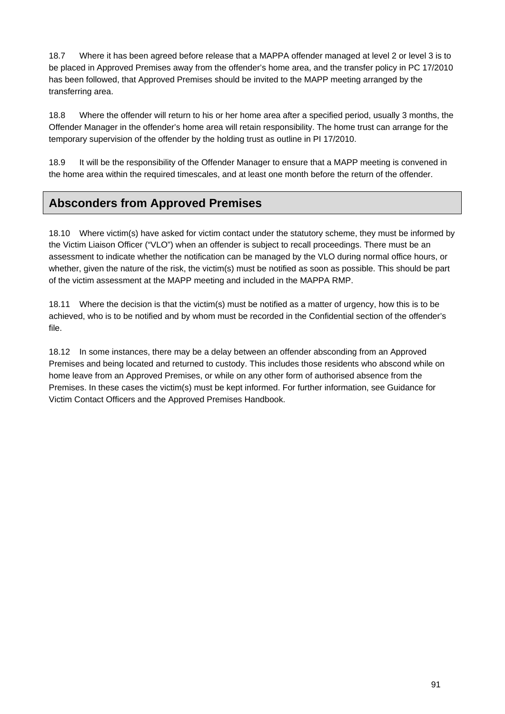18.7 Where it has been agreed before release that a MAPPA offender managed at level 2 or level 3 is to be placed in Approved Premises away from the offender's home area, and the transfer policy in PC 17/2010 has been followed, that Approved Premises should be invited to the MAPP meeting arranged by the transferring area.

18.8 Where the offender will return to his or her home area after a specified period, usually 3 months, the Offender Manager in the offender's home area will retain responsibility. The home trust can arrange for the temporary supervision of the offender by the holding trust as outline in PI 17/2010.

18.9 It will be the responsibility of the Offender Manager to ensure that a MAPP meeting is convened in the home area within the required timescales, and at least one month before the return of the offender.

# **Absconders from Approved Premises**

18.10 Where victim(s) have asked for victim contact under the statutory scheme, they must be informed by the Victim Liaison Officer ("VLO") when an offender is subject to recall proceedings. There must be an assessment to indicate whether the notification can be managed by the VLO during normal office hours, or whether, given the nature of the risk, the victim(s) must be notified as soon as possible. This should be part of the victim assessment at the MAPP meeting and included in the MAPPA RMP.

18.11 Where the decision is that the victim(s) must be notified as a matter of urgency, how this is to be achieved, who is to be notified and by whom must be recorded in the Confidential section of the offender's file.

18.12 In some instances, there may be a delay between an offender absconding from an Approved Premises and being located and returned to custody. This includes those residents who abscond while on home leave from an Approved Premises, or while on any other form of authorised absence from the Premises. In these cases the victim(s) must be kept informed. For further information, see Guidance for Victim Contact Officers and the Approved Premises Handbook.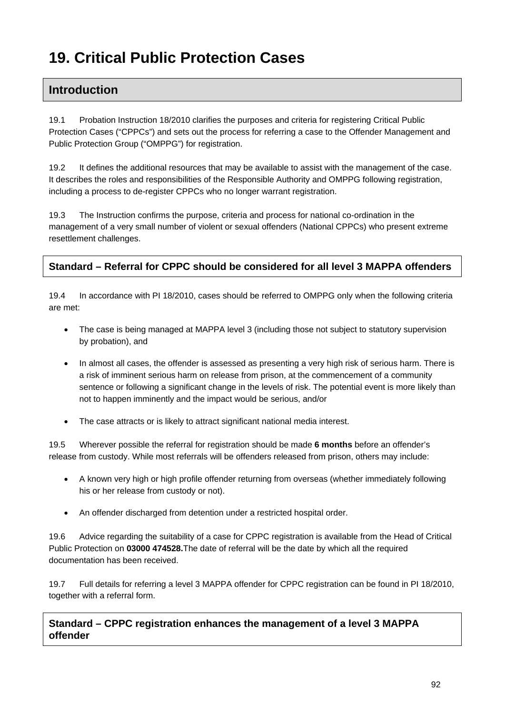# **19. Critical Public Protection Cases**

## **Introduction**

19.1 Probation Instruction 18/2010 clarifies the purposes and criteria for registering Critical Public Protection Cases ("CPPCs") and sets out the process for referring a case to the Offender Management and Public Protection Group ("OMPPG") for registration.

19.2 It defines the additional resources that may be available to assist with the management of the case. It describes the roles and responsibilities of the Responsible Authority and OMPPG following registration, including a process to de-register CPPCs who no longer warrant registration.

19.3 The Instruction confirms the purpose, criteria and process for national co-ordination in the management of a very small number of violent or sexual offenders (National CPPCs) who present extreme resettlement challenges.

#### **Standard – Referral for CPPC should be considered for all level 3 MAPPA offenders**

19.4 In accordance with PI 18/2010, cases should be referred to OMPPG only when the following criteria are met:

- The case is being managed at MAPPA level 3 (including those not subject to statutory supervision by probation), and
- In almost all cases, the offender is assessed as presenting a very high risk of serious harm. There is a risk of imminent serious harm on release from prison, at the commencement of a community sentence or following a significant change in the levels of risk. The potential event is more likely than not to happen imminently and the impact would be serious, and/or
- The case attracts or is likely to attract significant national media interest.

19.5 Wherever possible the referral for registration should be made **6 months** before an offender's release from custody. While most referrals will be offenders released from prison, others may include:

- A known very high or high profile offender returning from overseas (whether immediately following his or her release from custody or not).
- An offender discharged from detention under a restricted hospital order.

19.6 Advice regarding the suitability of a case for CPPC registration is available from the Head of Critical Public Protection on **03000 474528.**The date of referral will be the date by which all the required documentation has been received.

19.7 Full details for referring a level 3 MAPPA offender for CPPC registration can be found in PI 18/2010, together with a referral form.

**Standard – CPPC registration enhances the management of a level 3 MAPPA offender**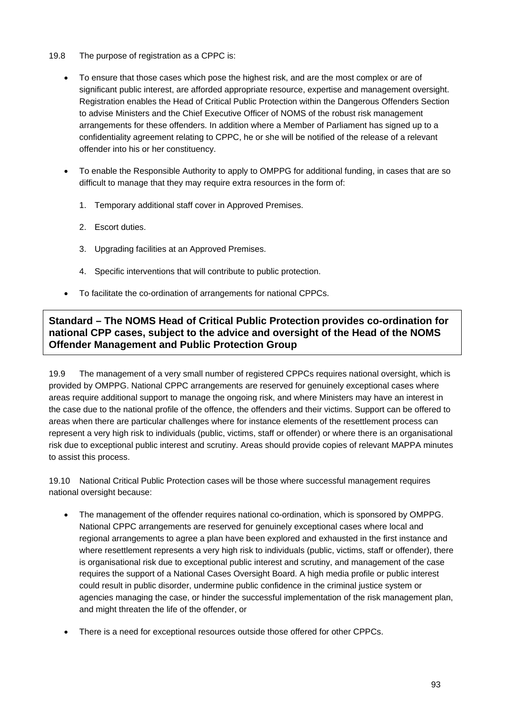- 19.8 The purpose of registration as a CPPC is:
	- To ensure that those cases which pose the highest risk, and are the most complex or are of significant public interest, are afforded appropriate resource, expertise and management oversight. Registration enables the Head of Critical Public Protection within the Dangerous Offenders Section to advise Ministers and the Chief Executive Officer of NOMS of the robust risk management arrangements for these offenders. In addition where a Member of Parliament has signed up to a confidentiality agreement relating to CPPC, he or she will be notified of the release of a relevant offender into his or her constituency.
	- To enable the Responsible Authority to apply to OMPPG for additional funding, in cases that are so difficult to manage that they may require extra resources in the form of:
		- 1. Temporary additional staff cover in Approved Premises.
		- 2. Escort duties.
		- 3. Upgrading facilities at an Approved Premises.
		- 4. Specific interventions that will contribute to public protection.
	- To facilitate the co-ordination of arrangements for national CPPCs.

#### **Standard – The NOMS Head of Critical Public Protection provides co-ordination for national CPP cases, subject to the advice and oversight of the Head of the NOMS Offender Management and Public Protection Group**

19.9 The management of a very small number of registered CPPCs requires national oversight, which is provided by OMPPG. National CPPC arrangements are reserved for genuinely exceptional cases where areas require additional support to manage the ongoing risk, and where Ministers may have an interest in the case due to the national profile of the offence, the offenders and their victims. Support can be offered to areas when there are particular challenges where for instance elements of the resettlement process can represent a very high risk to individuals (public, victims, staff or offender) or where there is an organisational risk due to exceptional public interest and scrutiny. Areas should provide copies of relevant MAPPA minutes to assist this process.

19.10 National Critical Public Protection cases will be those where successful management requires national oversight because:

- The management of the offender requires national co-ordination, which is sponsored by OMPPG. National CPPC arrangements are reserved for genuinely exceptional cases where local and regional arrangements to agree a plan have been explored and exhausted in the first instance and where resettlement represents a very high risk to individuals (public, victims, staff or offender), there is organisational risk due to exceptional public interest and scrutiny, and management of the case requires the support of a National Cases Oversight Board. A high media profile or public interest could result in public disorder, undermine public confidence in the criminal justice system or agencies managing the case, or hinder the successful implementation of the risk management plan, and might threaten the life of the offender, or
- There is a need for exceptional resources outside those offered for other CPPCs.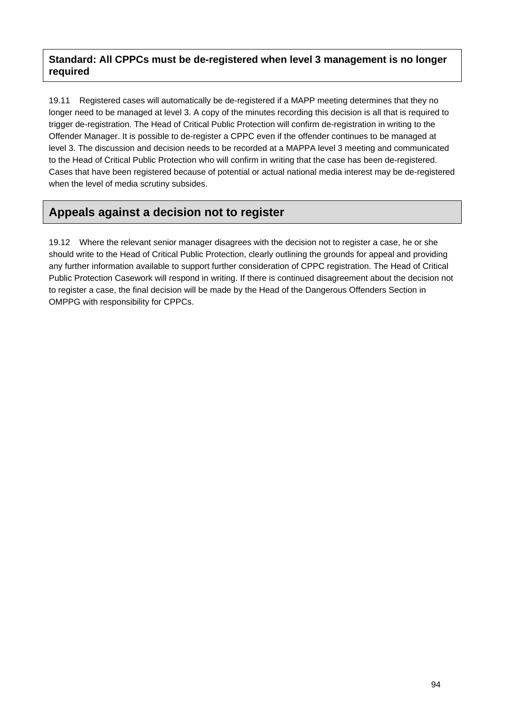#### **Standard: All CPPCs must be de-registered when level 3 management is no longer required**

19.11 Registered cases will automatically be de-registered if a MAPP meeting determines that they no longer need to be managed at level 3. A copy of the minutes recording this decision is all that is required to trigger de-registration. The Head of Critical Public Protection will confirm de-registration in writing to the Offender Manager. It is possible to de-register a CPPC even if the offender continues to be managed at level 3. The discussion and decision needs to be recorded at a MAPPA level 3 meeting and communicated to the Head of Critical Public Protection who will confirm in writing that the case has been de-registered. Cases that have been registered because of potential or actual national media interest may be de-registered when the level of media scrutiny subsides.

# **Appeals against a decision not to register**

19.12 Where the relevant senior manager disagrees with the decision not to register a case, he or she should write to the Head of Critical Public Protection, clearly outlining the grounds for appeal and providing any further information available to support further consideration of CPPC registration. The Head of Critical Public Protection Casework will respond in writing. If there is continued disagreement about the decision not to register a case, the final decision will be made by the Head of the Dangerous Offenders Section in OMPPG with responsibility for CPPCs.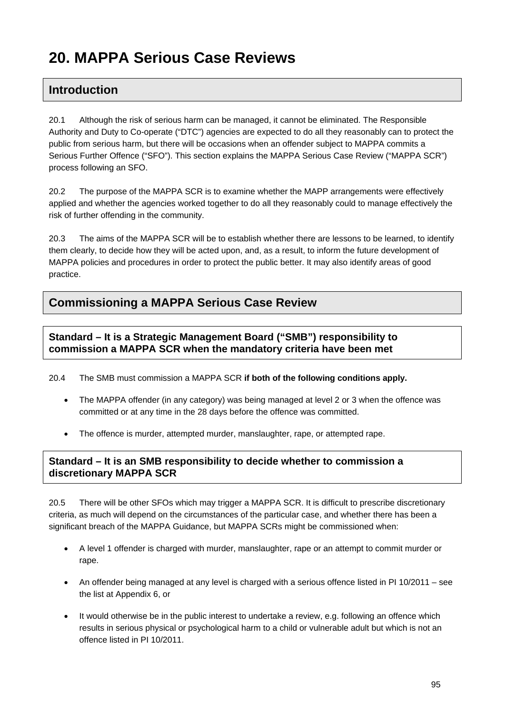# **20. MAPPA Serious Case Reviews**

## **Introduction**

20.1 Although the risk of serious harm can be managed, it cannot be eliminated. The Responsible Authority and Duty to Co-operate ("DTC") agencies are expected to do all they reasonably can to protect the public from serious harm, but there will be occasions when an offender subject to MAPPA commits a Serious Further Offence ("SFO"). This section explains the MAPPA Serious Case Review ("MAPPA SCR") process following an SFO.

20.2 The purpose of the MAPPA SCR is to examine whether the MAPP arrangements were effectively applied and whether the agencies worked together to do all they reasonably could to manage effectively the risk of further offending in the community.

20.3 The aims of the MAPPA SCR will be to establish whether there are lessons to be learned, to identify them clearly, to decide how they will be acted upon, and, as a result, to inform the future development of MAPPA policies and procedures in order to protect the public better. It may also identify areas of good practice.

## **Commissioning a MAPPA Serious Case Review**

**Standard – It is a Strategic Management Board ("SMB") responsibility to commission a MAPPA SCR when the mandatory criteria have been met** 

20.4 The SMB must commission a MAPPA SCR **if both of the following conditions apply.** 

- The MAPPA offender (in any category) was being managed at level 2 or 3 when the offence was committed or at any time in the 28 days before the offence was committed.
- The offence is murder, attempted murder, manslaughter, rape, or attempted rape.

#### **Standard – It is an SMB responsibility to decide whether to commission a discretionary MAPPA SCR**

20.5 There will be other SFOs which may trigger a MAPPA SCR. It is difficult to prescribe discretionary criteria, as much will depend on the circumstances of the particular case, and whether there has been a significant breach of the MAPPA Guidance, but MAPPA SCRs might be commissioned when:

- A level 1 offender is charged with murder, manslaughter, rape or an attempt to commit murder or rape.
- An offender being managed at any level is charged with a serious offence listed in PI 10/2011 see the list at Appendix 6, or
- It would otherwise be in the public interest to undertake a review, e.g. following an offence which results in serious physical or psychological harm to a child or vulnerable adult but which is not an offence listed in PI 10/2011.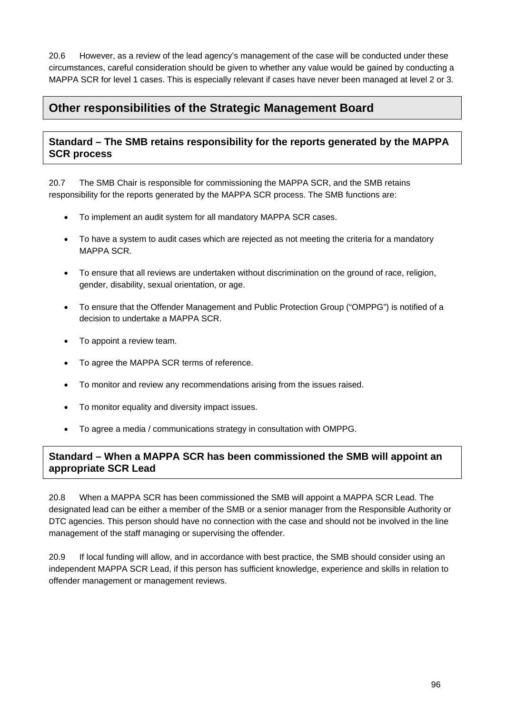20.6 However, as a review of the lead agency's management of the case will be conducted under these circumstances, careful consideration should be given to whether any value would be gained by conducting a MAPPA SCR for level 1 cases. This is especially relevant if cases have never been managed at level 2 or 3.

# **Other responsibilities of the Strategic Management Board**

#### **Standard – The SMB retains responsibility for the reports generated by the MAPPA SCR process**

20.7 The SMB Chair is responsible for commissioning the MAPPA SCR, and the SMB retains responsibility for the reports generated by the MAPPA SCR process. The SMB functions are:

- To implement an audit system for all mandatory MAPPA SCR cases.
- To have a system to audit cases which are rejected as not meeting the criteria for a mandatory MAPPA SCR.
- To ensure that all reviews are undertaken without discrimination on the ground of race, religion, gender, disability, sexual orientation, or age.
- To ensure that the Offender Management and Public Protection Group ("OMPPG") is notified of a decision to undertake a MAPPA SCR.
- To appoint a review team.
- To agree the MAPPA SCR terms of reference.
- To monitor and review any recommendations arising from the issues raised.
- To monitor equality and diversity impact issues.
- To agree a media / communications strategy in consultation with OMPPG.

#### **Standard – When a MAPPA SCR has been commissioned the SMB will appoint an appropriate SCR Lead**

20.8 When a MAPPA SCR has been commissioned the SMB will appoint a MAPPA SCR Lead. The designated lead can be either a member of the SMB or a senior manager from the Responsible Authority or DTC agencies. This person should have no connection with the case and should not be involved in the line management of the staff managing or supervising the offender.

20.9 If local funding will allow, and in accordance with best practice, the SMB should consider using an independent MAPPA SCR Lead, if this person has sufficient knowledge, experience and skills in relation to offender management or management reviews.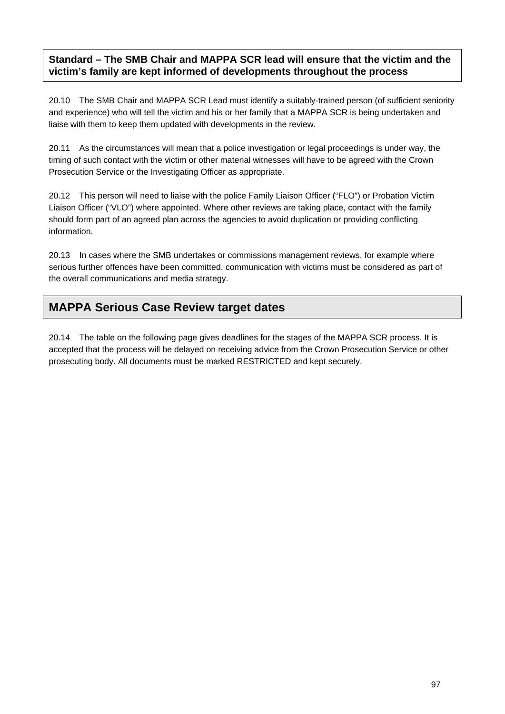#### **Standard – The SMB Chair and MAPPA SCR lead will ensure that the victim and the victim's family are kept informed of developments throughout the process**

20.10 The SMB Chair and MAPPA SCR Lead must identify a suitably-trained person (of sufficient seniority and experience) who will tell the victim and his or her family that a MAPPA SCR is being undertaken and liaise with them to keep them updated with developments in the review.

20.11 As the circumstances will mean that a police investigation or legal proceedings is under way, the timing of such contact with the victim or other material witnesses will have to be agreed with the Crown Prosecution Service or the Investigating Officer as appropriate.

20.12 This person will need to liaise with the police Family Liaison Officer ("FLO") or Probation Victim Liaison Officer ("VLO") where appointed. Where other reviews are taking place, contact with the family should form part of an agreed plan across the agencies to avoid duplication or providing conflicting information.

20.13 In cases where the SMB undertakes or commissions management reviews, for example where serious further offences have been committed, communication with victims must be considered as part of the overall communications and media strategy.

# **MAPPA Serious Case Review target dates**

20.14 The table on the following page gives deadlines for the stages of the MAPPA SCR process. It is accepted that the process will be delayed on receiving advice from the Crown Prosecution Service or other prosecuting body. All documents must be marked RESTRICTED and kept securely.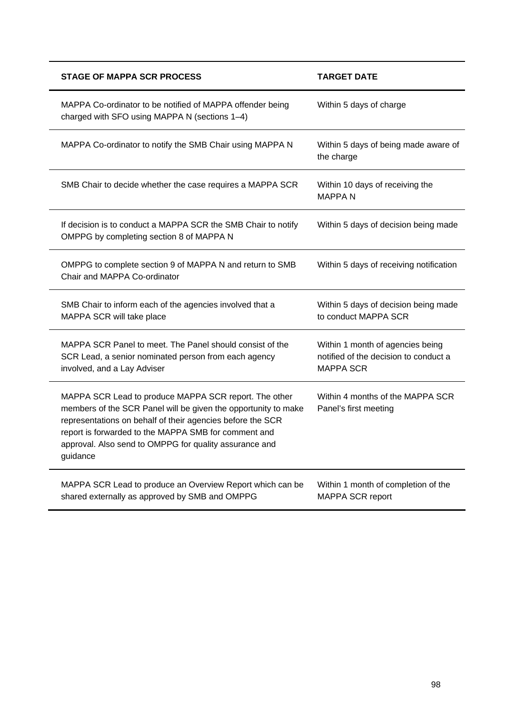| <b>STAGE OF MAPPA SCR PROCESS</b>                                                                                                                                                                                                                                                                                   | <b>TARGET DATE</b>                                                                            |
|---------------------------------------------------------------------------------------------------------------------------------------------------------------------------------------------------------------------------------------------------------------------------------------------------------------------|-----------------------------------------------------------------------------------------------|
| MAPPA Co-ordinator to be notified of MAPPA offender being<br>charged with SFO using MAPPA N (sections 1-4)                                                                                                                                                                                                          | Within 5 days of charge                                                                       |
| MAPPA Co-ordinator to notify the SMB Chair using MAPPA N                                                                                                                                                                                                                                                            | Within 5 days of being made aware of<br>the charge                                            |
| SMB Chair to decide whether the case requires a MAPPA SCR                                                                                                                                                                                                                                                           | Within 10 days of receiving the<br><b>MAPPAN</b>                                              |
| If decision is to conduct a MAPPA SCR the SMB Chair to notify<br>OMPPG by completing section 8 of MAPPA N                                                                                                                                                                                                           | Within 5 days of decision being made                                                          |
| OMPPG to complete section 9 of MAPPA N and return to SMB<br>Chair and MAPPA Co-ordinator                                                                                                                                                                                                                            | Within 5 days of receiving notification                                                       |
| SMB Chair to inform each of the agencies involved that a<br>MAPPA SCR will take place                                                                                                                                                                                                                               | Within 5 days of decision being made<br>to conduct MAPPA SCR                                  |
| MAPPA SCR Panel to meet. The Panel should consist of the<br>SCR Lead, a senior nominated person from each agency<br>involved, and a Lay Adviser                                                                                                                                                                     | Within 1 month of agencies being<br>notified of the decision to conduct a<br><b>MAPPA SCR</b> |
| MAPPA SCR Lead to produce MAPPA SCR report. The other<br>members of the SCR Panel will be given the opportunity to make<br>representations on behalf of their agencies before the SCR<br>report is forwarded to the MAPPA SMB for comment and<br>approval. Also send to OMPPG for quality assurance and<br>guidance | Within 4 months of the MAPPA SCR<br>Panel's first meeting                                     |
| MAPPA SCR Lead to produce an Overview Report which can be<br>shared externally as approved by SMB and OMPPG                                                                                                                                                                                                         | Within 1 month of completion of the<br>MAPPA SCR report                                       |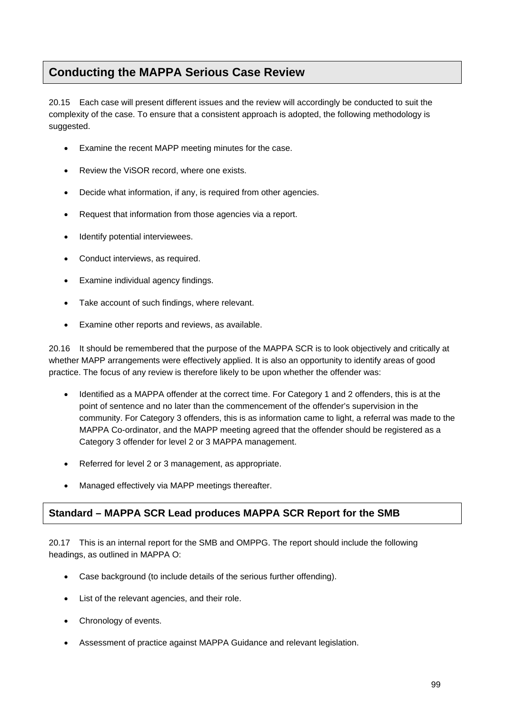# **Conducting the MAPPA Serious Case Review**

20.15 Each case will present different issues and the review will accordingly be conducted to suit the complexity of the case. To ensure that a consistent approach is adopted, the following methodology is suggested.

- Examine the recent MAPP meeting minutes for the case.
- Review the ViSOR record, where one exists.
- Decide what information, if any, is required from other agencies.
- Request that information from those agencies via a report.
- Identify potential interviewees.
- Conduct interviews, as required.
- Examine individual agency findings.
- Take account of such findings, where relevant.
- Examine other reports and reviews, as available.

20.16 It should be remembered that the purpose of the MAPPA SCR is to look objectively and critically at whether MAPP arrangements were effectively applied. It is also an opportunity to identify areas of good practice. The focus of any review is therefore likely to be upon whether the offender was:

- Identified as a MAPPA offender at the correct time. For Category 1 and 2 offenders, this is at the point of sentence and no later than the commencement of the offender's supervision in the community. For Category 3 offenders, this is as information came to light, a referral was made to the MAPPA Co-ordinator, and the MAPP meeting agreed that the offender should be registered as a Category 3 offender for level 2 or 3 MAPPA management.
- Referred for level 2 or 3 management, as appropriate.
- Managed effectively via MAPP meetings thereafter.

### **Standard – MAPPA SCR Lead produces MAPPA SCR Report for the SMB**

20.17 This is an internal report for the SMB and OMPPG. The report should include the following headings, as outlined in MAPPA O:

- Case background (to include details of the serious further offending).
- List of the relevant agencies, and their role.
- Chronology of events.
- Assessment of practice against MAPPA Guidance and relevant legislation.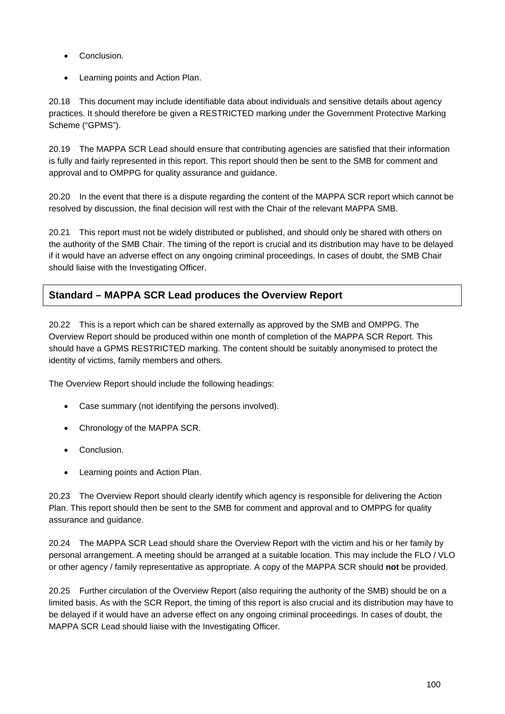- Conclusion.
- Learning points and Action Plan.

20.18 This document may include identifiable data about individuals and sensitive details about agency practices. It should therefore be given a RESTRICTED marking under the Government Protective Marking Scheme ("GPMS").

20.19 The MAPPA SCR Lead should ensure that contributing agencies are satisfied that their information is fully and fairly represented in this report. This report should then be sent to the SMB for comment and approval and to OMPPG for quality assurance and guidance.

20.20 In the event that there is a dispute regarding the content of the MAPPA SCR report which cannot be resolved by discussion, the final decision will rest with the Chair of the relevant MAPPA SMB.

20.21 This report must not be widely distributed or published, and should only be shared with others on the authority of the SMB Chair. The timing of the report is crucial and its distribution may have to be delayed if it would have an adverse effect on any ongoing criminal proceedings. In cases of doubt, the SMB Chair should liaise with the Investigating Officer.

### **Standard – MAPPA SCR Lead produces the Overview Report**

20.22 This is a report which can be shared externally as approved by the SMB and OMPPG. The Overview Report should be produced within one month of completion of the MAPPA SCR Report. This should have a GPMS RESTRICTED marking. The content should be suitably anonymised to protect the identity of victims, family members and others.

The Overview Report should include the following headings:

- Case summary (not identifying the persons involved).
- Chronology of the MAPPA SCR.
- Conclusion.
- Learning points and Action Plan.

20.23 The Overview Report should clearly identify which agency is responsible for delivering the Action Plan. This report should then be sent to the SMB for comment and approval and to OMPPG for quality assurance and guidance.

20.24 The MAPPA SCR Lead should share the Overview Report with the victim and his or her family by personal arrangement. A meeting should be arranged at a suitable location. This may include the FLO / VLO or other agency / family representative as appropriate. A copy of the MAPPA SCR should **not** be provided.

20.25 Further circulation of the Overview Report (also requiring the authority of the SMB) should be on a limited basis. As with the SCR Report, the timing of this report is also crucial and its distribution may have to be delayed if it would have an adverse effect on any ongoing criminal proceedings. In cases of doubt, the MAPPA SCR Lead should liaise with the Investigating Officer.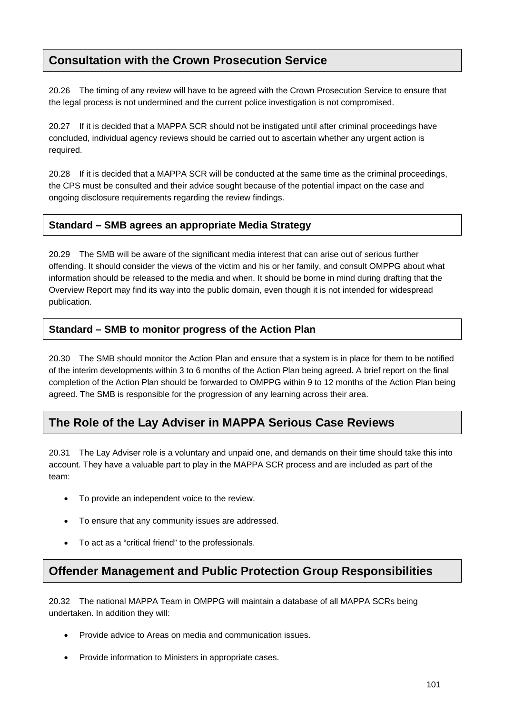# **Consultation with the Crown Prosecution Service**

20.26 The timing of any review will have to be agreed with the Crown Prosecution Service to ensure that the legal process is not undermined and the current police investigation is not compromised.

20.27 If it is decided that a MAPPA SCR should not be instigated until after criminal proceedings have concluded, individual agency reviews should be carried out to ascertain whether any urgent action is required.

20.28 If it is decided that a MAPPA SCR will be conducted at the same time as the criminal proceedings, the CPS must be consulted and their advice sought because of the potential impact on the case and ongoing disclosure requirements regarding the review findings.

### **Standard – SMB agrees an appropriate Media Strategy**

20.29 The SMB will be aware of the significant media interest that can arise out of serious further offending. It should consider the views of the victim and his or her family, and consult OMPPG about what information should be released to the media and when. It should be borne in mind during drafting that the Overview Report may find its way into the public domain, even though it is not intended for widespread publication.

### **Standard – SMB to monitor progress of the Action Plan**

20.30 The SMB should monitor the Action Plan and ensure that a system is in place for them to be notified of the interim developments within 3 to 6 months of the Action Plan being agreed. A brief report on the final completion of the Action Plan should be forwarded to OMPPG within 9 to 12 months of the Action Plan being agreed. The SMB is responsible for the progression of any learning across their area.

# **The Role of the Lay Adviser in MAPPA Serious Case Reviews**

20.31 The Lay Adviser role is a voluntary and unpaid one, and demands on their time should take this into account. They have a valuable part to play in the MAPPA SCR process and are included as part of the team:

- To provide an independent voice to the review.
- To ensure that any community issues are addressed.
- To act as a "critical friend" to the professionals.

## **Offender Management and Public Protection Group Responsibilities**

20.32 The national MAPPA Team in OMPPG will maintain a database of all MAPPA SCRs being undertaken. In addition they will:

- Provide advice to Areas on media and communication issues.
- Provide information to Ministers in appropriate cases.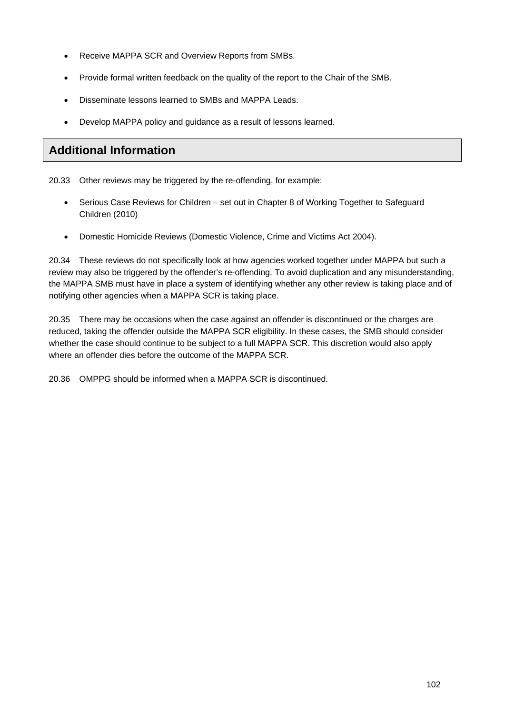- Receive MAPPA SCR and Overview Reports from SMBs.
- Provide formal written feedback on the quality of the report to the Chair of the SMB.
- Disseminate lessons learned to SMBs and MAPPA Leads.
- Develop MAPPA policy and guidance as a result of lessons learned.

# **Additional Information**

20.33 Other reviews may be triggered by the re-offending, for example:

- Serious Case Reviews for Children set out in Chapter 8 of Working Together to Safeguard Children (2010)
- Domestic Homicide Reviews (Domestic Violence, Crime and Victims Act 2004).

20.34 These reviews do not specifically look at how agencies worked together under MAPPA but such a review may also be triggered by the offender's re-offending. To avoid duplication and any misunderstanding, the MAPPA SMB must have in place a system of identifying whether any other review is taking place and of notifying other agencies when a MAPPA SCR is taking place.

20.35 There may be occasions when the case against an offender is discontinued or the charges are reduced, taking the offender outside the MAPPA SCR eligibility. In these cases, the SMB should consider whether the case should continue to be subject to a full MAPPA SCR. This discretion would also apply where an offender dies before the outcome of the MAPPA SCR.

20.36 OMPPG should be informed when a MAPPA SCR is discontinued.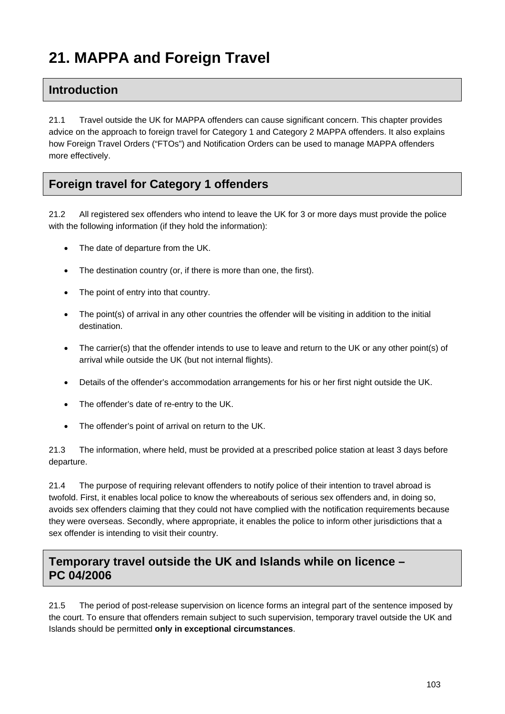# **21. MAPPA and Foreign Travel**

## **Introduction**

21.1 Travel outside the UK for MAPPA offenders can cause significant concern. This chapter provides advice on the approach to foreign travel for Category 1 and Category 2 MAPPA offenders. It also explains how Foreign Travel Orders ("FTOs") and Notification Orders can be used to manage MAPPA offenders more effectively.

# **Foreign travel for Category 1 offenders**

21.2 All registered sex offenders who intend to leave the UK for 3 or more days must provide the police with the following information (if they hold the information):

- The date of departure from the UK.
- The destination country (or, if there is more than one, the first).
- The point of entry into that country.
- The point(s) of arrival in any other countries the offender will be visiting in addition to the initial destination.
- The carrier(s) that the offender intends to use to leave and return to the UK or any other point(s) of arrival while outside the UK (but not internal flights).
- Details of the offender's accommodation arrangements for his or her first night outside the UK.
- The offender's date of re-entry to the UK.
- The offender's point of arrival on return to the UK.

21.3 The information, where held, must be provided at a prescribed police station at least 3 days before departure.

21.4 The purpose of requiring relevant offenders to notify police of their intention to travel abroad is twofold. First, it enables local police to know the whereabouts of serious sex offenders and, in doing so, avoids sex offenders claiming that they could not have complied with the notification requirements because they were overseas. Secondly, where appropriate, it enables the police to inform other jurisdictions that a sex offender is intending to visit their country.

## **Temporary travel outside the UK and Islands while on licence – PC 04/2006**

21.5 The period of post-release supervision on licence forms an integral part of the sentence imposed by the court. To ensure that offenders remain subject to such supervision, temporary travel outside the UK and Islands should be permitted **only in exceptional circumstances**.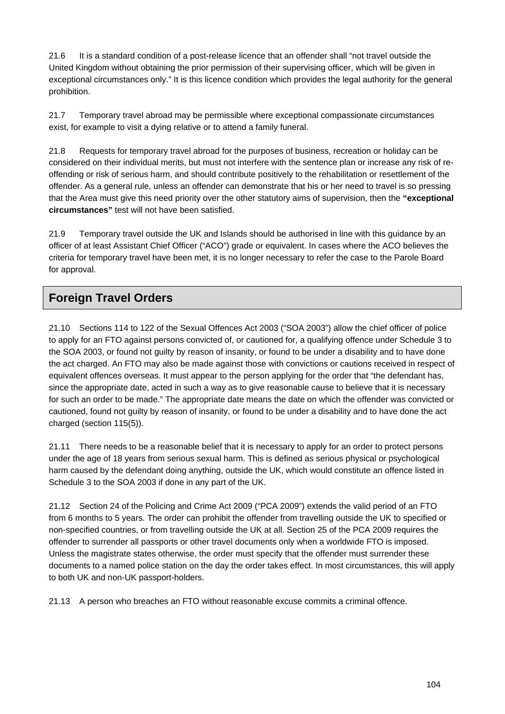21.6 It is a standard condition of a post-release licence that an offender shall "not travel outside the United Kingdom without obtaining the prior permission of their supervising officer, which will be given in exceptional circumstances only." It is this licence condition which provides the legal authority for the general prohibition.

21.7 Temporary travel abroad may be permissible where exceptional compassionate circumstances exist, for example to visit a dying relative or to attend a family funeral.

21.8 Requests for temporary travel abroad for the purposes of business, recreation or holiday can be considered on their individual merits, but must not interfere with the sentence plan or increase any risk of reoffending or risk of serious harm, and should contribute positively to the rehabilitation or resettlement of the offender. As a general rule, unless an offender can demonstrate that his or her need to travel is so pressing that the Area must give this need priority over the other statutory aims of supervision, then the **"exceptional circumstances"** test will not have been satisfied.

21.9 Temporary travel outside the UK and Islands should be authorised in line with this guidance by an officer of at least Assistant Chief Officer ("ACO") grade or equivalent. In cases where the ACO believes the criteria for temporary travel have been met, it is no longer necessary to refer the case to the Parole Board for approval.

# **Foreign Travel Orders**

21.10 Sections 114 to 122 of the Sexual Offences Act 2003 ("SOA 2003") allow the chief officer of police to apply for an FTO against persons convicted of, or cautioned for, a qualifying offence under Schedule 3 to the SOA 2003, or found not guilty by reason of insanity, or found to be under a disability and to have done the act charged. An FTO may also be made against those with convictions or cautions received in respect of equivalent offences overseas. It must appear to the person applying for the order that "the defendant has, since the appropriate date, acted in such a way as to give reasonable cause to believe that it is necessary for such an order to be made." The appropriate date means the date on which the offender was convicted or cautioned, found not guilty by reason of insanity, or found to be under a disability and to have done the act charged (section 115(5)).

21.11 There needs to be a reasonable belief that it is necessary to apply for an order to protect persons under the age of 18 years from serious sexual harm. This is defined as serious physical or psychological harm caused by the defendant doing anything, outside the UK, which would constitute an offence listed in Schedule 3 to the SOA 2003 if done in any part of the UK.

21.12 Section 24 of the Policing and Crime Act 2009 ("PCA 2009") extends the valid period of an FTO from 6 months to 5 years. The order can prohibit the offender from travelling outside the UK to specified or non-specified countries, or from travelling outside the UK at all. Section 25 of the PCA 2009 requires the offender to surrender all passports or other travel documents only when a worldwide FTO is imposed. Unless the magistrate states otherwise, the order must specify that the offender must surrender these documents to a named police station on the day the order takes effect. In most circumstances, this will apply to both UK and non-UK passport-holders.

21.13 A person who breaches an FTO without reasonable excuse commits a criminal offence.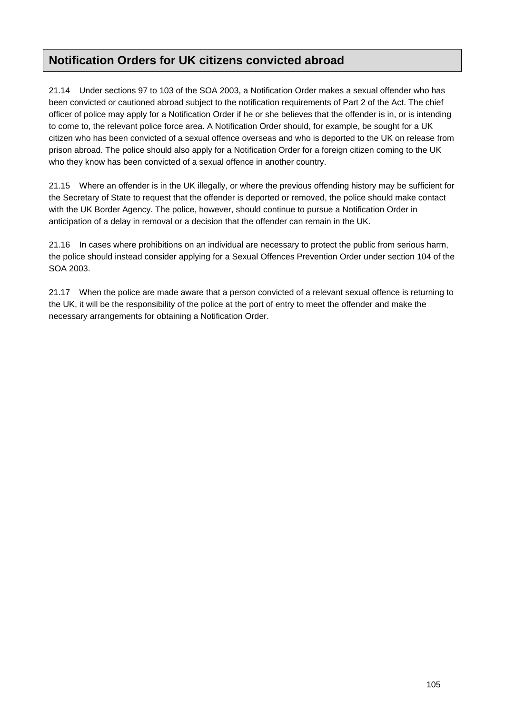# **Notification Orders for UK citizens convicted abroad**

21.14 Under sections 97 to 103 of the SOA 2003, a Notification Order makes a sexual offender who has been convicted or cautioned abroad subject to the notification requirements of Part 2 of the Act. The chief officer of police may apply for a Notification Order if he or she believes that the offender is in, or is intending to come to, the relevant police force area. A Notification Order should, for example, be sought for a UK citizen who has been convicted of a sexual offence overseas and who is deported to the UK on release from prison abroad. The police should also apply for a Notification Order for a foreign citizen coming to the UK who they know has been convicted of a sexual offence in another country.

21.15 Where an offender is in the UK illegally, or where the previous offending history may be sufficient for the Secretary of State to request that the offender is deported or removed, the police should make contact with the UK Border Agency. The police, however, should continue to pursue a Notification Order in anticipation of a delay in removal or a decision that the offender can remain in the UK.

21.16 In cases where prohibitions on an individual are necessary to protect the public from serious harm, the police should instead consider applying for a Sexual Offences Prevention Order under section 104 of the SOA 2003.

21.17 When the police are made aware that a person convicted of a relevant sexual offence is returning to the UK, it will be the responsibility of the police at the port of entry to meet the offender and make the necessary arrangements for obtaining a Notification Order.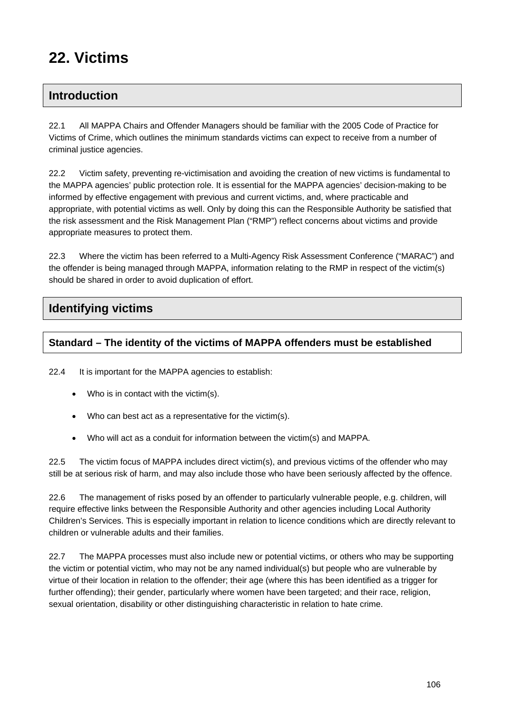# **22. Victims**

# **Introduction**

22.1 All MAPPA Chairs and Offender Managers should be familiar with the 2005 Code of Practice for Victims of Crime, which outlines the minimum standards victims can expect to receive from a number of criminal justice agencies.

22.2 Victim safety, preventing re-victimisation and avoiding the creation of new victims is fundamental to the MAPPA agencies' public protection role. It is essential for the MAPPA agencies' decision-making to be informed by effective engagement with previous and current victims, and, where practicable and appropriate, with potential victims as well. Only by doing this can the Responsible Authority be satisfied that the risk assessment and the Risk Management Plan ("RMP") reflect concerns about victims and provide appropriate measures to protect them.

22.3 Where the victim has been referred to a Multi-Agency Risk Assessment Conference ("MARAC") and the offender is being managed through MAPPA, information relating to the RMP in respect of the victim(s) should be shared in order to avoid duplication of effort.

# **Identifying victims**

### **Standard – The identity of the victims of MAPPA offenders must be established**

22.4 It is important for the MAPPA agencies to establish:

- Who is in contact with the victim(s).
- Who can best act as a representative for the victim(s).
- Who will act as a conduit for information between the victim(s) and MAPPA.

22.5 The victim focus of MAPPA includes direct victim(s), and previous victims of the offender who may still be at serious risk of harm, and may also include those who have been seriously affected by the offence.

22.6 The management of risks posed by an offender to particularly vulnerable people, e.g. children, will require effective links between the Responsible Authority and other agencies including Local Authority Children's Services. This is especially important in relation to licence conditions which are directly relevant to children or vulnerable adults and their families.

22.7 The MAPPA processes must also include new or potential victims, or others who may be supporting the victim or potential victim, who may not be any named individual(s) but people who are vulnerable by virtue of their location in relation to the offender; their age (where this has been identified as a trigger for further offending); their gender, particularly where women have been targeted; and their race, religion, sexual orientation, disability or other distinguishing characteristic in relation to hate crime.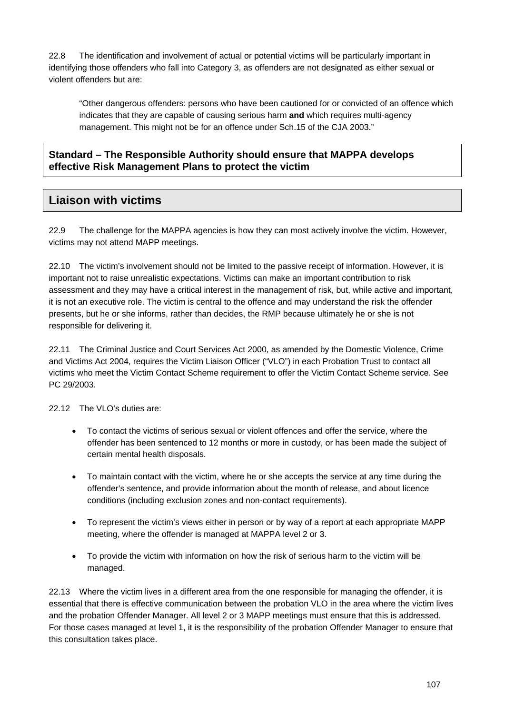22.8 The identification and involvement of actual or potential victims will be particularly important in identifying those offenders who fall into Category 3, as offenders are not designated as either sexual or violent offenders but are:

"Other dangerous offenders: persons who have been cautioned for or convicted of an offence which indicates that they are capable of causing serious harm **and** which requires multi-agency management. This might not be for an offence under Sch.15 of the CJA 2003."

### **Standard – The Responsible Authority should ensure that MAPPA develops effective Risk Management Plans to protect the victim**

## **Liaison with victims**

22.9 The challenge for the MAPPA agencies is how they can most actively involve the victim. However, victims may not attend MAPP meetings.

22.10 The victim's involvement should not be limited to the passive receipt of information. However, it is important not to raise unrealistic expectations. Victims can make an important contribution to risk assessment and they may have a critical interest in the management of risk, but, while active and important, it is not an executive role. The victim is central to the offence and may understand the risk the offender presents, but he or she informs, rather than decides, the RMP because ultimately he or she is not responsible for delivering it.

22.11 The Criminal Justice and Court Services Act 2000, as amended by the Domestic Violence, Crime and Victims Act 2004, requires the Victim Liaison Officer ("VLO") in each Probation Trust to contact all victims who meet the Victim Contact Scheme requirement to offer the Victim Contact Scheme service. See PC 29/2003.

22.12 The VLO's duties are:

- To contact the victims of serious sexual or violent offences and offer the service, where the offender has been sentenced to 12 months or more in custody, or has been made the subject of certain mental health disposals.
- To maintain contact with the victim, where he or she accepts the service at any time during the offender's sentence, and provide information about the month of release, and about licence conditions (including exclusion zones and non-contact requirements).
- To represent the victim's views either in person or by way of a report at each appropriate MAPP meeting, where the offender is managed at MAPPA level 2 or 3.
- To provide the victim with information on how the risk of serious harm to the victim will be managed.

22.13 Where the victim lives in a different area from the one responsible for managing the offender, it is essential that there is effective communication between the probation VLO in the area where the victim lives and the probation Offender Manager. All level 2 or 3 MAPP meetings must ensure that this is addressed. For those cases managed at level 1, it is the responsibility of the probation Offender Manager to ensure that this consultation takes place.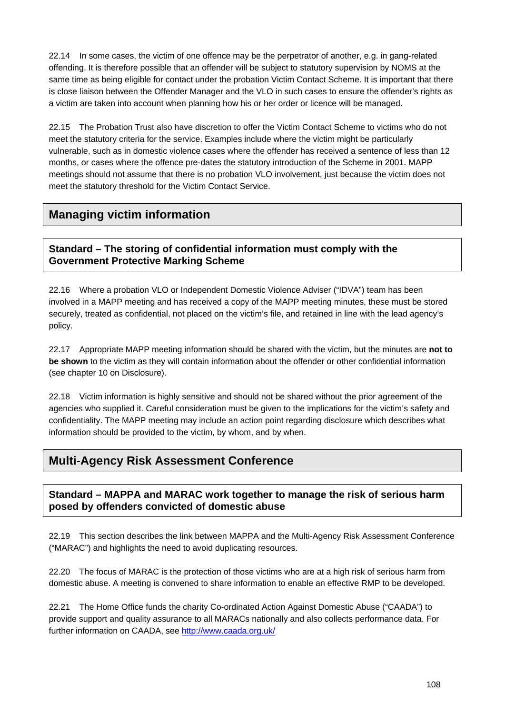22.14 In some cases, the victim of one offence may be the perpetrator of another, e.g. in gang-related offending. It is therefore possible that an offender will be subject to statutory supervision by NOMS at the same time as being eligible for contact under the probation Victim Contact Scheme. It is important that there is close liaison between the Offender Manager and the VLO in such cases to ensure the offender's rights as a victim are taken into account when planning how his or her order or licence will be managed.

22.15 The Probation Trust also have discretion to offer the Victim Contact Scheme to victims who do not meet the statutory criteria for the service. Examples include where the victim might be particularly vulnerable, such as in domestic violence cases where the offender has received a sentence of less than 12 months, or cases where the offence pre-dates the statutory introduction of the Scheme in 2001. MAPP meetings should not assume that there is no probation VLO involvement, just because the victim does not meet the statutory threshold for the Victim Contact Service.

# **Managing victim information**

**Standard – The storing of confidential information must comply with the Government Protective Marking Scheme** 

22.16 Where a probation VLO or Independent Domestic Violence Adviser ("IDVA") team has been involved in a MAPP meeting and has received a copy of the MAPP meeting minutes, these must be stored securely, treated as confidential, not placed on the victim's file, and retained in line with the lead agency's policy.

22.17 Appropriate MAPP meeting information should be shared with the victim, but the minutes are **not to be shown** to the victim as they will contain information about the offender or other confidential information (see chapter 10 on Disclosure).

22.18 Victim information is highly sensitive and should not be shared without the prior agreement of the agencies who supplied it. Careful consideration must be given to the implications for the victim's safety and confidentiality. The MAPP meeting may include an action point regarding disclosure which describes what information should be provided to the victim, by whom, and by when.

# **Multi-Agency Risk Assessment Conference**

### **Standard – MAPPA and MARAC work together to manage the risk of serious harm posed by offenders convicted of domestic abuse**

22.19 This section describes the link between MAPPA and the Multi-Agency Risk Assessment Conference ("MARAC") and highlights the need to avoid duplicating resources.

22.20 The focus of MARAC is the protection of those victims who are at a high risk of serious harm from domestic abuse. A meeting is convened to share information to enable an effective RMP to be developed.

22.21 The Home Office funds the charity Co-ordinated Action Against Domestic Abuse ("CAADA") to provide support and quality assurance to all MARACs nationally and also collects performance data. For further information on CAADA, see<http://www.caada.org.uk/>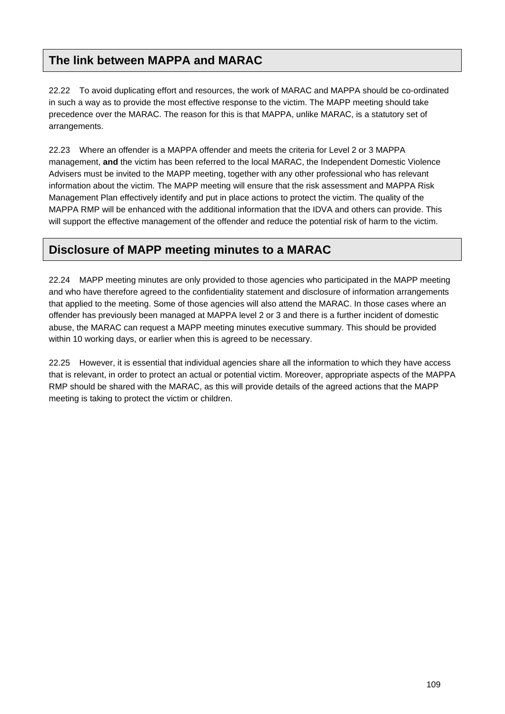# **The link between MAPPA and MARAC**

22.22 To avoid duplicating effort and resources, the work of MARAC and MAPPA should be co-ordinated in such a way as to provide the most effective response to the victim. The MAPP meeting should take precedence over the MARAC. The reason for this is that MAPPA, unlike MARAC, is a statutory set of arrangements.

22.23 Where an offender is a MAPPA offender and meets the criteria for Level 2 or 3 MAPPA management, **and** the victim has been referred to the local MARAC, the Independent Domestic Violence Advisers must be invited to the MAPP meeting, together with any other professional who has relevant information about the victim. The MAPP meeting will ensure that the risk assessment and MAPPA Risk Management Plan effectively identify and put in place actions to protect the victim. The quality of the MAPPA RMP will be enhanced with the additional information that the IDVA and others can provide. This will support the effective management of the offender and reduce the potential risk of harm to the victim.

# **Disclosure of MAPP meeting minutes to a MARAC**

22.24 MAPP meeting minutes are only provided to those agencies who participated in the MAPP meeting and who have therefore agreed to the confidentiality statement and disclosure of information arrangements that applied to the meeting. Some of those agencies will also attend the MARAC. In those cases where an offender has previously been managed at MAPPA level 2 or 3 and there is a further incident of domestic abuse, the MARAC can request a MAPP meeting minutes executive summary. This should be provided within 10 working days, or earlier when this is agreed to be necessary.

22.25 However, it is essential that individual agencies share all the information to which they have access that is relevant, in order to protect an actual or potential victim. Moreover, appropriate aspects of the MAPPA RMP should be shared with the MARAC, as this will provide details of the agreed actions that the MAPP meeting is taking to protect the victim or children.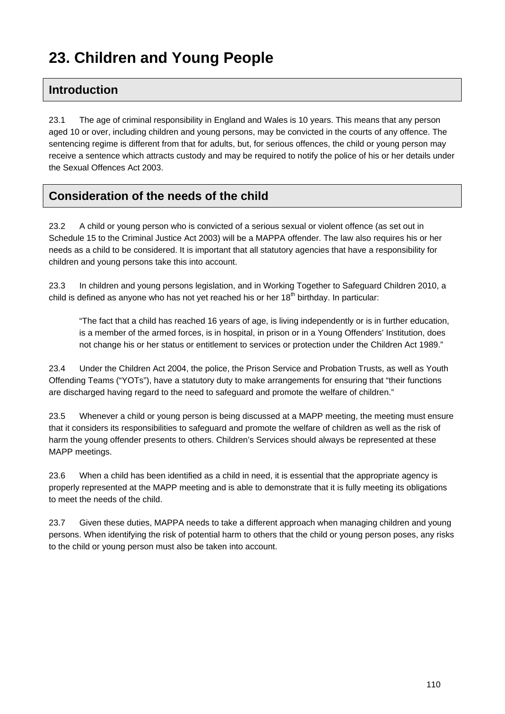# **23. Children and Young People**

# **Introduction**

23.1 The age of criminal responsibility in England and Wales is 10 years. This means that any person aged 10 or over, including children and young persons, may be convicted in the courts of any offence. The sentencing regime is different from that for adults, but, for serious offences, the child or young person may receive a sentence which attracts custody and may be required to notify the police of his or her details under the Sexual Offences Act 2003.

# **Consideration of the needs of the child**

23.2 A child or young person who is convicted of a serious sexual or violent offence (as set out in Schedule 15 to the Criminal Justice Act 2003) will be a MAPPA offender. The law also requires his or her needs as a child to be considered. It is important that all statutory agencies that have a responsibility for children and young persons take this into account.

23.3 In children and young persons legislation, and in Working Together to Safeguard Children 2010, a child is defined as anyone who has not yet reached his or her  $18<sup>th</sup>$  birthday. In particular:

"The fact that a child has reached 16 years of age, is living independently or is in further education, is a member of the armed forces, is in hospital, in prison or in a Young Offenders' Institution, does not change his or her status or entitlement to services or protection under the Children Act 1989."

23.4 Under the Children Act 2004, the police, the Prison Service and Probation Trusts, as well as Youth Offending Teams ("YOTs"), have a statutory duty to make arrangements for ensuring that "their functions are discharged having regard to the need to safeguard and promote the welfare of children."

23.5 Whenever a child or young person is being discussed at a MAPP meeting, the meeting must ensure that it considers its responsibilities to safeguard and promote the welfare of children as well as the risk of harm the young offender presents to others. Children's Services should always be represented at these MAPP meetings.

23.6 When a child has been identified as a child in need, it is essential that the appropriate agency is properly represented at the MAPP meeting and is able to demonstrate that it is fully meeting its obligations to meet the needs of the child.

23.7 Given these duties, MAPPA needs to take a different approach when managing children and young persons. When identifying the risk of potential harm to others that the child or young person poses, any risks to the child or young person must also be taken into account.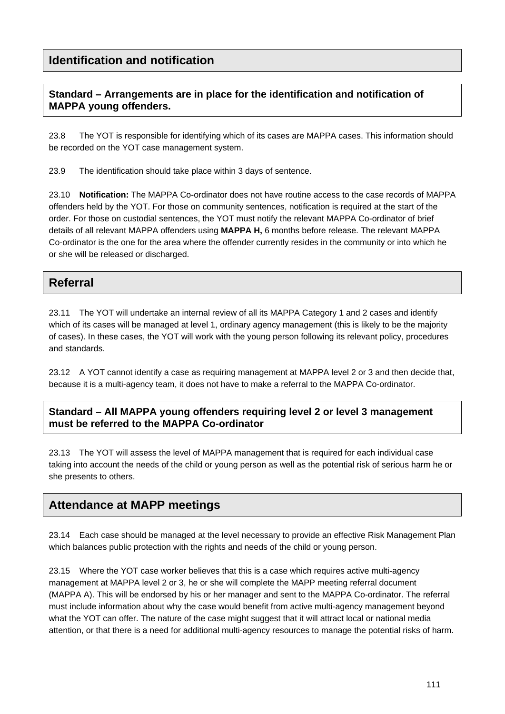# **Identification and notification**

### **Standard – Arrangements are in place for the identification and notification of MAPPA young offenders.**

23.8 The YOT is responsible for identifying which of its cases are MAPPA cases. This information should be recorded on the YOT case management system.

23.9 The identification should take place within 3 days of sentence.

23.10 **Notification:** The MAPPA Co-ordinator does not have routine access to the case records of MAPPA offenders held by the YOT. For those on community sentences, notification is required at the start of the order. For those on custodial sentences, the YOT must notify the relevant MAPPA Co-ordinator of brief details of all relevant MAPPA offenders using **MAPPA H,** 6 months before release. The relevant MAPPA Co-ordinator is the one for the area where the offender currently resides in the community or into which he or she will be released or discharged.

## **Referral**

23.11 The YOT will undertake an internal review of all its MAPPA Category 1 and 2 cases and identify which of its cases will be managed at level 1, ordinary agency management (this is likely to be the majority of cases). In these cases, the YOT will work with the young person following its relevant policy, procedures and standards.

23.12 A YOT cannot identify a case as requiring management at MAPPA level 2 or 3 and then decide that, because it is a multi-agency team, it does not have to make a referral to the MAPPA Co-ordinator.

### **Standard – All MAPPA young offenders requiring level 2 or level 3 management must be referred to the MAPPA Co-ordinator**

23.13 The YOT will assess the level of MAPPA management that is required for each individual case taking into account the needs of the child or young person as well as the potential risk of serious harm he or she presents to others.

# **Attendance at MAPP meetings**

23.14 Each case should be managed at the level necessary to provide an effective Risk Management Plan which balances public protection with the rights and needs of the child or young person.

23.15 Where the YOT case worker believes that this is a case which requires active multi-agency management at MAPPA level 2 or 3, he or she will complete the MAPP meeting referral document (MAPPA A). This will be endorsed by his or her manager and sent to the MAPPA Co-ordinator. The referral must include information about why the case would benefit from active multi-agency management beyond what the YOT can offer. The nature of the case might suggest that it will attract local or national media attention, or that there is a need for additional multi-agency resources to manage the potential risks of harm.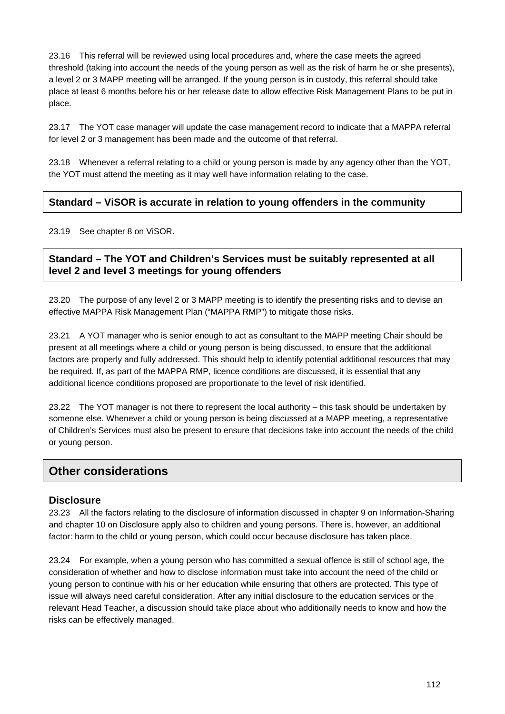23.16 This referral will be reviewed using local procedures and, where the case meets the agreed threshold (taking into account the needs of the young person as well as the risk of harm he or she presents), a level 2 or 3 MAPP meeting will be arranged. If the young person is in custody, this referral should take place at least 6 months before his or her release date to allow effective Risk Management Plans to be put in place.

23.17 The YOT case manager will update the case management record to indicate that a MAPPA referral for level 2 or 3 management has been made and the outcome of that referral.

23.18 Whenever a referral relating to a child or young person is made by any agency other than the YOT, the YOT must attend the meeting as it may well have information relating to the case.

### **Standard – ViSOR is accurate in relation to young offenders in the community**

23.19 See chapter 8 on ViSOR.

### **Standard – The YOT and Children's Services must be suitably represented at all level 2 and level 3 meetings for young offenders**

23.20 The purpose of any level 2 or 3 MAPP meeting is to identify the presenting risks and to devise an effective MAPPA Risk Management Plan ("MAPPA RMP") to mitigate those risks.

23.21 A YOT manager who is senior enough to act as consultant to the MAPP meeting Chair should be present at all meetings where a child or young person is being discussed, to ensure that the additional factors are properly and fully addressed. This should help to identify potential additional resources that may be required. If, as part of the MAPPA RMP, licence conditions are discussed, it is essential that any additional licence conditions proposed are proportionate to the level of risk identified.

23.22 The YOT manager is not there to represent the local authority – this task should be undertaken by someone else. Whenever a child or young person is being discussed at a MAPP meeting, a representative of Children's Services must also be present to ensure that decisions take into account the needs of the child or young person.

### **Other considerations**

#### **Disclosure**

23.23 All the factors relating to the disclosure of information discussed in chapter 9 on Information-Sharing and chapter 10 on Disclosure apply also to children and young persons. There is, however, an additional factor: harm to the child or young person, which could occur because disclosure has taken place.

23.24 For example, when a young person who has committed a sexual offence is still of school age, the consideration of whether and how to disclose information must take into account the need of the child or young person to continue with his or her education while ensuring that others are protected. This type of issue will always need careful consideration. After any initial disclosure to the education services or the relevant Head Teacher, a discussion should take place about who additionally needs to know and how the risks can be effectively managed.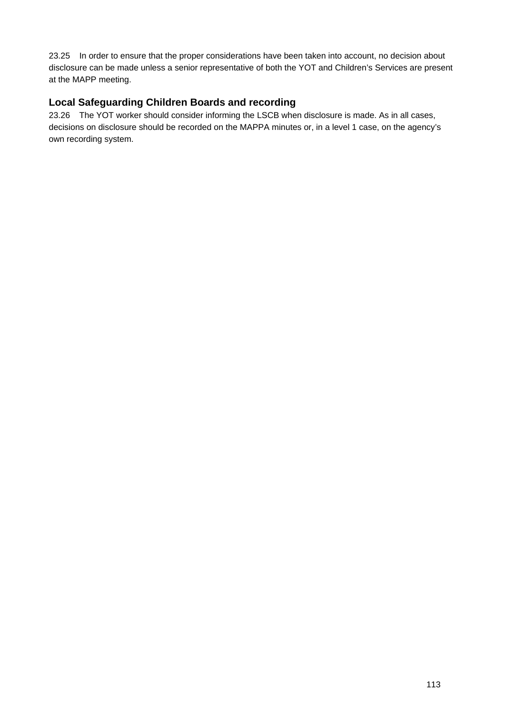23.25 In order to ensure that the proper considerations have been taken into account, no decision about disclosure can be made unless a senior representative of both the YOT and Children's Services are present at the MAPP meeting.

### **Local Safeguarding Children Boards and recording**

23.26 The YOT worker should consider informing the LSCB when disclosure is made. As in all cases, decisions on disclosure should be recorded on the MAPPA minutes or, in a level 1 case, on the agency's own recording system.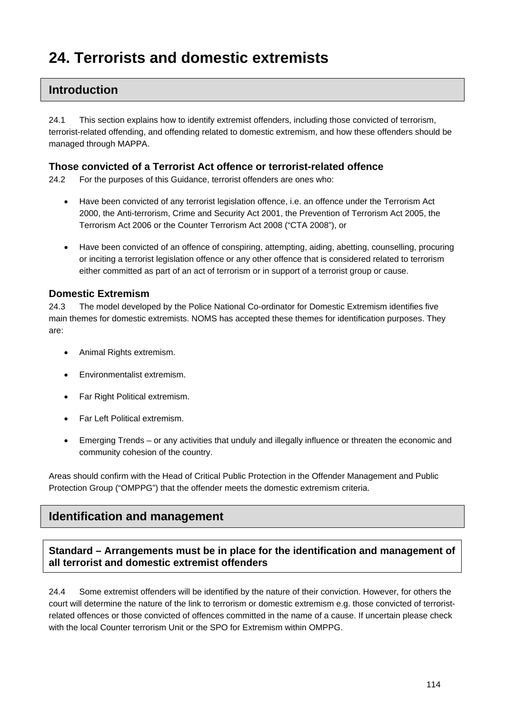# **24. Terrorists and domestic extremists**

## **Introduction**

24.1 This section explains how to identify extremist offenders, including those convicted of terrorism, terrorist-related offending, and offending related to domestic extremism, and how these offenders should be managed through MAPPA.

#### **Those convicted of a Terrorist Act offence or terrorist-related offence**

24.2 For the purposes of this Guidance, terrorist offenders are ones who:

- Have been convicted of any terrorist legislation offence, i.e. an offence under the Terrorism Act 2000, the Anti-terrorism, Crime and Security Act 2001, the Prevention of Terrorism Act 2005, the Terrorism Act 2006 or the Counter Terrorism Act 2008 ("CTA 2008"), or
- Have been convicted of an offence of conspiring, attempting, aiding, abetting, counselling, procuring or inciting a terrorist legislation offence or any other offence that is considered related to terrorism either committed as part of an act of terrorism or in support of a terrorist group or cause.

#### **Domestic Extremism**

24.3 The model developed by the Police National Co-ordinator for Domestic Extremism identifies five main themes for domestic extremists. NOMS has accepted these themes for identification purposes. They are:

- Animal Rights extremism.
- Environmentalist extremism.
- Far Right Political extremism.
- Far Left Political extremism.
- Emerging Trends or any activities that unduly and illegally influence or threaten the economic and community cohesion of the country.

Areas should confirm with the Head of Critical Public Protection in the Offender Management and Public Protection Group ("OMPPG") that the offender meets the domestic extremism criteria.

# **Identification and management**

### **Standard – Arrangements must be in place for the identification and management of all terrorist and domestic extremist offenders**

24.4 Some extremist offenders will be identified by the nature of their conviction. However, for others the court will determine the nature of the link to terrorism or domestic extremism e.g. those convicted of terroristrelated offences or those convicted of offences committed in the name of a cause. If uncertain please check with the local Counter terrorism Unit or the SPO for Extremism within OMPPG.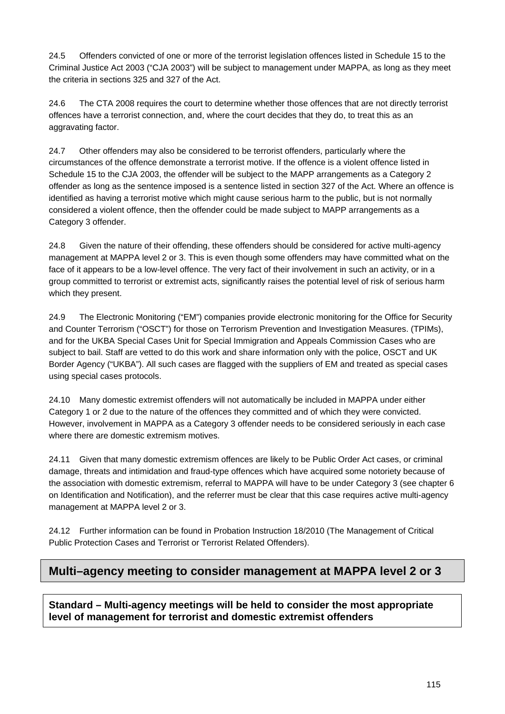24.5 Offenders convicted of one or more of the terrorist legislation offences listed in Schedule 15 to the Criminal Justice Act 2003 ("CJA 2003") will be subject to management under MAPPA, as long as they meet the criteria in sections 325 and 327 of the Act.

24.6 The CTA 2008 requires the court to determine whether those offences that are not directly terrorist offences have a terrorist connection, and, where the court decides that they do, to treat this as an aggravating factor.

24.7 Other offenders may also be considered to be terrorist offenders, particularly where the circumstances of the offence demonstrate a terrorist motive. If the offence is a violent offence listed in Schedule 15 to the CJA 2003, the offender will be subject to the MAPP arrangements as a Category 2 offender as long as the sentence imposed is a sentence listed in section 327 of the Act. Where an offence is identified as having a terrorist motive which might cause serious harm to the public, but is not normally considered a violent offence, then the offender could be made subject to MAPP arrangements as a Category 3 offender.

24.8 Given the nature of their offending, these offenders should be considered for active multi-agency management at MAPPA level 2 or 3. This is even though some offenders may have committed what on the face of it appears to be a low-level offence. The very fact of their involvement in such an activity, or in a group committed to terrorist or extremist acts, significantly raises the potential level of risk of serious harm which they present.

24.9 The Electronic Monitoring ("EM") companies provide electronic monitoring for the Office for Security and Counter Terrorism ("OSCT") for those on Terrorism Prevention and Investigation Measures. (TPIMs), and for the UKBA Special Cases Unit for Special Immigration and Appeals Commission Cases who are subject to bail. Staff are vetted to do this work and share information only with the police, OSCT and UK Border Agency ("UKBA"). All such cases are flagged with the suppliers of EM and treated as special cases using special cases protocols.

24.10 Many domestic extremist offenders will not automatically be included in MAPPA under either Category 1 or 2 due to the nature of the offences they committed and of which they were convicted. However, involvement in MAPPA as a Category 3 offender needs to be considered seriously in each case where there are domestic extremism motives.

24.11 Given that many domestic extremism offences are likely to be Public Order Act cases, or criminal damage, threats and intimidation and fraud-type offences which have acquired some notoriety because of the association with domestic extremism, referral to MAPPA will have to be under Category 3 (see chapter 6 on Identification and Notification), and the referrer must be clear that this case requires active multi-agency management at MAPPA level 2 or 3.

24.12 Further information can be found in Probation Instruction 18/2010 (The Management of Critical Public Protection Cases and Terrorist or Terrorist Related Offenders).

# **Multi–agency meeting to consider management at MAPPA level 2 or 3**

**Standard – Multi-agency meetings will be held to consider the most appropriate level of management for terrorist and domestic extremist offenders**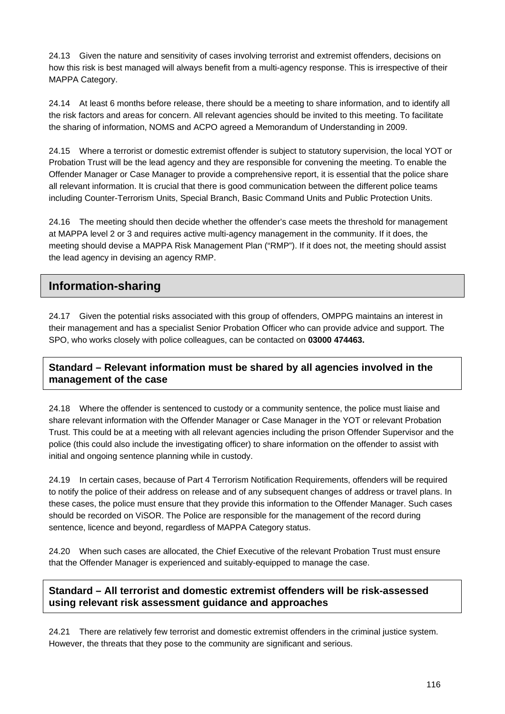24.13 Given the nature and sensitivity of cases involving terrorist and extremist offenders, decisions on how this risk is best managed will always benefit from a multi-agency response. This is irrespective of their MAPPA Category.

24.14 At least 6 months before release, there should be a meeting to share information, and to identify all the risk factors and areas for concern. All relevant agencies should be invited to this meeting. To facilitate the sharing of information, NOMS and ACPO agreed a Memorandum of Understanding in 2009.

24.15 Where a terrorist or domestic extremist offender is subject to statutory supervision, the local YOT or Probation Trust will be the lead agency and they are responsible for convening the meeting. To enable the Offender Manager or Case Manager to provide a comprehensive report, it is essential that the police share all relevant information. It is crucial that there is good communication between the different police teams including Counter-Terrorism Units, Special Branch, Basic Command Units and Public Protection Units.

24.16 The meeting should then decide whether the offender's case meets the threshold for management at MAPPA level 2 or 3 and requires active multi-agency management in the community. If it does, the meeting should devise a MAPPA Risk Management Plan ("RMP"). If it does not, the meeting should assist the lead agency in devising an agency RMP.

# **Information-sharing**

24.17 Given the potential risks associated with this group of offenders, OMPPG maintains an interest in their management and has a specialist Senior Probation Officer who can provide advice and support. The SPO, who works closely with police colleagues, can be contacted on **03000 474463.** 

### **Standard – Relevant information must be shared by all agencies involved in the management of the case**

24.18 Where the offender is sentenced to custody or a community sentence, the police must liaise and share relevant information with the Offender Manager or Case Manager in the YOT or relevant Probation Trust. This could be at a meeting with all relevant agencies including the prison Offender Supervisor and the police (this could also include the investigating officer) to share information on the offender to assist with initial and ongoing sentence planning while in custody.

24.19 In certain cases, because of Part 4 Terrorism Notification Requirements, offenders will be required to notify the police of their address on release and of any subsequent changes of address or travel plans. In these cases, the police must ensure that they provide this information to the Offender Manager. Such cases should be recorded on ViSOR. The Police are responsible for the management of the record during sentence, licence and beyond, regardless of MAPPA Category status.

24.20 When such cases are allocated, the Chief Executive of the relevant Probation Trust must ensure that the Offender Manager is experienced and suitably-equipped to manage the case.

### **Standard – All terrorist and domestic extremist offenders will be risk-assessed using relevant risk assessment guidance and approaches**

24.21 There are relatively few terrorist and domestic extremist offenders in the criminal justice system. However, the threats that they pose to the community are significant and serious.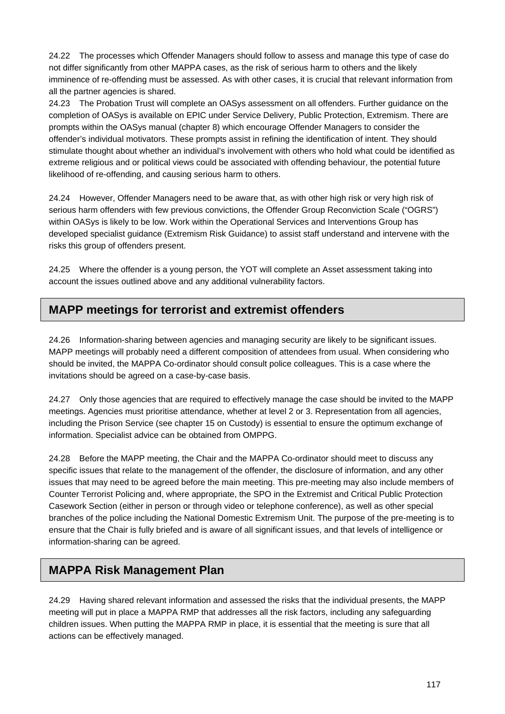24.22 The processes which Offender Managers should follow to assess and manage this type of case do not differ significantly from other MAPPA cases, as the risk of serious harm to others and the likely imminence of re-offending must be assessed. As with other cases, it is crucial that relevant information from all the partner agencies is shared.

24.23 The Probation Trust will complete an OASys assessment on all offenders. Further guidance on the completion of OASys is available on EPIC under Service Delivery, Public Protection, Extremism. There are prompts within the OASys manual (chapter 8) which encourage Offender Managers to consider the offender's individual motivators. These prompts assist in refining the identification of intent. They should stimulate thought about whether an individual's involvement with others who hold what could be identified as extreme religious and or political views could be associated with offending behaviour, the potential future likelihood of re-offending, and causing serious harm to others.

24.24 However, Offender Managers need to be aware that, as with other high risk or very high risk of serious harm offenders with few previous convictions, the Offender Group Reconviction Scale ("OGRS") within OASys is likely to be low. Work within the Operational Services and Interventions Group has developed specialist guidance (Extremism Risk Guidance) to assist staff understand and intervene with the risks this group of offenders present.

24.25 Where the offender is a young person, the YOT will complete an Asset assessment taking into account the issues outlined above and any additional vulnerability factors.

## **MAPP meetings for terrorist and extremist offenders**

24.26 Information-sharing between agencies and managing security are likely to be significant issues. MAPP meetings will probably need a different composition of attendees from usual. When considering who should be invited, the MAPPA Co-ordinator should consult police colleagues. This is a case where the invitations should be agreed on a case-by-case basis.

24.27 Only those agencies that are required to effectively manage the case should be invited to the MAPP meetings. Agencies must prioritise attendance, whether at level 2 or 3. Representation from all agencies, including the Prison Service (see chapter 15 on Custody) is essential to ensure the optimum exchange of information. Specialist advice can be obtained from OMPPG.

24.28 Before the MAPP meeting, the Chair and the MAPPA Co-ordinator should meet to discuss any specific issues that relate to the management of the offender, the disclosure of information, and any other issues that may need to be agreed before the main meeting. This pre-meeting may also include members of Counter Terrorist Policing and, where appropriate, the SPO in the Extremist and Critical Public Protection Casework Section (either in person or through video or telephone conference), as well as other special branches of the police including the National Domestic Extremism Unit. The purpose of the pre-meeting is to ensure that the Chair is fully briefed and is aware of all significant issues, and that levels of intelligence or information-sharing can be agreed.

# **MAPPA Risk Management Plan**

24.29 Having shared relevant information and assessed the risks that the individual presents, the MAPP meeting will put in place a MAPPA RMP that addresses all the risk factors, including any safeguarding children issues. When putting the MAPPA RMP in place, it is essential that the meeting is sure that all actions can be effectively managed.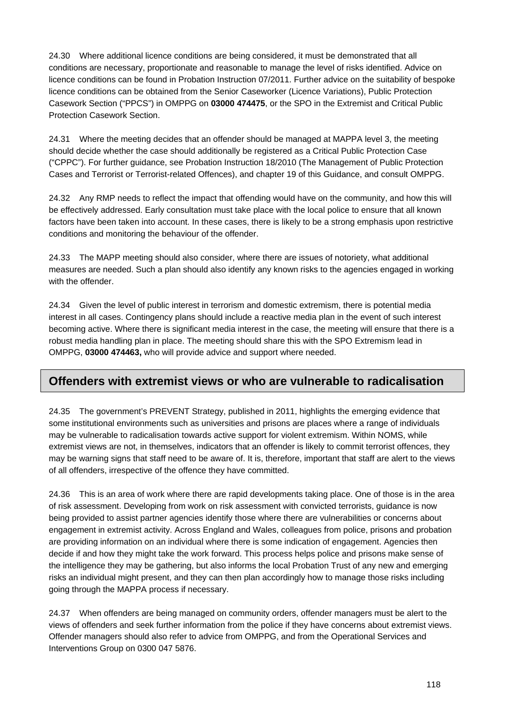24.30 Where additional licence conditions are being considered, it must be demonstrated that all conditions are necessary, proportionate and reasonable to manage the level of risks identified. Advice on licence conditions can be found in Probation Instruction 07/2011. Further advice on the suitability of bespoke licence conditions can be obtained from the Senior Caseworker (Licence Variations), Public Protection Casework Section ("PPCS") in OMPPG on **03000 474475**, or the SPO in the Extremist and Critical Public Protection Casework Section.

24.31 Where the meeting decides that an offender should be managed at MAPPA level 3, the meeting should decide whether the case should additionally be registered as a Critical Public Protection Case ("CPPC"). For further guidance, see Probation Instruction 18/2010 (The Management of Public Protection Cases and Terrorist or Terrorist-related Offences), and chapter 19 of this Guidance, and consult OMPPG.

24.32 Any RMP needs to reflect the impact that offending would have on the community, and how this will be effectively addressed. Early consultation must take place with the local police to ensure that all known factors have been taken into account. In these cases, there is likely to be a strong emphasis upon restrictive conditions and monitoring the behaviour of the offender.

24.33 The MAPP meeting should also consider, where there are issues of notoriety, what additional measures are needed. Such a plan should also identify any known risks to the agencies engaged in working with the offender.

24.34 Given the level of public interest in terrorism and domestic extremism, there is potential media interest in all cases. Contingency plans should include a reactive media plan in the event of such interest becoming active. Where there is significant media interest in the case, the meeting will ensure that there is a robust media handling plan in place. The meeting should share this with the SPO Extremism lead in OMPPG, **03000 474463,** who will provide advice and support where needed.

# **Offenders with extremist views or who are vulnerable to radicalisation**

24.35 The government's PREVENT Strategy, published in 2011, highlights the emerging evidence that some institutional environments such as universities and prisons are places where a range of individuals may be vulnerable to radicalisation towards active support for violent extremism. Within NOMS, while extremist views are not, in themselves, indicators that an offender is likely to commit terrorist offences, they may be warning signs that staff need to be aware of. It is, therefore, important that staff are alert to the views of all offenders, irrespective of the offence they have committed.

24.36 This is an area of work where there are rapid developments taking place. One of those is in the area of risk assessment. Developing from work on risk assessment with convicted terrorists, guidance is now being provided to assist partner agencies identify those where there are vulnerabilities or concerns about engagement in extremist activity. Across England and Wales, colleagues from police, prisons and probation are providing information on an individual where there is some indication of engagement. Agencies then decide if and how they might take the work forward. This process helps police and prisons make sense of the intelligence they may be gathering, but also informs the local Probation Trust of any new and emerging risks an individual might present, and they can then plan accordingly how to manage those risks including going through the MAPPA process if necessary.

24.37 When offenders are being managed on community orders, offender managers must be alert to the views of offenders and seek further information from the police if they have concerns about extremist views. Offender managers should also refer to advice from OMPPG, and from the Operational Services and Interventions Group on 0300 047 5876.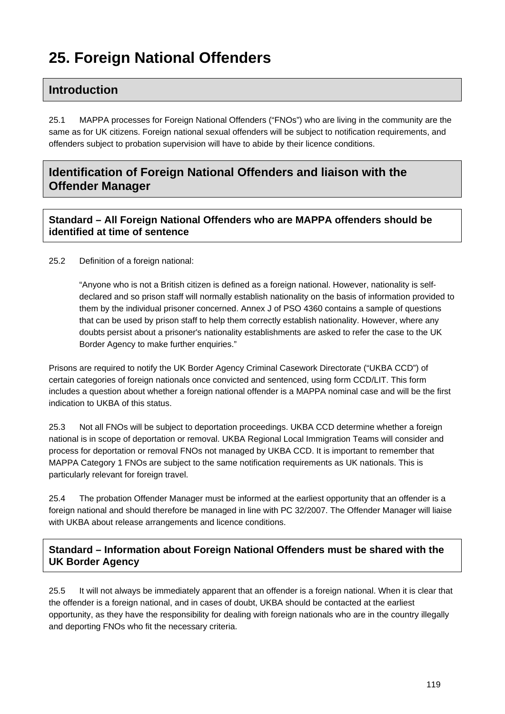# **25. Foreign National Offenders**

## **Introduction**

25.1 MAPPA processes for Foreign National Offenders ("FNOs") who are living in the community are the same as for UK citizens. Foreign national sexual offenders will be subject to notification requirements, and offenders subject to probation supervision will have to abide by their licence conditions.

# **Identification of Foreign National Offenders and liaison with the Offender Manager**

### **Standard – All Foreign National Offenders who are MAPPA offenders should be identified at time of sentence**

25.2 Definition of a foreign national:

"Anyone who is not a British citizen is defined as a foreign national. However, nationality is selfdeclared and so prison staff will normally establish nationality on the basis of information provided to them by the individual prisoner concerned. Annex J of PSO 4360 contains a sample of questions that can be used by prison staff to help them correctly establish nationality. However, where any doubts persist about a prisoner's nationality establishments are asked to refer the case to the UK Border Agency to make further enquiries."

Prisons are required to notify the UK Border Agency Criminal Casework Directorate ("UKBA CCD") of certain categories of foreign nationals once convicted and sentenced, using form CCD/LIT. This form includes a question about whether a foreign national offender is a MAPPA nominal case and will be the first indication to UKBA of this status.

25.3 Not all FNOs will be subject to deportation proceedings. UKBA CCD determine whether a foreign national is in scope of deportation or removal. UKBA Regional Local Immigration Teams will consider and process for deportation or removal FNOs not managed by UKBA CCD. It is important to remember that MAPPA Category 1 FNOs are subject to the same notification requirements as UK nationals. This is particularly relevant for foreign travel.

25.4 The probation Offender Manager must be informed at the earliest opportunity that an offender is a foreign national and should therefore be managed in line with PC 32/2007. The Offender Manager will liaise with UKBA about release arrangements and licence conditions.

**Standard – Information about Foreign National Offenders must be shared with the UK Border Agency** 

25.5 It will not always be immediately apparent that an offender is a foreign national. When it is clear that the offender is a foreign national, and in cases of doubt, UKBA should be contacted at the earliest opportunity, as they have the responsibility for dealing with foreign nationals who are in the country illegally and deporting FNOs who fit the necessary criteria.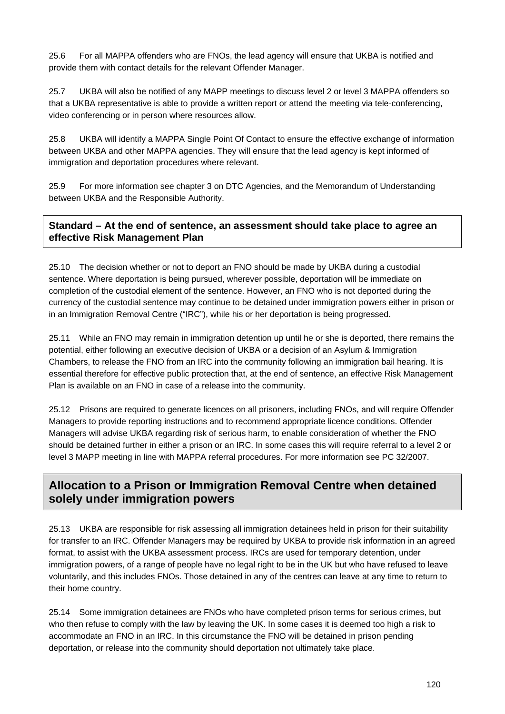25.6 For all MAPPA offenders who are FNOs, the lead agency will ensure that UKBA is notified and provide them with contact details for the relevant Offender Manager.

25.7 UKBA will also be notified of any MAPP meetings to discuss level 2 or level 3 MAPPA offenders so that a UKBA representative is able to provide a written report or attend the meeting via tele-conferencing, video conferencing or in person where resources allow.

25.8 UKBA will identify a MAPPA Single Point Of Contact to ensure the effective exchange of information between UKBA and other MAPPA agencies. They will ensure that the lead agency is kept informed of immigration and deportation procedures where relevant.

25.9 For more information see chapter 3 on DTC Agencies, and the Memorandum of Understanding between UKBA and the Responsible Authority.

### **Standard – At the end of sentence, an assessment should take place to agree an effective Risk Management Plan**

25.10 The decision whether or not to deport an FNO should be made by UKBA during a custodial sentence. Where deportation is being pursued, wherever possible, deportation will be immediate on completion of the custodial element of the sentence. However, an FNO who is not deported during the currency of the custodial sentence may continue to be detained under immigration powers either in prison or in an Immigration Removal Centre ("IRC"), while his or her deportation is being progressed.

25.11 While an FNO may remain in immigration detention up until he or she is deported, there remains the potential, either following an executive decision of UKBA or a decision of an Asylum & Immigration Chambers, to release the FNO from an IRC into the community following an immigration bail hearing. It is essential therefore for effective public protection that, at the end of sentence, an effective Risk Management Plan is available on an FNO in case of a release into the community.

25.12 Prisons are required to generate licences on all prisoners, including FNOs, and will require Offender Managers to provide reporting instructions and to recommend appropriate licence conditions. Offender Managers will advise UKBA regarding risk of serious harm, to enable consideration of whether the FNO should be detained further in either a prison or an IRC. In some cases this will require referral to a level 2 or level 3 MAPP meeting in line with MAPPA referral procedures. For more information see PC 32/2007.

# **Allocation to a Prison or Immigration Removal Centre when detained solely under immigration powers**

25.13 UKBA are responsible for risk assessing all immigration detainees held in prison for their suitability for transfer to an IRC. Offender Managers may be required by UKBA to provide risk information in an agreed format, to assist with the UKBA assessment process. IRCs are used for temporary detention, under immigration powers, of a range of people have no legal right to be in the UK but who have refused to leave voluntarily, and this includes FNOs. Those detained in any of the centres can leave at any time to return to their home country.

25.14 Some immigration detainees are FNOs who have completed prison terms for serious crimes, but who then refuse to comply with the law by leaving the UK. In some cases it is deemed too high a risk to accommodate an FNO in an IRC. In this circumstance the FNO will be detained in prison pending deportation, or release into the community should deportation not ultimately take place.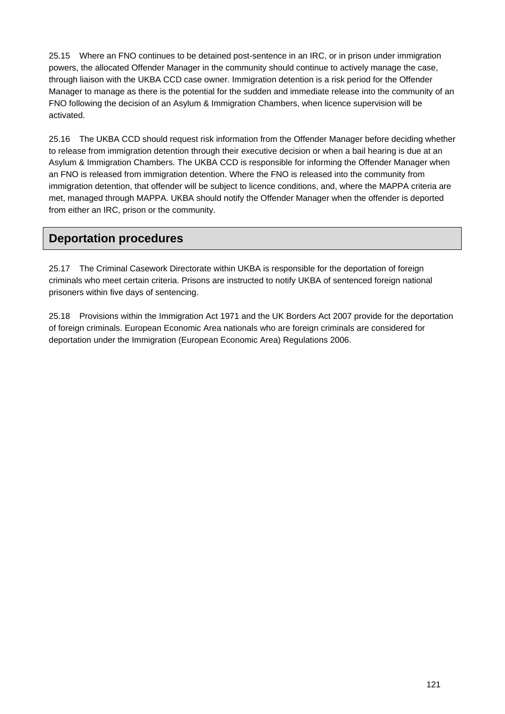25.15 Where an FNO continues to be detained post-sentence in an IRC, or in prison under immigration powers, the allocated Offender Manager in the community should continue to actively manage the case, through liaison with the UKBA CCD case owner. Immigration detention is a risk period for the Offender Manager to manage as there is the potential for the sudden and immediate release into the community of an FNO following the decision of an Asylum & Immigration Chambers, when licence supervision will be activated.

25.16 The UKBA CCD should request risk information from the Offender Manager before deciding whether to release from immigration detention through their executive decision or when a bail hearing is due at an Asylum & Immigration Chambers. The UKBA CCD is responsible for informing the Offender Manager when an FNO is released from immigration detention. Where the FNO is released into the community from immigration detention, that offender will be subject to licence conditions, and, where the MAPPA criteria are met, managed through MAPPA. UKBA should notify the Offender Manager when the offender is deported from either an IRC, prison or the community.

### **Deportation procedures**

25.17 The Criminal Casework Directorate within UKBA is responsible for the deportation of foreign criminals who meet certain criteria. Prisons are instructed to notify UKBA of sentenced foreign national prisoners within five days of sentencing.

25.18 Provisions within the Immigration Act 1971 and the UK Borders Act 2007 provide for the deportation of foreign criminals. European Economic Area nationals who are foreign criminals are considered for deportation under the Immigration (European Economic Area) Regulations 2006.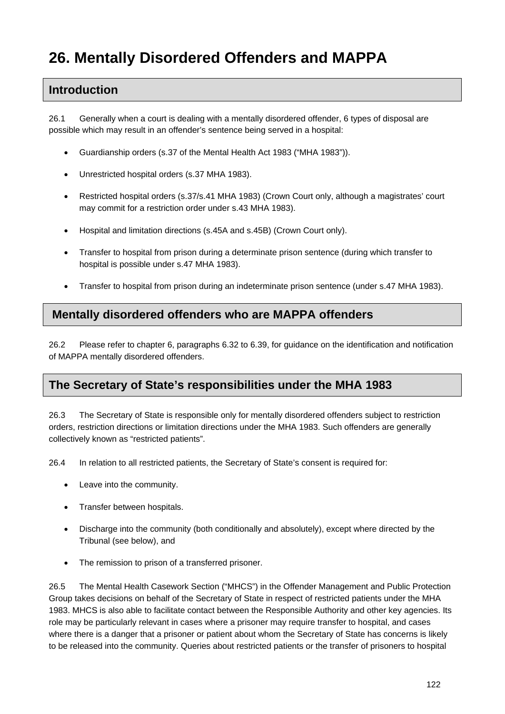# **26. Mentally Disordered Offenders and MAPPA**

### **Introduction**

26.1 Generally when a court is dealing with a mentally disordered offender, 6 types of disposal are possible which may result in an offender's sentence being served in a hospital:

- Guardianship orders (s.37 of the Mental Health Act 1983 ("MHA 1983")).
- Unrestricted hospital orders (s.37 MHA 1983).
- Restricted hospital orders (s.37/s.41 MHA 1983) (Crown Court only, although a magistrates' court may commit for a restriction order under s.43 MHA 1983).
- Hospital and limitation directions (s.45A and s.45B) (Crown Court only).
- Transfer to hospital from prison during a determinate prison sentence (during which transfer to hospital is possible under s.47 MHA 1983).
- Transfer to hospital from prison during an indeterminate prison sentence (under s.47 MHA 1983).

### **Mentally disordered offenders who are MAPPA offenders**

26.2 Please refer to chapter 6, paragraphs 6.32 to 6.39, for guidance on the identification and notification of MAPPA mentally disordered offenders.

### **The Secretary of State's responsibilities under the MHA 1983**

26.3 The Secretary of State is responsible only for mentally disordered offenders subject to restriction orders, restriction directions or limitation directions under the MHA 1983. Such offenders are generally collectively known as "restricted patients".

26.4 In relation to all restricted patients, the Secretary of State's consent is required for:

- Leave into the community.
- Transfer between hospitals.
- Discharge into the community (both conditionally and absolutely), except where directed by the Tribunal (see below), and
- The remission to prison of a transferred prisoner.

26.5 The Mental Health Casework Section ("MHCS") in the Offender Management and Public Protection Group takes decisions on behalf of the Secretary of State in respect of restricted patients under the MHA 1983. MHCS is also able to facilitate contact between the Responsible Authority and other key agencies. Its role may be particularly relevant in cases where a prisoner may require transfer to hospital, and cases where there is a danger that a prisoner or patient about whom the Secretary of State has concerns is likely to be released into the community. Queries about restricted patients or the transfer of prisoners to hospital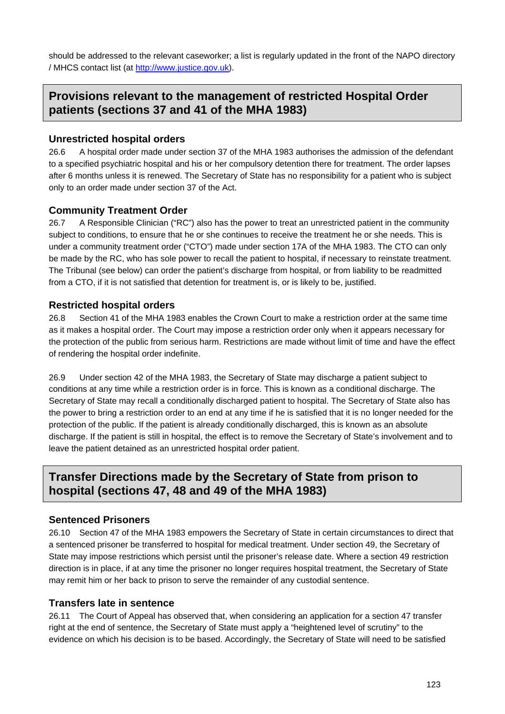should be addressed to the relevant caseworker; a list is regularly updated in the front of the NAPO directory / MHCS contact list (at [http://www.justice.gov.uk\)](http://www.justice.gov.uk/).

## **Provisions relevant to the management of restricted Hospital Order patients (sections 37 and 41 of the MHA 1983)**

#### **Unrestricted hospital orders**

26.6 A hospital order made under section 37 of the MHA 1983 authorises the admission of the defendant to a specified psychiatric hospital and his or her compulsory detention there for treatment. The order lapses after 6 months unless it is renewed. The Secretary of State has no responsibility for a patient who is subject only to an order made under section 37 of the Act.

#### **Community Treatment Order**

26.7 A Responsible Clinician ("RC") also has the power to treat an unrestricted patient in the community subject to conditions, to ensure that he or she continues to receive the treatment he or she needs. This is under a community treatment order ("CTO") made under section 17A of the MHA 1983. The CTO can only be made by the RC, who has sole power to recall the patient to hospital, if necessary to reinstate treatment. The Tribunal (see below) can order the patient's discharge from hospital, or from liability to be readmitted from a CTO, if it is not satisfied that detention for treatment is, or is likely to be, justified.

#### **Restricted hospital orders**

26.8 Section 41 of the MHA 1983 enables the Crown Court to make a restriction order at the same time as it makes a hospital order. The Court may impose a restriction order only when it appears necessary for the protection of the public from serious harm. Restrictions are made without limit of time and have the effect of rendering the hospital order indefinite.

26.9 Under section 42 of the MHA 1983, the Secretary of State may discharge a patient subject to conditions at any time while a restriction order is in force. This is known as a conditional discharge. The Secretary of State may recall a conditionally discharged patient to hospital. The Secretary of State also has the power to bring a restriction order to an end at any time if he is satisfied that it is no longer needed for the protection of the public. If the patient is already conditionally discharged, this is known as an absolute discharge. If the patient is still in hospital, the effect is to remove the Secretary of State's involvement and to leave the patient detained as an unrestricted hospital order patient.

## **Transfer Directions made by the Secretary of State from prison to hospital (sections 47, 48 and 49 of the MHA 1983)**

#### **Sentenced Prisoners**

26.10 Section 47 of the MHA 1983 empowers the Secretary of State in certain circumstances to direct that a sentenced prisoner be transferred to hospital for medical treatment. Under section 49, the Secretary of State may impose restrictions which persist until the prisoner's release date. Where a section 49 restriction direction is in place, if at any time the prisoner no longer requires hospital treatment, the Secretary of State may remit him or her back to prison to serve the remainder of any custodial sentence.

#### **Transfers late in sentence**

26.11 The Court of Appeal has observed that, when considering an application for a section 47 transfer right at the end of sentence, the Secretary of State must apply a "heightened level of scrutiny" to the evidence on which his decision is to be based. Accordingly, the Secretary of State will need to be satisfied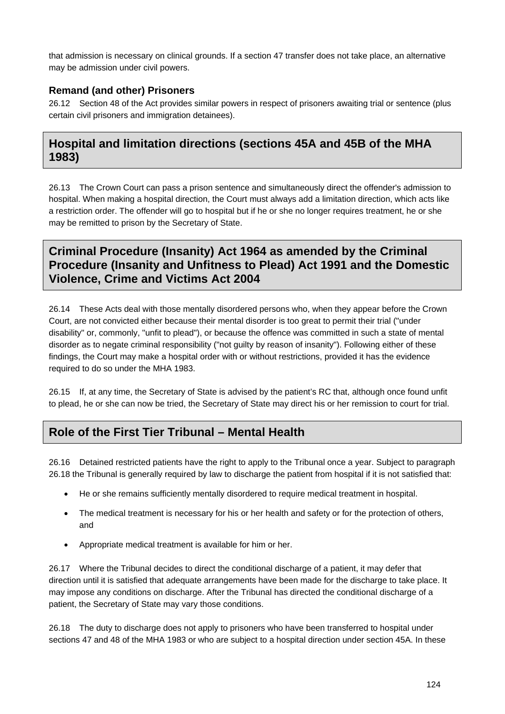that admission is necessary on clinical grounds. If a section 47 transfer does not take place, an alternative may be admission under civil powers.

### **Remand (and other) Prisoners**

26.12 Section 48 of the Act provides similar powers in respect of prisoners awaiting trial or sentence (plus certain civil prisoners and immigration detainees).

# **Hospital and limitation directions (sections 45A and 45B of the MHA 1983)**

26.13 The Crown Court can pass a prison sentence and simultaneously direct the offender's admission to hospital. When making a hospital direction, the Court must always add a limitation direction, which acts like a restriction order. The offender will go to hospital but if he or she no longer requires treatment, he or she may be remitted to prison by the Secretary of State.

# **Criminal Procedure (Insanity) Act 1964 as amended by the Criminal Procedure (Insanity and Unfitness to Plead) Act 1991 and the Domestic Violence, Crime and Victims Act 2004**

26.14 These Acts deal with those mentally disordered persons who, when they appear before the Crown Court, are not convicted either because their mental disorder is too great to permit their trial ("under disability" or, commonly, "unfit to plead"), or because the offence was committed in such a state of mental disorder as to negate criminal responsibility ("not guilty by reason of insanity"). Following either of these findings, the Court may make a hospital order with or without restrictions, provided it has the evidence required to do so under the MHA 1983.

26.15 If, at any time, the Secretary of State is advised by the patient's RC that, although once found unfit to plead, he or she can now be tried, the Secretary of State may direct his or her remission to court for trial.

# **Role of the First Tier Tribunal – Mental Health**

26.16 Detained restricted patients have the right to apply to the Tribunal once a year. Subject to paragraph 26.18 the Tribunal is generally required by law to discharge the patient from hospital if it is not satisfied that:

- He or she remains sufficiently mentally disordered to require medical treatment in hospital.
- The medical treatment is necessary for his or her health and safety or for the protection of others, and
- Appropriate medical treatment is available for him or her.

26.17 Where the Tribunal decides to direct the conditional discharge of a patient, it may defer that direction until it is satisfied that adequate arrangements have been made for the discharge to take place. It may impose any conditions on discharge. After the Tribunal has directed the conditional discharge of a patient, the Secretary of State may vary those conditions.

26.18 The duty to discharge does not apply to prisoners who have been transferred to hospital under sections 47 and 48 of the MHA 1983 or who are subject to a hospital direction under section 45A. In these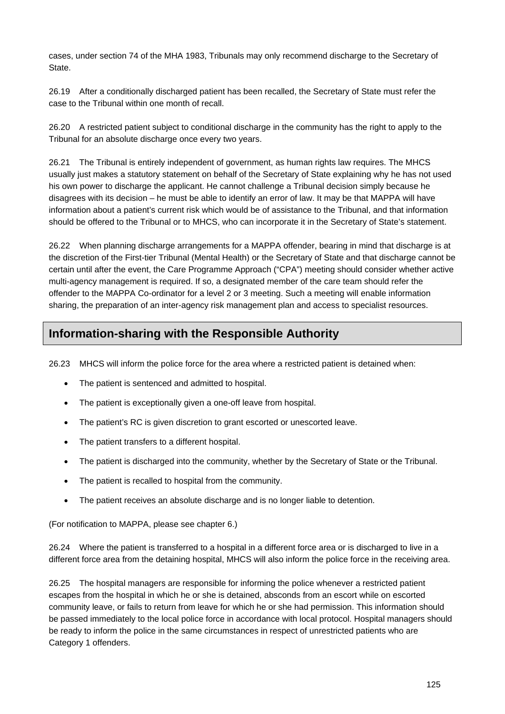cases, under section 74 of the MHA 1983, Tribunals may only recommend discharge to the Secretary of State.

26.19 After a conditionally discharged patient has been recalled, the Secretary of State must refer the case to the Tribunal within one month of recall.

26.20 A restricted patient subject to conditional discharge in the community has the right to apply to the Tribunal for an absolute discharge once every two years.

26.21 The Tribunal is entirely independent of government, as human rights law requires. The MHCS usually just makes a statutory statement on behalf of the Secretary of State explaining why he has not used his own power to discharge the applicant. He cannot challenge a Tribunal decision simply because he disagrees with its decision – he must be able to identify an error of law. It may be that MAPPA will have information about a patient's current risk which would be of assistance to the Tribunal, and that information should be offered to the Tribunal or to MHCS, who can incorporate it in the Secretary of State's statement.

26.22 When planning discharge arrangements for a MAPPA offender, bearing in mind that discharge is at the discretion of the First-tier Tribunal (Mental Health) or the Secretary of State and that discharge cannot be certain until after the event, the Care Programme Approach ("CPA") meeting should consider whether active multi-agency management is required. If so, a designated member of the care team should refer the offender to the MAPPA Co-ordinator for a level 2 or 3 meeting. Such a meeting will enable information sharing, the preparation of an inter-agency risk management plan and access to specialist resources.

# **Information-sharing with the Responsible Authority**

26.23 MHCS will inform the police force for the area where a restricted patient is detained when:

- The patient is sentenced and admitted to hospital.
- The patient is exceptionally given a one-off leave from hospital.
- The patient's RC is given discretion to grant escorted or unescorted leave.
- The patient transfers to a different hospital.
- The patient is discharged into the community, whether by the Secretary of State or the Tribunal.
- The patient is recalled to hospital from the community.
- The patient receives an absolute discharge and is no longer liable to detention.

(For notification to MAPPA, please see chapter 6.)

26.24 Where the patient is transferred to a hospital in a different force area or is discharged to live in a different force area from the detaining hospital, MHCS will also inform the police force in the receiving area.

26.25 The hospital managers are responsible for informing the police whenever a restricted patient escapes from the hospital in which he or she is detained, absconds from an escort while on escorted community leave, or fails to return from leave for which he or she had permission. This information should be passed immediately to the local police force in accordance with local protocol. Hospital managers should be ready to inform the police in the same circumstances in respect of unrestricted patients who are Category 1 offenders.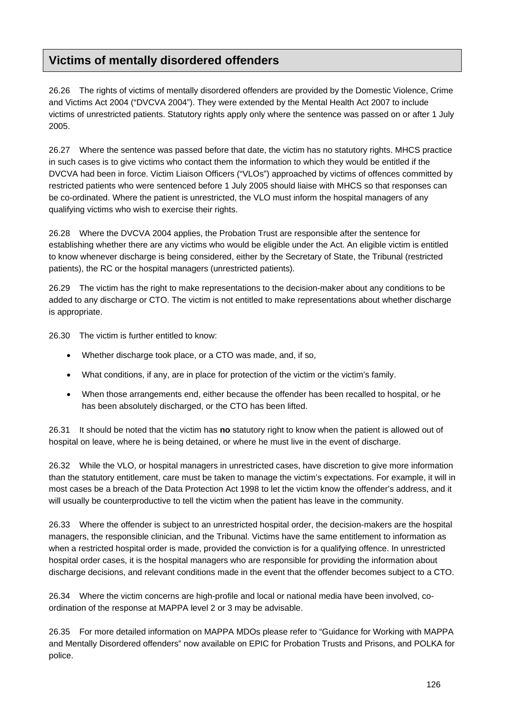# **Victims of mentally disordered offenders**

26.26 The rights of victims of mentally disordered offenders are provided by the Domestic Violence, Crime and Victims Act 2004 ("DVCVA 2004"). They were extended by the Mental Health Act 2007 to include victims of unrestricted patients. Statutory rights apply only where the sentence was passed on or after 1 July 2005.

26.27 Where the sentence was passed before that date, the victim has no statutory rights. MHCS practice in such cases is to give victims who contact them the information to which they would be entitled if the DVCVA had been in force. Victim Liaison Officers ("VLOs") approached by victims of offences committed by restricted patients who were sentenced before 1 July 2005 should liaise with MHCS so that responses can be co-ordinated. Where the patient is unrestricted, the VLO must inform the hospital managers of any qualifying victims who wish to exercise their rights.

26.28 Where the DVCVA 2004 applies, the Probation Trust are responsible after the sentence for establishing whether there are any victims who would be eligible under the Act. An eligible victim is entitled to know whenever discharge is being considered, either by the Secretary of State, the Tribunal (restricted patients), the RC or the hospital managers (unrestricted patients).

26.29 The victim has the right to make representations to the decision-maker about any conditions to be added to any discharge or CTO. The victim is not entitled to make representations about whether discharge is appropriate.

26.30 The victim is further entitled to know:

- Whether discharge took place, or a CTO was made, and, if so,
- What conditions, if any, are in place for protection of the victim or the victim's family.
- When those arrangements end, either because the offender has been recalled to hospital, or he has been absolutely discharged, or the CTO has been lifted.

26.31 It should be noted that the victim has **no** statutory right to know when the patient is allowed out of hospital on leave, where he is being detained, or where he must live in the event of discharge.

26.32 While the VLO, or hospital managers in unrestricted cases, have discretion to give more information than the statutory entitlement, care must be taken to manage the victim's expectations. For example, it will in most cases be a breach of the Data Protection Act 1998 to let the victim know the offender's address, and it will usually be counterproductive to tell the victim when the patient has leave in the community.

26.33 Where the offender is subject to an unrestricted hospital order, the decision-makers are the hospital managers, the responsible clinician, and the Tribunal. Victims have the same entitlement to information as when a restricted hospital order is made, provided the conviction is for a qualifying offence. In unrestricted hospital order cases, it is the hospital managers who are responsible for providing the information about discharge decisions, and relevant conditions made in the event that the offender becomes subject to a CTO.

26.34 Where the victim concerns are high-profile and local or national media have been involved, coordination of the response at MAPPA level 2 or 3 may be advisable.

26.35 For more detailed information on MAPPA MDOs please refer to "Guidance for Working with MAPPA and Mentally Disordered offenders" now available on EPIC for Probation Trusts and Prisons, and POLKA for police.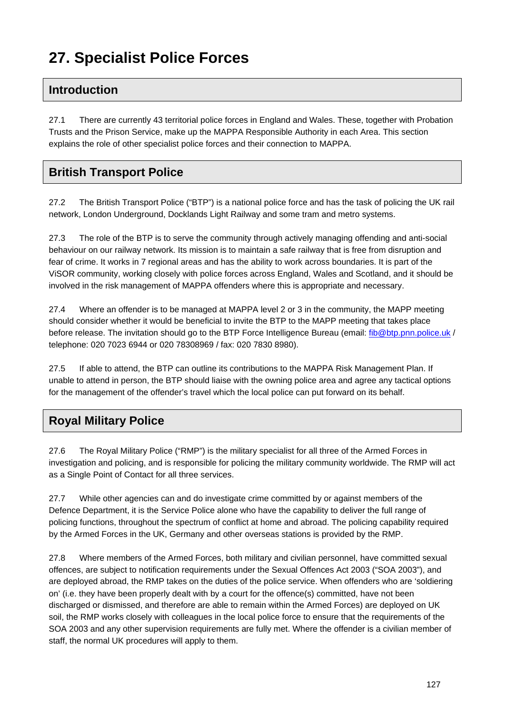# **27. Specialist Police Forces**

# **Introduction**

27.1 There are currently 43 territorial police forces in England and Wales. These, together with Probation Trusts and the Prison Service, make up the MAPPA Responsible Authority in each Area. This section explains the role of other specialist police forces and their connection to MAPPA.

## **British Transport Police**

27.2 The British Transport Police ("BTP") is a national police force and has the task of policing the UK rail network, London Underground, Docklands Light Railway and some tram and metro systems.

27.3 The role of the BTP is to serve the community through actively managing offending and anti-social behaviour on our railway network. Its mission is to maintain a safe railway that is free from disruption and fear of crime. It works in 7 regional areas and has the ability to work across boundaries. It is part of the ViSOR community, working closely with police forces across England, Wales and Scotland, and it should be involved in the risk management of MAPPA offenders where this is appropriate and necessary.

27.4 Where an offender is to be managed at MAPPA level 2 or 3 in the community, the MAPP meeting should consider whether it would be beneficial to invite the BTP to the MAPP meeting that takes place before release. The invitation should go to the BTP Force Intelligence Bureau (email: [fib@btp.pnn.police.uk](mailto:fib@btp.pnn.police.uk) / telephone: 020 7023 6944 or 020 78308969 / fax: 020 7830 8980).

27.5 If able to attend, the BTP can outline its contributions to the MAPPA Risk Management Plan. If unable to attend in person, the BTP should liaise with the owning police area and agree any tactical options for the management of the offender's travel which the local police can put forward on its behalf.

# **Royal Military Police**

27.6 The Royal Military Police ("RMP") is the military specialist for all three of the Armed Forces in investigation and policing, and is responsible for policing the military community worldwide. The RMP will act as a Single Point of Contact for all three services.

27.7 While other agencies can and do investigate crime committed by or against members of the Defence Department, it is the Service Police alone who have the capability to deliver the full range of policing functions, throughout the spectrum of conflict at home and abroad. The policing capability required by the Armed Forces in the UK, Germany and other overseas stations is provided by the RMP.

27.8 Where members of the Armed Forces, both military and civilian personnel, have committed sexual offences, are subject to notification requirements under the Sexual Offences Act 2003 ("SOA 2003"), and are deployed abroad, the RMP takes on the duties of the police service. When offenders who are 'soldiering on' (i.e. they have been properly dealt with by a court for the offence(s) committed, have not been discharged or dismissed, and therefore are able to remain within the Armed Forces) are deployed on UK soil, the RMP works closely with colleagues in the local police force to ensure that the requirements of the SOA 2003 and any other supervision requirements are fully met. Where the offender is a civilian member of staff, the normal UK procedures will apply to them.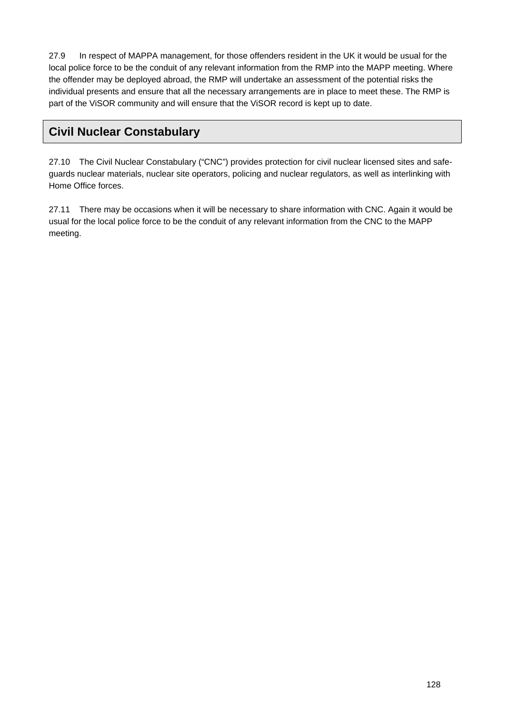27.9 In respect of MAPPA management, for those offenders resident in the UK it would be usual for the local police force to be the conduit of any relevant information from the RMP into the MAPP meeting. Where the offender may be deployed abroad, the RMP will undertake an assessment of the potential risks the individual presents and ensure that all the necessary arrangements are in place to meet these. The RMP is part of the ViSOR community and will ensure that the ViSOR record is kept up to date.

# **Civil Nuclear Constabulary**

27.10 The Civil Nuclear Constabulary ("CNC") provides protection for civil nuclear licensed sites and safeguards nuclear materials, nuclear site operators, policing and nuclear regulators, as well as interlinking with Home Office forces.

27.11 There may be occasions when it will be necessary to share information with CNC. Again it would be usual for the local police force to be the conduit of any relevant information from the CNC to the MAPP meeting.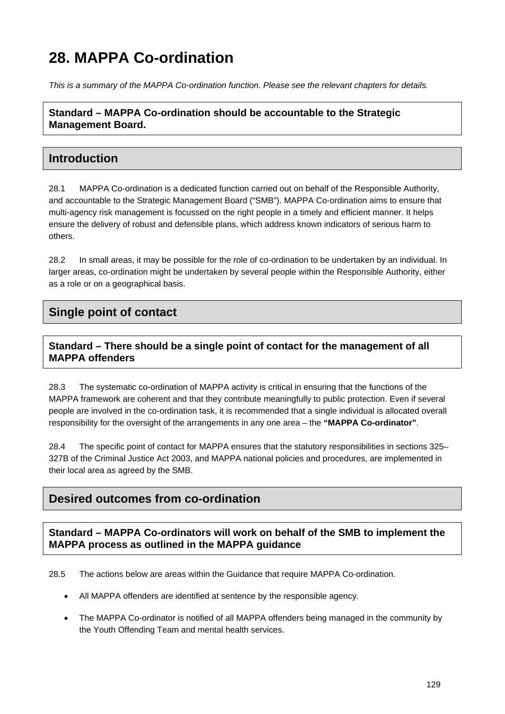# **28. MAPPA Co-ordination**

*This is a summary of the MAPPA Co-ordination function. Please see the relevant chapters for details.* 

**Standard – MAPPA Co-ordination should be accountable to the Strategic Management Board.** 

## **Introduction**

28.1 MAPPA Co-ordination is a dedicated function carried out on behalf of the Responsible Authority, and accountable to the Strategic Management Board ("SMB"). MAPPA Co-ordination aims to ensure that multi-agency risk management is focussed on the right people in a timely and efficient manner. It helps ensure the delivery of robust and defensible plans, which address known indicators of serious harm to others.

28.2 In small areas, it may be possible for the role of co-ordination to be undertaken by an individual. In larger areas, co-ordination might be undertaken by several people within the Responsible Authority, either as a role or on a geographical basis.

# **Single point of contact**

### **Standard – There should be a single point of contact for the management of all MAPPA offenders**

28.3 The systematic co-ordination of MAPPA activity is critical in ensuring that the functions of the MAPPA framework are coherent and that they contribute meaningfully to public protection. Even if several people are involved in the co-ordination task, it is recommended that a single individual is allocated overall responsibility for the oversight of the arrangements in any one area – the **"MAPPA Co-ordinator"**.

28.4 The specific point of contact for MAPPA ensures that the statutory responsibilities in sections 325– 327B of the Criminal Justice Act 2003, and MAPPA national policies and procedures, are implemented in their local area as agreed by the SMB.

## **Desired outcomes from co-ordination**

**Standard – MAPPA Co-ordinators will work on behalf of the SMB to implement the MAPPA process as outlined in the MAPPA guidance** 

28.5 The actions below are areas within the Guidance that require MAPPA Co-ordination.

- All MAPPA offenders are identified at sentence by the responsible agency.
- The MAPPA Co-ordinator is notified of all MAPPA offenders being managed in the community by the Youth Offending Team and mental health services.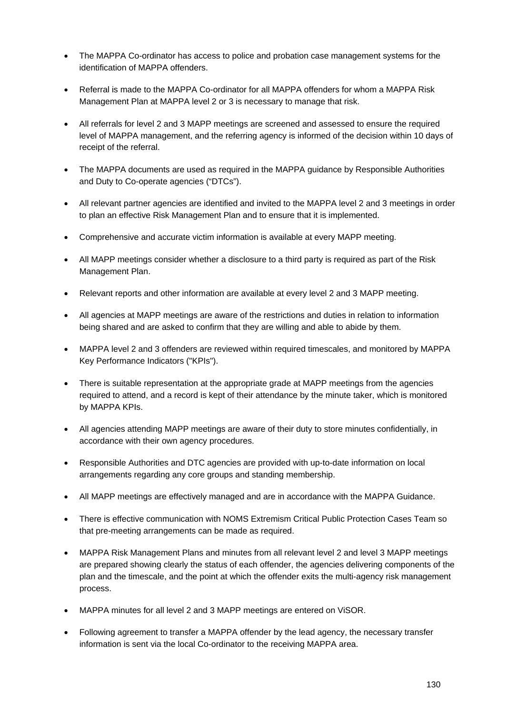- The MAPPA Co-ordinator has access to police and probation case management systems for the identification of MAPPA offenders.
- Referral is made to the MAPPA Co-ordinator for all MAPPA offenders for whom a MAPPA Risk Management Plan at MAPPA level 2 or 3 is necessary to manage that risk.
- All referrals for level 2 and 3 MAPP meetings are screened and assessed to ensure the required level of MAPPA management, and the referring agency is informed of the decision within 10 days of receipt of the referral.
- The MAPPA documents are used as required in the MAPPA guidance by Responsible Authorities and Duty to Co-operate agencies ("DTCs").
- All relevant partner agencies are identified and invited to the MAPPA level 2 and 3 meetings in order to plan an effective Risk Management Plan and to ensure that it is implemented.
- Comprehensive and accurate victim information is available at every MAPP meeting.
- All MAPP meetings consider whether a disclosure to a third party is required as part of the Risk Management Plan.
- Relevant reports and other information are available at every level 2 and 3 MAPP meeting.
- All agencies at MAPP meetings are aware of the restrictions and duties in relation to information being shared and are asked to confirm that they are willing and able to abide by them.
- MAPPA level 2 and 3 offenders are reviewed within required timescales, and monitored by MAPPA Key Performance Indicators ("KPIs").
- There is suitable representation at the appropriate grade at MAPP meetings from the agencies required to attend, and a record is kept of their attendance by the minute taker, which is monitored by MAPPA KPIs.
- All agencies attending MAPP meetings are aware of their duty to store minutes confidentially, in accordance with their own agency procedures.
- Responsible Authorities and DTC agencies are provided with up-to-date information on local arrangements regarding any core groups and standing membership.
- All MAPP meetings are effectively managed and are in accordance with the MAPPA Guidance.
- There is effective communication with NOMS Extremism Critical Public Protection Cases Team so that pre-meeting arrangements can be made as required.
- MAPPA Risk Management Plans and minutes from all relevant level 2 and level 3 MAPP meetings are prepared showing clearly the status of each offender, the agencies delivering components of the plan and the timescale, and the point at which the offender exits the multi-agency risk management process.
- MAPPA minutes for all level 2 and 3 MAPP meetings are entered on ViSOR.
- Following agreement to transfer a MAPPA offender by the lead agency, the necessary transfer information is sent via the local Co-ordinator to the receiving MAPPA area.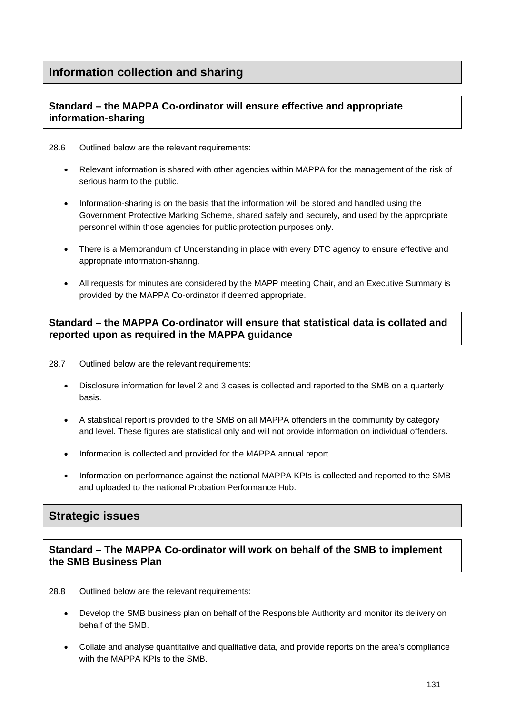### **Standard – the MAPPA Co-ordinator will ensure effective and appropriate information-sharing**

28.6 Outlined below are the relevant requirements:

- Relevant information is shared with other agencies within MAPPA for the management of the risk of serious harm to the public.
- Information-sharing is on the basis that the information will be stored and handled using the Government Protective Marking Scheme, shared safely and securely, and used by the appropriate personnel within those agencies for public protection purposes only.
- There is a Memorandum of Understanding in place with every DTC agency to ensure effective and appropriate information-sharing.
- All requests for minutes are considered by the MAPP meeting Chair, and an Executive Summary is provided by the MAPPA Co-ordinator if deemed appropriate.

### **Standard – the MAPPA Co-ordinator will ensure that statistical data is collated and reported upon as required in the MAPPA guidance**

- 28.7 Outlined below are the relevant requirements:
	- Disclosure information for level 2 and 3 cases is collected and reported to the SMB on a quarterly basis.
	- A statistical report is provided to the SMB on all MAPPA offenders in the community by category and level. These figures are statistical only and will not provide information on individual offenders.
	- Information is collected and provided for the MAPPA annual report.
	- Information on performance against the national MAPPA KPIs is collected and reported to the SMB and uploaded to the national Probation Performance Hub.

# **Strategic issues**

**Standard – The MAPPA Co-ordinator will work on behalf of the SMB to implement the SMB Business Plan** 

- 28.8 Outlined below are the relevant requirements:
	- Develop the SMB business plan on behalf of the Responsible Authority and monitor its delivery on behalf of the SMB.
	- Collate and analyse quantitative and qualitative data, and provide reports on the area's compliance with the MAPPA KPIs to the SMB.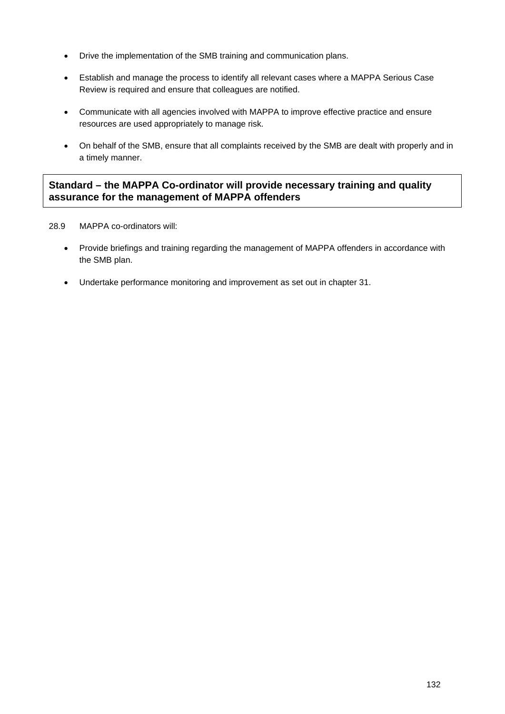- Drive the implementation of the SMB training and communication plans.
- Establish and manage the process to identify all relevant cases where a MAPPA Serious Case Review is required and ensure that colleagues are notified.
- Communicate with all agencies involved with MAPPA to improve effective practice and ensure resources are used appropriately to manage risk.
- On behalf of the SMB, ensure that all complaints received by the SMB are dealt with properly and in a timely manner.

### **Standard – the MAPPA Co-ordinator will provide necessary training and quality assurance for the management of MAPPA offenders**

- 28.9 MAPPA co-ordinators will:
	- Provide briefings and training regarding the management of MAPPA offenders in accordance with the SMB plan.
	- Undertake performance monitoring and improvement as set out in chapter 31.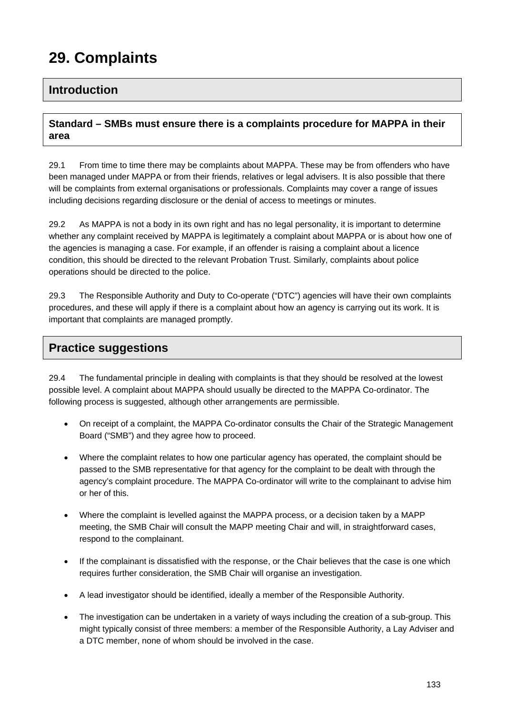# **29. Complaints**

### **Introduction**

#### **Standard – SMBs must ensure there is a complaints procedure for MAPPA in their area**

29.1 From time to time there may be complaints about MAPPA. These may be from offenders who have been managed under MAPPA or from their friends, relatives or legal advisers. It is also possible that there will be complaints from external organisations or professionals. Complaints may cover a range of issues including decisions regarding disclosure or the denial of access to meetings or minutes.

29.2 As MAPPA is not a body in its own right and has no legal personality, it is important to determine whether any complaint received by MAPPA is legitimately a complaint about MAPPA or is about how one of the agencies is managing a case. For example, if an offender is raising a complaint about a licence condition, this should be directed to the relevant Probation Trust. Similarly, complaints about police operations should be directed to the police.

29.3 The Responsible Authority and Duty to Co-operate ("DTC") agencies will have their own complaints procedures, and these will apply if there is a complaint about how an agency is carrying out its work. It is important that complaints are managed promptly.

### **Practice suggestions**

29.4 The fundamental principle in dealing with complaints is that they should be resolved at the lowest possible level. A complaint about MAPPA should usually be directed to the MAPPA Co-ordinator. The following process is suggested, although other arrangements are permissible.

- On receipt of a complaint, the MAPPA Co-ordinator consults the Chair of the Strategic Management Board ("SMB") and they agree how to proceed.
- Where the complaint relates to how one particular agency has operated, the complaint should be passed to the SMB representative for that agency for the complaint to be dealt with through the agency's complaint procedure. The MAPPA Co-ordinator will write to the complainant to advise him or her of this.
- Where the complaint is levelled against the MAPPA process, or a decision taken by a MAPP meeting, the SMB Chair will consult the MAPP meeting Chair and will, in straightforward cases, respond to the complainant.
- If the complainant is dissatisfied with the response, or the Chair believes that the case is one which requires further consideration, the SMB Chair will organise an investigation.
- A lead investigator should be identified, ideally a member of the Responsible Authority.
- The investigation can be undertaken in a variety of ways including the creation of a sub-group. This might typically consist of three members: a member of the Responsible Authority, a Lay Adviser and a DTC member, none of whom should be involved in the case.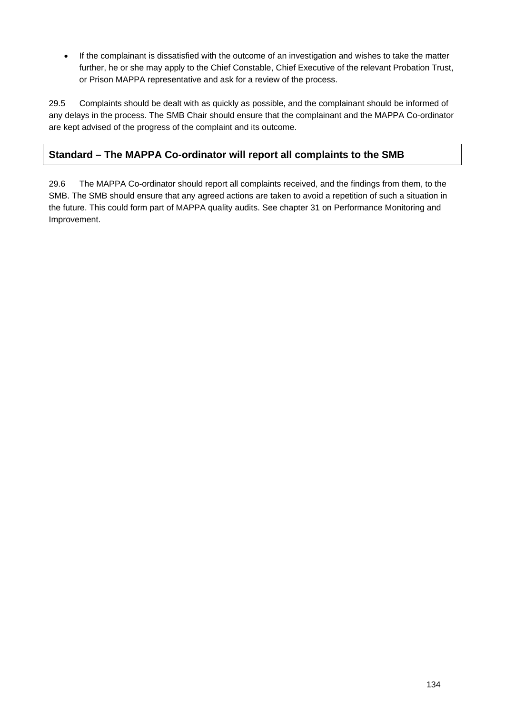If the complainant is dissatisfied with the outcome of an investigation and wishes to take the matter further, he or she may apply to the Chief Constable, Chief Executive of the relevant Probation Trust, or Prison MAPPA representative and ask for a review of the process.

29.5 Complaints should be dealt with as quickly as possible, and the complainant should be informed of any delays in the process. The SMB Chair should ensure that the complainant and the MAPPA Co-ordinator are kept advised of the progress of the complaint and its outcome.

### **Standard – The MAPPA Co-ordinator will report all complaints to the SMB**

29.6 The MAPPA Co-ordinator should report all complaints received, and the findings from them, to the SMB. The SMB should ensure that any agreed actions are taken to avoid a repetition of such a situation in the future. This could form part of MAPPA quality audits. See chapter 31 on Performance Monitoring and Improvement.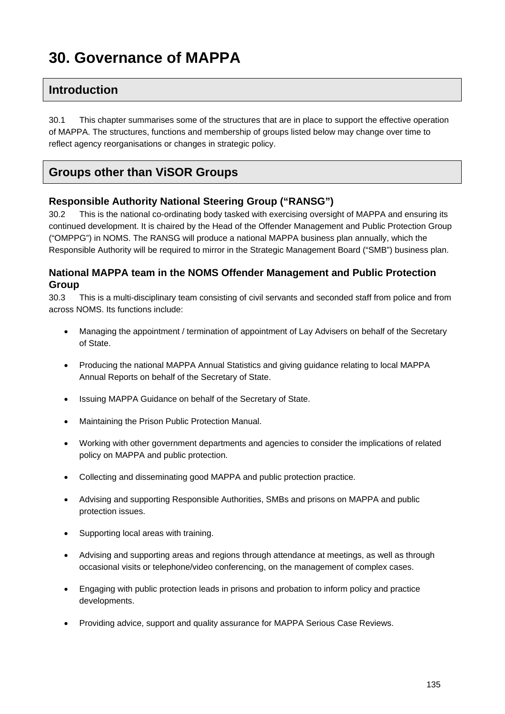# **30. Governance of MAPPA**

# **Introduction**

30.1 This chapter summarises some of the structures that are in place to support the effective operation of MAPPA. The structures, functions and membership of groups listed below may change over time to reflect agency reorganisations or changes in strategic policy.

# **Groups other than ViSOR Groups**

#### **Responsible Authority National Steering Group ("RANSG")**

30.2 This is the national co-ordinating body tasked with exercising oversight of MAPPA and ensuring its continued development. It is chaired by the Head of the Offender Management and Public Protection Group ("OMPPG") in NOMS. The RANSG will produce a national MAPPA business plan annually, which the Responsible Authority will be required to mirror in the Strategic Management Board ("SMB") business plan.

#### **National MAPPA team in the NOMS Offender Management and Public Protection Group**

30.3 This is a multi-disciplinary team consisting of civil servants and seconded staff from police and from across NOMS. Its functions include:

- Managing the appointment / termination of appointment of Lay Advisers on behalf of the Secretary of State.
- Producing the national MAPPA Annual Statistics and giving guidance relating to local MAPPA Annual Reports on behalf of the Secretary of State.
- Issuing MAPPA Guidance on behalf of the Secretary of State.
- Maintaining the Prison Public Protection Manual.
- Working with other government departments and agencies to consider the implications of related policy on MAPPA and public protection.
- Collecting and disseminating good MAPPA and public protection practice.
- Advising and supporting Responsible Authorities, SMBs and prisons on MAPPA and public protection issues.
- Supporting local areas with training.
- Advising and supporting areas and regions through attendance at meetings, as well as through occasional visits or telephone/video conferencing, on the management of complex cases.
- Engaging with public protection leads in prisons and probation to inform policy and practice developments.
- Providing advice, support and quality assurance for MAPPA Serious Case Reviews.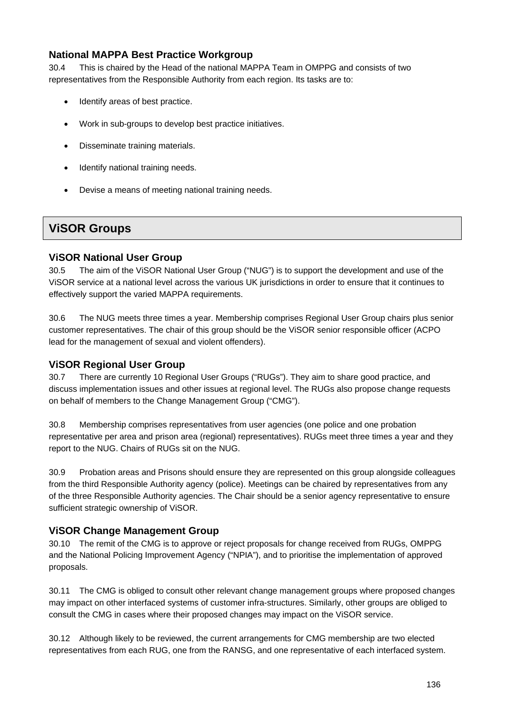#### **National MAPPA Best Practice Workgroup**

30.4 This is chaired by the Head of the national MAPPA Team in OMPPG and consists of two representatives from the Responsible Authority from each region. Its tasks are to:

- Identify areas of best practice.
- Work in sub-groups to develop best practice initiatives.
- Disseminate training materials.
- Identify national training needs.
- Devise a means of meeting national training needs.

# **ViSOR Groups**

#### **ViSOR National User Group**

30.5 The aim of the ViSOR National User Group ("NUG") is to support the development and use of the ViSOR service at a national level across the various UK jurisdictions in order to ensure that it continues to effectively support the varied MAPPA requirements.

30.6 The NUG meets three times a year. Membership comprises Regional User Group chairs plus senior customer representatives. The chair of this group should be the ViSOR senior responsible officer (ACPO lead for the management of sexual and violent offenders).

#### **ViSOR Regional User Group**

30.7 There are currently 10 Regional User Groups ("RUGs"). They aim to share good practice, and discuss implementation issues and other issues at regional level. The RUGs also propose change requests on behalf of members to the Change Management Group ("CMG").

30.8 Membership comprises representatives from user agencies (one police and one probation representative per area and prison area (regional) representatives). RUGs meet three times a year and they report to the NUG. Chairs of RUGs sit on the NUG.

30.9 Probation areas and Prisons should ensure they are represented on this group alongside colleagues from the third Responsible Authority agency (police). Meetings can be chaired by representatives from any of the three Responsible Authority agencies. The Chair should be a senior agency representative to ensure sufficient strategic ownership of ViSOR.

#### **ViSOR Change Management Group**

30.10 The remit of the CMG is to approve or reject proposals for change received from RUGs, OMPPG and the National Policing Improvement Agency ("NPIA"), and to prioritise the implementation of approved proposals.

30.11 The CMG is obliged to consult other relevant change management groups where proposed changes may impact on other interfaced systems of customer infra-structures. Similarly, other groups are obliged to consult the CMG in cases where their proposed changes may impact on the ViSOR service.

30.12 Although likely to be reviewed, the current arrangements for CMG membership are two elected representatives from each RUG, one from the RANSG, and one representative of each interfaced system.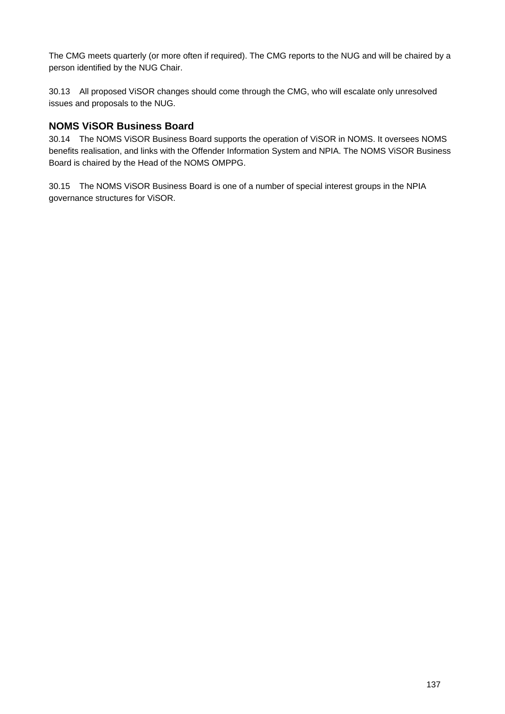The CMG meets quarterly (or more often if required). The CMG reports to the NUG and will be chaired by a person identified by the NUG Chair.

30.13 All proposed ViSOR changes should come through the CMG, who will escalate only unresolved issues and proposals to the NUG.

#### **NOMS ViSOR Business Board**

30.14 The NOMS ViSOR Business Board supports the operation of ViSOR in NOMS. It oversees NOMS benefits realisation, and links with the Offender Information System and NPIA. The NOMS ViSOR Business Board is chaired by the Head of the NOMS OMPPG.

30.15 The NOMS ViSOR Business Board is one of a number of special interest groups in the NPIA governance structures for ViSOR.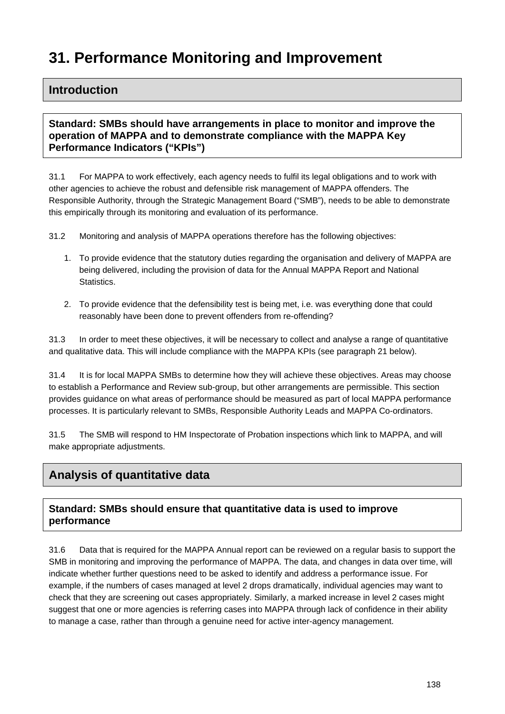# **31. Performance Monitoring and Improvement**

### **Introduction**

#### **Standard: SMBs should have arrangements in place to monitor and improve the operation of MAPPA and to demonstrate compliance with the MAPPA Key Performance Indicators ("KPIs")**

31.1 For MAPPA to work effectively, each agency needs to fulfil its legal obligations and to work with other agencies to achieve the robust and defensible risk management of MAPPA offenders. The Responsible Authority, through the Strategic Management Board ("SMB"), needs to be able to demonstrate this empirically through its monitoring and evaluation of its performance.

31.2 Monitoring and analysis of MAPPA operations therefore has the following objectives:

- 1. To provide evidence that the statutory duties regarding the organisation and delivery of MAPPA are being delivered, including the provision of data for the Annual MAPPA Report and National Statistics.
- 2. To provide evidence that the defensibility test is being met, i.e. was everything done that could reasonably have been done to prevent offenders from re-offending?

31.3 In order to meet these objectives, it will be necessary to collect and analyse a range of quantitative and qualitative data. This will include compliance with the MAPPA KPIs (see paragraph 21 below).

31.4 It is for local MAPPA SMBs to determine how they will achieve these objectives. Areas may choose to establish a Performance and Review sub-group, but other arrangements are permissible. This section provides guidance on what areas of performance should be measured as part of local MAPPA performance processes. It is particularly relevant to SMBs, Responsible Authority Leads and MAPPA Co-ordinators.

31.5 The SMB will respond to HM Inspectorate of Probation inspections which link to MAPPA, and will make appropriate adjustments.

# **Analysis of quantitative data**

#### **Standard: SMBs should ensure that quantitative data is used to improve performance**

31.6 Data that is required for the MAPPA Annual report can be reviewed on a regular basis to support the SMB in monitoring and improving the performance of MAPPA. The data, and changes in data over time, will indicate whether further questions need to be asked to identify and address a performance issue. For example, if the numbers of cases managed at level 2 drops dramatically, individual agencies may want to check that they are screening out cases appropriately. Similarly, a marked increase in level 2 cases might suggest that one or more agencies is referring cases into MAPPA through lack of confidence in their ability to manage a case, rather than through a genuine need for active inter-agency management.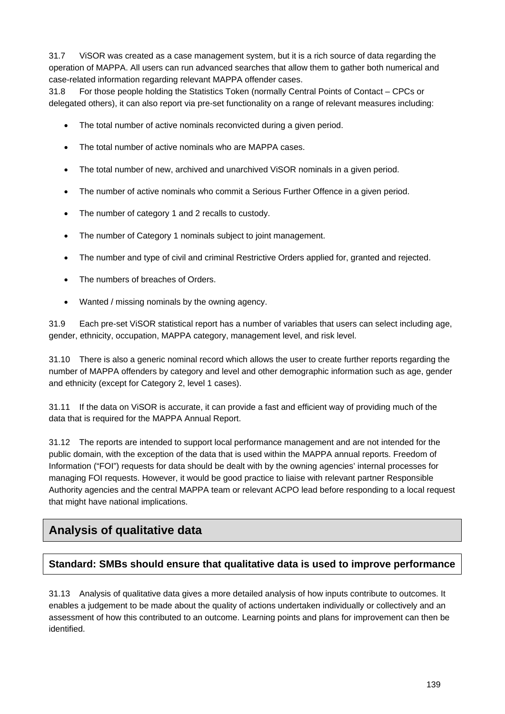31.7 ViSOR was created as a case management system, but it is a rich source of data regarding the operation of MAPPA. All users can run advanced searches that allow them to gather both numerical and case-related information regarding relevant MAPPA offender cases.

31.8 For those people holding the Statistics Token (normally Central Points of Contact – CPCs or delegated others), it can also report via pre-set functionality on a range of relevant measures including:

- The total number of active nominals reconvicted during a given period.
- The total number of active nominals who are MAPPA cases.
- The total number of new, archived and unarchived ViSOR nominals in a given period.
- The number of active nominals who commit a Serious Further Offence in a given period.
- The number of category 1 and 2 recalls to custody.
- The number of Category 1 nominals subject to joint management.
- The number and type of civil and criminal Restrictive Orders applied for, granted and rejected.
- The numbers of breaches of Orders.
- Wanted / missing nominals by the owning agency.

31.9 Each pre-set ViSOR statistical report has a number of variables that users can select including age, gender, ethnicity, occupation, MAPPA category, management level, and risk level.

31.10 There is also a generic nominal record which allows the user to create further reports regarding the number of MAPPA offenders by category and level and other demographic information such as age, gender and ethnicity (except for Category 2, level 1 cases).

31.11 If the data on ViSOR is accurate, it can provide a fast and efficient way of providing much of the data that is required for the MAPPA Annual Report.

31.12 The reports are intended to support local performance management and are not intended for the public domain, with the exception of the data that is used within the MAPPA annual reports. Freedom of Information ("FOI") requests for data should be dealt with by the owning agencies' internal processes for managing FOI requests. However, it would be good practice to liaise with relevant partner Responsible Authority agencies and the central MAPPA team or relevant ACPO lead before responding to a local request that might have national implications.

# **Analysis of qualitative data**

#### **Standard: SMBs should ensure that qualitative data is used to improve performance**

31.13 Analysis of qualitative data gives a more detailed analysis of how inputs contribute to outcomes. It enables a judgement to be made about the quality of actions undertaken individually or collectively and an assessment of how this contributed to an outcome. Learning points and plans for improvement can then be identified.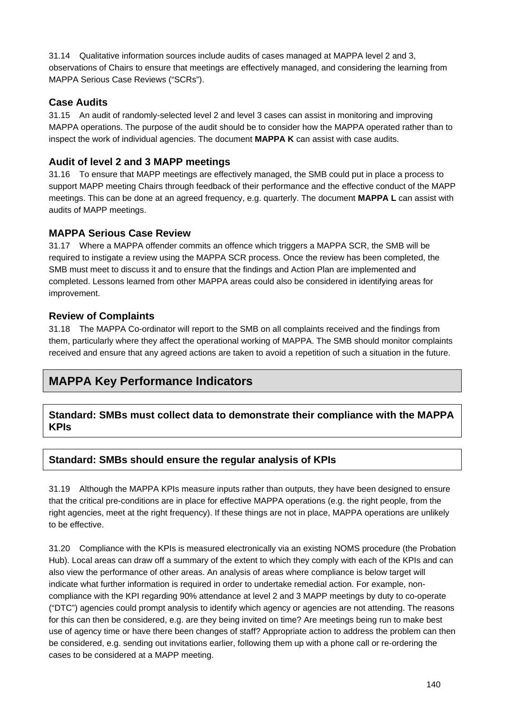31.14 Qualitative information sources include audits of cases managed at MAPPA level 2 and 3, observations of Chairs to ensure that meetings are effectively managed, and considering the learning from MAPPA Serious Case Reviews ("SCRs").

#### **Case Audits**

31.15 An audit of randomly-selected level 2 and level 3 cases can assist in monitoring and improving MAPPA operations. The purpose of the audit should be to consider how the MAPPA operated rather than to inspect the work of individual agencies. The document **MAPPA K** can assist with case audits.

#### **Audit of level 2 and 3 MAPP meetings**

31.16 To ensure that MAPP meetings are effectively managed, the SMB could put in place a process to support MAPP meeting Chairs through feedback of their performance and the effective conduct of the MAPP meetings. This can be done at an agreed frequency, e.g. quarterly. The document **MAPPA L** can assist with audits of MAPP meetings.

#### **MAPPA Serious Case Review**

31.17 Where a MAPPA offender commits an offence which triggers a MAPPA SCR, the SMB will be required to instigate a review using the MAPPA SCR process. Once the review has been completed, the SMB must meet to discuss it and to ensure that the findings and Action Plan are implemented and completed. Lessons learned from other MAPPA areas could also be considered in identifying areas for improvement.

#### **Review of Complaints**

31.18 The MAPPA Co-ordinator will report to the SMB on all complaints received and the findings from them, particularly where they affect the operational working of MAPPA. The SMB should monitor complaints received and ensure that any agreed actions are taken to avoid a repetition of such a situation in the future.

# **MAPPA Key Performance Indicators**

#### **Standard: SMBs must collect data to demonstrate their compliance with the MAPPA KPIs**

#### **Standard: SMBs should ensure the regular analysis of KPIs**

31.19 Although the MAPPA KPIs measure inputs rather than outputs, they have been designed to ensure that the critical pre-conditions are in place for effective MAPPA operations (e.g. the right people, from the right agencies, meet at the right frequency). If these things are not in place, MAPPA operations are unlikely to be effective.

31.20 Compliance with the KPIs is measured electronically via an existing NOMS procedure (the Probation Hub). Local areas can draw off a summary of the extent to which they comply with each of the KPIs and can also view the performance of other areas. An analysis of areas where compliance is below target will indicate what further information is required in order to undertake remedial action. For example, noncompliance with the KPI regarding 90% attendance at level 2 and 3 MAPP meetings by duty to co-operate ("DTC") agencies could prompt analysis to identify which agency or agencies are not attending. The reasons for this can then be considered, e.g. are they being invited on time? Are meetings being run to make best use of agency time or have there been changes of staff? Appropriate action to address the problem can then be considered, e.g. sending out invitations earlier, following them up with a phone call or re-ordering the cases to be considered at a MAPP meeting.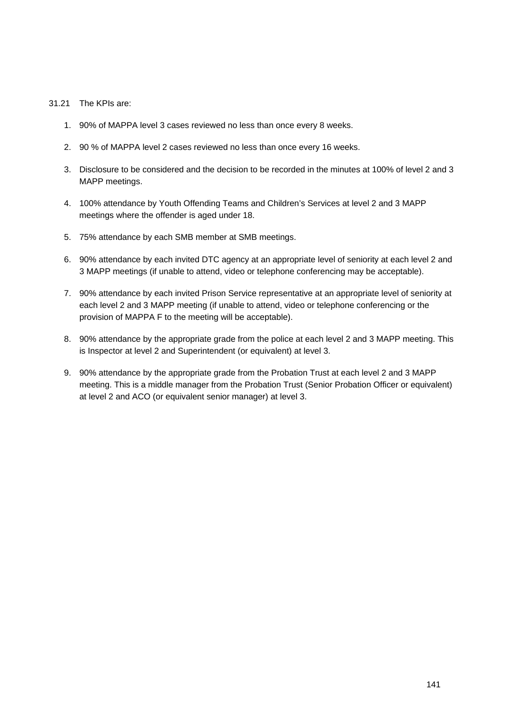#### 31.21 The KPIs are:

- 1. 90% of MAPPA level 3 cases reviewed no less than once every 8 weeks.
- 2. 90 % of MAPPA level 2 cases reviewed no less than once every 16 weeks.
- 3. Disclosure to be considered and the decision to be recorded in the minutes at 100% of level 2 and 3 MAPP meetings.
- 4. 100% attendance by Youth Offending Teams and Children's Services at level 2 and 3 MAPP meetings where the offender is aged under 18.
- 5. 75% attendance by each SMB member at SMB meetings.
- 6. 90% attendance by each invited DTC agency at an appropriate level of seniority at each level 2 and 3 MAPP meetings (if unable to attend, video or telephone conferencing may be acceptable).
- 7. 90% attendance by each invited Prison Service representative at an appropriate level of seniority at each level 2 and 3 MAPP meeting (if unable to attend, video or telephone conferencing or the provision of MAPPA F to the meeting will be acceptable).
- 8. 90% attendance by the appropriate grade from the police at each level 2 and 3 MAPP meeting. This is Inspector at level 2 and Superintendent (or equivalent) at level 3.
- 9. 90% attendance by the appropriate grade from the Probation Trust at each level 2 and 3 MAPP meeting. This is a middle manager from the Probation Trust (Senior Probation Officer or equivalent) at level 2 and ACO (or equivalent senior manager) at level 3.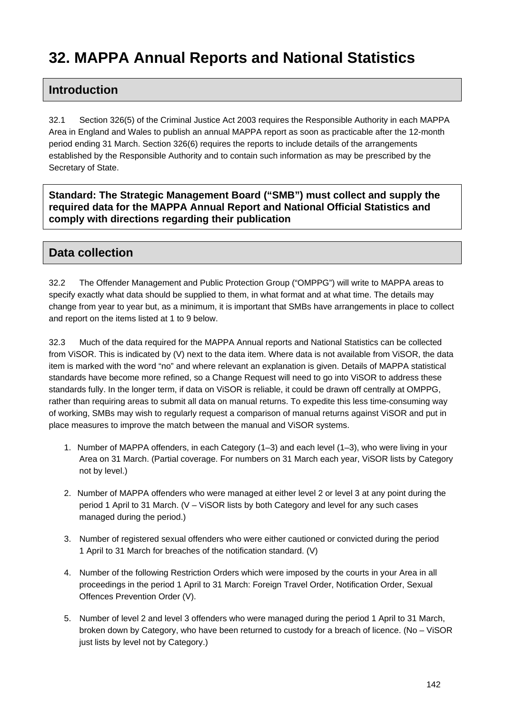# **32. MAPPA Annual Reports and National Statistics**

# **Introduction**

32.1 Section 326(5) of the Criminal Justice Act 2003 requires the Responsible Authority in each MAPPA Area in England and Wales to publish an annual MAPPA report as soon as practicable after the 12-month period ending 31 March. Section 326(6) requires the reports to include details of the arrangements established by the Responsible Authority and to contain such information as may be prescribed by the Secretary of State.

**Standard: The Strategic Management Board ("SMB") must collect and supply the required data for the MAPPA Annual Report and National Official Statistics and comply with directions regarding their publication** 

# **Data collection**

32.2 The Offender Management and Public Protection Group ("OMPPG") will write to MAPPA areas to specify exactly what data should be supplied to them, in what format and at what time. The details may change from year to year but, as a minimum, it is important that SMBs have arrangements in place to collect and report on the items listed at 1 to 9 below.

32.3 Much of the data required for the MAPPA Annual reports and National Statistics can be collected from ViSOR. This is indicated by (V) next to the data item. Where data is not available from ViSOR, the data item is marked with the word "no" and where relevant an explanation is given. Details of MAPPA statistical standards have become more refined, so a Change Request will need to go into ViSOR to address these standards fully. In the longer term, if data on ViSOR is reliable, it could be drawn off centrally at OMPPG, rather than requiring areas to submit all data on manual returns. To expedite this less time-consuming way of working, SMBs may wish to regularly request a comparison of manual returns against ViSOR and put in place measures to improve the match between the manual and ViSOR systems.

- 1. Number of MAPPA offenders, in each Category (1–3) and each level (1–3), who were living in your Area on 31 March. (Partial coverage. For numbers on 31 March each year, ViSOR lists by Category not by level.)
- 2. Number of MAPPA offenders who were managed at either level 2 or level 3 at any point during the period 1 April to 31 March. (V – ViSOR lists by both Category and level for any such cases managed during the period.)
- 3. Number of registered sexual offenders who were either cautioned or convicted during the period 1 April to 31 March for breaches of the notification standard. (V)
- 4. Number of the following Restriction Orders which were imposed by the courts in your Area in all proceedings in the period 1 April to 31 March: Foreign Travel Order, Notification Order, Sexual Offences Prevention Order (V).
- 5. Number of level 2 and level 3 offenders who were managed during the period 1 April to 31 March, broken down by Category, who have been returned to custody for a breach of licence. (No – ViSOR just lists by level not by Category.)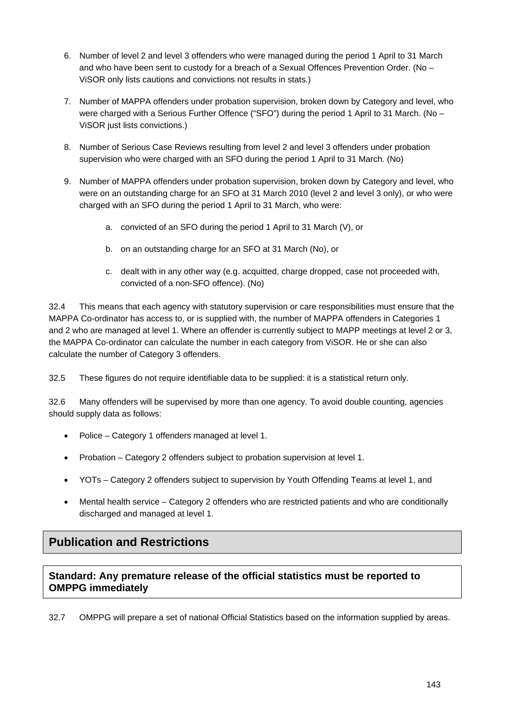- 6. Number of level 2 and level 3 offenders who were managed during the period 1 April to 31 March and who have been sent to custody for a breach of a Sexual Offences Prevention Order. (No – ViSOR only lists cautions and convictions not results in stats.)
- 7. Number of MAPPA offenders under probation supervision, broken down by Category and level, who were charged with a Serious Further Offence ("SFO") during the period 1 April to 31 March. (No – ViSOR just lists convictions.)
- 8. Number of Serious Case Reviews resulting from level 2 and level 3 offenders under probation supervision who were charged with an SFO during the period 1 April to 31 March. (No)
- 9. Number of MAPPA offenders under probation supervision, broken down by Category and level, who were on an outstanding charge for an SFO at 31 March 2010 (level 2 and level 3 only), or who were charged with an SFO during the period 1 April to 31 March, who were:
	- a. convicted of an SFO during the period 1 April to 31 March (V), or
	- b. on an outstanding charge for an SFO at 31 March (No), or
	- c. dealt with in any other way (e.g. acquitted, charge dropped, case not proceeded with, convicted of a non-SFO offence). (No)

32.4 This means that each agency with statutory supervision or care responsibilities must ensure that the MAPPA Co-ordinator has access to, or is supplied with, the number of MAPPA offenders in Categories 1 and 2 who are managed at level 1. Where an offender is currently subject to MAPP meetings at level 2 or 3, the MAPPA Co-ordinator can calculate the number in each category from ViSOR. He or she can also calculate the number of Category 3 offenders.

32.5 These figures do not require identifiable data to be supplied: it is a statistical return only.

32.6 Many offenders will be supervised by more than one agency. To avoid double counting, agencies should supply data as follows:

- Police Category 1 offenders managed at level 1.
- Probation Category 2 offenders subject to probation supervision at level 1.
- YOTs Category 2 offenders subject to supervision by Youth Offending Teams at level 1, and
- Mental health service Category 2 offenders who are restricted patients and who are conditionally discharged and managed at level 1.

# **Publication and Restrictions**

#### **Standard: Any premature release of the official statistics must be reported to OMPPG immediately**

32.7 OMPPG will prepare a set of national Official Statistics based on the information supplied by areas.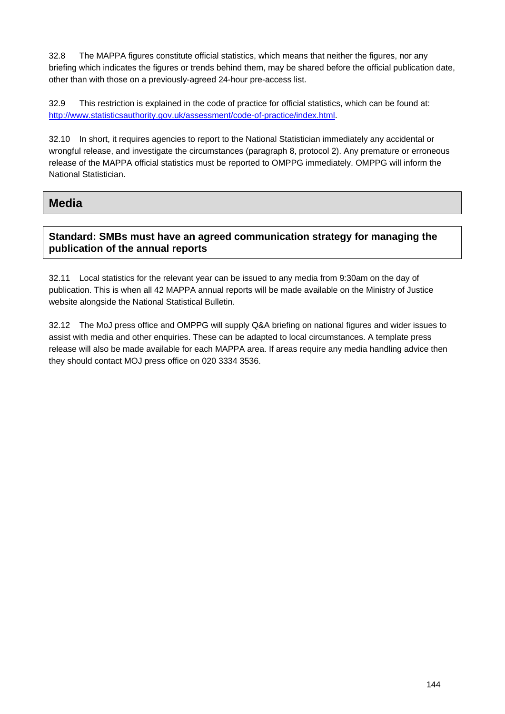32.8 The MAPPA figures constitute official statistics, which means that neither the figures, nor any briefing which indicates the figures or trends behind them, may be shared before the official publication date, other than with those on a previously-agreed 24-hour pre-access list.

32.9 This restriction is explained in the code of practice for official statistics, which can be found at: <http://www.statisticsauthority.gov.uk/assessment/code-of-practice/index.html>.

32.10 In short, it requires agencies to report to the National Statistician immediately any accidental or wrongful release, and investigate the circumstances (paragraph 8, protocol 2). Any premature or erroneous release of the MAPPA official statistics must be reported to OMPPG immediately. OMPPG will inform the National Statistician.

#### **Media**

#### **Standard: SMBs must have an agreed communication strategy for managing the publication of the annual reports**

32.11 Local statistics for the relevant year can be issued to any media from 9:30am on the day of publication. This is when all 42 MAPPA annual reports will be made available on the Ministry of Justice website alongside the National Statistical Bulletin.

32.12 The MoJ press office and OMPPG will supply Q&A briefing on national figures and wider issues to assist with media and other enquiries. These can be adapted to local circumstances. A template press release will also be made available for each MAPPA area. If areas require any media handling advice then they should contact MOJ press office on 020 3334 3536.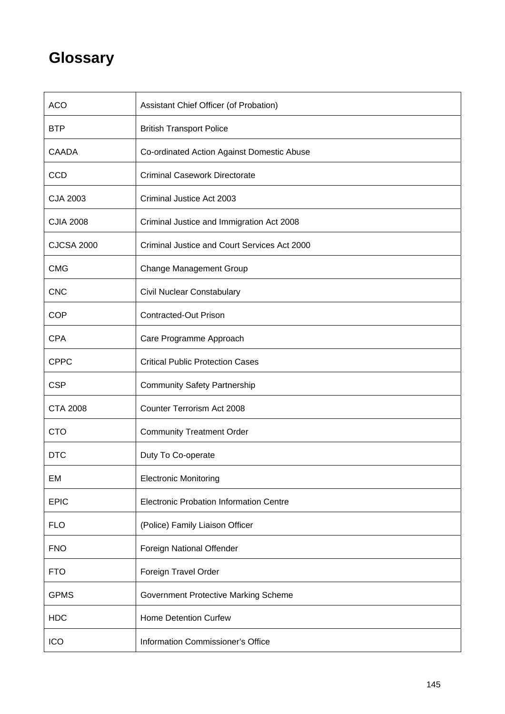# **Glossary**

| <b>ACO</b>        | Assistant Chief Officer (of Probation)         |
|-------------------|------------------------------------------------|
| <b>BTP</b>        | <b>British Transport Police</b>                |
| <b>CAADA</b>      | Co-ordinated Action Against Domestic Abuse     |
| <b>CCD</b>        | <b>Criminal Casework Directorate</b>           |
| CJA 2003          | Criminal Justice Act 2003                      |
| <b>CJIA 2008</b>  | Criminal Justice and Immigration Act 2008      |
| <b>CJCSA 2000</b> | Criminal Justice and Court Services Act 2000   |
| <b>CMG</b>        | <b>Change Management Group</b>                 |
| <b>CNC</b>        | Civil Nuclear Constabulary                     |
| <b>COP</b>        | <b>Contracted-Out Prison</b>                   |
| <b>CPA</b>        | Care Programme Approach                        |
| <b>CPPC</b>       | <b>Critical Public Protection Cases</b>        |
| <b>CSP</b>        | <b>Community Safety Partnership</b>            |
| <b>CTA 2008</b>   | Counter Terrorism Act 2008                     |
| <b>CTO</b>        | <b>Community Treatment Order</b>               |
| <b>DTC</b>        | Duty To Co-operate                             |
| EM                | <b>Electronic Monitoring</b>                   |
| <b>EPIC</b>       | <b>Electronic Probation Information Centre</b> |
| <b>FLO</b>        | (Police) Family Liaison Officer                |
| <b>FNO</b>        | Foreign National Offender                      |
| <b>FTO</b>        | Foreign Travel Order                           |
| <b>GPMS</b>       | Government Protective Marking Scheme           |
| <b>HDC</b>        | <b>Home Detention Curfew</b>                   |
| <b>ICO</b>        | Information Commissioner's Office              |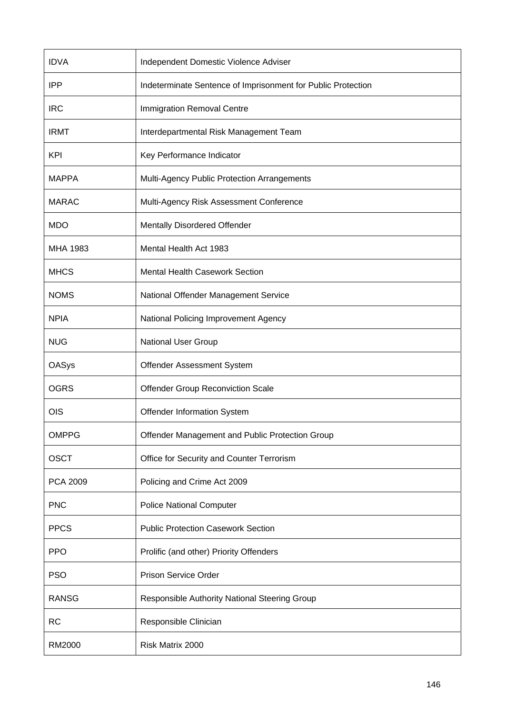| <b>IDVA</b>  | Independent Domestic Violence Adviser                        |
|--------------|--------------------------------------------------------------|
| <b>IPP</b>   | Indeterminate Sentence of Imprisonment for Public Protection |
| <b>IRC</b>   | Immigration Removal Centre                                   |
| <b>IRMT</b>  | Interdepartmental Risk Management Team                       |
| <b>KPI</b>   | Key Performance Indicator                                    |
| <b>MAPPA</b> | Multi-Agency Public Protection Arrangements                  |
| <b>MARAC</b> | Multi-Agency Risk Assessment Conference                      |
| <b>MDO</b>   | Mentally Disordered Offender                                 |
| MHA 1983     | Mental Health Act 1983                                       |
| <b>MHCS</b>  | <b>Mental Health Casework Section</b>                        |
| <b>NOMS</b>  | National Offender Management Service                         |
| <b>NPIA</b>  | National Policing Improvement Agency                         |
| <b>NUG</b>   | National User Group                                          |
| <b>OASys</b> | Offender Assessment System                                   |
|              |                                                              |
| <b>OGRS</b>  | Offender Group Reconviction Scale                            |
| <b>OIS</b>   | Offender Information System                                  |
| <b>OMPPG</b> | Offender Management and Public Protection Group              |
| <b>OSCT</b>  | Office for Security and Counter Terrorism                    |
| PCA 2009     | Policing and Crime Act 2009                                  |
| <b>PNC</b>   | <b>Police National Computer</b>                              |
| <b>PPCS</b>  | <b>Public Protection Casework Section</b>                    |
| <b>PPO</b>   | Prolific (and other) Priority Offenders                      |
| <b>PSO</b>   | <b>Prison Service Order</b>                                  |
| <b>RANSG</b> | Responsible Authority National Steering Group                |
| <b>RC</b>    | Responsible Clinician                                        |